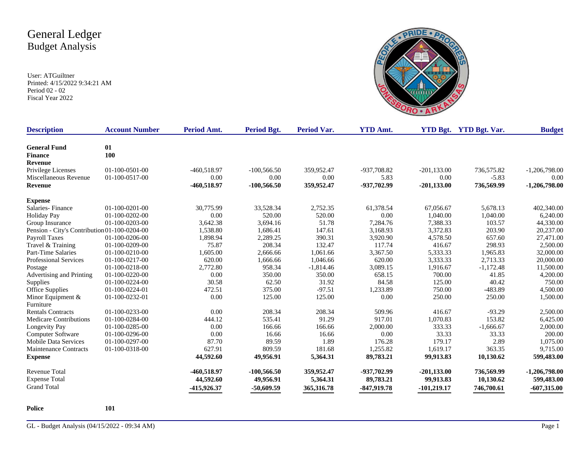User: ATGuiltner Printed: 4/15/2022 9:34:21 AM Period 02 - 02 Fiscal Year 2022



| <b>Description</b>                           | <b>Account Number</b> | Period Amt.   | Period Bgt.   | <b>Period Var.</b> | <b>YTD Amt.</b> |                | <b>YTD Bgt.</b> YTD Bgt. Var. | <b>Budget</b>   |
|----------------------------------------------|-----------------------|---------------|---------------|--------------------|-----------------|----------------|-------------------------------|-----------------|
| <b>General Fund</b>                          | 01                    |               |               |                    |                 |                |                               |                 |
| <b>Finance</b>                               | 100                   |               |               |                    |                 |                |                               |                 |
| <b>Revenue</b>                               |                       |               |               |                    |                 |                |                               |                 |
| Privilege Licenses                           | 01-100-0501-00        | $-460,518.97$ | $-100,566.50$ | 359,952.47         | -937,708.82     | $-201, 133.00$ | 736,575.82                    | $-1,206,798.00$ |
| Miscellaneous Revenue                        | 01-100-0517-00        | 0.00          | 0.00          | 0.00               | 5.83            | 0.00           | $-5.83$                       | 0.00            |
| <b>Revenue</b>                               |                       | -460,518.97   | $-100,566.50$ | 359,952.47         | -937,702.99     | $-201, 133.00$ | 736,569.99                    | $-1,206,798.00$ |
| <b>Expense</b>                               |                       |               |               |                    |                 |                |                               |                 |
| Salaries-Finance                             | $01-100-0201-00$      | 30,775.99     | 33,528.34     | 2,752.35           | 61,378.54       | 67,056.67      | 5,678.13                      | 402,340.00      |
| <b>Holiday Pay</b>                           | $01-100-0202-00$      | 0.00          | 520.00        | 520.00             | 0.00            | 1,040.00       | 1,040.00                      | 6,240.00        |
| Group Insurance                              | 01-100-0203-00        | 3,642.38      | 3,694.16      | 51.78              | 7,284.76        | 7,388.33       | 103.57                        | 44,330.00       |
| Pension - City's Contribution 01-100-0204-00 |                       | 1,538.80      | 1,686.41      | 147.61             | 3,168.93        | 3,372.83       | 203.90                        | 20,237.00       |
| Payroll Taxes                                | 01-100-0206-00        | 1,898.94      | 2,289.25      | 390.31             | 3,920.90        | 4,578.50       | 657.60                        | 27,471.00       |
| Travel & Training                            | 01-100-0209-00        | 75.87         | 208.34        | 132.47             | 117.74          | 416.67         | 298.93                        | 2,500.00        |
| Part-Time Salaries                           | 01-100-0210-00        | 1,605.00      | 2,666.66      | 1,061.66           | 3,367.50        | 5,333.33       | 1,965.83                      | 32,000.00       |
| <b>Professional Services</b>                 | 01-100-0217-00        | 620.00        | 1,666.66      | 1,046.66           | 620.00          | 3,333.33       | 2,713.33                      | 20,000.00       |
| Postage                                      | 01-100-0218-00        | 2,772.80      | 958.34        | $-1,814.46$        | 3,089.15        | 1,916.67       | $-1,172.48$                   | 11,500.00       |
| Advertising and Printing                     | 01-100-0220-00        | 0.00          | 350.00        | 350.00             | 658.15          | 700.00         | 41.85                         | 4,200.00        |
| Supplies                                     | 01-100-0224-00        | 30.58         | 62.50         | 31.92              | 84.58           | 125.00         | 40.42                         | 750.00          |
| Office Supplies                              | 01-100-0224-01        | 472.51        | 375.00        | $-97.51$           | 1,233.89        | 750.00         | $-483.89$                     | 4,500.00        |
| Minor Equipment $\&$                         | 01-100-0232-01        | 0.00          | 125.00        | 125.00             | 0.00            | 250.00         | 250.00                        | 1,500.00        |
| Furniture                                    |                       |               |               |                    |                 |                |                               |                 |
| <b>Rentals Contracts</b>                     | 01-100-0233-00        | 0.00          | 208.34        | 208.34             | 509.96          | 416.67         | $-93.29$                      | 2,500.00        |
| <b>Medicare Contributions</b>                | 01-100-0284-00        | 444.12        | 535.41        | 91.29              | 917.01          | 1,070.83       | 153.82                        | 6,425.00        |
| Longevity Pay                                | 01-100-0285-00        | 0.00          | 166.66        | 166.66             | 2,000.00        | 333.33         | $-1,666.67$                   | 2,000.00        |
| Computer Software                            | 01-100-0296-00        | 0.00          | 16.66         | 16.66              | 0.00            | 33.33          | 33.33                         | 200.00          |
| <b>Mobile Data Services</b>                  | 01-100-0297-00        | 87.70         | 89.59         | 1.89               | 176.28          | 179.17         | 2.89                          | 1,075.00        |
| <b>Maintenance Contracts</b>                 | 01-100-0318-00        | 627.91        | 809.59        | 181.68             | 1,255.82        | 1,619.17       | 363.35                        | 9,715.00        |
| <b>Expense</b>                               |                       | 44,592.60     | 49,956.91     | 5,364.31           | 89,783.21       | 99,913.83      | 10,130.62                     | 599,483.00      |
| Revenue Total                                |                       | -460,518.97   | $-100,566.50$ | 359,952.47         | -937,702.99     | $-201, 133.00$ | 736,569.99                    | $-1,206,798.00$ |
| <b>Expense Total</b>                         |                       | 44,592.60     | 49,956.91     | 5,364.31           | 89,783.21       | 99,913.83      | 10,130.62                     | 599,483.00      |
| <b>Grand Total</b>                           |                       | -415,926.37   | $-50,609.59$  | 365, 316.78        | $-847,919.78$   | -101,219.17    | 746,700.61                    | $-607,315.00$   |

**Police 101**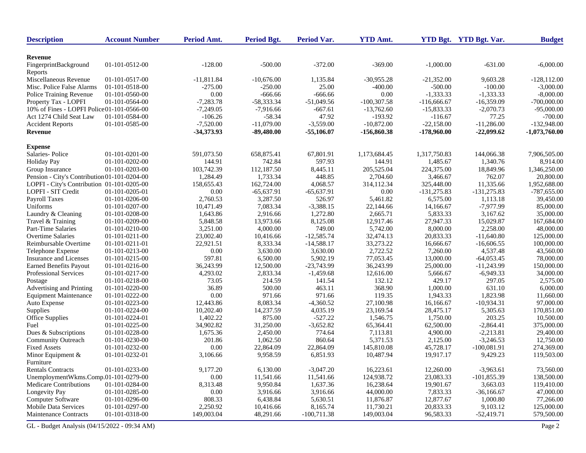| <b>Description</b>                           | <b>Account Number</b> | Period Amt.  | <b>Period Bgt.</b> | Period Var.   | <b>YTD Amt.</b> |               | YTD Bgt. YTD Bgt. Var. | <b>Budget</b>   |
|----------------------------------------------|-----------------------|--------------|--------------------|---------------|-----------------|---------------|------------------------|-----------------|
| Revenue                                      |                       |              |                    |               |                 |               |                        |                 |
| FingerprintBackground<br>Reports             | 01-101-0512-00        | $-128.00$    | $-500.00$          | $-372.00$     | $-369.00$       | $-1,000.00$   | $-631.00$              | $-6,000.00$     |
| Miscellaneous Revenue                        | 01-101-0517-00        | $-11,811.84$ | $-10.676.00$       | 1,135.84      | $-30,955.28$    | $-21,352.00$  | 9,603.28               | $-128.112.00$   |
| Misc. Police False Alarms                    | 01-101-0518-00        | $-275.00$    | -250.00            | 25.00         | $-400.00$       | $-500.00$     | $-100.00$              | $-3,000.00$     |
| Police Training Revenue                      | 01-101-0560-00        | 0.00         | $-666.66$          | $-666.66$     | 0.00            | $-1,333.33$   | $-1,333.33$            | $-8,000.00$     |
| Property Tax - LOPFI                         | 01-101-0564-00        | $-7,283.78$  | $-58,333.34$       | $-51,049.56$  | $-100,307.58$   | $-116,666.67$ | $-16,359.09$           | $-700,000.00$   |
| 10% of Fines - LOPFI Police 01-101-0566-00   |                       | $-7,249.05$  | $-7,916.66$        | $-667.61$     | $-13,762.60$    | $-15,833.33$  | $-2,070.73$            | $-95,000.00$    |
| Act 1274 Child Seat Law                      | 01-101-0584-00        | $-106.26$    | $-58.34$           | 47.92         | $-193.92$       | $-116.67$     | 77.25                  | $-700.00$       |
| <b>Accident Reports</b>                      | 01-101-0585-00        | $-7,520.00$  | $-11,079.00$       | $-3,559.00$   | $-10,872.00$    | $-22,158.00$  | $-11,286.00$           | $-132,948.00$   |
| Revenue                                      |                       | -34,373.93   | $-89,480.00$       | $-55,106.07$  | $-156,860.38$   | $-178,960.00$ | $-22,099.62$           | $-1,073,760.00$ |
| <b>Expense</b>                               |                       |              |                    |               |                 |               |                        |                 |
| Salaries-Police                              | $01-101-0201-00$      | 591,073.50   | 658,875.41         | 67,801.91     | 1,173,684.45    | 1,317,750.83  | 144,066.38             | 7,906,505.00    |
| <b>Holiday Pay</b>                           | 01-101-0202-00        | 144.91       | 742.84             | 597.93        | 144.91          | 1,485.67      | 1,340.76               | 8,914.00        |
| Group Insurance                              | 01-101-0203-00        | 103,742.39   | 112,187.50         | 8,445.11      | 205,525.04      | 224,375.00    | 18,849.96              | 1,346,250.00    |
| Pension - City's Contribution 01-101-0204-00 |                       | 1,284.49     | 1,733.34           | 448.85        | 2,704.60        | 3,466.67      | 762.07                 | 20,800.00       |
| LOPFI - City's Contribution 01-101-0205-00   |                       | 158,655.43   | 162,724.00         | 4,068.57      | 314,112.34      | 325,448.00    | 11,335.66              | 1,952,688.00    |
| LOPFI - SIT Credit                           | 01-101-0205-01        | 0.00         | $-65,637.91$       | $-65,637.91$  | 0.00            | $-131,275.83$ | $-131,275.83$          | $-787,655.00$   |
| Payroll Taxes                                | 01-101-0206-00        | 2,760.53     | 3,287.50           | 526.97        | 5,461.82        | 6,575.00      | 1,113.18               | 39,450.00       |
| Uniforms                                     | 01-101-0207-00        | 10,471.49    | 7,083.34           | $-3,388.15$   | 22,144.66       | 14,166.67     | $-7,977.99$            | 85,000.00       |
| Laundry & Cleaning                           | 01-101-0208-00        | 1,643.86     | 2,916.66           | 1,272.80      | 2,665.71        | 5,833.33      | 3,167.62               | 35,000.00       |
| Travel & Training                            | 01-101-0209-00        | 5.848.58     | 13,973.66          | 8,125.08      | 12,917.46       | 27,947.33     | 15,029.87              | 167,684.00      |
| Part-Time Salaries                           | 01-101-0210-00        | 3,251.00     | 4,000.00           | 749.00        | 5,742.00        | 8,000.00      | 2,258.00               | 48,000.00       |
| <b>Overtime Salaries</b>                     | $01-101-0211-00$      | 23,002.40    | 10,416.66          | $-12,585.74$  | 32,474.13       | 20,833.33     | $-11,640.80$           | 125,000.00      |
| Reimbursable Overtime                        | 01-101-0211-01        | 22,921.51    | 8,333.34           | $-14,588.17$  | 33,273.22       | 16,666.67     | $-16,606,55$           | 100,000.00      |
| Telephone Expense                            | 01-101-0213-00        | 0.00         | 3,630.00           | 3,630.00      | 2,722.52        | 7,260.00      | 4,537.48               | 43,560.00       |
| Insurance and Licenses                       | 01-101-0215-00        | 597.81       | 6,500.00           | 5,902.19      | 77,053.45       | 13,000.00     | $-64,053.45$           | 78,000.00       |
| <b>Earned Benefits Payout</b>                | 01-101-0216-00        | 36,243.99    | 12,500.00          | $-23,743.99$  | 36,243.99       | 25,000.00     | $-11,243.99$           | 150,000.00      |
| Professional Services                        | 01-101-0217-00        | 4,293.02     | 2,833.34           | $-1,459.68$   | 12,616.00       | 5,666.67      | $-6,949.33$            | 34,000.00       |
| Postage                                      | 01-101-0218-00        | 73.05        | 214.59             | 141.54        | 132.12          | 429.17        | 297.05                 | 2,575.00        |
| Advertising and Printing                     | 01-101-0220-00        | 36.89        | 500.00             | 463.11        | 368.90          | 1,000.00      | 631.10                 | 6,000.00        |
| <b>Equipment Maintenance</b>                 | 01-101-0222-00        | 0.00         | 971.66             | 971.66        | 119.35          | 1,943.33      | 1,823.98               | 11,660.00       |
| Auto Expense                                 | 01-101-0223-00        | 12,443.86    | 8,083.34           | $-4,360.52$   | 27,100.98       | 16,166.67     | $-10,934.31$           | 97,000.00       |
| Supplies                                     | 01-101-0224-00        | 10,202.40    | 14,237.59          | 4,035.19      | 23,169.54       | 28,475.17     | 5,305.63               | 170,851.00      |
| Office Supplies                              | 01-101-0224-01        | 1,402.22     | 875.00             | $-527.22$     | 1,546.75        | 1,750.00      | 203.25                 | 10,500.00       |
| Fuel                                         | 01-101-0225-00        | 34,902.82    | 31,250.00          | $-3,652.82$   | 65,364.41       | 62,500.00     | $-2,864.41$            | 375,000.00      |
| Dues & Subscriptions                         | 01-101-0228-00        | 1,675.36     | 2,450.00           | 774.64        | 7,113.81        | 4,900.00      | $-2,213.81$            | 29,400.00       |
| <b>Community Outreach</b>                    | 01-101-0230-00        | 201.86       | 1,062.50           | 860.64        | 5,371.53        | 2,125.00      | $-3,246.53$            | 12,750.00       |
| <b>Fixed Assets</b>                          | 01-101-0232-00        | 0.00         | 22,864.09          | 22,864.09     | 145,810.08      | 45,728.17     | $-100,081.91$          | 274,369.00      |
| Minor Equipment &<br>Furniture               | 01-101-0232-01        | 3,106.66     | 9,958.59           | 6,851.93      | 10,487.94       | 19,917.17     | 9,429.23               | 119,503.00      |
| <b>Rentals Contracts</b>                     | 01-101-0233-00        | 9,177.20     | 6,130.00           | $-3,047.20$   | 16,223.61       | 12,260.00     | $-3,963.61$            | 73,560.00       |
| UnemploymentWkms.Comp.01-101-0279-00         |                       | 0.00         | 11,541.66          | 11,541.66     | 124,938.72      | 23,083.33     | $-101,855.39$          | 138,500.00      |
| <b>Medicare Contributions</b>                | 01-101-0284-00        | 8,313.48     | 9,950.84           | 1,637.36      | 16,238.64       | 19,901.67     | 3,663.03               | 119,410.00      |
| Longevity Pay                                | 01-101-0285-00        | 0.00         | 3,916.66           | 3,916.66      | 44,000.00       | 7,833.33      | $-36,166.67$           | 47,000.00       |
| Computer Software                            | 01-101-0296-00        | 808.33       | 6,438.84           | 5,630.51      | 11,876.87       | 12,877.67     | 1,000.80               | 77,266.00       |
| <b>Mobile Data Services</b>                  | 01-101-0297-00        | 2,250.92     | 10,416.66          | 8,165.74      | 11,730.21       | 20,833.33     | 9,103.12               | 125,000.00      |
| <b>Maintenance Contracts</b>                 | 01-101-0318-00        | 149,003.04   | 48,291.66          | $-100,711.38$ | 149,003.04      | 96,583.33     | $-52,419.71$           | 579,500.00      |
| GL - Budget Analysis (04/15/2022 - 09:34 AM) |                       |              |                    |               |                 |               |                        | Page 2          |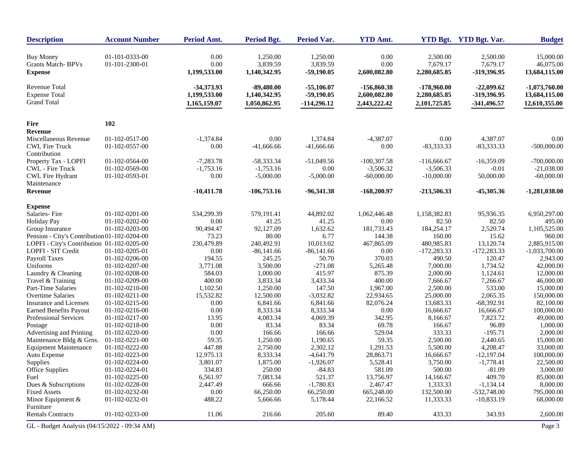| <b>Description</b>                                                 | <b>Account Number</b>            | Period Amt.                                  | <b>Period Bgt.</b>                           | Period Var.                                   | <b>YTD Amt.</b>                             |                                               | YTD Bgt. YTD Bgt. Var.                     | <b>Budget</b>                                     |
|--------------------------------------------------------------------|----------------------------------|----------------------------------------------|----------------------------------------------|-----------------------------------------------|---------------------------------------------|-----------------------------------------------|--------------------------------------------|---------------------------------------------------|
| <b>Buy Money</b><br>Grants Match-BPVs<br><b>Expense</b>            | 01-101-0333-00<br>01-101-2300-01 | 0.00<br>0.00<br>1,199,533.00                 | 1,250.00<br>3,839.59<br>1,140,342.95         | 1,250.00<br>3,839.59<br>$-59,190.05$          | 0.00<br>0.00<br>2,600,082.80                | 2,500.00<br>7,679.17<br>2,280,685.85          | 2,500.00<br>7,679.17<br>-319,396.95        | 15,000.00<br>46,075.00<br>13,684,115.00           |
| <b>Revenue Total</b><br><b>Expense Total</b><br><b>Grand Total</b> |                                  | $-34,373.93$<br>1,199,533.00<br>1,165,159.07 | $-89,480.00$<br>1,140,342.95<br>1,050,862.95 | $-55,106.07$<br>$-59,190.05$<br>$-114,296.12$ | -156,860.38<br>2,600,082.80<br>2,443,222.42 | $-178,960.00$<br>2,280,685.85<br>2,101,725.85 | $-22,099.62$<br>-319,396.95<br>-341,496.57 | $-1,073,760.00$<br>13,684,115.00<br>12,610,355.00 |
| <b>Fire</b>                                                        | 102                              |                                              |                                              |                                               |                                             |                                               |                                            |                                                   |
| Revenue                                                            |                                  |                                              |                                              |                                               |                                             |                                               |                                            |                                                   |
| Miscellaneous Revenue                                              | 01-102-0517-00                   | $-1,374.84$                                  | 0.00                                         | 1,374.84                                      | $-4,387.07$                                 | 0.00                                          | 4,387.07                                   | 0.00                                              |
| <b>CWL Fire Truck</b><br>Contribution                              | 01-102-0557-00                   | 0.00                                         | $-41,666.66$                                 | $-41,666.66$                                  | 0.00                                        | $-83,333.33$                                  | $-83,333.33$                               | $-500,000.00$                                     |
| Property Tax - LOPFI                                               | 01-102-0564-00                   | $-7,283.78$                                  | -58,333.34                                   | $-51,049.56$                                  | $-100,307.58$                               | $-116,666.67$                                 | $-16,359.09$                               | $-700,000.00$                                     |
| CWL - Fire Truck                                                   | 01-102-0569-00                   | $-1,753.16$                                  | $-1,753.16$                                  | 0.00                                          | $-3,506.32$                                 | $-3,506.33$                                   | $-0.01$                                    | $-21,038.00$                                      |
| <b>CWL Fire Hydrant</b><br>Maintenance                             | 01-102-0593-01                   | 0.00                                         | $-5,000.00$                                  | $-5,000.00$                                   | $-60,000.00$                                | $-10,000.00$                                  | 50,000.00                                  | $-60,000.00$                                      |
| Revenue                                                            |                                  | $-10,411.78$                                 | $-106,753.16$                                | $-96,341.38$                                  | $-168,200.97$                               | $-213,506.33$                                 | $-45,305.36$                               | $-1,281,038.00$                                   |
| <b>Expense</b>                                                     |                                  |                                              |                                              |                                               |                                             |                                               |                                            |                                                   |
| Salaries-Fire                                                      | $01-102-0201-00$                 | 534,299.39                                   | 579,191.41                                   | 44,892.02                                     | 1,062,446.48                                | 1,158,382.83                                  | 95,936.35                                  | 6,950,297.00                                      |
| <b>Holiday Pay</b>                                                 | 01-102-0202-00                   | 0.00                                         | 41.25                                        | 41.25                                         | 0.00                                        | 82.50                                         | 82.50                                      | 495.00                                            |
| Group Insurance                                                    | 01-102-0203-00                   | 90,494.47                                    | 92,127.09                                    | 1,632.62                                      | 181,733.43                                  | 184,254.17                                    | 2,520.74                                   | 1,105,525.00                                      |
| Pension - City's Contribution 01-102-0204-00                       |                                  | 73.23                                        | 80.00                                        | 6.77                                          | 144.38                                      | 160.00                                        | 15.62                                      | 960.00                                            |
| LOPFI - City's Contribution 01-102-0205-00                         |                                  | 230,479.89                                   | 240,492.91                                   | 10,013.02                                     | 467,865.09                                  | 480,985.83                                    | 13,120.74                                  | 2,885,915.00                                      |
| LOPFI - SIT Credit                                                 | 01-102-0205-01                   | 0.00                                         | $-86,141.66$                                 | $-86,141.66$                                  | 0.00                                        | $-172,283.33$                                 | $-172,283.33$                              | $-1,033,700.00$                                   |
| Payroll Taxes                                                      | 01-102-0206-00                   | 194.55                                       | 245.25                                       | 50.70                                         | 370.03                                      | 490.50                                        | 120.47                                     | 2,943.00                                          |
| Uniforms                                                           | 01-102-0207-00                   | 3,771.08                                     | 3,500.00                                     | $-271.08$                                     | 5,265.48                                    | 7,000.00                                      | 1,734.52                                   | 42,000.00                                         |
| Laundry & Cleaning                                                 | 01-102-0208-00                   | 584.03                                       | 1,000.00                                     | 415.97                                        | 875.39                                      | 2,000.00                                      | 1,124.61                                   | 12,000.00                                         |
| Travel & Training                                                  | 01-102-0209-00                   | 400.00                                       | 3,833.34                                     | 3,433.34                                      | 400.00                                      | 7,666.67                                      | 7,266.67                                   | 46,000.00                                         |
| Part-Time Salaries                                                 | 01-102-0210-00                   | 1,102.50                                     | 1,250.00                                     | 147.50                                        | 1,967.00                                    | 2,500.00                                      | 533.00                                     | 15,000.00                                         |
| <b>Overtime Salaries</b>                                           | 01-102-0211-00                   | 15,532.82                                    | 12,500.00                                    | $-3,032.82$                                   | 22,934.65                                   | 25,000.00                                     | 2,065.35                                   | 150,000.00                                        |
| Insurance and Licenses                                             | 01-102-0215-00                   | 0.00                                         | 6,841.66                                     | 6,841.66                                      | 82,076.24                                   | 13,683.33                                     | $-68,392.91$                               | 82,100.00                                         |
| <b>Earned Benefits Payout</b>                                      | 01-102-0216-00                   | 0.00                                         | 8,333.34                                     | 8,333.34                                      | 0.00                                        | 16,666.67                                     | 16,666.67                                  | 100,000.00                                        |
| Professional Services                                              | 01-102-0217-00                   | 13.95                                        | 4,083.34                                     | 4,069.39                                      | 342.95                                      | 8,166.67                                      | 7,823.72                                   | 49,000.00                                         |
| Postage<br>Advertising and Printing                                | 01-102-0218-00<br>01-102-0220-00 | 0.00<br>0.00                                 | 83.34<br>166.66                              | 83.34<br>166.66                               | 69.78<br>529.04                             | 166.67<br>333.33                              | 96.89<br>$-195.71$                         | 1,000.00<br>2,000.00                              |
| Maintenance Bldg & Grns.                                           | 01-102-0221-00                   | 59.35                                        | 1,250.00                                     | 1,190.65                                      | 59.35                                       | 2,500.00                                      | 2,440.65                                   | 15,000.00                                         |
| <b>Equipment Maintenance</b>                                       | 01-102-0222-00                   | 447.88                                       | 2,750.00                                     | 2,302.12                                      | 1,291.53                                    | 5,500.00                                      | 4,208.47                                   | 33,000.00                                         |
| Auto Expense                                                       | 01-102-0223-00                   | 12,975.13                                    | 8,333.34                                     | $-4,641.79$                                   | 28,863.71                                   | 16,666.67                                     | $-12,197.04$                               | 100,000.00                                        |
| Supplies                                                           | 01-102-0224-00                   | 3,801.07                                     | 1,875.00                                     | $-1,926.07$                                   | 5,528.41                                    | 3,750.00                                      | $-1,778.41$                                | 22,500.00                                         |
| <b>Office Supplies</b>                                             | 01-102-0224-01                   | 334.83                                       | 250.00                                       | $-84.83$                                      | 581.09                                      | 500.00                                        | $-81.09$                                   | 3,000.00                                          |
| Fuel                                                               | 01-102-0225-00                   | 6,561.97                                     | 7,083.34                                     | 521.37                                        | 13,756.97                                   | 14,166.67                                     | 409.70                                     | 85,000.00                                         |
| Dues & Subscriptions                                               | 01-102-0228-00                   | 2,447.49                                     | 666.66                                       | $-1,780.83$                                   | 2,467.47                                    | 1,333.33                                      | $-1,134.14$                                | 8,000.00                                          |
| <b>Fixed Assets</b>                                                | 01-102-0232-00                   | 0.00                                         | 66,250.00                                    | 66,250.00                                     | 665,248.00                                  | 132,500.00                                    | $-532,748.00$                              | 795,000.00                                        |
| Minor Equipment &                                                  | 01-102-0232-01                   | 488.22                                       | 5,666.66                                     | 5,178.44                                      | 22,166.52                                   | 11,333.33                                     | $-10,833.19$                               | 68,000.00                                         |
| Furniture                                                          |                                  |                                              |                                              |                                               |                                             |                                               |                                            |                                                   |
| <b>Rentals Contracts</b>                                           | 01-102-0233-00                   | 11.06                                        | 216.66                                       | 205.60                                        | 89.40                                       | 433.33                                        | 343.93                                     | 2,600.00                                          |
| GL - Budget Analysis (04/15/2022 - 09:34 AM)                       |                                  |                                              |                                              |                                               |                                             |                                               |                                            | Page 3                                            |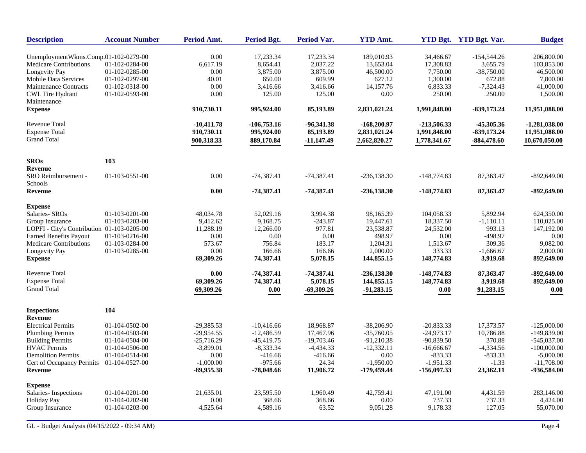| <b>Description</b>                         | <b>Account Number</b>  | Period Amt.  | <b>Period Bgt.</b> | <b>Period Var.</b> | <b>YTD Amt.</b> |               | YTD Bgt. YTD Bgt. Var. | <b>Budget</b>   |
|--------------------------------------------|------------------------|--------------|--------------------|--------------------|-----------------|---------------|------------------------|-----------------|
| UnemploymentWkms.Comp.01-102-0279-00       |                        | 0.00         | 17,233.34          | 17,233.34          | 189,010.93      | 34,466.67     | $-154,544.26$          | 206,800.00      |
| <b>Medicare Contributions</b>              | 01-102-0284-00         | 6,617.19     | 8,654.41           | 2,037.22           | 13,653.04       | 17,308.83     | 3,655.79               | 103,853.00      |
| Longevity Pay                              | 01-102-0285-00         | 0.00         | 3,875.00           | 3,875.00           | 46,500.00       | 7,750.00      | $-38,750.00$           | 46,500.00       |
| Mobile Data Services                       | 01-102-0297-00         | 40.01        | 650.00             | 609.99             | 627.12          | 1,300.00      | 672.88                 | 7,800.00        |
| <b>Maintenance Contracts</b>               | 01-102-0318-00         | 0.00         | 3,416.66           | 3,416.66           | 14,157.76       | 6,833.33      | $-7,324.43$            | 41,000.00       |
| <b>CWL Fire Hydrant</b>                    | 01-102-0593-00         | 0.00         | 125.00             | 125.00             | 0.00            | 250.00        | 250.00                 | 1,500.00        |
| Maintenance                                |                        |              |                    |                    |                 |               |                        |                 |
| <b>Expense</b>                             |                        | 910,730.11   | 995,924.00         | 85,193.89          | 2,831,021.24    | 1,991,848.00  | $-839,173.24$          | 11,951,088.00   |
| <b>Revenue Total</b>                       |                        | $-10,411,78$ | $-106,753.16$      | $-96,341.38$       | $-168,200.97$   | $-213,506.33$ | -45,305.36             | $-1,281,038.00$ |
| <b>Expense Total</b>                       |                        | 910,730.11   | 995,924.00         | 85,193.89          | 2,831,021.24    | 1,991,848.00  | -839,173.24            | 11,951,088.00   |
| <b>Grand Total</b>                         |                        | 900,318.33   | 889,170.84         | $-11,147.49$       | 2,662,820.27    | 1,778,341.67  | $-884,478.60$          | 10,670,050.00   |
| <b>SROs</b>                                | 103                    |              |                    |                    |                 |               |                        |                 |
| <b>Revenue</b>                             |                        |              |                    |                    |                 |               |                        |                 |
| SRO Reimbursement -<br>Schools             | 01-103-0551-00         | 0.00         | $-74,387.41$       | $-74,387.41$       | $-236, 138.30$  | $-148,774.83$ | 87,363.47              | $-892,649.00$   |
| <b>Revenue</b>                             |                        | 0.00         | $-74,387.41$       | $-74,387.41$       | $-236,138.30$   | $-148,774.83$ | 87,363.47              | $-892,649.00$   |
| <b>Expense</b>                             |                        |              |                    |                    |                 |               |                        |                 |
| Salaries- SROs                             | $01 - 103 - 0201 - 00$ | 48,034.78    | 52,029.16          | 3,994.38           | 98,165.39       | 104,058.33    | 5,892.94               | 624,350.00      |
| Group Insurance                            | 01-103-0203-00         | 9,412.62     | 9,168.75           | $-243.87$          | 19,447.61       | 18,337.50     | $-1,110.11$            | 110,025.00      |
| LOPFI - City's Contribution 01-103-0205-00 |                        | 11,288.19    | 12,266.00          | 977.81             | 23,538.87       | 24,532.00     | 993.13                 | 147,192.00      |
| <b>Earned Benefits Payout</b>              | 01-103-0216-00         | 0.00         | 0.00               | 0.00               | 498.97          | 0.00          | -498.97                | 0.00            |
| Medicare Contributions                     | 01-103-0284-00         | 573.67       | 756.84             | 183.17             | 1,204.31        | 1,513.67      | 309.36                 | 9,082.00        |
| Longevity Pay                              | 01-103-0285-00         | 0.00         | 166.66             | 166.66             | 2,000.00        | 333.33        | $-1,666.67$            | 2,000.00        |
| <b>Expense</b>                             |                        | 69,309.26    | 74,387.41          | 5,078.15           | 144,855.15      | 148,774.83    | 3,919.68               | 892,649.00      |
| <b>Revenue Total</b>                       |                        | 0.00         | $-74.387.41$       | $-74,387.41$       | $-236,138.30$   | $-148,774.83$ | 87.363.47              | -892,649.00     |
| <b>Expense Total</b>                       |                        | 69,309.26    | 74,387.41          | 5,078.15           | 144,855.15      | 148,774.83    | 3,919.68               | 892,649.00      |
| <b>Grand Total</b>                         |                        | 69,309.26    | 0.00               | $-69,309.26$       | $-91,283.15$    | 0.00          | 91,283.15              | 0.00            |
| <b>Inspections</b><br>Revenue              | 104                    |              |                    |                    |                 |               |                        |                 |
| <b>Electrical Permits</b>                  | 01-104-0502-00         | $-29,385.53$ | $-10,416.66$       | 18,968.87          | $-38,206.90$    | $-20,833.33$  | 17,373.57              | $-125,000.00$   |
| <b>Plumbing Permits</b>                    | 01-104-0503-00         | $-29,954.55$ | $-12,486.59$       | 17,467.96          | $-35,760.05$    | $-24,973.17$  | 10,786.88              | $-149,839.00$   |
| <b>Building Permits</b>                    | 01-104-0504-00         | $-25,716.29$ | $-45,419.75$       | $-19,703.46$       | $-91,210.38$    | $-90,839.50$  | 370.88                 | $-545,037.00$   |
| <b>HVAC Permits</b>                        | 01-104-0506-00         | $-3,899.01$  | $-8,333.34$        | $-4,434.33$        | $-12,332.11$    | $-16,666.67$  | $-4,334.56$            | $-100,000.00$   |
| <b>Demolition Permits</b>                  | 01-104-0514-00         | 0.00         | $-416.66$          | $-416.66$          | 0.00            | $-833.33$     | $-833.33$              | $-5,000.00$     |
| Cert of Occupancy Permits                  | 01-104-0527-00         | $-1,000.00$  | $-975.66$          | 24.34              | $-1,950.00$     | $-1,951.33$   | $-1.33$                | $-11,708.00$    |
| Revenue                                    |                        | -89,955.38   | $-78,048.66$       | 11,906.72          | -179,459.44     | $-156,097.33$ | 23,362.11              | -936,584.00     |
| <b>Expense</b>                             |                        |              |                    |                    |                 |               |                        |                 |
| Salaries-Inspections                       | 01-104-0201-00         | 21,635.01    | 23,595.50          | 1,960.49           | 42,759.41       | 47,191.00     | 4,431.59               | 283,146.00      |
| <b>Holiday Pay</b>                         | 01-104-0202-00         | 0.00         | 368.66             | 368.66             | 0.00            | 737.33        | 737.33                 | 4,424.00        |
| Group Insurance                            | 01-104-0203-00         | 4,525.64     | 4,589.16           | 63.52              | 9,051.28        | 9,178.33      | 127.05                 | 55,070.00       |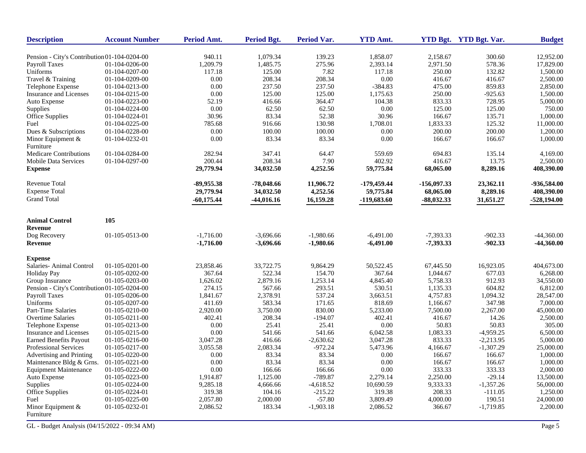| <b>Description</b>                           | <b>Account Number</b> | Period Amt.  | <b>Period Bgt.</b> | <b>Period Var.</b> | <b>YTD Amt.</b> |               | YTD Bgt. YTD Bgt. Var. | <b>Budget</b> |
|----------------------------------------------|-----------------------|--------------|--------------------|--------------------|-----------------|---------------|------------------------|---------------|
| Pension - City's Contribution 01-104-0204-00 |                       | 940.11       | 1,079.34           | 139.23             | 1,858.07        | 2,158.67      | 300.60                 | 12.952.00     |
| Payroll Taxes                                | 01-104-0206-00        | 1,209.79     | 1,485.75           | 275.96             | 2,393.14        | 2,971.50      | 578.36                 | 17,829.00     |
| Uniforms                                     | 01-104-0207-00        | 117.18       | 125.00             | 7.82               | 117.18          | 250.00        | 132.82                 | 1,500.00      |
| Travel & Training                            | 01-104-0209-00        | 0.00         | 208.34             | 208.34             | 0.00            | 416.67        | 416.67                 | 2,500.00      |
| Telephone Expense                            | 01-104-0213-00        | 0.00         | 237.50             | 237.50             | $-384.83$       | 475.00        | 859.83                 | 2,850.00      |
| Insurance and Licenses                       | 01-104-0215-00        | 0.00         | 125.00             | 125.00             | 1,175.63        | 250.00        | $-925.63$              | 1,500.00      |
| Auto Expense                                 | 01-104-0223-00        | 52.19        | 416.66             | 364.47             | 104.38          | 833.33        | 728.95                 | 5,000.00      |
| Supplies                                     | 01-104-0224-00        | 0.00         | 62.50              | 62.50              | 0.00            | 125.00        | 125.00                 | 750.00        |
| Office Supplies                              | 01-104-0224-01        | 30.96        | 83.34              | 52.38              | 30.96           | 166.67        | 135.71                 | 1,000.00      |
| Fuel                                         | 01-104-0225-00        | 785.68       | 916.66             | 130.98             | 1,708.01        | 1,833.33      | 125.32                 | 11,000.00     |
| Dues & Subscriptions                         | 01-104-0228-00        | 0.00         | 100.00             | 100.00             | 0.00            | 200.00        | 200.00                 | 1,200.00      |
| Minor Equipment &                            | 01-104-0232-01        | 0.00         | 83.34              | 83.34              | 0.00            | 166.67        | 166.67                 | 1,000.00      |
| Furniture                                    |                       |              |                    |                    |                 |               |                        |               |
| Medicare Contributions                       | 01-104-0284-00        | 282.94       | 347.41             | 64.47              | 559.69          | 694.83        | 135.14                 | 4,169.00      |
| <b>Mobile Data Services</b>                  | 01-104-0297-00        | 200.44       | 208.34             | 7.90               | 402.92          | 416.67        | 13.75                  | 2,500.00      |
| <b>Expense</b>                               |                       | 29,779.94    | 34,032.50          | 4,252.56           | 59,775.84       | 68,065.00     | 8,289.16               | 408,390.00    |
| Revenue Total                                |                       | -89.955.38   | -78,048.66         | 11,906.72          | -179,459.44     | $-156,097.33$ | 23,362.11              | -936,584.00   |
| <b>Expense Total</b>                         |                       | 29,779.94    | 34,032.50          | 4,252.56           | 59,775.84       | 68,065.00     | 8,289.16               | 408,390.00    |
| <b>Grand Total</b>                           |                       | $-60,175.44$ | $-44,016.16$       | 16,159.28          | $-119,683.60$   | $-88,032.33$  | 31,651.27              | $-528,194.00$ |
|                                              | 105                   |              |                    |                    |                 |               |                        |               |
| <b>Animal Control</b>                        |                       |              |                    |                    |                 |               |                        |               |
| <b>Revenue</b>                               |                       |              |                    |                    |                 |               |                        |               |
| Dog Recovery                                 | 01-105-0513-00        | $-1,716.00$  | $-3,696.66$        | $-1,980.66$        | $-6,491.00$     | $-7,393.33$   | $-902.33$              | $-44,360.00$  |
| Revenue                                      |                       | $-1,716.00$  | $-3,696.66$        | $-1,980.66$        | $-6,491.00$     | $-7,393.33$   | $-902.33$              | $-44,360.00$  |
| <b>Expense</b>                               |                       |              |                    |                    |                 |               |                        |               |
| Salaries- Animal Control                     | 01-105-0201-00        | 23,858.46    | 33,722.75          | 9,864.29           | 50,522.45       | 67,445.50     | 16,923.05              | 404,673.00    |
| Holiday Pay                                  | 01-105-0202-00        | 367.64       | 522.34             | 154.70             | 367.64          | 1,044.67      | 677.03                 | 6,268.00      |
| Group Insurance                              | 01-105-0203-00        | 1,626.02     | 2,879.16           | 1,253.14           | 4,845.40        | 5,758.33      | 912.93                 | 34,550.00     |
| Pension - City's Contribution 01-105-0204-00 |                       | 274.15       | 567.66             | 293.51             | 530.51          | 1,135.33      | 604.82                 | 6,812.00      |
| Payroll Taxes                                | 01-105-0206-00        | 1,841.67     | 2,378.91           | 537.24             | 3,663.51        | 4,757.83      | 1,094.32               | 28,547.00     |
| Uniforms                                     | 01-105-0207-00        | 411.69       | 583.34             | 171.65             | 818.69          | 1,166.67      | 347.98                 | 7,000.00      |
| Part-Time Salaries                           | 01-105-0210-00        | 2,920.00     | 3,750.00           | 830.00             | 5,233.00        | 7,500.00      | 2,267.00               | 45,000.00     |
| <b>Overtime Salaries</b>                     | $01-105-0211-00$      | 402.41       | 208.34             | $-194.07$          | 402.41          | 416.67        | 14.26                  | 2,500.00      |
| Telephone Expense                            | 01-105-0213-00        | 0.00         | 25.41              | 25.41              | 0.00            | 50.83         | 50.83                  | 305.00        |
| Insurance and Licenses                       | 01-105-0215-00        | 0.00         | 541.66             | 541.66             | 6,042.58        | 1,083.33      | $-4,959.25$            | 6,500.00      |
| <b>Earned Benefits Payout</b>                | 01-105-0216-00        | 3,047.28     | 416.66             | $-2,630.62$        | 3,047.28        | 833.33        | $-2,213.95$            | 5,000.00      |
| Professional Services                        | 01-105-0217-00        | 3,055.58     | 2,083.34           | $-972.24$          | 5,473.96        | 4,166.67      | $-1,307.29$            | 25,000.00     |
| Advertising and Printing                     | 01-105-0220-00        | 0.00         | 83.34              | 83.34              | 0.00            | 166.67        | 166.67                 | 1,000.00      |
| Maintenance Bldg & Grns.                     | 01-105-0221-00        | 0.00         | 83.34              | 83.34              | 0.00            | 166.67        | 166.67                 | 1,000.00      |
| <b>Equipment Maintenance</b>                 | 01-105-0222-00        | 0.00         | 166.66             | 166.66             | 0.00            | 333.33        | 333.33                 | 2,000.00      |
| Auto Expense                                 | 01-105-0223-00        | 1,914.87     | 1,125.00           | $-789.87$          | 2,279.14        | 2,250.00      | $-29.14$               | 13,500.00     |
| Supplies                                     | 01-105-0224-00        | 9,285.18     | 4,666.66           | $-4,618.52$        | 10,690.59       | 9,333.33      | $-1,357.26$            | 56,000.00     |
| Office Supplies                              | 01-105-0224-01        | 319.38       | 104.16             | $-215.22$          | 319.38          | 208.33        | $-111.05$              | 1,250.00      |
| Fuel                                         | 01-105-0225-00        | 2,057.80     | 2,000.00           | $-57.80$           | 3,809.49        | 4,000.00      | 190.51                 | 24,000.00     |
| Minor Equipment &<br>Furniture               | 01-105-0232-01        | 2,086.52     | 183.34             | $-1,903.18$        | 2,086.52        | 366.67        | $-1,719.85$            | 2,200.00      |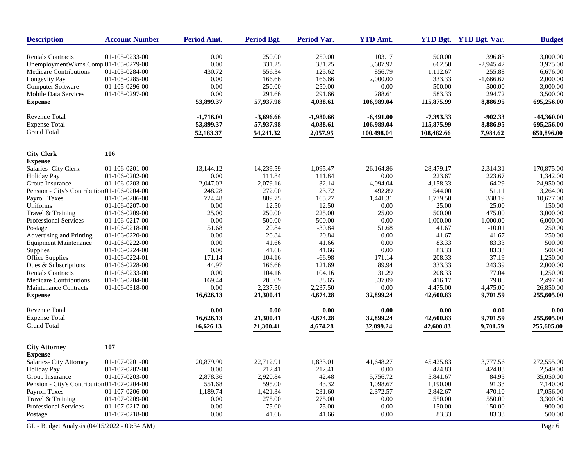| <b>Description</b>                           | <b>Account Number</b> | Period Amt. | <b>Period Bgt.</b> | <b>Period Var.</b> | <b>YTD Amt.</b> |             | YTD Bgt. YTD Bgt. Var. | <b>Budget</b> |
|----------------------------------------------|-----------------------|-------------|--------------------|--------------------|-----------------|-------------|------------------------|---------------|
| <b>Rentals Contracts</b>                     | 01-105-0233-00        | 0.00        | 250.00             | 250.00             | 103.17          | 500.00      | 396.83                 | 3,000.00      |
| UnemploymentWkms.Comp.01-105-0279-00         |                       | 0.00        | 331.25             | 331.25             | 3,607.92        | 662.50      | $-2,945.42$            | 3,975.00      |
| Medicare Contributions                       | 01-105-0284-00        | 430.72      | 556.34             | 125.62             | 856.79          | 1,112.67    | 255.88                 | 6,676.00      |
| Longevity Pay                                | 01-105-0285-00        | 0.00        | 166.66             | 166.66             | 2,000.00        | 333.33      | $-1,666.67$            | 2,000.00      |
| Computer Software                            | 01-105-0296-00        | 0.00        | 250.00             | 250.00             | 0.00            | 500.00      | 500.00                 | 3,000.00      |
| <b>Mobile Data Services</b>                  | 01-105-0297-00        | 0.00        | 291.66             | 291.66             | 288.61          | 583.33      | 294.72                 | 3,500.00      |
| <b>Expense</b>                               |                       | 53,899.37   | 57,937.98          | 4,038.61           | 106,989.04      | 115,875.99  | 8,886.95               | 695,256.00    |
| <b>Revenue Total</b>                         |                       | $-1,716.00$ | $-3,696.66$        | $-1,980.66$        | $-6,491.00$     | $-7,393.33$ | $-902.33$              | $-44,360.00$  |
| <b>Expense Total</b>                         |                       | 53,899.37   | 57,937.98          | 4,038.61           | 106,989.04      | 115,875.99  | 8,886.95               | 695,256.00    |
| <b>Grand Total</b>                           |                       | 52,183.37   | 54,241.32          | 2,057.95           | 100,498.04      | 108,482.66  | 7,984.62               | 650,896.00    |
| <b>City Clerk</b>                            | 106                   |             |                    |                    |                 |             |                        |               |
| <b>Expense</b>                               |                       |             |                    |                    |                 |             |                        |               |
| Salaries- City Clerk                         | 01-106-0201-00        | 13,144.12   | 14,239.59          | 1,095.47           | 26,164.86       | 28,479.17   | 2,314.31               | 170,875.00    |
| <b>Holiday Pay</b>                           | 01-106-0202-00        | 0.00        | 111.84             | 111.84             | 0.00            | 223.67      | 223.67                 | 1,342.00      |
| Group Insurance                              | 01-106-0203-00        | 2,047.02    | 2,079.16           | 32.14              | 4,094.04        | 4,158.33    | 64.29                  | 24,950.00     |
| Pension - City's Contribution 01-106-0204-00 |                       | 248.28      | 272.00             | 23.72              | 492.89          | 544.00      | 51.11                  | 3.264.00      |
| Payroll Taxes                                | 01-106-0206-00        | 724.48      | 889.75             | 165.27             | 1,441.31        | 1,779.50    | 338.19                 | 10,677.00     |
| Uniforms                                     | 01-106-0207-00        | 0.00        | 12.50              | 12.50              | 0.00            | 25.00       | 25.00                  | 150.00        |
| Travel & Training                            | 01-106-0209-00        | 25.00       | 250.00             | 225.00             | 25.00           | 500.00      | 475.00                 | 3,000.00      |
| Professional Services                        | 01-106-0217-00        | 0.00        | 500.00             | 500.00             | 0.00            | 1,000.00    | 1,000.00               | 6,000.00      |
| Postage                                      | 01-106-0218-00        | 51.68       | 20.84              | $-30.84$           | 51.68           | 41.67       | $-10.01$               | 250.00        |
| Advertising and Printing                     | 01-106-0220-00        | 0.00        | 20.84              | 20.84              | 0.00            | 41.67       | 41.67                  | 250.00        |
| <b>Equipment Maintenance</b>                 | 01-106-0222-00        | 0.00        | 41.66              | 41.66              | 0.00            | 83.33       | 83.33                  | 500.00        |
| Supplies                                     | 01-106-0224-00        | 0.00        | 41.66              | 41.66              | 0.00            | 83.33       | 83.33                  | 500.00        |
| Office Supplies                              | 01-106-0224-01        | 171.14      | 104.16             | $-66.98$           | 171.14          | 208.33      | 37.19                  | 1,250.00      |
| Dues & Subscriptions                         | 01-106-0228-00        | 44.97       | 166.66             | 121.69             | 89.94           | 333.33      | 243.39                 | 2,000.00      |
| <b>Rentals Contracts</b>                     | 01-106-0233-00        | 0.00        | 104.16             | 104.16             | 31.29           | 208.33      | 177.04                 | 1,250.00      |
| <b>Medicare Contributions</b>                | 01-106-0284-00        | 169.44      | 208.09             | 38.65              | 337.09          | 416.17      | 79.08                  | 2,497.00      |
| Maintenance Contracts                        | 01-106-0318-00        | 0.00        | 2,237.50           | 2,237.50           | 0.00            | 4,475.00    | 4,475.00               | 26,850.00     |
| <b>Expense</b>                               |                       | 16,626.13   | 21,300.41          | 4,674.28           | 32,899.24       | 42,600.83   | 9,701.59               | 255,605.00    |
| <b>Revenue Total</b>                         |                       | 0.00        | 0.00               | 0.00               | 0.00            | 0.00        | 0.00                   | 0.00          |
| <b>Expense Total</b>                         |                       | 16,626.13   | 21,300.41          | 4,674.28           | 32,899.24       | 42,600.83   | 9,701.59               | 255,605.00    |
| <b>Grand Total</b>                           |                       | 16,626.13   | 21,300.41          | 4,674.28           | 32,899.24       | 42,600.83   | 9,701.59               | 255,605.00    |
| <b>City Attorney</b>                         | 107                   |             |                    |                    |                 |             |                        |               |
| <b>Expense</b>                               |                       |             |                    |                    |                 |             |                        |               |
| Salaries- City Attorney                      | 01-107-0201-00        | 20,879.90   | 22,712.91          | 1,833.01           | 41,648.27       | 45.425.83   | 3,777.56               | 272,555.00    |
| <b>Holiday Pay</b>                           | 01-107-0202-00        | 0.00        | 212.41             | 212.41             | 0.00            | 424.83      | 424.83                 | 2,549.00      |
| Group Insurance                              | 01-107-0203-00        | 2,878.36    | 2,920.84           | 42.48              | 5,756.72        | 5,841.67    | 84.95                  | 35,050.00     |
| Pension - City's Contribution 01-107-0204-00 |                       | 551.68      | 595.00             | 43.32              | 1,098.67        | 1,190.00    | 91.33                  | 7,140.00      |
| <b>Payroll Taxes</b>                         | 01-107-0206-00        | 1,189.74    | 1,421.34           | 231.60             | 2,372.57        | 2,842.67    | 470.10                 | 17,056.00     |
| Travel & Training                            | 01-107-0209-00        | 0.00        | 275.00             | 275.00             | 0.00            | 550.00      | 550.00                 | 3,300.00      |
| Professional Services                        | 01-107-0217-00        | 0.00        | 75.00              | 75.00              | $0.00\,$        | 150.00      | 150.00                 | 900.00        |
| Postage                                      | 01-107-0218-00        | 0.00        | 41.66              | 41.66              | 0.00            | 83.33       | 83.33                  | 500.00        |
| GL - Budget Analysis (04/15/2022 - 09:34 AM) |                       |             |                    |                    |                 |             |                        | Page 6        |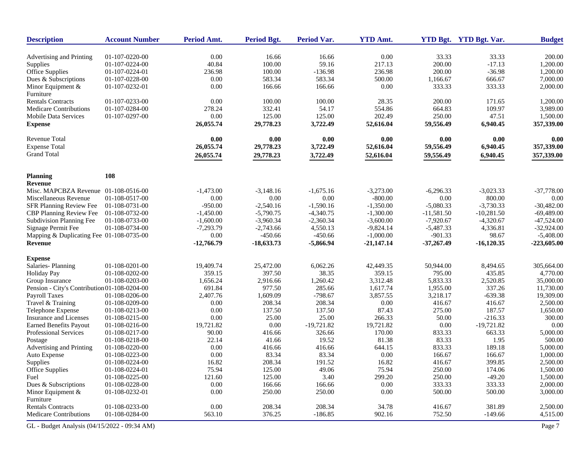| <b>Description</b>                           | <b>Account Number</b> | Period Amt.  | <b>Period Bgt.</b> | Period Var.  | <b>YTD Amt.</b> |              | YTD Bgt. YTD Bgt. Var. | <b>Budget</b>        |
|----------------------------------------------|-----------------------|--------------|--------------------|--------------|-----------------|--------------|------------------------|----------------------|
| Advertising and Printing                     | 01-107-0220-00        | 0.00         | 16.66              | 16.66        | 0.00            | 33.33        | 33.33                  | 200.00               |
| Supplies                                     | 01-107-0224-00        | 40.84        | 100.00             | 59.16        | 217.13          | 200.00       | $-17.13$               | 1,200.00             |
| Office Supplies                              | 01-107-0224-01        | 236.98       | 100.00             | $-136.98$    | 236.98          | 200.00       | $-36.98$               | 1,200.00             |
| Dues & Subscriptions                         | 01-107-0228-00        | 0.00         | 583.34             | 583.34       | 500.00          | 1,166.67     | 666.67                 | 7,000.00             |
| Minor Equipment &                            | 01-107-0232-01        | 0.00         | 166.66             | 166.66       | 0.00            | 333.33       | 333.33                 | 2,000.00             |
| Furniture                                    |                       |              |                    |              |                 |              |                        |                      |
| <b>Rentals Contracts</b>                     | 01-107-0233-00        | 0.00         | 100.00             | 100.00       | 28.35           | 200.00       | 171.65                 | 1,200.00             |
| <b>Medicare Contributions</b>                | 01-107-0284-00        | 278.24       | 332.41             | 54.17        | 554.86          | 664.83       | 109.97                 | 3,989.00             |
| Mobile Data Services                         | 01-107-0297-00        | 0.00         | 125.00             | 125.00       | 202.49          | 250.00       | 47.51                  | 1,500.00             |
| <b>Expense</b>                               |                       | 26,055.74    | 29,778.23          | 3,722.49     | 52,616.04       | 59,556.49    | 6,940.45               | 357,339.00           |
| <b>Revenue Total</b>                         |                       | 0.00         | 0.00               | 0.00         | 0.00            | 0.00         | 0.00                   | 0.00                 |
| <b>Expense Total</b>                         |                       | 26,055.74    | 29,778.23          | 3,722.49     | 52,616.04       | 59,556.49    | 6,940.45               | 357,339.00           |
| <b>Grand Total</b>                           |                       | 26,055.74    | 29,778.23          | 3,722.49     | 52,616.04       | 59,556.49    | 6,940.45               | 357,339.00           |
| <b>Planning</b>                              | 108                   |              |                    |              |                 |              |                        |                      |
| Revenue                                      |                       |              |                    |              |                 |              |                        |                      |
| Misc. MAPCBZA Revenue 01-108-0516-00         |                       | $-1,473.00$  | $-3,148.16$        | $-1,675.16$  | $-3,273.00$     | $-6,296.33$  | $-3,023.33$            | $-37,778.00$         |
| Miscellaneous Revenue                        | 01-108-0517-00        | 0.00         | 0.00               | 0.00         | $-800.00$       | 0.00         | 800.00                 | 0.00                 |
| SFR Planning Review Fee                      | 01-108-0731-00        | $-950.00$    | $-2,540.16$        | $-1,590.16$  | $-1,350.00$     | $-5,080.33$  | $-3,730.33$            | $-30,482.00$         |
| CBP Planning Review Fee                      | 01-108-0732-00        | $-1.450.00$  | $-5,790.75$        | $-4,340.75$  | $-1,300.00$     | $-11,581.50$ | $-10,281.50$           | $-69,489.00$         |
| Subdivision Planning Fee                     | 01-108-0733-00        | $-1,600.00$  | $-3,960.34$        | $-2,360.34$  | $-3,600.00$     | $-7,920.67$  | $-4,320.67$            | $-47,524.00$         |
| Signage Permit Fee                           | 01-108-0734-00        | $-7,293.79$  | $-2,743.66$        | 4,550.13     | $-9,824.14$     | $-5,487.33$  | 4,336.81               | $-32,924.00$         |
| Mapping & Duplicating Fee 01-108-0735-00     |                       | 0.00         | $-450.66$          | $-450.66$    | $-1,000.00$     | $-901.33$    | 98.67                  | $-5,408.00$          |
| Revenue                                      |                       | $-12,766.79$ | $-18,633.73$       | $-5,866.94$  | $-21,147.14$    | $-37,267.49$ | $-16,120.35$           | $-223,605.00$        |
| <b>Expense</b>                               |                       |              |                    |              |                 |              |                        |                      |
| Salaries-Planning                            | 01-108-0201-00        | 19,409.74    | 25,472.00          | 6,062.26     | 42,449.35       | 50,944.00    | 8,494.65               | 305,664.00           |
| <b>Holiday Pay</b>                           | 01-108-0202-00        | 359.15       | 397.50             | 38.35        | 359.15          | 795.00       | 435.85                 | 4,770.00             |
| Group Insurance                              | 01-108-0203-00        | 1,656.24     | 2,916.66           | 1,260.42     | 3,312.48        | 5,833.33     | 2,520.85               | 35,000.00            |
| Pension - City's Contribution 01-108-0204-00 |                       | 691.84       | 977.50             | 285.66       | 1,617.74        | 1,955.00     | 337.26                 | 11,730.00            |
| Payroll Taxes                                | 01-108-0206-00        | 2,407.76     | 1,609.09           | $-798.67$    | 3,857.55        | 3,218.17     | $-639.38$              | 19,309.00            |
| Travel & Training                            | 01-108-0209-00        | 0.00         | 208.34             | 208.34       | 0.00            | 416.67       | 416.67                 | 2,500.00             |
| Telephone Expense                            | 01-108-0213-00        | 0.00         | 137.50             | 137.50       | 87.43           | 275.00       | 187.57                 | 1,650.00             |
| Insurance and Licenses                       | 01-108-0215-00        | 0.00         | 25.00              | 25.00        | 266.33          | 50.00        | $-216.33$              | 300.00               |
| <b>Earned Benefits Payout</b>                | 01-108-0216-00        | 19,721.82    | 0.00               | $-19,721.82$ | 19,721.82       | 0.00         | $-19,721.82$           | 0.00                 |
| Professional Services                        | 01-108-0217-00        | 90.00        | 416.66             | 326.66       | 170.00          | 833.33       | 663.33                 | 5,000.00             |
| Postage                                      | 01-108-0218-00        | 22.14        | 41.66              | 19.52        | 81.38           | 83.33        | 1.95                   | 500.00               |
| Advertising and Printing                     | 01-108-0220-00        | 0.00         | 416.66             | 416.66       | 644.15          | 833.33       | 189.18                 | 5,000.00             |
| Auto Expense                                 | 01-108-0223-00        | 0.00         | 83.34              | 83.34        | 0.00            | 166.67       | 166.67                 | 1,000.00             |
| Supplies                                     | 01-108-0224-00        | 16.82        | 208.34             | 191.52       | 16.82           | 416.67       | 399.85                 | 2,500.00             |
| Office Supplies                              | 01-108-0224-01        | 75.94        | 125.00             | 49.06        | 75.94           | 250.00       | 174.06                 | 1,500.00             |
| Fuel                                         | 01-108-0225-00        | 121.60       | 125.00             | 3.40         | 299.20          | 250.00       | $-49.20$               | 1,500.00             |
| Dues & Subscriptions                         | 01-108-0228-00        | $0.00\,$     | 166.66             | 166.66       | 0.00            | 333.33       | 333.33                 | 2,000.00<br>3,000.00 |
| Minor Equipment &<br>Furniture               | 01-108-0232-01        | 0.00         | 250.00             | 250.00       | 0.00            | 500.00       | 500.00                 |                      |
| <b>Rentals Contracts</b>                     | 01-108-0233-00        | 0.00         | 208.34             | 208.34       | 34.78           | 416.67       | 381.89                 | 2,500.00             |
| <b>Medicare Contributions</b>                | 01-108-0284-00        | 563.10       | 376.25             | $-186.85$    | 902.16          | 752.50       | $-149.66$              | 4,515.00             |
| GL - Budget Analysis (04/15/2022 - 09:34 AM) |                       |              |                    |              |                 |              |                        | Page 7               |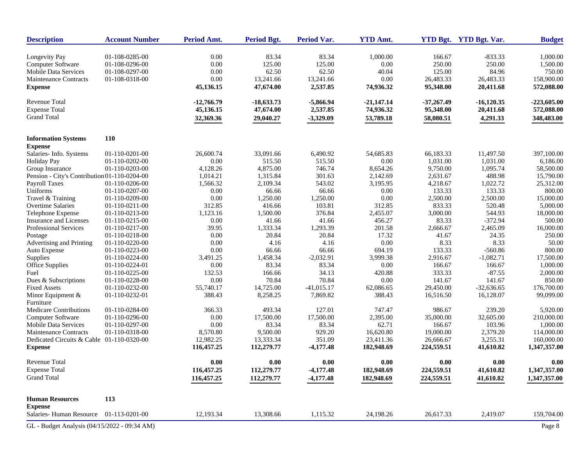| <b>Description</b>                           | <b>Account Number</b> | Period Amt. | <b>Period Bgt.</b> | <b>Period Var.</b> | <b>YTD Amt.</b> |              | YTD Bgt. YTD Bgt. Var. | <b>Budget</b> |
|----------------------------------------------|-----------------------|-------------|--------------------|--------------------|-----------------|--------------|------------------------|---------------|
| Longevity Pay                                | 01-108-0285-00        | 0.00        | 83.34              | 83.34              | 1,000.00        | 166.67       | $-833.33$              | 1,000.00      |
| Computer Software                            | 01-108-0296-00        | 0.00        | 125.00             | 125.00             | 0.00            | 250.00       | 250.00                 | 1,500.00      |
| <b>Mobile Data Services</b>                  | 01-108-0297-00        | 0.00        | 62.50              | 62.50              | 40.04           | 125.00       | 84.96                  | 750.00        |
| <b>Maintenance Contracts</b>                 | 01-108-0318-00        | 0.00        | 13,241.66          | 13,241.66          | 0.00            | 26,483.33    | 26,483.33              | 158,900.00    |
| <b>Expense</b>                               |                       | 45,136.15   | 47,674.00          | 2,537.85           | 74,936.32       | 95,348.00    | 20,411.68              | 572,088.00    |
| Revenue Total                                |                       | -12,766.79  | $-18,633.73$       | $-5,866.94$        | $-21,147.14$    | $-37,267.49$ | $-16,120.35$           | $-223,605.00$ |
| <b>Expense Total</b>                         |                       | 45,136.15   | 47,674.00          | 2,537.85           | 74,936.32       | 95,348.00    | 20,411.68              | 572,088.00    |
| <b>Grand Total</b>                           |                       | 32,369.36   | 29,040.27          | $-3,329.09$        | 53,789.18       | 58,080.51    | 4,291.33               | 348,483.00    |
| <b>Information Systems</b>                   | <b>110</b>            |             |                    |                    |                 |              |                        |               |
| <b>Expense</b>                               |                       |             |                    |                    |                 |              |                        |               |
| Salaries-Info. Systems                       | 01-110-0201-00        | 26,600.74   | 33,091.66          | 6,490.92           | 54,685.83       | 66,183.33    | 11,497.50              | 397,100.00    |
| <b>Holiday Pay</b>                           | 01-110-0202-00        | $0.00\,$    | 515.50             | 515.50             | 0.00            | 1,031.00     | 1,031.00               | 6,186.00      |
| Group Insurance                              | 01-110-0203-00        | 4,128.26    | 4,875.00           | 746.74             | 8,654.26        | 9,750.00     | 1,095.74               | 58,500.00     |
| Pension - City's Contribution 01-110-0204-00 |                       | 1,014.21    | 1,315.84           | 301.63             | 2,142.69        | 2,631.67     | 488.98                 | 15,790.00     |
| Payroll Taxes                                | 01-110-0206-00        | 1,566.32    | 2,109.34           | 543.02             | 3,195.95        | 4,218.67     | 1,022.72               | 25,312.00     |
| Uniforms                                     | 01-110-0207-00        | 0.00        | 66.66              | 66.66              | 0.00            | 133.33       | 133.33                 | 800.00        |
| Travel & Training                            | 01-110-0209-00        | 0.00        | 1,250.00           | 1,250.00           | 0.00            | 2,500.00     | 2,500.00               | 15,000.00     |
| <b>Overtime Salaries</b>                     | 01-110-0211-00        | 312.85      | 416.66             | 103.81             | 312.85          | 833.33       | 520.48                 | 5,000.00      |
| Telephone Expense                            | 01-110-0213-00        | 1,123.16    | 1,500.00           | 376.84             | 2,455.07        | 3,000.00     | 544.93                 | 18,000.00     |
| Insurance and Licenses                       | 01-110-0215-00        | 0.00        | 41.66              | 41.66              | 456.27          | 83.33        | $-372.94$              | 500.00        |
| Professional Services                        | 01-110-0217-00        | 39.95       | 1,333.34           | 1,293.39           | 201.58          | 2,666.67     | 2,465.09               | 16,000.00     |
| Postage                                      | 01-110-0218-00        | 0.00        | 20.84              | 20.84              | 17.32           | 41.67        | 24.35                  | 250.00        |
| Advertising and Printing                     | 01-110-0220-00        | 0.00        | 4.16               | 4.16               | 0.00            | 8.33         | 8.33                   | 50.00         |
| Auto Expense                                 | 01-110-0223-00        | 0.00        | 66.66              | 66.66              | 694.19          | 133.33       | $-560.86$              | 800.00        |
| Supplies                                     | 01-110-0224-00        | 3,491.25    | 1,458.34           | $-2,032.91$        | 3,999.38        | 2,916.67     | $-1,082.71$            | 17,500.00     |
| Office Supplies                              | 01-110-0224-01        | 0.00        | 83.34              | 83.34              | 0.00            | 166.67       | 166.67                 | 1,000.00      |
| Fuel                                         | 01-110-0225-00        | 132.53      | 166.66             | 34.13              | 420.88          | 333.33       | $-87.55$               | 2,000.00      |
| Dues & Subscriptions                         | 01-110-0228-00        | 0.00        | 70.84              | 70.84              | 0.00            | 141.67       | 141.67                 | 850.00        |
| <b>Fixed Assets</b>                          | 01-110-0232-00        | 55,740.17   | 14,725.00          | $-41,015.17$       | 62,086.65       | 29,450.00    | $-32,636.65$           | 176,700.00    |
| Minor Equipment &                            | 01-110-0232-01        | 388.43      | 8,258.25           | 7,869.82           | 388.43          | 16,516.50    | 16,128.07              | 99,099.00     |
| Furniture                                    |                       |             |                    |                    |                 |              |                        |               |
| <b>Medicare Contributions</b>                | 01-110-0284-00        | 366.33      | 493.34             | 127.01             | 747.47          | 986.67       | 239.20                 | 5,920.00      |
| Computer Software                            | 01-110-0296-00        | 0.00        | 17,500.00          | 17,500.00          | 2,395.00        | 35,000.00    | 32,605.00              | 210,000.00    |
| <b>Mobile Data Services</b>                  | 01-110-0297-00        | 0.00        | 83.34              | 83.34              | 62.71           | 166.67       | 103.96                 | 1,000.00      |
| <b>Maintenance Contracts</b>                 | 01-110-0318-00        | 8,570.80    | 9,500.00           | 929.20             | 16,620.80       | 19,000.00    | 2,379.20               | 114,000.00    |
| Dedicated Circuits & Cable 01-110-0320-00    |                       | 12,982.25   | 13,333.34          | 351.09             | 23,411.36       | 26,666.67    | 3,255.31               | 160,000.00    |
| <b>Expense</b>                               |                       | 116,457.25  | 112,279.77         | $-4,177.48$        | 182,948.69      | 224,559.51   | 41,610.82              | 1,347,357.00  |
| <b>Revenue Total</b>                         |                       | 0.00        | 0.00               | 0.00               | 0.00            | 0.00         | 0.00                   | 0.00          |
| <b>Expense Total</b>                         |                       | 116,457.25  | 112,279.77         | $-4,177.48$        | 182,948.69      | 224,559.51   | 41,610.82              | 1,347,357.00  |
| <b>Grand Total</b>                           |                       | 116,457.25  | 112,279.77         | $-4,177.48$        | 182,948.69      | 224,559.51   | 41,610.82              | 1,347,357.00  |
| <b>Human Resources</b>                       | 113                   |             |                    |                    |                 |              |                        |               |
| <b>Expense</b><br>Salaries-Human Resource    | 01-113-0201-00        | 12,193.34   | 13,308.66          | 1,115.32           | 24,198.26       | 26,617.33    | 2,419.07               | 159,704.00    |
| GL - Budget Analysis (04/15/2022 - 09:34 AM) |                       |             |                    |                    |                 |              |                        | Page 8        |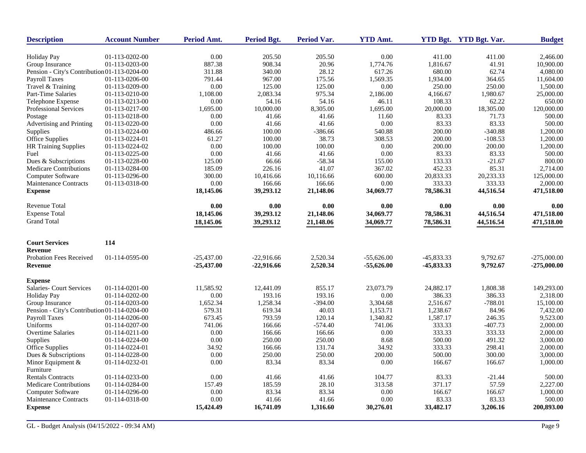| <b>Description</b>                           | <b>Account Number</b> | Period Amt.  | <b>Period Bgt.</b> | Period Var. | <b>YTD Amt.</b> |              | YTD Bgt. YTD Bgt. Var. | <b>Budget</b> |
|----------------------------------------------|-----------------------|--------------|--------------------|-------------|-----------------|--------------|------------------------|---------------|
| <b>Holiday Pay</b>                           | 01-113-0202-00        | 0.00         | 205.50             | 205.50      | 0.00            | 411.00       | 411.00                 | 2,466.00      |
| Group Insurance                              | 01-113-0203-00        | 887.38       | 908.34             | 20.96       | 1,774.76        | 1,816.67     | 41.91                  | 10,900.00     |
| Pension - City's Contribution 01-113-0204-00 |                       | 311.88       | 340.00             | 28.12       | 617.26          | 680.00       | 62.74                  | 4,080.00      |
| <b>Payroll Taxes</b>                         | 01-113-0206-00        | 791.44       | 967.00             | 175.56      | 1,569.35        | 1,934.00     | 364.65                 | 11,604.00     |
| Travel & Training                            | 01-113-0209-00        | 0.00         | 125.00             | 125.00      | 0.00            | 250.00       | 250.00                 | 1,500.00      |
| Part-Time Salaries                           | 01-113-0210-00        | 1,108.00     | 2,083.34           | 975.34      | 2,186.00        | 4,166.67     | 1,980.67               | 25,000.00     |
| Telephone Expense                            | 01-113-0213-00        | 0.00         | 54.16              | 54.16       | 46.11           | 108.33       | 62.22                  | 650.00        |
| Professional Services                        | 01-113-0217-00        | 1,695.00     | 10,000.00          | 8,305.00    | 1,695.00        | 20,000.00    | 18,305.00              | 120,000.00    |
| Postage                                      | 01-113-0218-00        | 0.00         | 41.66              | 41.66       | 11.60           | 83.33        | 71.73                  | 500.00        |
| Advertising and Printing                     | 01-113-0220-00        | 0.00         | 41.66              | 41.66       | 0.00            | 83.33        | 83.33                  | 500.00        |
| Supplies                                     | 01-113-0224-00        | 486.66       | 100.00             | $-386.66$   | 540.88          | 200.00       | $-340.88$              | 1,200.00      |
| <b>Office Supplies</b>                       | 01-113-0224-01        | 61.27        | 100.00             | 38.73       | 308.53          | 200.00       | $-108.53$              | 1,200.00      |
| <b>HR Training Supplies</b>                  | 01-113-0224-02        | 0.00         | 100.00             | 100.00      | 0.00            | 200.00       | 200.00                 | 1,200.00      |
| Fuel                                         | 01-113-0225-00        | 0.00         | 41.66              | 41.66       | 0.00            | 83.33        | 83.33                  | 500.00        |
| Dues & Subscriptions                         | 01-113-0228-00        | 125.00       | 66.66              | $-58.34$    | 155.00          | 133.33       | $-21.67$               | 800.00        |
| <b>Medicare Contributions</b>                | 01-113-0284-00        | 185.09       | 226.16             | 41.07       | 367.02          | 452.33       | 85.31                  | 2,714.00      |
| Computer Software                            | 01-113-0296-00        | 300.00       | 10,416.66          | 10,116.66   | 600.00          | 20,833.33    | 20,233.33              | 125,000.00    |
| Maintenance Contracts                        | 01-113-0318-00        | 0.00         | 166.66             | 166.66      | 0.00            | 333.33       | 333.33                 | 2,000.00      |
| <b>Expense</b>                               |                       | 18,145.06    | 39,293.12          | 21,148.06   | 34,069.77       | 78,586.31    | 44,516.54              | 471,518.00    |
| <b>Revenue Total</b>                         |                       | 0.00         | 0.00               | 0.00        | 0.00            | 0.00         | 0.00                   | 0.00          |
| <b>Expense Total</b>                         |                       | 18,145.06    | 39,293.12          | 21,148.06   | 34,069.77       | 78,586.31    | 44,516.54              | 471,518.00    |
| <b>Grand Total</b>                           |                       | 18,145.06    | 39,293.12          | 21,148.06   | 34,069.77       | 78,586.31    | 44,516.54              | 471,518.00    |
|                                              |                       |              |                    |             |                 |              |                        |               |
| <b>Court Services</b><br><b>Revenue</b>      | 114                   |              |                    |             |                 |              |                        |               |
| <b>Probation Fees Received</b>               | 01-114-0595-00        | $-25,437.00$ | $-22,916.66$       | 2,520.34    | $-55,626.00$    | $-45,833.33$ | 9,792.67               | $-275,000.00$ |
| <b>Revenue</b>                               |                       | $-25,437.00$ | $-22,916.66$       | 2,520.34    | $-55,626.00$    | -45,833.33   | 9,792.67               | -275,000.00   |
| <b>Expense</b>                               |                       |              |                    |             |                 |              |                        |               |
| <b>Salaries- Court Services</b>              | 01-114-0201-00        | 11,585.92    | 12,441.09          | 855.17      | 23,073.79       | 24,882.17    | 1,808.38               | 149,293.00    |
| <b>Holiday Pay</b>                           | 01-114-0202-00        | 0.00         | 193.16             | 193.16      | 0.00            | 386.33       | 386.33                 | 2,318.00      |
| Group Insurance                              | 01-114-0203-00        | 1,652.34     | 1,258.34           | $-394.00$   | 3,304.68        | 2,516.67     | $-788.01$              | 15,100.00     |
| Pension - City's Contribution 01-114-0204-00 |                       | 579.31       | 619.34             | 40.03       | 1,153.71        | 1,238.67     | 84.96                  | 7,432.00      |
| <b>Payroll Taxes</b>                         | 01-114-0206-00        | 673.45       | 793.59             | 120.14      | 1,340.82        | 1,587.17     | 246.35                 | 9,523.00      |
| Uniforms                                     | 01-114-0207-00        | 741.06       | 166.66             | $-574.40$   | 741.06          | 333.33       | $-407.73$              | 2,000.00      |
| Overtime Salaries                            | 01-114-0211-00        | 0.00         | 166.66             | 166.66      | 0.00            | 333.33       | 333.33                 | 2,000.00      |
| Supplies                                     | 01-114-0224-00        | 0.00         | 250.00             | 250.00      | 8.68            | 500.00       | 491.32                 | 3,000.00      |
| Office Supplies                              | 01-114-0224-01        | 34.92        | 166.66             | 131.74      | 34.92           | 333.33       | 298.41                 | 2,000.00      |
| Dues & Subscriptions                         | 01-114-0228-00        | 0.00         | 250.00             | 250.00      | 200.00          | 500.00       | 300.00                 | 3,000.00      |
| Minor Equipment $&$<br>Furniture             | 01-114-0232-01        | 0.00         | 83.34              | 83.34       | 0.00            | 166.67       | 166.67                 | 1,000.00      |
| <b>Rentals Contracts</b>                     | 01-114-0233-00        | 0.00         | 41.66              | 41.66       | 104.77          | 83.33        | $-21.44$               | 500.00        |
| <b>Medicare Contributions</b>                | 01-114-0284-00        | 157.49       | 185.59             | 28.10       | 313.58          | 371.17       | 57.59                  | 2,227.00      |
| Computer Software                            | 01-114-0296-00        | 0.00         | 83.34              | 83.34       | 0.00            | 166.67       | 166.67                 | 1,000.00      |
| Maintenance Contracts                        | 01-114-0318-00        | 0.00         | 41.66              | 41.66       | 0.00            | 83.33        | 83.33                  | 500.00        |
| <b>Expense</b>                               |                       | 15,424.49    | 16,741.09          | 1,316.60    | 30,276.01       | 33,482.17    | 3,206.16               | 200,893.00    |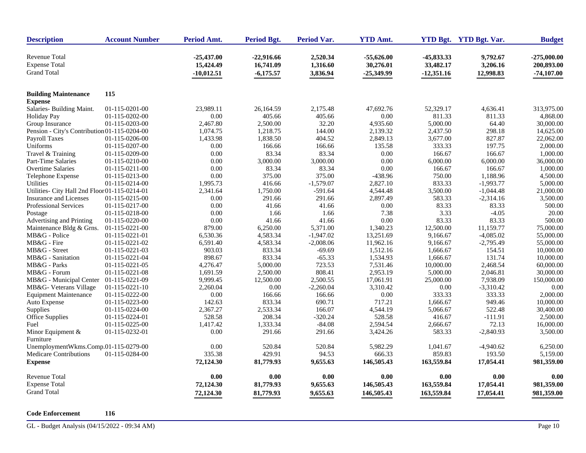| <b>Revenue Total</b><br>$-25,437.00$<br>$-22,916.66$<br>2,520.34<br>$-55,626.00$<br>-45,833.33<br>9,792.67<br><b>Expense Total</b><br>33,482.17<br>15,424.49<br>16,741.09<br>1,316.60<br>30,276.01<br>3,206.16<br><b>Grand Total</b><br>3,836.94<br>-10,012.51<br>$-6,175.57$<br>$-25,349.99$<br>$-12,351.16$<br>12,998.83<br><b>Building Maintenance</b><br>115<br><b>Expense</b><br>Salaries- Building Maint.<br>01-115-0201-00<br>47,692.76<br>52,329.17<br>4,636.41<br>313,975.00<br>23,989.11<br>26,164.59<br>2,175.48<br>01-115-0202-00<br>0.00<br>405.66<br>405.66<br>0.00<br>811.33<br>811.33<br>4,868.00<br><b>Holiday Pay</b><br>32.20<br>5,000.00<br>30,000.00<br>Group Insurance<br>01-115-0203-00<br>2,467.80<br>2,500.00<br>4,935.60<br>64.40<br>Pension - City's Contribution 01-115-0204-00<br>144.00<br>2,139.32<br>298.18<br>14,625.00<br>1,074.75<br>1,218.75<br>2,437.50<br>1,838.50<br>404.52<br>827.87<br>Payroll Taxes<br>01-115-0206-00<br>1,433.98<br>2,849.13<br>3,677.00<br>22,062.00<br>Uniforms<br>01-115-0207-00<br>0.00<br>166.66<br>166.66<br>135.58<br>333.33<br>197.75<br>2,000.00<br>01-115-0209-00<br>0.00<br>83.34<br>83.34<br>0.00<br>166.67<br>166.67<br>1,000.00<br>Travel & Training<br>0.00<br>3,000.00<br>3,000.00<br>0.00<br>6,000.00<br>6,000.00<br>36,000.00<br>Part-Time Salaries<br>01-115-0210-00<br>Overtime Salaries<br>01-115-0211-00<br>0.00<br>83.34<br>83.34<br>0.00<br>166.67<br>166.67<br>1,000.00<br>0.00<br>375.00<br>375.00<br>$-438.96$<br>750.00<br>1,188.96<br>Telephone Expense<br>01-115-0213-00<br>4,500.00<br>833.33<br>Utilities<br>01-115-0214-00<br>1,995.73<br>416.66<br>$-1,579.07$<br>2,827.10<br>$-1,993.77$<br>5,000.00<br>2,341.64<br>1,750.00<br>$-591.64$<br>4,544.48<br>3,500.00<br>$-1,044.48$<br>21,000.00<br>Utilities- City Hall 2nd Floor 01-115-0214-01<br>291.66<br>583.33<br><b>Insurance and Licenses</b><br>01-115-0215-00<br>0.00<br>291.66<br>2,897.49<br>$-2,314.16$<br>3,500.00<br>41.66<br>0.00<br>83.33<br>83.33<br>500.00<br>Professional Services<br>01-115-0217-00<br>0.00<br>41.66<br>7.38<br>3.33<br>$-4.05$<br>20.00<br>Postage<br>01-115-0218-00<br>0.00<br>1.66<br>1.66<br>41.66<br>0.00<br>83.33<br>83.33<br>500.00<br>01-115-0220-00<br>0.00<br>41.66<br>Advertising and Printing<br>6,250.00<br>5,371.00<br>12,500.00<br>11,159.77<br>75,000.00<br>Maintenance Bldg & Grns.<br>01-115-0221-00<br>879.00<br>1,340.23<br>01-115-0221-01<br>6,530.36<br>4,583.34<br>$-1,947.02$<br>13,251.69<br>9,166.67<br>$-4,085.02$<br>55,000.00<br>MB&G - Police<br>MB&G - Fire<br>4,583.34<br>$-2,008.06$<br>11,962.16<br>9,166.67<br>55,000.00<br>01-115-0221-02<br>6,591.40<br>$-2,795.49$<br>MB&G - Street<br>01-115-0221-03<br>903.03<br>833.34<br>$-69.69$<br>1,512.16<br>1,666.67<br>154.51<br>10,000.00<br>MB&G - Sanitation<br>01-115-0221-04<br>898.67<br>833.34<br>$-65.33$<br>1,534.93<br>1,666.67<br>131.74<br>10,000.00<br>MB&G - Parks<br>01-115-0221-05<br>5,000.00<br>723.53<br>7,531.46<br>10,000.00<br>2,468.54<br>60,000.00<br>4,276.47<br>808.41<br>MB&G - Forum<br>01-115-0221-08<br>1,691.59<br>2,500.00<br>2,953.19<br>5,000.00<br>2,046.81<br>30,000.00<br>MB&G - Municipal Center<br>9,999.45<br>12,500.00<br>2,500.55<br>17,061.91<br>25,000.00<br>7,938.09<br>150,000.00<br>01-115-0221-09<br>$-2,260.04$<br>MB&G- Veterans Village<br>$01-115-0221-10$<br>2,260.04<br>0.00<br>3,310.42<br>0.00<br>$-3,310.42$<br>0.00<br>0.00<br>333.33<br><b>Equipment Maintenance</b><br>01-115-0222-00<br>0.00<br>166.66<br>166.66<br>333.33<br>2,000.00<br>Auto Expense<br>01-115-0223-00<br>833.34<br>690.71<br>717.21<br>949.46<br>10,000.00<br>142.63<br>1,666.67<br>01-115-0224-00<br>2,367.27<br>2,533.34<br>166.07<br>4,544.19<br>5,066.67<br>522.48<br>30,400.00<br>Supplies<br>Office Supplies<br>528.58<br>208.34<br>$-320.24$<br>528.58<br>416.67<br>$-111.91$<br>2,500.00<br>01-115-0224-01<br>$-84.08$<br>2,594.54<br>72.13<br>Fuel<br>01-115-0225-00<br>1,417.42<br>1,333.34<br>2,666.67<br>16,000.00<br>01-115-0232-01<br>0.00<br>291.66<br>291.66<br>3,424.26<br>583.33<br>$-2,840.93$<br>Minor Equipment $&$<br>3,500.00<br>Furniture<br>UnemploymentWkms.Comp.01-115-0279-00<br>0.00<br>520.84<br>520.84<br>5,982.29<br>1,041.67<br>$-4,940.62$<br>01-115-0284-00<br>335.38<br>429.91<br>94.53<br>666.33<br>859.83<br>193.50<br><b>Medicare Contributions</b><br><b>Expense</b><br>72,124.30<br>81,779.93<br>9,655.63<br>146,505.43<br>163,559.84<br>17,054.41<br><b>Revenue Total</b><br>0.00<br>0.00<br>0.00<br>0.00<br>0.00<br>0.00<br><b>Expense Total</b><br>72,124.30<br>81,779.93<br>9,655.63<br>146,505.43<br>163,559.84<br>981,359.00<br>17,054.41 | <b>Description</b> | <b>Account Number</b> | Period Amt. | <b>Period Bgt.</b> | <b>Period Var.</b> | <b>YTD Amt.</b> |            | YTD Bgt. YTD Bgt. Var. | <b>Budget</b>                               |
|-------------------------------------------------------------------------------------------------------------------------------------------------------------------------------------------------------------------------------------------------------------------------------------------------------------------------------------------------------------------------------------------------------------------------------------------------------------------------------------------------------------------------------------------------------------------------------------------------------------------------------------------------------------------------------------------------------------------------------------------------------------------------------------------------------------------------------------------------------------------------------------------------------------------------------------------------------------------------------------------------------------------------------------------------------------------------------------------------------------------------------------------------------------------------------------------------------------------------------------------------------------------------------------------------------------------------------------------------------------------------------------------------------------------------------------------------------------------------------------------------------------------------------------------------------------------------------------------------------------------------------------------------------------------------------------------------------------------------------------------------------------------------------------------------------------------------------------------------------------------------------------------------------------------------------------------------------------------------------------------------------------------------------------------------------------------------------------------------------------------------------------------------------------------------------------------------------------------------------------------------------------------------------------------------------------------------------------------------------------------------------------------------------------------------------------------------------------------------------------------------------------------------------------------------------------------------------------------------------------------------------------------------------------------------------------------------------------------------------------------------------------------------------------------------------------------------------------------------------------------------------------------------------------------------------------------------------------------------------------------------------------------------------------------------------------------------------------------------------------------------------------------------------------------------------------------------------------------------------------------------------------------------------------------------------------------------------------------------------------------------------------------------------------------------------------------------------------------------------------------------------------------------------------------------------------------------------------------------------------------------------------------------------------------------------------------------------------------------------------------------------------------------------------------------------------------------------------------------------------------------------------------------------------------------------------------------------------------------------------------------------------------------------------------------------------------------------------------------------------------------------------------------------------------------------------------------------------------------------------------------------------------------------------------------------------------------------------------------------------------------------------------------------------------------------------------------------------------------------------------------------------------------------------------------------------------------------------------------------------------------------------------------------------------------------------------|--------------------|-----------------------|-------------|--------------------|--------------------|-----------------|------------|------------------------|---------------------------------------------|
|                                                                                                                                                                                                                                                                                                                                                                                                                                                                                                                                                                                                                                                                                                                                                                                                                                                                                                                                                                                                                                                                                                                                                                                                                                                                                                                                                                                                                                                                                                                                                                                                                                                                                                                                                                                                                                                                                                                                                                                                                                                                                                                                                                                                                                                                                                                                                                                                                                                                                                                                                                                                                                                                                                                                                                                                                                                                                                                                                                                                                                                                                                                                                                                                                                                                                                                                                                                                                                                                                                                                                                                                                                                                                                                                                                                                                                                                                                                                                                                                                                                                                                                                                                                                                                                                                                                                                                                                                                                                                                                                                                                                                                                                                           |                    |                       |             |                    |                    |                 |            |                        | $-275,000.00$<br>200,893.00<br>$-74,107.00$ |
|                                                                                                                                                                                                                                                                                                                                                                                                                                                                                                                                                                                                                                                                                                                                                                                                                                                                                                                                                                                                                                                                                                                                                                                                                                                                                                                                                                                                                                                                                                                                                                                                                                                                                                                                                                                                                                                                                                                                                                                                                                                                                                                                                                                                                                                                                                                                                                                                                                                                                                                                                                                                                                                                                                                                                                                                                                                                                                                                                                                                                                                                                                                                                                                                                                                                                                                                                                                                                                                                                                                                                                                                                                                                                                                                                                                                                                                                                                                                                                                                                                                                                                                                                                                                                                                                                                                                                                                                                                                                                                                                                                                                                                                                                           |                    |                       |             |                    |                    |                 |            |                        |                                             |
|                                                                                                                                                                                                                                                                                                                                                                                                                                                                                                                                                                                                                                                                                                                                                                                                                                                                                                                                                                                                                                                                                                                                                                                                                                                                                                                                                                                                                                                                                                                                                                                                                                                                                                                                                                                                                                                                                                                                                                                                                                                                                                                                                                                                                                                                                                                                                                                                                                                                                                                                                                                                                                                                                                                                                                                                                                                                                                                                                                                                                                                                                                                                                                                                                                                                                                                                                                                                                                                                                                                                                                                                                                                                                                                                                                                                                                                                                                                                                                                                                                                                                                                                                                                                                                                                                                                                                                                                                                                                                                                                                                                                                                                                                           |                    |                       |             |                    |                    |                 |            |                        |                                             |
|                                                                                                                                                                                                                                                                                                                                                                                                                                                                                                                                                                                                                                                                                                                                                                                                                                                                                                                                                                                                                                                                                                                                                                                                                                                                                                                                                                                                                                                                                                                                                                                                                                                                                                                                                                                                                                                                                                                                                                                                                                                                                                                                                                                                                                                                                                                                                                                                                                                                                                                                                                                                                                                                                                                                                                                                                                                                                                                                                                                                                                                                                                                                                                                                                                                                                                                                                                                                                                                                                                                                                                                                                                                                                                                                                                                                                                                                                                                                                                                                                                                                                                                                                                                                                                                                                                                                                                                                                                                                                                                                                                                                                                                                                           |                    |                       |             |                    |                    |                 |            |                        |                                             |
|                                                                                                                                                                                                                                                                                                                                                                                                                                                                                                                                                                                                                                                                                                                                                                                                                                                                                                                                                                                                                                                                                                                                                                                                                                                                                                                                                                                                                                                                                                                                                                                                                                                                                                                                                                                                                                                                                                                                                                                                                                                                                                                                                                                                                                                                                                                                                                                                                                                                                                                                                                                                                                                                                                                                                                                                                                                                                                                                                                                                                                                                                                                                                                                                                                                                                                                                                                                                                                                                                                                                                                                                                                                                                                                                                                                                                                                                                                                                                                                                                                                                                                                                                                                                                                                                                                                                                                                                                                                                                                                                                                                                                                                                                           |                    |                       |             |                    |                    |                 |            |                        |                                             |
|                                                                                                                                                                                                                                                                                                                                                                                                                                                                                                                                                                                                                                                                                                                                                                                                                                                                                                                                                                                                                                                                                                                                                                                                                                                                                                                                                                                                                                                                                                                                                                                                                                                                                                                                                                                                                                                                                                                                                                                                                                                                                                                                                                                                                                                                                                                                                                                                                                                                                                                                                                                                                                                                                                                                                                                                                                                                                                                                                                                                                                                                                                                                                                                                                                                                                                                                                                                                                                                                                                                                                                                                                                                                                                                                                                                                                                                                                                                                                                                                                                                                                                                                                                                                                                                                                                                                                                                                                                                                                                                                                                                                                                                                                           |                    |                       |             |                    |                    |                 |            |                        |                                             |
|                                                                                                                                                                                                                                                                                                                                                                                                                                                                                                                                                                                                                                                                                                                                                                                                                                                                                                                                                                                                                                                                                                                                                                                                                                                                                                                                                                                                                                                                                                                                                                                                                                                                                                                                                                                                                                                                                                                                                                                                                                                                                                                                                                                                                                                                                                                                                                                                                                                                                                                                                                                                                                                                                                                                                                                                                                                                                                                                                                                                                                                                                                                                                                                                                                                                                                                                                                                                                                                                                                                                                                                                                                                                                                                                                                                                                                                                                                                                                                                                                                                                                                                                                                                                                                                                                                                                                                                                                                                                                                                                                                                                                                                                                           |                    |                       |             |                    |                    |                 |            |                        |                                             |
|                                                                                                                                                                                                                                                                                                                                                                                                                                                                                                                                                                                                                                                                                                                                                                                                                                                                                                                                                                                                                                                                                                                                                                                                                                                                                                                                                                                                                                                                                                                                                                                                                                                                                                                                                                                                                                                                                                                                                                                                                                                                                                                                                                                                                                                                                                                                                                                                                                                                                                                                                                                                                                                                                                                                                                                                                                                                                                                                                                                                                                                                                                                                                                                                                                                                                                                                                                                                                                                                                                                                                                                                                                                                                                                                                                                                                                                                                                                                                                                                                                                                                                                                                                                                                                                                                                                                                                                                                                                                                                                                                                                                                                                                                           |                    |                       |             |                    |                    |                 |            |                        |                                             |
|                                                                                                                                                                                                                                                                                                                                                                                                                                                                                                                                                                                                                                                                                                                                                                                                                                                                                                                                                                                                                                                                                                                                                                                                                                                                                                                                                                                                                                                                                                                                                                                                                                                                                                                                                                                                                                                                                                                                                                                                                                                                                                                                                                                                                                                                                                                                                                                                                                                                                                                                                                                                                                                                                                                                                                                                                                                                                                                                                                                                                                                                                                                                                                                                                                                                                                                                                                                                                                                                                                                                                                                                                                                                                                                                                                                                                                                                                                                                                                                                                                                                                                                                                                                                                                                                                                                                                                                                                                                                                                                                                                                                                                                                                           |                    |                       |             |                    |                    |                 |            |                        |                                             |
|                                                                                                                                                                                                                                                                                                                                                                                                                                                                                                                                                                                                                                                                                                                                                                                                                                                                                                                                                                                                                                                                                                                                                                                                                                                                                                                                                                                                                                                                                                                                                                                                                                                                                                                                                                                                                                                                                                                                                                                                                                                                                                                                                                                                                                                                                                                                                                                                                                                                                                                                                                                                                                                                                                                                                                                                                                                                                                                                                                                                                                                                                                                                                                                                                                                                                                                                                                                                                                                                                                                                                                                                                                                                                                                                                                                                                                                                                                                                                                                                                                                                                                                                                                                                                                                                                                                                                                                                                                                                                                                                                                                                                                                                                           |                    |                       |             |                    |                    |                 |            |                        |                                             |
|                                                                                                                                                                                                                                                                                                                                                                                                                                                                                                                                                                                                                                                                                                                                                                                                                                                                                                                                                                                                                                                                                                                                                                                                                                                                                                                                                                                                                                                                                                                                                                                                                                                                                                                                                                                                                                                                                                                                                                                                                                                                                                                                                                                                                                                                                                                                                                                                                                                                                                                                                                                                                                                                                                                                                                                                                                                                                                                                                                                                                                                                                                                                                                                                                                                                                                                                                                                                                                                                                                                                                                                                                                                                                                                                                                                                                                                                                                                                                                                                                                                                                                                                                                                                                                                                                                                                                                                                                                                                                                                                                                                                                                                                                           |                    |                       |             |                    |                    |                 |            |                        |                                             |
|                                                                                                                                                                                                                                                                                                                                                                                                                                                                                                                                                                                                                                                                                                                                                                                                                                                                                                                                                                                                                                                                                                                                                                                                                                                                                                                                                                                                                                                                                                                                                                                                                                                                                                                                                                                                                                                                                                                                                                                                                                                                                                                                                                                                                                                                                                                                                                                                                                                                                                                                                                                                                                                                                                                                                                                                                                                                                                                                                                                                                                                                                                                                                                                                                                                                                                                                                                                                                                                                                                                                                                                                                                                                                                                                                                                                                                                                                                                                                                                                                                                                                                                                                                                                                                                                                                                                                                                                                                                                                                                                                                                                                                                                                           |                    |                       |             |                    |                    |                 |            |                        |                                             |
|                                                                                                                                                                                                                                                                                                                                                                                                                                                                                                                                                                                                                                                                                                                                                                                                                                                                                                                                                                                                                                                                                                                                                                                                                                                                                                                                                                                                                                                                                                                                                                                                                                                                                                                                                                                                                                                                                                                                                                                                                                                                                                                                                                                                                                                                                                                                                                                                                                                                                                                                                                                                                                                                                                                                                                                                                                                                                                                                                                                                                                                                                                                                                                                                                                                                                                                                                                                                                                                                                                                                                                                                                                                                                                                                                                                                                                                                                                                                                                                                                                                                                                                                                                                                                                                                                                                                                                                                                                                                                                                                                                                                                                                                                           |                    |                       |             |                    |                    |                 |            |                        |                                             |
|                                                                                                                                                                                                                                                                                                                                                                                                                                                                                                                                                                                                                                                                                                                                                                                                                                                                                                                                                                                                                                                                                                                                                                                                                                                                                                                                                                                                                                                                                                                                                                                                                                                                                                                                                                                                                                                                                                                                                                                                                                                                                                                                                                                                                                                                                                                                                                                                                                                                                                                                                                                                                                                                                                                                                                                                                                                                                                                                                                                                                                                                                                                                                                                                                                                                                                                                                                                                                                                                                                                                                                                                                                                                                                                                                                                                                                                                                                                                                                                                                                                                                                                                                                                                                                                                                                                                                                                                                                                                                                                                                                                                                                                                                           |                    |                       |             |                    |                    |                 |            |                        |                                             |
|                                                                                                                                                                                                                                                                                                                                                                                                                                                                                                                                                                                                                                                                                                                                                                                                                                                                                                                                                                                                                                                                                                                                                                                                                                                                                                                                                                                                                                                                                                                                                                                                                                                                                                                                                                                                                                                                                                                                                                                                                                                                                                                                                                                                                                                                                                                                                                                                                                                                                                                                                                                                                                                                                                                                                                                                                                                                                                                                                                                                                                                                                                                                                                                                                                                                                                                                                                                                                                                                                                                                                                                                                                                                                                                                                                                                                                                                                                                                                                                                                                                                                                                                                                                                                                                                                                                                                                                                                                                                                                                                                                                                                                                                                           |                    |                       |             |                    |                    |                 |            |                        |                                             |
|                                                                                                                                                                                                                                                                                                                                                                                                                                                                                                                                                                                                                                                                                                                                                                                                                                                                                                                                                                                                                                                                                                                                                                                                                                                                                                                                                                                                                                                                                                                                                                                                                                                                                                                                                                                                                                                                                                                                                                                                                                                                                                                                                                                                                                                                                                                                                                                                                                                                                                                                                                                                                                                                                                                                                                                                                                                                                                                                                                                                                                                                                                                                                                                                                                                                                                                                                                                                                                                                                                                                                                                                                                                                                                                                                                                                                                                                                                                                                                                                                                                                                                                                                                                                                                                                                                                                                                                                                                                                                                                                                                                                                                                                                           |                    |                       |             |                    |                    |                 |            |                        |                                             |
|                                                                                                                                                                                                                                                                                                                                                                                                                                                                                                                                                                                                                                                                                                                                                                                                                                                                                                                                                                                                                                                                                                                                                                                                                                                                                                                                                                                                                                                                                                                                                                                                                                                                                                                                                                                                                                                                                                                                                                                                                                                                                                                                                                                                                                                                                                                                                                                                                                                                                                                                                                                                                                                                                                                                                                                                                                                                                                                                                                                                                                                                                                                                                                                                                                                                                                                                                                                                                                                                                                                                                                                                                                                                                                                                                                                                                                                                                                                                                                                                                                                                                                                                                                                                                                                                                                                                                                                                                                                                                                                                                                                                                                                                                           |                    |                       |             |                    |                    |                 |            |                        |                                             |
|                                                                                                                                                                                                                                                                                                                                                                                                                                                                                                                                                                                                                                                                                                                                                                                                                                                                                                                                                                                                                                                                                                                                                                                                                                                                                                                                                                                                                                                                                                                                                                                                                                                                                                                                                                                                                                                                                                                                                                                                                                                                                                                                                                                                                                                                                                                                                                                                                                                                                                                                                                                                                                                                                                                                                                                                                                                                                                                                                                                                                                                                                                                                                                                                                                                                                                                                                                                                                                                                                                                                                                                                                                                                                                                                                                                                                                                                                                                                                                                                                                                                                                                                                                                                                                                                                                                                                                                                                                                                                                                                                                                                                                                                                           |                    |                       |             |                    |                    |                 |            |                        |                                             |
|                                                                                                                                                                                                                                                                                                                                                                                                                                                                                                                                                                                                                                                                                                                                                                                                                                                                                                                                                                                                                                                                                                                                                                                                                                                                                                                                                                                                                                                                                                                                                                                                                                                                                                                                                                                                                                                                                                                                                                                                                                                                                                                                                                                                                                                                                                                                                                                                                                                                                                                                                                                                                                                                                                                                                                                                                                                                                                                                                                                                                                                                                                                                                                                                                                                                                                                                                                                                                                                                                                                                                                                                                                                                                                                                                                                                                                                                                                                                                                                                                                                                                                                                                                                                                                                                                                                                                                                                                                                                                                                                                                                                                                                                                           |                    |                       |             |                    |                    |                 |            |                        |                                             |
|                                                                                                                                                                                                                                                                                                                                                                                                                                                                                                                                                                                                                                                                                                                                                                                                                                                                                                                                                                                                                                                                                                                                                                                                                                                                                                                                                                                                                                                                                                                                                                                                                                                                                                                                                                                                                                                                                                                                                                                                                                                                                                                                                                                                                                                                                                                                                                                                                                                                                                                                                                                                                                                                                                                                                                                                                                                                                                                                                                                                                                                                                                                                                                                                                                                                                                                                                                                                                                                                                                                                                                                                                                                                                                                                                                                                                                                                                                                                                                                                                                                                                                                                                                                                                                                                                                                                                                                                                                                                                                                                                                                                                                                                                           |                    |                       |             |                    |                    |                 |            |                        |                                             |
|                                                                                                                                                                                                                                                                                                                                                                                                                                                                                                                                                                                                                                                                                                                                                                                                                                                                                                                                                                                                                                                                                                                                                                                                                                                                                                                                                                                                                                                                                                                                                                                                                                                                                                                                                                                                                                                                                                                                                                                                                                                                                                                                                                                                                                                                                                                                                                                                                                                                                                                                                                                                                                                                                                                                                                                                                                                                                                                                                                                                                                                                                                                                                                                                                                                                                                                                                                                                                                                                                                                                                                                                                                                                                                                                                                                                                                                                                                                                                                                                                                                                                                                                                                                                                                                                                                                                                                                                                                                                                                                                                                                                                                                                                           |                    |                       |             |                    |                    |                 |            |                        |                                             |
|                                                                                                                                                                                                                                                                                                                                                                                                                                                                                                                                                                                                                                                                                                                                                                                                                                                                                                                                                                                                                                                                                                                                                                                                                                                                                                                                                                                                                                                                                                                                                                                                                                                                                                                                                                                                                                                                                                                                                                                                                                                                                                                                                                                                                                                                                                                                                                                                                                                                                                                                                                                                                                                                                                                                                                                                                                                                                                                                                                                                                                                                                                                                                                                                                                                                                                                                                                                                                                                                                                                                                                                                                                                                                                                                                                                                                                                                                                                                                                                                                                                                                                                                                                                                                                                                                                                                                                                                                                                                                                                                                                                                                                                                                           |                    |                       |             |                    |                    |                 |            |                        |                                             |
|                                                                                                                                                                                                                                                                                                                                                                                                                                                                                                                                                                                                                                                                                                                                                                                                                                                                                                                                                                                                                                                                                                                                                                                                                                                                                                                                                                                                                                                                                                                                                                                                                                                                                                                                                                                                                                                                                                                                                                                                                                                                                                                                                                                                                                                                                                                                                                                                                                                                                                                                                                                                                                                                                                                                                                                                                                                                                                                                                                                                                                                                                                                                                                                                                                                                                                                                                                                                                                                                                                                                                                                                                                                                                                                                                                                                                                                                                                                                                                                                                                                                                                                                                                                                                                                                                                                                                                                                                                                                                                                                                                                                                                                                                           |                    |                       |             |                    |                    |                 |            |                        |                                             |
|                                                                                                                                                                                                                                                                                                                                                                                                                                                                                                                                                                                                                                                                                                                                                                                                                                                                                                                                                                                                                                                                                                                                                                                                                                                                                                                                                                                                                                                                                                                                                                                                                                                                                                                                                                                                                                                                                                                                                                                                                                                                                                                                                                                                                                                                                                                                                                                                                                                                                                                                                                                                                                                                                                                                                                                                                                                                                                                                                                                                                                                                                                                                                                                                                                                                                                                                                                                                                                                                                                                                                                                                                                                                                                                                                                                                                                                                                                                                                                                                                                                                                                                                                                                                                                                                                                                                                                                                                                                                                                                                                                                                                                                                                           |                    |                       |             |                    |                    |                 |            |                        |                                             |
|                                                                                                                                                                                                                                                                                                                                                                                                                                                                                                                                                                                                                                                                                                                                                                                                                                                                                                                                                                                                                                                                                                                                                                                                                                                                                                                                                                                                                                                                                                                                                                                                                                                                                                                                                                                                                                                                                                                                                                                                                                                                                                                                                                                                                                                                                                                                                                                                                                                                                                                                                                                                                                                                                                                                                                                                                                                                                                                                                                                                                                                                                                                                                                                                                                                                                                                                                                                                                                                                                                                                                                                                                                                                                                                                                                                                                                                                                                                                                                                                                                                                                                                                                                                                                                                                                                                                                                                                                                                                                                                                                                                                                                                                                           |                    |                       |             |                    |                    |                 |            |                        |                                             |
|                                                                                                                                                                                                                                                                                                                                                                                                                                                                                                                                                                                                                                                                                                                                                                                                                                                                                                                                                                                                                                                                                                                                                                                                                                                                                                                                                                                                                                                                                                                                                                                                                                                                                                                                                                                                                                                                                                                                                                                                                                                                                                                                                                                                                                                                                                                                                                                                                                                                                                                                                                                                                                                                                                                                                                                                                                                                                                                                                                                                                                                                                                                                                                                                                                                                                                                                                                                                                                                                                                                                                                                                                                                                                                                                                                                                                                                                                                                                                                                                                                                                                                                                                                                                                                                                                                                                                                                                                                                                                                                                                                                                                                                                                           |                    |                       |             |                    |                    |                 |            |                        |                                             |
|                                                                                                                                                                                                                                                                                                                                                                                                                                                                                                                                                                                                                                                                                                                                                                                                                                                                                                                                                                                                                                                                                                                                                                                                                                                                                                                                                                                                                                                                                                                                                                                                                                                                                                                                                                                                                                                                                                                                                                                                                                                                                                                                                                                                                                                                                                                                                                                                                                                                                                                                                                                                                                                                                                                                                                                                                                                                                                                                                                                                                                                                                                                                                                                                                                                                                                                                                                                                                                                                                                                                                                                                                                                                                                                                                                                                                                                                                                                                                                                                                                                                                                                                                                                                                                                                                                                                                                                                                                                                                                                                                                                                                                                                                           |                    |                       |             |                    |                    |                 |            |                        |                                             |
|                                                                                                                                                                                                                                                                                                                                                                                                                                                                                                                                                                                                                                                                                                                                                                                                                                                                                                                                                                                                                                                                                                                                                                                                                                                                                                                                                                                                                                                                                                                                                                                                                                                                                                                                                                                                                                                                                                                                                                                                                                                                                                                                                                                                                                                                                                                                                                                                                                                                                                                                                                                                                                                                                                                                                                                                                                                                                                                                                                                                                                                                                                                                                                                                                                                                                                                                                                                                                                                                                                                                                                                                                                                                                                                                                                                                                                                                                                                                                                                                                                                                                                                                                                                                                                                                                                                                                                                                                                                                                                                                                                                                                                                                                           |                    |                       |             |                    |                    |                 |            |                        |                                             |
|                                                                                                                                                                                                                                                                                                                                                                                                                                                                                                                                                                                                                                                                                                                                                                                                                                                                                                                                                                                                                                                                                                                                                                                                                                                                                                                                                                                                                                                                                                                                                                                                                                                                                                                                                                                                                                                                                                                                                                                                                                                                                                                                                                                                                                                                                                                                                                                                                                                                                                                                                                                                                                                                                                                                                                                                                                                                                                                                                                                                                                                                                                                                                                                                                                                                                                                                                                                                                                                                                                                                                                                                                                                                                                                                                                                                                                                                                                                                                                                                                                                                                                                                                                                                                                                                                                                                                                                                                                                                                                                                                                                                                                                                                           |                    |                       |             |                    |                    |                 |            |                        |                                             |
|                                                                                                                                                                                                                                                                                                                                                                                                                                                                                                                                                                                                                                                                                                                                                                                                                                                                                                                                                                                                                                                                                                                                                                                                                                                                                                                                                                                                                                                                                                                                                                                                                                                                                                                                                                                                                                                                                                                                                                                                                                                                                                                                                                                                                                                                                                                                                                                                                                                                                                                                                                                                                                                                                                                                                                                                                                                                                                                                                                                                                                                                                                                                                                                                                                                                                                                                                                                                                                                                                                                                                                                                                                                                                                                                                                                                                                                                                                                                                                                                                                                                                                                                                                                                                                                                                                                                                                                                                                                                                                                                                                                                                                                                                           |                    |                       |             |                    |                    |                 |            |                        |                                             |
|                                                                                                                                                                                                                                                                                                                                                                                                                                                                                                                                                                                                                                                                                                                                                                                                                                                                                                                                                                                                                                                                                                                                                                                                                                                                                                                                                                                                                                                                                                                                                                                                                                                                                                                                                                                                                                                                                                                                                                                                                                                                                                                                                                                                                                                                                                                                                                                                                                                                                                                                                                                                                                                                                                                                                                                                                                                                                                                                                                                                                                                                                                                                                                                                                                                                                                                                                                                                                                                                                                                                                                                                                                                                                                                                                                                                                                                                                                                                                                                                                                                                                                                                                                                                                                                                                                                                                                                                                                                                                                                                                                                                                                                                                           |                    |                       |             |                    |                    |                 |            |                        |                                             |
|                                                                                                                                                                                                                                                                                                                                                                                                                                                                                                                                                                                                                                                                                                                                                                                                                                                                                                                                                                                                                                                                                                                                                                                                                                                                                                                                                                                                                                                                                                                                                                                                                                                                                                                                                                                                                                                                                                                                                                                                                                                                                                                                                                                                                                                                                                                                                                                                                                                                                                                                                                                                                                                                                                                                                                                                                                                                                                                                                                                                                                                                                                                                                                                                                                                                                                                                                                                                                                                                                                                                                                                                                                                                                                                                                                                                                                                                                                                                                                                                                                                                                                                                                                                                                                                                                                                                                                                                                                                                                                                                                                                                                                                                                           |                    |                       |             |                    |                    |                 |            |                        |                                             |
|                                                                                                                                                                                                                                                                                                                                                                                                                                                                                                                                                                                                                                                                                                                                                                                                                                                                                                                                                                                                                                                                                                                                                                                                                                                                                                                                                                                                                                                                                                                                                                                                                                                                                                                                                                                                                                                                                                                                                                                                                                                                                                                                                                                                                                                                                                                                                                                                                                                                                                                                                                                                                                                                                                                                                                                                                                                                                                                                                                                                                                                                                                                                                                                                                                                                                                                                                                                                                                                                                                                                                                                                                                                                                                                                                                                                                                                                                                                                                                                                                                                                                                                                                                                                                                                                                                                                                                                                                                                                                                                                                                                                                                                                                           |                    |                       |             |                    |                    |                 |            |                        |                                             |
|                                                                                                                                                                                                                                                                                                                                                                                                                                                                                                                                                                                                                                                                                                                                                                                                                                                                                                                                                                                                                                                                                                                                                                                                                                                                                                                                                                                                                                                                                                                                                                                                                                                                                                                                                                                                                                                                                                                                                                                                                                                                                                                                                                                                                                                                                                                                                                                                                                                                                                                                                                                                                                                                                                                                                                                                                                                                                                                                                                                                                                                                                                                                                                                                                                                                                                                                                                                                                                                                                                                                                                                                                                                                                                                                                                                                                                                                                                                                                                                                                                                                                                                                                                                                                                                                                                                                                                                                                                                                                                                                                                                                                                                                                           |                    |                       |             |                    |                    |                 |            |                        |                                             |
|                                                                                                                                                                                                                                                                                                                                                                                                                                                                                                                                                                                                                                                                                                                                                                                                                                                                                                                                                                                                                                                                                                                                                                                                                                                                                                                                                                                                                                                                                                                                                                                                                                                                                                                                                                                                                                                                                                                                                                                                                                                                                                                                                                                                                                                                                                                                                                                                                                                                                                                                                                                                                                                                                                                                                                                                                                                                                                                                                                                                                                                                                                                                                                                                                                                                                                                                                                                                                                                                                                                                                                                                                                                                                                                                                                                                                                                                                                                                                                                                                                                                                                                                                                                                                                                                                                                                                                                                                                                                                                                                                                                                                                                                                           |                    |                       |             |                    |                    |                 |            |                        | 6,250.00                                    |
|                                                                                                                                                                                                                                                                                                                                                                                                                                                                                                                                                                                                                                                                                                                                                                                                                                                                                                                                                                                                                                                                                                                                                                                                                                                                                                                                                                                                                                                                                                                                                                                                                                                                                                                                                                                                                                                                                                                                                                                                                                                                                                                                                                                                                                                                                                                                                                                                                                                                                                                                                                                                                                                                                                                                                                                                                                                                                                                                                                                                                                                                                                                                                                                                                                                                                                                                                                                                                                                                                                                                                                                                                                                                                                                                                                                                                                                                                                                                                                                                                                                                                                                                                                                                                                                                                                                                                                                                                                                                                                                                                                                                                                                                                           |                    |                       |             |                    |                    |                 |            |                        | 5,159.00                                    |
|                                                                                                                                                                                                                                                                                                                                                                                                                                                                                                                                                                                                                                                                                                                                                                                                                                                                                                                                                                                                                                                                                                                                                                                                                                                                                                                                                                                                                                                                                                                                                                                                                                                                                                                                                                                                                                                                                                                                                                                                                                                                                                                                                                                                                                                                                                                                                                                                                                                                                                                                                                                                                                                                                                                                                                                                                                                                                                                                                                                                                                                                                                                                                                                                                                                                                                                                                                                                                                                                                                                                                                                                                                                                                                                                                                                                                                                                                                                                                                                                                                                                                                                                                                                                                                                                                                                                                                                                                                                                                                                                                                                                                                                                                           |                    |                       |             |                    |                    |                 |            |                        | 981,359.00                                  |
|                                                                                                                                                                                                                                                                                                                                                                                                                                                                                                                                                                                                                                                                                                                                                                                                                                                                                                                                                                                                                                                                                                                                                                                                                                                                                                                                                                                                                                                                                                                                                                                                                                                                                                                                                                                                                                                                                                                                                                                                                                                                                                                                                                                                                                                                                                                                                                                                                                                                                                                                                                                                                                                                                                                                                                                                                                                                                                                                                                                                                                                                                                                                                                                                                                                                                                                                                                                                                                                                                                                                                                                                                                                                                                                                                                                                                                                                                                                                                                                                                                                                                                                                                                                                                                                                                                                                                                                                                                                                                                                                                                                                                                                                                           |                    |                       |             |                    |                    |                 |            |                        | 0.00                                        |
|                                                                                                                                                                                                                                                                                                                                                                                                                                                                                                                                                                                                                                                                                                                                                                                                                                                                                                                                                                                                                                                                                                                                                                                                                                                                                                                                                                                                                                                                                                                                                                                                                                                                                                                                                                                                                                                                                                                                                                                                                                                                                                                                                                                                                                                                                                                                                                                                                                                                                                                                                                                                                                                                                                                                                                                                                                                                                                                                                                                                                                                                                                                                                                                                                                                                                                                                                                                                                                                                                                                                                                                                                                                                                                                                                                                                                                                                                                                                                                                                                                                                                                                                                                                                                                                                                                                                                                                                                                                                                                                                                                                                                                                                                           |                    |                       |             |                    |                    |                 |            |                        |                                             |
|                                                                                                                                                                                                                                                                                                                                                                                                                                                                                                                                                                                                                                                                                                                                                                                                                                                                                                                                                                                                                                                                                                                                                                                                                                                                                                                                                                                                                                                                                                                                                                                                                                                                                                                                                                                                                                                                                                                                                                                                                                                                                                                                                                                                                                                                                                                                                                                                                                                                                                                                                                                                                                                                                                                                                                                                                                                                                                                                                                                                                                                                                                                                                                                                                                                                                                                                                                                                                                                                                                                                                                                                                                                                                                                                                                                                                                                                                                                                                                                                                                                                                                                                                                                                                                                                                                                                                                                                                                                                                                                                                                                                                                                                                           | <b>Grand Total</b> |                       | 72,124.30   | 81,779.93          | 9,655.63           | 146,505.43      | 163,559.84 | 17,054.41              | 981,359.00                                  |

**Code Enforcement 116**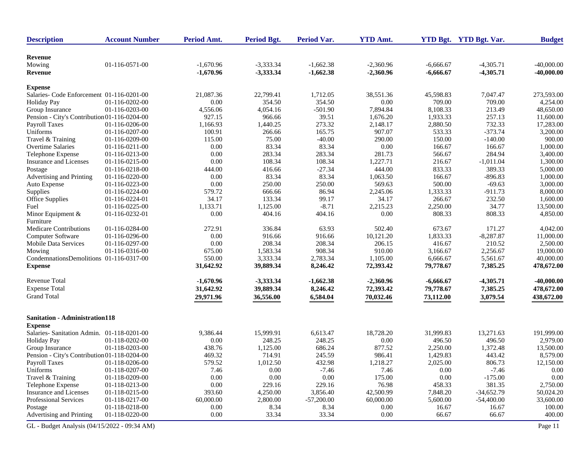| <b>Description</b>                           | <b>Account Number</b> | Period Amt. | <b>Period Bgt.</b> | <b>Period Var.</b> | <b>YTD Amt.</b> |             | YTD Bgt. YTD Bgt. Var. | <b>Budget</b> |
|----------------------------------------------|-----------------------|-------------|--------------------|--------------------|-----------------|-------------|------------------------|---------------|
| Revenue                                      |                       |             |                    |                    |                 |             |                        |               |
| Mowing                                       | 01-116-0571-00        | $-1,670.96$ | $-3,333.34$        | $-1,662.38$        | $-2,360.96$     | $-6,666.67$ | $-4,305.71$            | $-40,000.00$  |
| Revenue                                      |                       | $-1,670.96$ | $-3,333.34$        | $-1,662.38$        | $-2,360.96$     | $-6,666.67$ | $-4,305.71$            | $-40,000.00$  |
|                                              |                       |             |                    |                    |                 |             |                        |               |
| <b>Expense</b>                               |                       |             |                    |                    |                 |             |                        |               |
| Salaries- Code Enforcement 01-116-0201-00    |                       | 21,087.36   | 22,799.41          | 1,712.05           | 38,551.36       | 45,598.83   | 7,047.47               | 273,593.00    |
| <b>Holiday Pay</b>                           | 01-116-0202-00        | 0.00        | 354.50             | 354.50             | 0.00            | 709.00      | 709.00                 | 4,254.00      |
| Group Insurance                              | 01-116-0203-00        | 4,556.06    | 4,054.16           | $-501.90$          | 7,894.84        | 8,108.33    | 213.49                 | 48,650.00     |
| Pension - City's Contribution 01-116-0204-00 |                       | 927.15      | 966.66             | 39.51              | 1,676.20        | 1,933.33    | 257.13                 | 11,600.00     |
| <b>Payroll Taxes</b>                         | 01-116-0206-00        | 1,166.93    | 1,440.25           | 273.32             | 2,148.17        | 2,880.50    | 732.33                 | 17,283.00     |
| Uniforms                                     | 01-116-0207-00        | 100.91      | 266.66             | 165.75             | 907.07          | 533.33      | $-373.74$              | 3,200.00      |
| Travel & Training                            | 01-116-0209-00        | 115.00      | 75.00              | $-40.00$           | 290.00          | 150.00      | $-140.00$              | 900.00        |
| Overtime Salaries                            | 01-116-0211-00        | 0.00        | 83.34              | 83.34              | 0.00            | 166.67      | 166.67                 | 1,000.00      |
| Telephone Expense                            | 01-116-0213-00        | 0.00        | 283.34             | 283.34             | 281.73          | 566.67      | 284.94                 | 3,400.00      |
| Insurance and Licenses                       | 01-116-0215-00        | 0.00        | 108.34             | 108.34             | 1,227.71        | 216.67      | $-1,011.04$            | 1,300.00      |
| Postage                                      | 01-116-0218-00        | 444.00      | 416.66             | $-27.34$           | 444.00          | 833.33      | 389.33                 | 5,000.00      |
| Advertising and Printing                     | 01-116-0220-00        | 0.00        | 83.34              | 83.34              | 1,063.50        | 166.67      | $-896.83$              | 1,000.00      |
| Auto Expense                                 | 01-116-0223-00        | $0.00\,$    | 250.00             | 250.00             | 569.63          | 500.00      | $-69.63$               | 3,000.00      |
| Supplies                                     | 01-116-0224-00        | 579.72      | 666.66             | 86.94              | 2,245.06        | 1,333.33    | $-911.73$              | 8,000.00      |
| Office Supplies                              | 01-116-0224-01        | 34.17       | 133.34             | 99.17              | 34.17           | 266.67      | 232.50                 | 1,600.00      |
| Fuel                                         | 01-116-0225-00        | 1,133.71    | 1,125.00           | $-8.71$            | 2,215.23        | 2,250.00    | 34.77                  | 13,500.00     |
| Minor Equipment &                            | 01-116-0232-01        | 0.00        | 404.16             | 404.16             | 0.00            | 808.33      | 808.33                 | 4,850.00      |
| Furniture                                    |                       |             |                    |                    |                 |             |                        |               |
| <b>Medicare Contributions</b>                | 01-116-0284-00        | 272.91      | 336.84             | 63.93              | 502.40          | 673.67      | 171.27                 | 4,042.00      |
| Computer Software                            | 01-116-0296-00        | 0.00        | 916.66             | 916.66             | 10,121.20       | 1,833.33    | $-8,287.87$            | 11,000.00     |
| <b>Mobile Data Services</b>                  | 01-116-0297-00        | 0.00        | 208.34             | 208.34             | 206.15          | 416.67      | 210.52                 | 2,500.00      |
| Mowing                                       | 01-116-0316-00        | 675.00      | 1,583.34           | 908.34             | 910.00          | 3,166.67    | 2,256.67               | 19,000.00     |
| CondemnationsDemolitions 01-116-0317-00      |                       | 550.00      | 3,333.34           | 2,783.34           | 1,105.00        | 6,666.67    | 5,561.67               | 40,000.00     |
| <b>Expense</b>                               |                       | 31,642.92   | 39,889.34          | 8,246.42           | 72,393.42       | 79,778.67   | 7,385.25               | 478,672.00    |
| Revenue Total                                |                       | $-1,670.96$ | $-3,333.34$        | $-1,662.38$        | $-2,360.96$     | $-6,666.67$ | $-4,305.71$            | $-40,000.00$  |
| <b>Expense Total</b>                         |                       | 31,642.92   | 39,889.34          | 8,246.42           | 72,393.42       | 79,778.67   | 7,385.25               | 478,672.00    |
| <b>Grand Total</b>                           |                       | 29,971.96   | 36,556.00          | 6,584.04           | 70,032.46       | 73,112.00   | 3,079.54               | 438,672.00    |
|                                              |                       |             |                    |                    |                 |             |                        |               |
| <b>Sanitation - Administration118</b>        |                       |             |                    |                    |                 |             |                        |               |
| <b>Expense</b>                               |                       |             |                    |                    |                 |             |                        |               |
| Salaries-Sanitation Admin. 01-118-0201-00    |                       | 9,386.44    | 15,999.91          | 6,613.47           | 18,728.20       | 31,999.83   | 13,271.63              | 191,999.00    |
| <b>Holiday Pay</b>                           | 01-118-0202-00        | 0.00        | 248.25             | 248.25             | 0.00            | 496.50      | 496.50                 | 2,979.00      |
| Group Insurance                              | 01-118-0203-00        | 438.76      | 1,125.00           | 686.24             | 877.52          | 2,250.00    | 1,372.48               | 13,500.00     |
| Pension - City's Contribution 01-118-0204-00 |                       | 469.32      | 714.91             | 245.59             | 986.41          | 1,429.83    | 443.42                 | 8,579.00      |
| <b>Payroll Taxes</b>                         | 01-118-0206-00        | 579.52      | 1,012.50           | 432.98             | 1,218.27        | 2,025.00    | 806.73                 | 12,150.00     |
| Uniforms                                     | 01-118-0207-00        | 7.46        | 0.00               | $-7.46$            | 7.46            | $0.00\,$    | $-7.46$                | 0.00          |
| Travel & Training                            | 01-118-0209-00        | $0.00\,$    | $0.00\,$           | $0.00\,$           | 175.00          | 0.00        | $-175.00$              | 0.00          |
| Telephone Expense                            | 01-118-0213-00        | $0.00\,$    | 229.16             | 229.16             | 76.98           | 458.33      | 381.35                 | 2,750.00      |
| Insurance and Licenses                       | 01-118-0215-00        | 393.60      | 4,250.00           | 3,856.40           | 42,500.99       | 7,848.20    | $-34,652.79$           | 50,024.20     |
| Professional Services                        | 01-118-0217-00        | 60,000.00   | 2,800.00           | $-57,200.00$       | 60,000.00       | 5,600.00    | $-54,400.00$           | 33,600.00     |
| Postage                                      | 01-118-0218-00        | 0.00        | 8.34               | 8.34               | 0.00            | 16.67       | 16.67                  | 100.00        |
| Advertising and Printing                     | 01-118-0220-00        | 0.00        | 33.34              | 33.34              | $0.00\,$        | 66.67       | 66.67                  | 400.00        |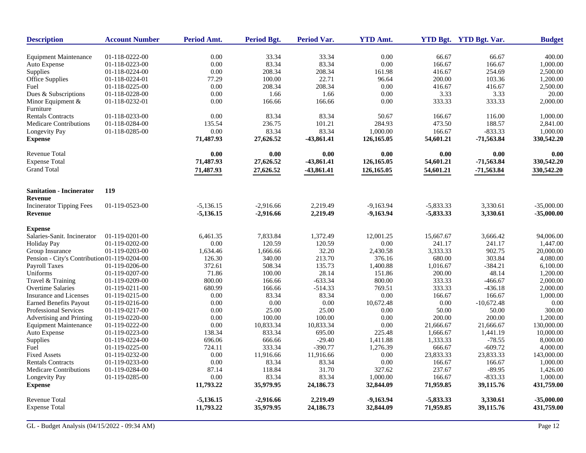| <b>Description</b>                           | <b>Account Number</b> | <b>Period Amt.</b> | <b>Period Bgt.</b> | <b>Period Var.</b> | <b>YTD Amt.</b> |             | YTD Bgt. YTD Bgt. Var. | <b>Budget</b> |
|----------------------------------------------|-----------------------|--------------------|--------------------|--------------------|-----------------|-------------|------------------------|---------------|
| <b>Equipment Maintenance</b>                 | 01-118-0222-00        | 0.00               | 33.34              | 33.34              | 0.00            | 66.67       | 66.67                  | 400.00        |
| Auto Expense                                 | 01-118-0223-00        | 0.00               | 83.34              | 83.34              | 0.00            | 166.67      | 166.67                 | 1,000.00      |
| Supplies                                     | 01-118-0224-00        | 0.00               | 208.34             | 208.34             | 161.98          | 416.67      | 254.69                 | 2,500.00      |
| Office Supplies                              | 01-118-0224-01        | 77.29              | 100.00             | 22.71              | 96.64           | 200.00      | 103.36                 | 1,200.00      |
| Fuel                                         | 01-118-0225-00        | 0.00               | 208.34             | 208.34             | 0.00            | 416.67      | 416.67                 | 2,500.00      |
| Dues & Subscriptions                         | 01-118-0228-00        | 0.00               | 1.66               | 1.66               | 0.00            | 3.33        | 3.33                   | 20.00         |
| Minor Equipment $&$                          | 01-118-0232-01        | 0.00               | 166.66             | 166.66             | 0.00            | 333.33      | 333.33                 | 2,000.00      |
| Furniture                                    |                       |                    |                    |                    |                 |             |                        |               |
| <b>Rentals Contracts</b>                     | 01-118-0233-00        | 0.00               | 83.34              | 83.34              | 50.67           | 166.67      | 116.00                 | 1,000.00      |
| <b>Medicare Contributions</b>                | 01-118-0284-00        | 135.54             | 236.75             | 101.21             | 284.93          | 473.50      | 188.57                 | 2,841.00      |
| Longevity Pay                                | 01-118-0285-00        | 0.00               | 83.34              | 83.34              | 1,000.00        | 166.67      | $-833.33$              | 1,000.00      |
| <b>Expense</b>                               |                       | 71,487.93          | 27,626.52          | $-43,861.41$       | 126,165.05      | 54,601.21   | $-71,563.84$           | 330,542.20    |
| <b>Revenue Total</b>                         |                       | 0.00               | 0.00               | 0.00               | 0.00            | 0.00        | 0.00                   | 0.00          |
| <b>Expense Total</b>                         |                       | 71,487.93          | 27,626.52          | -43,861.41         | 126,165.05      | 54,601.21   | $-71,563.84$           | 330,542.20    |
| <b>Grand Total</b>                           |                       | 71,487.93          | 27,626.52          | $-43,861.41$       | 126,165.05      | 54,601.21   | $-71,563.84$           | 330,542.20    |
| <b>Sanitation - Incinerator</b>              | <b>119</b>            |                    |                    |                    |                 |             |                        |               |
| Revenue                                      |                       |                    |                    |                    |                 |             |                        |               |
| <b>Incinerator Tipping Fees</b>              | 01-119-0523-00        | $-5,136.15$        | $-2,916.66$        | 2,219.49           | $-9,163.94$     | $-5,833.33$ | 3,330.61               | $-35,000.00$  |
| Revenue                                      |                       | $-5,136.15$        | $-2,916.66$        | 2,219.49           | $-9,163.94$     | $-5,833.33$ | 3,330.61               | $-35,000.00$  |
| <b>Expense</b>                               |                       |                    |                    |                    |                 |             |                        |               |
| Salaries-Sanit. Incinerator                  | 01-119-0201-00        | 6,461.35           | 7,833.84           | 1,372.49           | 12,001.25       | 15,667.67   | 3,666.42               | 94,006.00     |
| <b>Holiday Pay</b>                           | 01-119-0202-00        | $0.00\,$           | 120.59             | 120.59             | 0.00            | 241.17      | 241.17                 | 1,447.00      |
| Group Insurance                              | 01-119-0203-00        | 1,634.46           | 1,666.66           | 32.20              | 2,430.58        | 3,333.33    | 902.75                 | 20,000.00     |
| Pension - City's Contribution 01-119-0204-00 |                       | 126.30             | 340.00             | 213.70             | 376.16          | 680.00      | 303.84                 | 4,080.00      |
| <b>Payroll Taxes</b>                         | 01-119-0206-00        | 372.61             | 508.34             | 135.73             | 1,400.88        | 1,016.67    | $-384.21$              | 6,100.00      |
| Uniforms                                     | 01-119-0207-00        | 71.86              | 100.00             | 28.14              | 151.86          | 200.00      | 48.14                  | 1,200.00      |
| Travel & Training                            | 01-119-0209-00        | 800.00             | 166.66             | $-633.34$          | 800.00          | 333.33      | $-466.67$              | 2,000.00      |
| <b>Overtime Salaries</b>                     | 01-119-0211-00        | 680.99             | 166.66             | $-514.33$          | 769.51          | 333.33      | $-436.18$              | 2,000.00      |
| Insurance and Licenses                       | 01-119-0215-00        | 0.00               | 83.34              | 83.34              | 0.00            | 166.67      | 166.67                 | 1,000.00      |
| <b>Earned Benefits Payout</b>                | 01-119-0216-00        | 0.00               | 0.00               | 0.00               | 10,672.48       | 0.00        | $-10,672.48$           | 0.00          |
| <b>Professional Services</b>                 | 01-119-0217-00        | 0.00               | 25.00              | 25.00              | 0.00            | 50.00       | 50.00                  | 300.00        |
| Advertising and Printing                     | 01-119-0220-00        | 0.00               | 100.00             | 100.00             | 0.00            | 200.00      | 200.00                 | 1,200.00      |
| <b>Equipment Maintenance</b>                 | 01-119-0222-00        | 0.00               | 10,833.34          | 10,833.34          | 0.00            | 21,666.67   | 21,666.67              | 130,000.00    |
| Auto Expense                                 | 01-119-0223-00        | 138.34             | 833.34             | 695.00             | 225.48          | 1,666.67    | 1,441.19               | 10,000.00     |
| Supplies                                     | 01-119-0224-00        | 696.06             | 666.66             | $-29.40$           | 1,411.88        | 1,333.33    | $-78.55$               | 8,000.00      |
| Fuel                                         | 01-119-0225-00        | 724.11             | 333.34             | $-390.77$          | 1,276.39        | 666.67      | $-609.72$              | 4,000.00      |
| <b>Fixed Assets</b>                          | 01-119-0232-00        | 0.00               | 11,916.66          | 11,916.66          | 0.00            | 23,833.33   | 23,833.33              | 143,000.00    |
| <b>Rentals Contracts</b>                     | 01-119-0233-00        | 0.00               | 83.34              | 83.34              | 0.00            | 166.67      | 166.67                 | 1,000.00      |
| Medicare Contributions                       | 01-119-0284-00        | 87.14              | 118.84             | 31.70              | 327.62          | 237.67      | $-89.95$               | 1,426.00      |
| Longevity Pay                                | 01-119-0285-00        | 0.00               | 83.34              | 83.34              | 1,000.00        | 166.67      | $-833.33$              | 1,000.00      |
| <b>Expense</b>                               |                       | 11,793.22          | 35,979.95          | 24,186.73          | 32,844.09       | 71,959.85   | 39,115.76              | 431,759.00    |
| <b>Revenue Total</b>                         |                       | $-5,136.15$        | $-2,916.66$        | 2,219.49           | $-9,163.94$     | $-5,833.33$ | 3,330.61               | $-35,000.00$  |
| <b>Expense Total</b>                         |                       | 11,793.22          | 35,979.95          | 24,186.73          | 32,844.09       | 71,959.85   | 39,115.76              | 431,759.00    |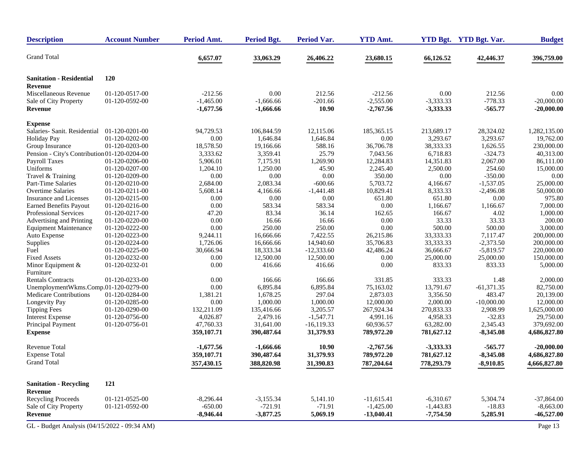| <b>Description</b>                           | <b>Account Number</b> | Period Amt. | <b>Period Bgt.</b> | Period Var.   | <b>YTD Amt.</b> |             | YTD Bgt. YTD Bgt. Var. | <b>Budget</b> |
|----------------------------------------------|-----------------------|-------------|--------------------|---------------|-----------------|-------------|------------------------|---------------|
| <b>Grand Total</b>                           |                       | 6,657.07    | 33,063.29          | 26,406.22     | 23,680.15       | 66,126.52   | 42,446.37              | 396,759.00    |
| <b>Sanitation - Residential</b>              | <b>120</b>            |             |                    |               |                 |             |                        |               |
| Revenue                                      |                       |             |                    |               |                 |             |                        |               |
| Miscellaneous Revenue                        | 01-120-0517-00        | $-212.56$   | 0.00               | 212.56        | $-212.56$       | 0.00        | 212.56                 | 0.00          |
| Sale of City Property                        | 01-120-0592-00        | $-1,465.00$ | $-1,666.66$        | $-201.66$     | $-2,555.00$     | $-3,333.33$ | $-778.33$              | $-20,000.00$  |
| <b>Revenue</b>                               |                       | $-1,677.56$ | $-1,666.66$        | 10.90         | $-2,767.56$     | $-3,333.33$ | $-565.77$              | $-20,000.00$  |
| <b>Expense</b>                               |                       |             |                    |               |                 |             |                        |               |
| Salaries- Sanit. Residential                 | 01-120-0201-00        | 94,729.53   | 106,844.59         | 12,115.06     | 185,365.15      | 213,689.17  | 28,324.02              | 1,282,135.00  |
| <b>Holiday Pay</b>                           | 01-120-0202-00        | 0.00        | 1,646.84           | 1,646.84      | 0.00            | 3,293.67    | 3,293.67               | 19,762.00     |
| Group Insurance                              | 01-120-0203-00        | 18,578.50   | 19,166.66          | 588.16        | 36,706.78       | 38,333.33   | 1,626.55               | 230,000.00    |
| Pension - City's Contribution 01-120-0204-00 |                       | 3,333.62    | 3,359.41           | 25.79         | 7,043.56        | 6,718.83    | $-324.73$              | 40,313.00     |
| Payroll Taxes                                | 01-120-0206-00        | 5,906.01    | 7,175.91           | 1,269.90      | 12,284.83       | 14,351.83   | 2,067.00               | 86,111.00     |
| Uniforms                                     | 01-120-0207-00        | 1,204.10    | 1,250.00           | 45.90         | 2,245.40        | 2,500.00    | 254.60                 | 15,000.00     |
| Travel & Training                            | 01-120-0209-00        | 0.00        | 0.00               | $0.00\,$      | 350.00          | 0.00        | $-350.00$              | 0.00          |
| <b>Part-Time Salaries</b>                    | 01-120-0210-00        | 2,684.00    | 2,083.34           | $-600.66$     | 5,703.72        | 4,166.67    | $-1,537.05$            | 25,000.00     |
| <b>Overtime Salaries</b>                     | 01-120-0211-00        | 5,608.14    | 4,166.66           | $-1,441.48$   | 10,829.41       | 8,333.33    | $-2,496.08$            | 50,000.00     |
| Insurance and Licenses                       | 01-120-0215-00        | 0.00        | 0.00               | $0.00\,$      | 651.80          | 651.80      | 0.00                   | 975.80        |
| <b>Earned Benefits Payout</b>                | 01-120-0216-00        | 0.00        | 583.34             | 583.34        | 0.00            | 1,166.67    | 1,166.67               | 7,000.00      |
| Professional Services                        | 01-120-0217-00        | 47.20       | 83.34              | 36.14         | 162.65          | 166.67      | 4.02                   | 1,000.00      |
| Advertising and Printing                     | 01-120-0220-00        | 0.00        | 16.66              | 16.66         | 0.00            | 33.33       | 33.33                  | 200.00        |
| <b>Equipment Maintenance</b>                 | 01-120-0222-00        | 0.00        | 250.00             | 250.00        | 0.00            | 500.00      | 500.00                 | 3,000.00      |
| Auto Expense                                 | 01-120-0223-00        | 9,244.11    | 16,666.66          | 7,422.55      | 26,215.86       | 33,333.33   | 7,117.47               | 200,000.00    |
| Supplies                                     | 01-120-0224-00        | 1,726.06    | 16,666.66          | 14,940.60     | 35,706.83       | 33,333.33   | $-2,373.50$            | 200,000.00    |
| Fuel                                         | 01-120-0225-00        | 30,666.94   | 18,333.34          | $-12,333.60$  | 42,486.24       | 36,666.67   | $-5,819.57$            | 220,000.00    |
| <b>Fixed Assets</b>                          | 01-120-0232-00        | 0.00        | 12,500.00          | 12,500.00     | 0.00            | 25,000.00   | 25,000.00              | 150,000.00    |
| Minor Equipment &<br>Furniture               | 01-120-0232-01        | 0.00        | 416.66             | 416.66        | 0.00            | 833.33      | 833.33                 | 5,000.00      |
| <b>Rentals Contracts</b>                     | 01-120-0233-00        | 0.00        | 166.66             | 166.66        | 331.85          | 333.33      | 1.48                   | 2,000.00      |
| UnemploymentWkms.Comp.01-120-0279-00         |                       | 0.00        | 6,895.84           | 6,895.84      | 75,163.02       | 13,791.67   | $-61,371.35$           | 82,750.00     |
| Medicare Contributions                       | 01-120-0284-00        | 1,381.21    | 1,678.25           | 297.04        | 2,873.03        | 3,356.50    | 483.47                 | 20,139.00     |
| Longevity Pay                                | 01-120-0285-00        | 0.00        | 1,000.00           | 1,000.00      | 12,000.00       | 2,000.00    | $-10,000.00$           | 12,000.00     |
| <b>Tipping Fees</b>                          | 01-120-0290-00        | 132,211.09  | 135,416.66         | 3,205.57      | 267,924.34      | 270,833.33  | 2,908.99               | 1,625,000.00  |
| <b>Interest Expense</b>                      | 01-120-0756-00        | 4,026.87    | 2,479.16           | $-1,547.71$   | 4,991.16        | 4,958.33    | $-32.83$               | 29,750.00     |
| Principal Payment                            | 01-120-0756-01        | 47,760.33   | 31,641.00          | $-16, 119.33$ | 60,936.57       | 63,282.00   | 2,345.43               | 379,692.00    |
| <b>Expense</b>                               |                       | 359,107.71  | 390,487.64         | 31,379.93     | 789,972.20      | 781,627.12  | $-8,345.08$            | 4,686,827.80  |
| Revenue Total                                |                       | $-1,677.56$ | $-1,666.66$        | 10.90         | $-2,767.56$     | $-3,333.33$ | $-565.77$              | $-20,000.00$  |
| <b>Expense Total</b>                         |                       | 359,107.71  | 390,487.64         | 31,379.93     | 789,972.20      | 781,627.12  | $-8,345.08$            | 4,686,827.80  |
| <b>Grand Total</b>                           |                       | 357,430.15  | 388,820.98         | 31,390.83     | 787,204.64      | 778,293.79  | $-8,910.85$            | 4,666,827.80  |
| <b>Sanitation - Recycling</b>                | 121                   |             |                    |               |                 |             |                        |               |
| Revenue                                      |                       |             |                    |               |                 |             |                        |               |
| <b>Recycling Proceeds</b>                    | 01-121-0525-00        | $-8,296.44$ | $-3,155.34$        | 5,141.10      | $-11,615.41$    | $-6,310.67$ | 5,304.74               | $-37,864.00$  |
| Sale of City Property                        | 01-121-0592-00        | $-650.00$   | $-721.91$          | $-71.91$      | $-1,425.00$     | $-1,443.83$ | $-18.83$               | $-8,663.00$   |
| Revenue                                      |                       | $-8,946.44$ | $-3,877.25$        | 5,069.19      | $-13,040.41$    | $-7,754.50$ | 5,285.91               | $-46,527.00$  |
| GL - Budget Analysis (04/15/2022 - 09:34 AM) |                       |             |                    |               |                 |             |                        | Page 13       |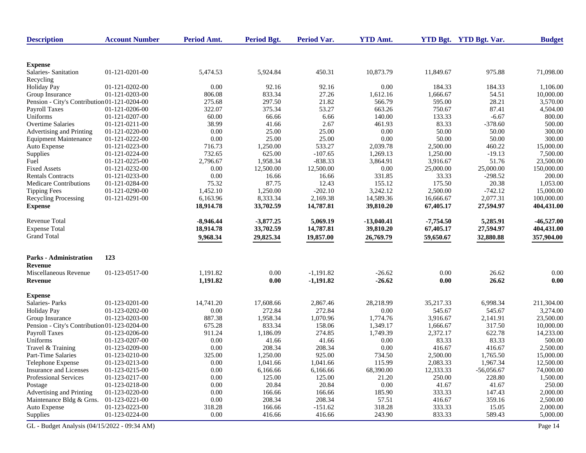| <b>Description</b>                           | <b>Account Number</b> | Period Amt.      | <b>Period Bgt.</b> | Period Var.    | <b>YTD Amt.</b>    |                    | YTD Bgt. YTD Bgt. Var. | <b>Budget</b> |
|----------------------------------------------|-----------------------|------------------|--------------------|----------------|--------------------|--------------------|------------------------|---------------|
|                                              |                       |                  |                    |                |                    |                    |                        |               |
| <b>Expense</b>                               |                       |                  |                    |                |                    |                    |                        |               |
| Salaries-Sanitation                          | 01-121-0201-00        | 5,474.53         | 5,924.84           | 450.31         | 10,873.79          | 11,849.67          | 975.88                 | 71,098.00     |
| Recycling                                    |                       |                  |                    |                |                    |                    |                        |               |
| <b>Holiday Pay</b>                           | 01-121-0202-00        | 0.00             | 92.16              | 92.16          | 0.00               | 184.33             | 184.33                 | 1,106.00      |
| Group Insurance                              | 01-121-0203-00        | 806.08<br>275.68 | 833.34<br>297.50   | 27.26<br>21.82 | 1,612.16<br>566.79 | 1,666.67<br>595.00 | 54.51<br>28.21         | 10,000.00     |
| Pension - City's Contribution 01-121-0204-00 |                       |                  | 375.34             | 53.27          |                    | 750.67             | 87.41                  | 3,570.00      |
| Payroll Taxes                                | 01-121-0206-00        | 322.07           |                    |                | 663.26             |                    |                        | 4,504.00      |
| Uniforms                                     | 01-121-0207-00        | 60.00            | 66.66              | 6.66           | 140.00             | 133.33             | $-6.67$                | 800.00        |
| <b>Overtime Salaries</b>                     | 01-121-0211-00        | 38.99            | 41.66              | 2.67           | 461.93             | 83.33              | $-378.60$              | 500.00        |
| Advertising and Printing                     | 01-121-0220-00        | 0.00             | 25.00              | 25.00          | 0.00               | 50.00              | 50.00                  | 300.00        |
| <b>Equipment Maintenance</b>                 | 01-121-0222-00        | 0.00             | 25.00              | 25.00          | 0.00               | 50.00              | 50.00                  | 300.00        |
| Auto Expense                                 | 01-121-0223-00        | 716.73           | 1,250.00           | 533.27         | 2,039.78           | 2,500.00           | 460.22                 | 15,000.00     |
| Supplies                                     | 01-121-0224-00        | 732.65           | 625.00             | $-107.65$      | 1,269.13           | 1,250.00           | $-19.13$               | 7,500.00      |
| Fuel                                         | 01-121-0225-00        | 2,796.67         | 1,958.34           | $-838.33$      | 3,864.91           | 3,916.67           | 51.76                  | 23,500.00     |
| <b>Fixed Assets</b>                          | 01-121-0232-00        | 0.00             | 12,500.00          | 12,500.00      | 0.00               | 25,000.00          | 25,000.00              | 150,000.00    |
| <b>Rentals Contracts</b>                     | 01-121-0233-00        | 0.00             | 16.66              | 16.66          | 331.85             | 33.33              | $-298.52$              | 200.00        |
| Medicare Contributions                       | 01-121-0284-00        | 75.32            | 87.75              | 12.43          | 155.12             | 175.50             | 20.38                  | 1,053.00      |
| <b>Tipping Fees</b>                          | 01-121-0290-00        | 1,452.10         | 1,250.00           | $-202.10$      | 3,242.12           | 2,500.00           | $-742.12$              | 15,000.00     |
| <b>Recycling Processing</b>                  | 01-121-0291-00        | 6,163.96         | 8,333.34           | 2,169.38       | 14,589.36          | 16,666.67          | 2,077.31               | 100,000.00    |
| <b>Expense</b>                               |                       | 18,914.78        | 33,702.59          | 14,787.81      | 39,810.20          | 67,405.17          | 27,594.97              | 404,431.00    |
| <b>Revenue Total</b>                         |                       | $-8,946.44$      | $-3,877.25$        | 5,069.19       | $-13,040.41$       | $-7,754.50$        | 5,285.91               | $-46,527.00$  |
| <b>Expense Total</b>                         |                       | 18,914.78        | 33,702.59          | 14,787.81      | 39,810.20          | 67,405.17          | 27,594.97              | 404,431.00    |
| <b>Grand Total</b>                           |                       | 9,968.34         | 29,825.34          | 19,857.00      | 26,769.79          | 59,650.67          | 32,880.88              | 357,904.00    |
| <b>Parks - Administration</b>                | 123                   |                  |                    |                |                    |                    |                        |               |
| Revenue                                      |                       |                  |                    |                |                    |                    |                        |               |
| Miscellaneous Revenue                        | 01-123-0517-00        | 1,191.82         | 0.00               | $-1,191.82$    | $-26.62$           | 0.00               | 26.62                  | 0.00          |
| Revenue                                      |                       | 1,191.82         | 0.00               | $-1,191.82$    | $-26.62$           | 0.00               | 26.62                  | 0.00          |
|                                              |                       |                  |                    |                |                    |                    |                        |               |
| <b>Expense</b><br>Salaries-Parks             | 01-123-0201-00        | 14,741.20        | 17,608.66          | 2,867.46       | 28,218.99          | 35,217.33          | 6,998.34               | 211,304.00    |
|                                              | 01-123-0202-00        |                  | 272.84             | 272.84         |                    |                    |                        | 3,274.00      |
| <b>Holiday Pay</b>                           |                       | 0.00             |                    |                | 0.00               | 545.67             | 545.67                 |               |
| Group Insurance                              | 01-123-0203-00        | 887.38           | 1,958.34           | 1,070.96       | 1,774.76           | 3,916.67           | 2,141.91               | 23,500.00     |
| Pension - City's Contribution 01-123-0204-00 |                       | 675.28           | 833.34             | 158.06         | 1,349.17           | 1,666.67           | 317.50                 | 10,000.00     |
| Payroll Taxes                                | 01-123-0206-00        | 911.24           | 1,186.09           | 274.85         | 1,749.39           | 2,372.17           | 622.78                 | 14,233.00     |
| Uniforms                                     | 01-123-0207-00        | 0.00             | 41.66              | 41.66          | 0.00               | 83.33              | 83.33                  | 500.00        |
| Travel & Training                            | 01-123-0209-00        | 0.00             | 208.34             | 208.34         | 0.00               | 416.67             | 416.67                 | 2,500.00      |
| Part-Time Salaries                           | 01-123-0210-00        | 325.00           | 1,250.00           | 925.00         | 734.50             | 2,500.00           | 1,765.50               | 15,000.00     |
| Telephone Expense                            | 01-123-0213-00        | 0.00             | 1,041.66           | 1,041.66       | 115.99             | 2,083.33           | 1,967.34               | 12,500.00     |
| Insurance and Licenses                       | 01-123-0215-00        | 0.00             | 6,166.66           | 6,166.66       | 68,390.00          | 12,333.33          | $-56,056.67$           | 74,000.00     |
| Professional Services                        | 01-123-0217-00        | 0.00             | 125.00             | 125.00         | 21.20              | 250.00             | 228.80                 | 1,500.00      |
| Postage                                      | 01-123-0218-00        | 0.00             | 20.84              | 20.84          | 0.00               | 41.67              | 41.67                  | 250.00        |
| Advertising and Printing                     | 01-123-0220-00        | 0.00             | 166.66             | 166.66         | 185.90             | 333.33             | 147.43                 | 2,000.00      |
| Maintenance Bldg & Grns.                     | 01-123-0221-00        | 0.00             | 208.34             | 208.34         | 57.51              | 416.67             | 359.16                 | 2,500.00      |
| Auto Expense                                 | 01-123-0223-00        | 318.28           | 166.66             | $-151.62$      | 318.28             | 333.33             | 15.05                  | 2,000.00      |
| Supplies                                     | 01-123-0224-00        | $0.00\,$         | 416.66             | 416.66         | 243.90             | 833.33             | 589.43                 | 5,000.00      |
| GL - Budget Analysis (04/15/2022 - 09:34 AM) |                       |                  |                    |                |                    |                    |                        | Page 14       |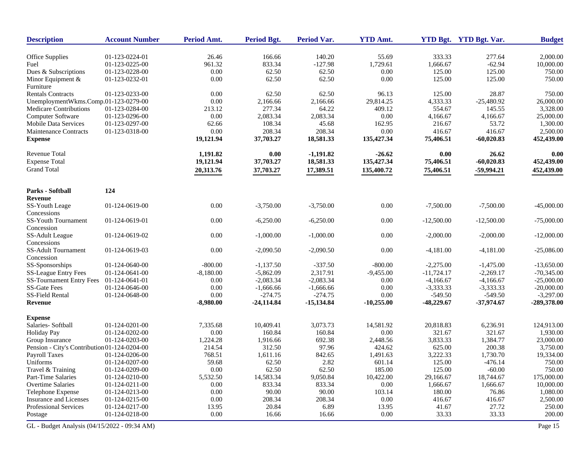| <b>Description</b>                           | <b>Account Number</b> | Period Amt. | <b>Period Bgt.</b> | <b>Period Var.</b> | <b>YTD Amt.</b> |              | YTD Bgt. YTD Bgt. Var. | <b>Budget</b> |
|----------------------------------------------|-----------------------|-------------|--------------------|--------------------|-----------------|--------------|------------------------|---------------|
| <b>Office Supplies</b>                       | 01-123-0224-01        | 26.46       | 166.66             | 140.20             | 55.69           | 333.33       | 277.64                 | 2,000.00      |
| Fuel                                         | 01-123-0225-00        | 961.32      | 833.34             | $-127.98$          | 1,729.61        | 1,666.67     | $-62.94$               | 10,000.00     |
| Dues & Subscriptions                         | 01-123-0228-00        | 0.00        | 62.50              | 62.50              | 0.00            | 125.00       | 125.00                 | 750.00        |
| Minor Equipment &                            | 01-123-0232-01        | 0.00        | 62.50              | 62.50              | 0.00            | 125.00       | 125.00                 | 750.00        |
| Furniture                                    |                       |             |                    |                    |                 |              |                        |               |
| <b>Rentals Contracts</b>                     | 01-123-0233-00        | 0.00        | 62.50              | 62.50              | 96.13           | 125.00       | 28.87                  | 750.00        |
| UnemploymentWkms.Comp.01-123-0279-00         |                       | 0.00        | 2,166.66           | 2,166.66           | 29,814.25       | 4,333.33     | $-25,480.92$           | 26,000.00     |
| <b>Medicare Contributions</b>                | 01-123-0284-00        | 213.12      | 277.34             | 64.22              | 409.12          | 554.67       | 145.55                 | 3,328.00      |
| Computer Software                            | 01-123-0296-00        | 0.00        | 2,083.34           | 2,083.34           | 0.00            | 4,166.67     | 4,166.67               | 25,000.00     |
| Mobile Data Services                         | 01-123-0297-00        | 62.66       | 108.34             | 45.68              | 162.95          | 216.67       | 53.72                  | 1,300.00      |
| <b>Maintenance Contracts</b>                 | 01-123-0318-00        | 0.00        | 208.34             | 208.34             | 0.00            | 416.67       | 416.67                 | 2,500.00      |
| <b>Expense</b>                               |                       | 19,121.94   | 37,703.27          | 18,581.33          | 135,427.34      | 75,406.51    | $-60,020.83$           | 452,439.00    |
| <b>Revenue Total</b>                         |                       | 1,191.82    | 0.00               | $-1,191.82$        | $-26.62$        | 0.00         | 26.62                  | 0.00          |
| <b>Expense Total</b>                         |                       | 19,121.94   | 37,703.27          | 18,581.33          | 135,427.34      | 75,406.51    | $-60,020.83$           | 452,439.00    |
| <b>Grand Total</b>                           |                       | 20,313.76   | 37,703.27          | 17,389.51          | 135,400.72      | 75,406.51    | $-59,994.21$           | 452,439.00    |
|                                              |                       |             |                    |                    |                 |              |                        |               |
| <b>Parks - Softball</b><br><b>Revenue</b>    | 124                   |             |                    |                    |                 |              |                        |               |
| SS-Youth Leage                               | 01-124-0619-00        | 0.00        | $-3,750.00$        | $-3,750.00$        | 0.00            | $-7,500.00$  | $-7,500.00$            | $-45,000.00$  |
| Concessions                                  |                       |             |                    |                    |                 |              |                        |               |
| SS-Youth Tournament                          | 01-124-0619-01        | 0.00        | $-6,250.00$        | $-6,250.00$        | 0.00            | $-12,500.00$ | $-12,500.00$           | $-75,000.00$  |
| Concession                                   |                       |             |                    |                    |                 |              |                        |               |
| SS-Adult League                              | 01-124-0619-02        | 0.00        | $-1,000.00$        | $-1,000.00$        | 0.00            | $-2,000.00$  | $-2,000.00$            | $-12,000.00$  |
| Concessions                                  |                       |             |                    |                    |                 |              |                        |               |
| SS-Adult Tournament                          | 01-124-0619-03        | 0.00        | $-2,090.50$        | $-2,090.50$        | 0.00            | $-4,181.00$  | $-4,181.00$            | $-25,086.00$  |
| Concession                                   |                       |             |                    |                    |                 |              |                        |               |
| SS-Sponsorships                              | 01-124-0640-00        | $-800.00$   | $-1,137.50$        | $-337.50$          | $-800.00$       | $-2,275.00$  | $-1,475.00$            | $-13,650.00$  |
| <b>SS-League Entry Fees</b>                  | 01-124-0641-00        | $-8,180.00$ | $-5,862.09$        | 2,317.91           | $-9,455.00$     | $-11,724.17$ | $-2,269.17$            | $-70,345.00$  |
| SS-Tournament Entry Fees                     | 01-124-0641-01        | 0.00        | $-2,083.34$        | $-2,083.34$        | 0.00            | $-4,166.67$  | $-4,166.67$            | $-25,000.00$  |
| <b>SS-Gate Fees</b>                          | 01-124-0646-00        | 0.00        | $-1,666.66$        | $-1,666.66$        | 0.00            | $-3,333.33$  | $-3,333.33$            | $-20,000.00$  |
| SS-Field Rental                              | 01-124-0648-00        | 0.00        | $-274.75$          | $-274.75$          | 0.00            | $-549.50$    | $-549.50$              | $-3,297.00$   |
| <b>Revenue</b>                               |                       | $-8,980.00$ | $-24,114.84$       | $-15,134.84$       | $-10,255.00$    | $-48,229.67$ | $-37,974.67$           | -289,378.00   |
| <b>Expense</b>                               |                       |             |                    |                    |                 |              |                        |               |
| Salaries-Softball                            | 01-124-0201-00        | 7,335.68    | 10,409.41          | 3,073.73           | 14,581.92       | 20,818.83    | 6,236.91               | 124,913.00    |
| <b>Holiday Pay</b>                           | 01-124-0202-00        | 0.00        | 160.84             | 160.84             | 0.00            | 321.67       | 321.67                 | 1,930.00      |
| Group Insurance                              | 01-124-0203-00        | 1,224.28    | 1,916.66           | 692.38             | 2,448.56        | 3,833.33     | 1,384.77               | 23,000.00     |
| Pension - City's Contribution 01-124-0204-00 |                       | 214.54      | 312.50             | 97.96              | 424.62          | 625.00       | 200.38                 | 3,750.00      |
| <b>Payroll Taxes</b>                         | 01-124-0206-00        | 768.51      | 1,611.16           | 842.65             | 1,491.63        | 3,222.33     | 1,730.70               | 19,334.00     |
| Uniforms                                     | 01-124-0207-00        | 59.68       | 62.50              | 2.82               | 601.14          | 125.00       | $-476.14$              | 750.00        |
| Travel & Training                            | 01-124-0209-00        | 0.00        | 62.50              | 62.50              | 185.00          | 125.00       | $-60.00$               | 750.00        |
| Part-Time Salaries                           | 01-124-0210-00        | 5,532.50    | 14,583.34          | 9,050.84           | 10,422.00       | 29,166.67    | 18,744.67              | 175,000.00    |
| <b>Overtime Salaries</b>                     | 01-124-0211-00        | 0.00        | 833.34             | 833.34             | 0.00            | 1,666.67     | 1,666.67               | 10,000.00     |
| Telephone Expense                            | 01-124-0213-00        | 0.00        | 90.00              | 90.00              | 103.14          | 180.00       | 76.86                  | 1,080.00      |
| Insurance and Licenses                       | 01-124-0215-00        | 0.00        | 208.34             | 208.34             | 0.00            | 416.67       | 416.67                 | 2,500.00      |
| Professional Services                        | 01-124-0217-00        | 13.95       | 20.84              | 6.89               | 13.95           | 41.67        | 27.72                  | 250.00        |
| Postage                                      | 01-124-0218-00        | 0.00        | 16.66              | 16.66              | 0.00            | 33.33        | 33.33                  | 200.00        |
| GL - Budget Analysis (04/15/2022 - 09:34 AM) |                       |             |                    |                    |                 |              |                        | Page 15       |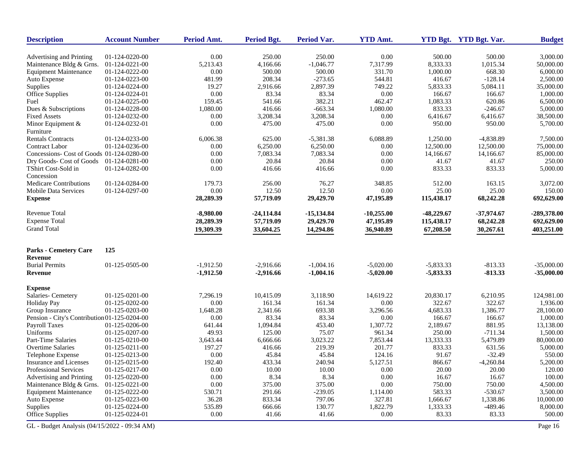| <b>Description</b>                           | <b>Account Number</b> | Period Amt. | Period Bgt.  | Period Var.  | <b>YTD Amt.</b> |              | YTD Bgt. YTD Bgt. Var. | <b>Budget</b> |
|----------------------------------------------|-----------------------|-------------|--------------|--------------|-----------------|--------------|------------------------|---------------|
| Advertising and Printing                     | 01-124-0220-00        | 0.00        | 250.00       | 250.00       | 0.00            | 500.00       | 500.00                 | 3,000.00      |
| Maintenance Bldg & Grns.                     | 01-124-0221-00        | 5,213.43    | 4,166.66     | $-1,046.77$  | 7,317.99        | 8,333.33     | 1,015.34               | 50,000.00     |
| <b>Equipment Maintenance</b>                 | 01-124-0222-00        | 0.00        | 500.00       | 500.00       | 331.70          | 1,000.00     | 668.30                 | 6,000.00      |
| Auto Expense                                 | 01-124-0223-00        | 481.99      | 208.34       | $-273.65$    | 544.81          | 416.67       | $-128.14$              | 2,500.00      |
| Supplies                                     | 01-124-0224-00        | 19.27       | 2,916.66     | 2,897.39     | 749.22          | 5,833.33     | 5,084.11               | 35,000.00     |
| Office Supplies                              | 01-124-0224-01        | 0.00        | 83.34        | 83.34        | 0.00            | 166.67       | 166.67                 | 1,000.00      |
| Fuel                                         | 01-124-0225-00        | 159.45      | 541.66       | 382.21       | 462.47          | 1,083.33     | 620.86                 | 6,500.00      |
| Dues & Subscriptions                         | 01-124-0228-00        | 1,080.00    | 416.66       | $-663.34$    | 1,080.00        | 833.33       | $-246.67$              | 5,000.00      |
| <b>Fixed Assets</b>                          | 01-124-0232-00        | $0.00\,$    | 3,208.34     | 3,208.34     | 0.00            | 6,416.67     | 6,416.67               | 38,500.00     |
| Minor Equipment &                            | 01-124-0232-01        | 0.00        | 475.00       | 475.00       | 0.00            | 950.00       | 950.00                 | 5,700.00      |
| Furniture                                    |                       |             |              |              |                 |              |                        |               |
| <b>Rentals Contracts</b>                     | 01-124-0233-00        | 6,006.38    | 625.00       | $-5,381.38$  | 6,088.89        | 1,250.00     | $-4,838.89$            | 7,500.00      |
| <b>Contract Labor</b>                        | 01-124-0236-00        | 0.00        | 6,250.00     | 6,250.00     | 0.00            | 12,500.00    | 12,500.00              | 75,000.00     |
| Concessions- Cost of Goods 01-124-0280-00    |                       | 0.00        | 7,083.34     | 7,083.34     | 0.00            | 14,166.67    | 14,166.67              | 85,000.00     |
| Dry Goods- Cost of Goods                     | 01-124-0281-00        | 0.00        | 20.84        | 20.84        | 0.00            | 41.67        | 41.67                  | 250.00        |
| TShirt Cost-Sold in                          | 01-124-0282-00        | 0.00        | 416.66       | 416.66       | 0.00            | 833.33       | 833.33                 | 5,000.00      |
| Concession                                   |                       |             |              |              |                 |              |                        |               |
| <b>Medicare Contributions</b>                |                       | 179.73      | 256.00       |              |                 | 512.00       | 163.15                 |               |
|                                              | 01-124-0284-00        |             |              | 76.27        | 348.85          |              |                        | 3,072.00      |
| <b>Mobile Data Services</b>                  | 01-124-0297-00        | 0.00        | 12.50        | 12.50        | 0.00            | 25.00        | 25.00                  | 150.00        |
| <b>Expense</b>                               |                       | 28,289.39   | 57,719.09    | 29,429.70    | 47,195.89       | 115,438.17   | 68,242.28              | 692,629.00    |
| <b>Revenue Total</b>                         |                       | $-8.980.00$ | $-24,114.84$ | $-15,134.84$ | $-10,255.00$    | $-48,229.67$ | $-37,974.67$           | -289,378.00   |
| <b>Expense Total</b>                         |                       | 28,289.39   | 57,719.09    | 29,429.70    | 47,195.89       | 115,438.17   | 68,242.28              | 692,629.00    |
| <b>Grand Total</b>                           |                       | 19,309.39   | 33,604.25    | 14,294.86    | 36,940.89       | 67,208.50    | 30,267.61              | 403,251.00    |
|                                              |                       |             |              |              |                 |              |                        |               |
| <b>Parks - Cemetery Care</b>                 | 125                   |             |              |              |                 |              |                        |               |
| <b>Revenue</b>                               |                       |             |              |              |                 |              |                        |               |
| <b>Burial Permits</b>                        | 01-125-0505-00        | $-1,912.50$ | $-2,916.66$  | $-1,004.16$  | $-5,020.00$     | $-5,833.33$  | $-813.33$              | $-35,000.00$  |
| Revenue                                      |                       | $-1,912.50$ | $-2,916.66$  | $-1,004.16$  | $-5,020.00$     | $-5,833.33$  | $-813.33$              | $-35,000.00$  |
| <b>Expense</b>                               |                       |             |              |              |                 |              |                        |               |
| Salaries- Cemetery                           | 01-125-0201-00        | 7,296.19    | 10,415.09    | 3,118.90     | 14,619.22       | 20,830.17    | 6,210.95               | 124,981.00    |
| <b>Holiday Pay</b>                           | 01-125-0202-00        | $0.00\,$    | 161.34       | 161.34       | 0.00            | 322.67       | 322.67                 | 1,936.00      |
| Group Insurance                              | 01-125-0203-00        | 1,648.28    | 2,341.66     | 693.38       | 3,296.56        | 4,683.33     | 1,386.77               | 28,100.00     |
| Pension - City's Contribution 01-125-0204-00 |                       | 0.00        | 83.34        | 83.34        | 0.00            | 166.67       | 166.67                 | 1,000.00      |
| Payroll Taxes                                | 01-125-0206-00        | 641.44      | 1,094.84     | 453.40       | 1,307.72        | 2,189.67     | 881.95                 | 13,138.00     |
| Uniforms                                     | 01-125-0207-00        | 49.93       | 125.00       | 75.07        | 961.34          | 250.00       | $-711.34$              | 1,500.00      |
| Part-Time Salaries                           | 01-125-0210-00        | 3,643.44    | 6,666.66     | 3,023.22     | 7,853.44        | 13,333.33    | 5,479.89               | 80,000.00     |
| Overtime Salaries                            | 01-125-0211-00        | 197.27      | 416.66       | 219.39       | 201.77          | 833.33       | 631.56                 | 5,000.00      |
| Telephone Expense                            | 01-125-0213-00        | 0.00        | 45.84        | 45.84        | 124.16          | 91.67        | $-32.49$               | 550.00        |
| Insurance and Licenses                       | 01-125-0215-00        | 192.40      | 433.34       | 240.94       | 5,127.51        | 866.67       | $-4,260.84$            | 5,200.00      |
| Professional Services                        | 01-125-0217-00        | $0.00\,$    | 10.00        | 10.00        | $0.00\,$        | 20.00        | 20.00                  | 120.00        |
| Advertising and Printing                     | 01-125-0220-00        | 0.00        | 8.34         | 8.34         | 0.00            | 16.67        | 16.67                  | $100.00\,$    |
| Maintenance Bldg & Grns.                     | 01-125-0221-00        | $0.00\,$    | 375.00       | 375.00       | $0.00\,$        | 750.00       | 750.00                 | 4,500.00      |
| <b>Equipment Maintenance</b>                 | 01-125-0222-00        | 530.71      | 291.66       | $-239.05$    | 1,114.00        | 583.33       | $-530.67$              | 3,500.00      |
| Auto Expense                                 | 01-125-0223-00        | 36.28       | 833.34       | 797.06       | 327.81          | 1,666.67     | 1,338.86               | 10,000.00     |
| Supplies                                     | 01-125-0224-00        | 535.89      | 666.66       | 130.77       | 1,822.79        | 1,333.33     | $-489.46$              | 8,000.00      |
| Office Supplies                              | 01-125-0224-01        | $0.00\,$    | 41.66        | 41.66        | 0.00            | 83.33        | 83.33                  | 500.00        |
|                                              |                       |             |              |              |                 |              |                        |               |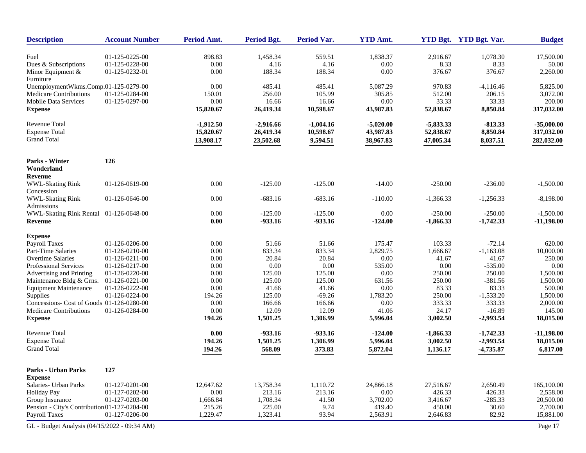| <b>Description</b>                                                         | <b>Account Number</b> | Period Amt.  | <b>Period Bgt.</b> | <b>Period Var.</b> | <b>YTD Amt.</b>       |                         | YTD Bgt. YTD Bgt. Var. | <b>Budget</b>      |
|----------------------------------------------------------------------------|-----------------------|--------------|--------------------|--------------------|-----------------------|-------------------------|------------------------|--------------------|
| Fuel                                                                       | 01-125-0225-00        | 898.83       | 1,458.34           | 559.51             | 1,838.37              | 2,916.67                | 1,078.30               | 17,500.00          |
| Dues & Subscriptions                                                       | 01-125-0228-00        | 0.00         | 4.16               | 4.16               | 0.00                  | 8.33                    | 8.33                   | 50.00              |
| Minor Equipment &                                                          | 01-125-0232-01        | 0.00         | 188.34             | 188.34             | 0.00                  | 376.67                  | 376.67                 | 2,260.00           |
| Furniture                                                                  |                       |              |                    |                    |                       |                         |                        |                    |
| UnemploymentWkms.Comp.01-125-0279-00                                       |                       | 0.00         | 485.41             | 485.41             | 5,087.29              | 970.83                  | $-4,116.46$            | 5,825.00           |
| Medicare Contributions                                                     | 01-125-0284-00        | 150.01       | 256.00             | 105.99             | 305.85                | 512.00                  | 206.15                 | 3,072.00           |
| Mobile Data Services                                                       | 01-125-0297-00        | 0.00         | 16.66              | 16.66              | 0.00                  | 33.33                   | 33.33                  | 200.00             |
| <b>Expense</b>                                                             |                       | 15,820.67    | 26,419.34          | 10,598.67          | 43,987.83             | 52,838.67               | 8,850.84               | 317,032.00         |
| <b>Revenue Total</b>                                                       |                       | $-1,912.50$  | $-2,916.66$        | $-1,004.16$        | $-5,020.00$           | $-5,833.33$             | $-813.33$              | $-35,000.00$       |
| <b>Expense Total</b>                                                       |                       | 15,820.67    | 26,419.34          | 10,598.67          | 43,987.83             | 52,838.67               | 8,850.84               | 317,032.00         |
| <b>Grand Total</b>                                                         |                       | 13,908.17    | 23,502.68          | 9,594.51           | 38,967.83             | 47,005.34               | 8,037.51               | 282,032.00         |
| Parks - Winter                                                             | 126                   |              |                    |                    |                       |                         |                        |                    |
| Wonderland<br>Revenue                                                      |                       |              |                    |                    |                       |                         |                        |                    |
| <b>WWL-Skating Rink</b>                                                    | 01-126-0619-00        | 0.00         | $-125.00$          | $-125.00$          | $-14.00$              | $-250.00$               | $-236.00$              | $-1,500.00$        |
| Concession                                                                 |                       |              |                    |                    |                       |                         |                        |                    |
| <b>WWL-Skating Rink</b>                                                    | 01-126-0646-00        | 0.00         | $-683.16$          | $-683.16$          | $-110.00$             | $-1,366.33$             | $-1,256.33$            | $-8,198.00$        |
| Admissions                                                                 |                       |              |                    |                    |                       |                         |                        |                    |
| WWL-Skating Rink Rental                                                    | 01-126-0648-00        | 0.00         | $-125.00$          | $-125.00$          | 0.00                  | $-250.00$               | $-250.00$              | $-1,500.00$        |
| Revenue                                                                    |                       | 0.00         | $-933.16$          | $-933.16$          | $-124.00$             | $-1,866.33$             | $-1,742.33$            | $-11,198.00$       |
| <b>Expense</b>                                                             |                       |              |                    |                    |                       |                         |                        |                    |
| Payroll Taxes                                                              | 01-126-0206-00        | 0.00         | 51.66              | 51.66              | 175.47                | 103.33                  | $-72.14$               | 620.00             |
| Part-Time Salaries                                                         | 01-126-0210-00        | 0.00         | 833.34             | 833.34             | 2,829.75              | 1,666.67                | $-1,163.08$            | 10,000.00          |
| <b>Overtime Salaries</b>                                                   | 01-126-0211-00        | 0.00         | 20.84              | 20.84              | 0.00                  | 41.67                   | 41.67                  | 250.00             |
| <b>Professional Services</b>                                               | 01-126-0217-00        | 0.00         | 0.00               | 0.00               | 535.00                | 0.00                    | $-535.00$              | 0.00               |
| Advertising and Printing                                                   | 01-126-0220-00        | 0.00         | 125.00             | 125.00             | 0.00                  | 250.00                  | 250.00                 | 1,500.00           |
| Maintenance Bldg & Grns.                                                   | 01-126-0221-00        | 0.00         | 125.00             | 125.00             | 631.56                | 250.00                  | $-381.56$              | 1,500.00           |
| <b>Equipment Maintenance</b>                                               | 01-126-0222-00        | 0.00         | 41.66              | 41.66              | 0.00                  | 83.33                   | 83.33                  | 500.00             |
| Supplies                                                                   | 01-126-0224-00        | 194.26       | 125.00             | $-69.26$           | 1,783.20              | 250.00                  | $-1,533.20$            | 1,500.00           |
| Concessions- Cost of Goods 01-126-0280-00<br><b>Medicare Contributions</b> |                       | 0.00<br>0.00 | 166.66<br>12.09    | 166.66<br>12.09    | 0.00<br>41.06         | 333.33<br>24.17         | 333.33<br>$-16.89$     | 2,000.00<br>145.00 |
| <b>Expense</b>                                                             | 01-126-0284-00        | 194.26       | 1,501.25           | 1,306.99           | 5,996.04              | 3,002.50                | $-2,993.54$            | 18,015.00          |
| <b>Revenue Total</b>                                                       |                       | 0.00         | $-933.16$          | $-933.16$          |                       |                         | $-1,742.33$            | $-11,198.00$       |
| <b>Expense Total</b>                                                       |                       | 194.26       |                    | 1,306.99           | $-124.00$<br>5,996.04 | $-1,866.33$<br>3,002.50 |                        |                    |
| <b>Grand Total</b>                                                         |                       |              | 1,501.25           |                    |                       |                         | $-2,993.54$            | 18,015.00          |
|                                                                            |                       | 194.26       | 568.09             | 373.83             | 5,872.04              | 1,136.17                | $-4,735.87$            | 6,817.00           |
| <b>Parks - Urban Parks</b>                                                 | 127                   |              |                    |                    |                       |                         |                        |                    |
| <b>Expense</b>                                                             |                       |              |                    |                    |                       |                         |                        |                    |
| Salaries- Urban Parks                                                      | 01-127-0201-00        | 12,647.62    | 13,758.34          | 1,110.72           | 24,866.18             | 27,516.67               | 2,650.49               | 165,100.00         |
| <b>Holiday Pay</b>                                                         | 01-127-0202-00        | $0.00\,$     | 213.16             | 213.16             | 0.00                  | 426.33                  | 426.33                 | 2,558.00           |
| Group Insurance                                                            | 01-127-0203-00        | 1,666.84     | 1,708.34           | 41.50              | 3,702.00              | 3,416.67                | $-285.33$              | 20,500.00          |
| Pension - City's Contribution 01-127-0204-00                               |                       | 215.26       | 225.00             | 9.74               | 419.40                | 450.00                  | 30.60                  | 2,700.00           |
| Payroll Taxes                                                              | 01-127-0206-00        | 1,229.47     | 1,323.41           | 93.94              | 2,563.91              | 2,646.83                | 82.92                  | 15,881.00          |
| GL - Budget Analysis (04/15/2022 - 09:34 AM)                               |                       |              |                    |                    |                       |                         |                        | Page 17            |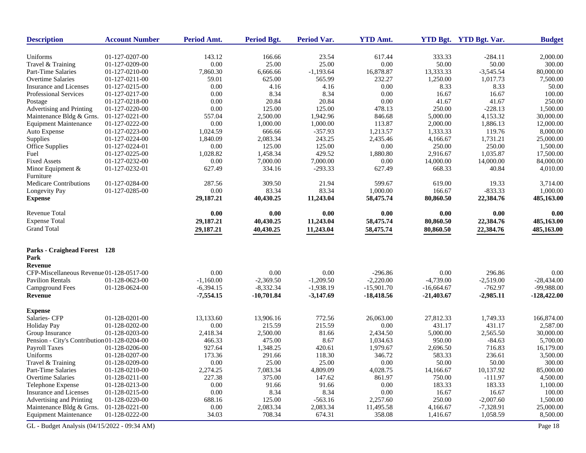| <b>Description</b>                           | <b>Account Number</b> | Period Amt.    | <b>Period Bgt.</b> | Period Var.    | <b>YTD Amt.</b> |              | YTD Bgt. YTD Bgt. Var. | <b>Budget</b>        |
|----------------------------------------------|-----------------------|----------------|--------------------|----------------|-----------------|--------------|------------------------|----------------------|
| Uniforms                                     | 01-127-0207-00        | 143.12         | 166.66             | 23.54          | 617.44          | 333.33       | $-284.11$              | 2,000.00             |
| Travel & Training                            | 01-127-0209-00        | $0.00\,$       | 25.00              | 25.00          | 0.00            | 50.00        | 50.00                  | 300.00               |
| Part-Time Salaries                           | 01-127-0210-00        | 7,860.30       | 6,666.66           | $-1,193.64$    | 16,878.87       | 13,333.33    | $-3,545.54$            | 80,000.00            |
| <b>Overtime Salaries</b>                     | 01-127-0211-00        | 59.01          | 625.00             | 565.99         | 232.27          | 1,250.00     | 1,017.73               | 7,500.00             |
| <b>Insurance and Licenses</b>                | 01-127-0215-00        | 0.00           | 4.16               | 4.16           | 0.00            | 8.33         | 8.33                   | 50.00                |
| Professional Services                        | 01-127-0217-00        | 0.00           | 8.34               | 8.34           | 0.00            | 16.67        | 16.67                  | 100.00               |
| Postage                                      | 01-127-0218-00        | 0.00           | 20.84              | 20.84          | 0.00            | 41.67        | 41.67                  | 250.00               |
| Advertising and Printing                     | 01-127-0220-00        | 0.00           | 125.00             | 125.00         | 478.13          | 250.00       | $-228.13$              | 1,500.00             |
| Maintenance Bldg & Grns.                     | 01-127-0221-00        | 557.04         | 2,500.00           | 1,942.96       | 846.68          | 5,000.00     | 4,153.32               | 30,000.00            |
| <b>Equipment Maintenance</b>                 | 01-127-0222-00        | 0.00           | 1,000.00           | 1,000.00       | 113.87          | 2,000.00     | 1,886.13               | 12,000.00            |
| Auto Expense                                 | 01-127-0223-00        | 1,024.59       | 666.66             | $-357.93$      | 1,213.57        | 1,333.33     | 119.76                 | 8,000.00             |
| Supplies                                     | 01-127-0224-00        | 1,840.09       | 2,083.34           | 243.25         | 2,435.46        | 4,166.67     | 1,731.21               | 25,000.00            |
| <b>Office Supplies</b>                       | 01-127-0224-01        | 0.00           | 125.00             | 125.00         | 0.00            | 250.00       | 250.00                 | 1,500.00             |
| Fuel                                         | 01-127-0225-00        | 1,028.82       | 1,458.34           | 429.52         | 1,880.80        | 2,916.67     | 1,035.87               | 17,500.00            |
| <b>Fixed Assets</b>                          | 01-127-0232-00        | 0.00           | 7,000.00           | 7,000.00       | 0.00            | 14,000.00    | 14,000.00              | 84,000.00            |
| Minor Equipment &<br>Furniture               | 01-127-0232-01        | 627.49         | 334.16             | $-293.33$      | 627.49          | 668.33       | 40.84                  | 4,010.00             |
|                                              |                       |                |                    |                | 599.67          | 619.00       |                        |                      |
| Medicare Contributions                       | 01-127-0284-00        | 287.56<br>0.00 | 309.50<br>83.34    | 21.94<br>83.34 | 1,000.00        | 166.67       | 19.33<br>$-833.33$     | 3,714.00<br>1,000.00 |
| Longevity Pay<br><b>Expense</b>              | 01-127-0285-00        | 29,187.21      | 40,430.25          | 11,243.04      | 58,475.74       | 80,860.50    | 22,384.76              | 485,163.00           |
| <b>Revenue Total</b>                         |                       |                |                    |                |                 |              |                        |                      |
|                                              |                       | $0.00\,$       | 0.00               | $0.00\,$       | 0.00            | $0.00\,$     | 0.00                   | 0.00                 |
| <b>Expense Total</b>                         |                       | 29,187.21      | 40,430.25          | 11,243.04      | 58,475.74       | 80,860.50    | 22,384.76              | 485,163.00           |
| <b>Grand Total</b>                           |                       | 29,187.21      | 40,430.25          | 11,243.04      | 58,475.74       | 80,860.50    | 22,384.76              | 485,163.00           |
| <b>Parks - Craighead Forest</b> 128          |                       |                |                    |                |                 |              |                        |                      |
| Park                                         |                       |                |                    |                |                 |              |                        |                      |
| Revenue                                      |                       |                |                    |                |                 |              |                        |                      |
| CFP-Miscellaneous Revenue 01-128-0517-00     |                       | 0.00           | 0.00               | 0.00           | $-296.86$       | 0.00         | 296.86                 | 0.00                 |
| <b>Pavilion Rentals</b>                      | 01-128-0623-00        | $-1,160.00$    | $-2,369.50$        | $-1,209.50$    | $-2,220.00$     | $-4,739.00$  | $-2,519.00$            | $-28,434.00$         |
| Campground Fees                              | 01-128-0624-00        | $-6,394.15$    | $-8,332.34$        | $-1,938.19$    | $-15,901.70$    | $-16,664.67$ | $-762.97$              | -99,988.00           |
| Revenue                                      |                       | $-7,554.15$    | $-10,701.84$       | $-3,147.69$    | $-18,418.56$    | $-21,403.67$ | $-2,985.11$            | -128,422.00          |
| <b>Expense</b>                               |                       |                |                    |                |                 |              |                        |                      |
| Salaries- CFP                                | 01-128-0201-00        | 13,133.60      | 13,906.16          | 772.56         | 26,063.00       | 27,812.33    | 1,749.33               | 166,874.00           |
| <b>Holiday Pay</b>                           | 01-128-0202-00        | 0.00           | 215.59             | 215.59         | 0.00            | 431.17       | 431.17                 | 2,587.00             |
| Group Insurance                              | 01-128-0203-00        | 2,418.34       | 2,500.00           | 81.66          | 2,434.50        | 5,000.00     | 2,565.50               | 30,000.00            |
| Pension - City's Contribution 01-128-0204-00 |                       | 466.33         | 475.00             | 8.67           | 1,034.63        | 950.00       | $-84.63$               | 5,700.00             |
| Payroll Taxes                                | 01-128-0206-00        | 927.64         | 1,348.25           | 420.61         | 1,979.67        | 2,696.50     | 716.83                 | 16,179.00            |
| Uniforms                                     | 01-128-0207-00        | 173.36         | 291.66             | 118.30         | 346.72          | 583.33       | 236.61                 | 3,500.00             |
| Travel & Training                            | 01-128-0209-00        | 0.00           | 25.00              | 25.00          | 0.00            | 50.00        | 50.00                  | 300.00               |
| Part-Time Salaries                           | 01-128-0210-00        | 2,274.25       | 7,083.34           | 4,809.09       | 4,028.75        | 14,166.67    | 10,137.92              | 85,000.00            |
| Overtime Salaries                            | 01-128-0211-00        | 227.38         | 375.00             | 147.62         | 861.97          | 750.00       | $-111.97$              | 4,500.00             |
| Telephone Expense                            | 01-128-0213-00        | 0.00           | 91.66              | 91.66          | 0.00            | 183.33       | 183.33                 | 1,100.00             |
| Insurance and Licenses                       | 01-128-0215-00        | $0.00\,$       | 8.34               | 8.34           | 0.00            | 16.67        | 16.67                  | 100.00               |
| Advertising and Printing                     | 01-128-0220-00        | 688.16         | 125.00             | $-563.16$      | 2,257.60        | 250.00       | $-2,007.60$            | 1,500.00             |
| Maintenance Bldg & Grns.                     | 01-128-0221-00        | 0.00           | 2,083.34           | 2,083.34       | 11,495.58       | 4,166.67     | $-7,328.91$            | 25,000.00            |
| <b>Equipment Maintenance</b>                 | 01-128-0222-00        | 34.03          | 708.34             | 674.31         | 358.08          | 1,416.67     | 1,058.59               | 8,500.00             |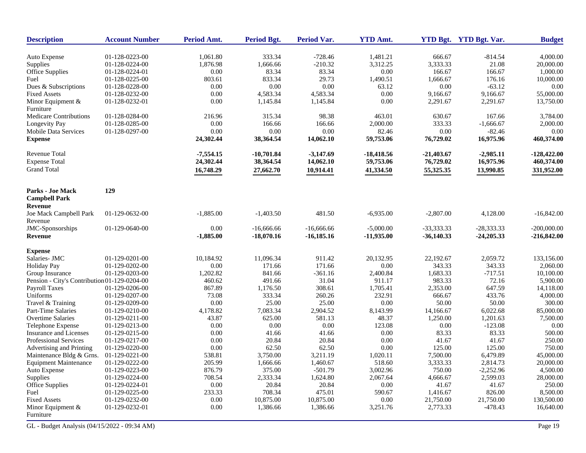| <b>Description</b>                           | <b>Account Number</b> | <b>Period Amt.</b> | Period Bgt.  | <b>Period Var.</b> | <b>YTD Amt.</b> |              | YTD Bgt. YTD Bgt. Var. | <b>Budget</b> |
|----------------------------------------------|-----------------------|--------------------|--------------|--------------------|-----------------|--------------|------------------------|---------------|
|                                              | 01-128-0223-00        | 1,061.80           | 333.34       | $-728.46$          | 1,481.21        | 666.67       | $-814.54$              | 4,000.00      |
| Auto Expense<br>Supplies                     | 01-128-0224-00        | 1,876.98           | 1,666.66     | $-210.32$          | 3,312.25        | 3,333.33     | 21.08                  | 20,000.00     |
| Office Supplies                              | 01-128-0224-01        | $0.00\,$           | 83.34        | 83.34              | 0.00            | 166.67       | 166.67                 | 1,000.00      |
| Fuel                                         | 01-128-0225-00        | 803.61             | 833.34       | 29.73              | 1,490.51        | 1,666.67     | 176.16                 | 10,000.00     |
| Dues & Subscriptions                         | 01-128-0228-00        | 0.00               | 0.00         | 0.00               | 63.12           | 0.00         | $-63.12$               | 0.00          |
| <b>Fixed Assets</b>                          | 01-128-0232-00        | 0.00               | 4,583.34     | 4,583.34           | 0.00            | 9,166.67     | 9,166.67               | 55,000.00     |
| Minor Equipment $&$                          | 01-128-0232-01        | 0.00               | 1,145.84     | 1,145.84           | 0.00            | 2,291.67     | 2,291.67               | 13,750.00     |
| Furniture                                    |                       |                    |              |                    |                 |              |                        |               |
| Medicare Contributions                       | 01-128-0284-00        | 216.96             | 315.34       | 98.38              | 463.01          | 630.67       | 167.66                 | 3,784.00      |
| Longevity Pay                                | 01-128-0285-00        | 0.00               | 166.66       | 166.66             | 2,000.00        | 333.33       | $-1,666.67$            | 2,000.00      |
| Mobile Data Services                         | 01-128-0297-00        | 0.00               | 0.00         | 0.00               | 82.46           | 0.00         | $-82.46$               | 0.00          |
| <b>Expense</b>                               |                       | 24,302.44          | 38,364.54    | 14,062.10          | 59,753.06       | 76,729.02    | 16,975.96              | 460,374.00    |
| Revenue Total                                |                       | $-7,554.15$        | $-10,701.84$ | $-3,147.69$        | -18,418.56      | $-21,403.67$ | $-2,985.11$            | -128,422.00   |
| <b>Expense Total</b>                         |                       | 24,302.44          | 38,364.54    | 14,062.10          | 59,753.06       | 76,729.02    | 16,975.96              | 460,374.00    |
| <b>Grand Total</b>                           |                       | 16,748.29          | 27,662.70    | 10,914.41          | 41,334.50       | 55,325.35    | 13,990.85              | 331,952.00    |
| <b>Parks - Joe Mack</b>                      | 129                   |                    |              |                    |                 |              |                        |               |
| <b>Campbell Park</b><br>Revenue              |                       |                    |              |                    |                 |              |                        |               |
| Joe Mack Campbell Park                       | 01-129-0632-00        | $-1,885.00$        | $-1,403.50$  | 481.50             | $-6,935.00$     | $-2,807.00$  | 4,128.00               | $-16,842.00$  |
| Revenue                                      |                       |                    |              |                    |                 |              |                        |               |
| JMC-Sponsorships                             | 01-129-0640-00        | 0.00               | $-16,666.66$ | $-16,666.66$       | $-5,000.00$     | -33,333.33   | $-28,333.33$           | $-200,000.00$ |
| Revenue                                      |                       | $-1,885.00$        | $-18,070.16$ | $-16,185.16$       | $-11,935.00$    | $-36,140.33$ | $-24,205.33$           | $-216,842.00$ |
| <b>Expense</b>                               |                       |                    |              |                    |                 |              |                        |               |
| Salaries- JMC                                | 01-129-0201-00        | 10,184.92          | 11,096.34    | 911.42             | 20,132.95       | 22,192.67    | 2,059.72               | 133,156.00    |
| <b>Holiday Pay</b>                           | 01-129-0202-00        | 0.00               | 171.66       | 171.66             | 0.00            | 343.33       | 343.33                 | 2,060.00      |
| Group Insurance                              | 01-129-0203-00        | 1,202.82           | 841.66       | $-361.16$          | 2,400.84        | 1,683.33     | $-717.51$              | 10,100.00     |
| Pension - City's Contribution 01-129-0204-00 |                       | 460.62             | 491.66       | 31.04              | 911.17          | 983.33       | 72.16                  | 5,900.00      |
| <b>Payroll Taxes</b>                         | 01-129-0206-00        | 867.89             | 1,176.50     | 308.61             | 1,705.41        | 2,353.00     | 647.59                 | 14,118.00     |
| Uniforms                                     | 01-129-0207-00        | 73.08              | 333.34       | 260.26             | 232.91          | 666.67       | 433.76                 | 4,000.00      |
| Travel & Training                            | 01-129-0209-00        | 0.00               | 25.00        | 25.00              | 0.00            | 50.00        | 50.00                  | 300.00        |
| Part-Time Salaries                           | 01-129-0210-00        | 4,178.82           | 7,083.34     | 2,904.52           | 8,143.99        | 14,166.67    | 6,022.68               | 85,000.00     |
| Overtime Salaries                            | 01-129-0211-00        | 43.87              | 625.00       | 581.13             | 48.37           | 1,250.00     | 1,201.63               | 7,500.00      |
| Telephone Expense                            | 01-129-0213-00        | 0.00               | 0.00         | 0.00               | 123.08          | 0.00         | $-123.08$              | 0.00          |
| <b>Insurance and Licenses</b>                | 01-129-0215-00        | 0.00               | 41.66        | 41.66              | 0.00            | 83.33        | 83.33                  | 500.00        |
| Professional Services                        | 01-129-0217-00        | 0.00               | 20.84        | 20.84              | 0.00            | 41.67        | 41.67                  | 250.00        |
| Advertising and Printing                     | 01-129-0220-00        | 0.00               | 62.50        | 62.50              | 0.00            | 125.00       | 125.00                 | 750.00        |
| Maintenance Bldg & Grns.                     | 01-129-0221-00        | 538.81             | 3,750.00     | 3,211.19           | 1,020.11        | 7,500.00     | 6,479.89               | 45,000.00     |
| <b>Equipment Maintenance</b>                 | 01-129-0222-00        | 205.99             | 1,666.66     | 1,460.67           | 518.60          | 3,333.33     | 2,814.73               | 20,000.00     |
| Auto Expense                                 | 01-129-0223-00        | 876.79             | 375.00       | $-501.79$          | 3,002.96        | 750.00       | $-2,252.96$            | 4,500.00      |
| Supplies                                     | 01-129-0224-00        | 708.54             | 2,333.34     | 1,624.80           | 2,067.64        | 4,666.67     | 2,599.03               | 28,000.00     |
| Office Supplies                              | 01-129-0224-01        | 0.00               | 20.84        | 20.84              | 0.00            | 41.67        | 41.67                  | 250.00        |
| Fuel                                         | 01-129-0225-00        | 233.33             | 708.34       | 475.01             | 590.67          | 1,416.67     | 826.00                 | 8,500.00      |
| <b>Fixed Assets</b>                          | 01-129-0232-00        | 0.00               | 10,875.00    | 10,875.00          | 0.00            | 21,750.00    | 21,750.00              | 130,500.00    |
| Minor Equipment $&$<br>Furniture             | 01-129-0232-01        | 0.00               | 1,386.66     | 1,386.66           | 3,251.76        | 2,773.33     | -478.43                | 16,640.00     |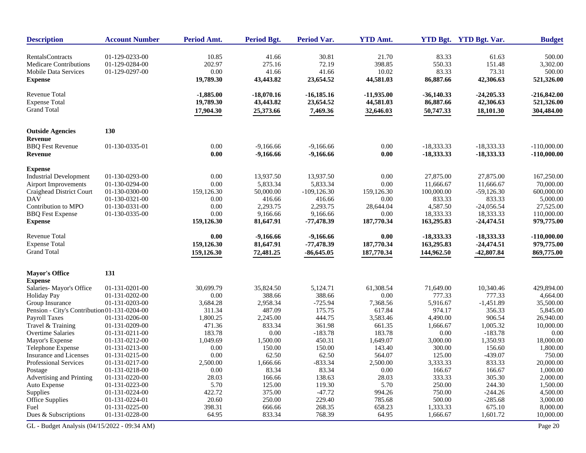| <b>Description</b>                           | <b>Account Number</b> | Period Amt.        | Period Bgt.           | Period Var.              | <b>YTD Amt.</b>    |                         | YTD Bgt. YTD Bgt. Var.    | <b>Budget</b>            |
|----------------------------------------------|-----------------------|--------------------|-----------------------|--------------------------|--------------------|-------------------------|---------------------------|--------------------------|
| <b>RentalsContracts</b>                      | 01-129-0233-00        | 10.85              | 41.66                 | 30.81                    | 21.70              | 83.33                   | 61.63                     | 500.00                   |
| <b>Medicare Contributions</b>                | 01-129-0284-00        | 202.97             | 275.16                | 72.19                    | 398.85             | 550.33                  | 151.48                    | 3,302.00                 |
| <b>Mobile Data Services</b>                  | 01-129-0297-00        | 0.00               | 41.66                 | 41.66                    | 10.02              | 83.33                   | 73.31                     | 500.00                   |
| <b>Expense</b>                               |                       | 19,789.30          | 43,443.82             | 23,654.52                | 44,581.03          | 86,887.66               | 42,306.63                 | 521,326.00               |
| <b>Revenue Total</b>                         |                       | $-1,885.00$        | $-18,070.16$          | $-16,185.16$             | $-11,935.00$       | $-36,140.33$            | $-24,205.33$              | $-216,842.00$            |
| <b>Expense Total</b>                         |                       | 19,789.30          | 43,443.82             | 23,654.52                | 44,581.03          | 86,887.66               | 42,306.63                 | 521,326.00               |
| <b>Grand Total</b>                           |                       | 17,904.30          | 25,373.66             | 7,469.36                 | 32,646.03          | 50,747.33               | 18,101.30                 | 304,484.00               |
| <b>Outside Agencies</b>                      | <b>130</b>            |                    |                       |                          |                    |                         |                           |                          |
| Revenue                                      |                       |                    |                       |                          |                    |                         |                           |                          |
| <b>BBQ</b> Fest Revenue                      | 01-130-0335-01        | 0.00               | $-9,166.66$           | $-9,166.66$              | 0.00               | $-18,333.33$            | $-18,333.33$              | $-110,000.00$            |
| Revenue                                      |                       | 0.00               | $-9,166.66$           | $-9,166.66$              | 0.00               | -18,333.33              | $-18,333.33$              | $-110,000.00$            |
| <b>Expense</b>                               |                       |                    |                       |                          |                    |                         |                           |                          |
| <b>Industrial Development</b>                | 01-130-0293-00        | 0.00               | 13,937.50             | 13,937.50                | 0.00               | 27,875.00               | 27,875.00                 | 167,250.00               |
| <b>Airport Improvements</b>                  | 01-130-0294-00        | 0.00               | 5,833.34              | 5,833.34                 | 0.00               | 11,666.67               | 11,666.67                 | 70,000.00                |
| Craighead District Court                     | 01-130-0300-00        | 159,126.30         | 50,000.00             | $-109, 126.30$           | 159,126.30         | 100,000.00              | $-59,126.30$              | 600,000.00               |
| <b>DAV</b>                                   | 01-130-0321-00        | 0.00               | 416.66                | 416.66                   | 0.00               | 833.33                  | 833.33                    | 5,000.00                 |
| Contribution to MPO                          | 01-130-0331-00        | 0.00               | 2,293.75              | 2,293.75                 | 28,644.04          | 4,587.50                | $-24,056.54$              | 27,525.00                |
| <b>BBQ</b> Fest Expense<br><b>Expense</b>    | 01-130-0335-00        | 0.00<br>159,126.30 | 9,166.66<br>81,647.91 | 9,166.66<br>$-77,478.39$ | 0.00<br>187,770.34 | 18,333.33<br>163,295.83 | 18,333.33<br>$-24,474.51$ | 110,000.00<br>979,775.00 |
|                                              |                       |                    |                       |                          |                    |                         |                           |                          |
| <b>Revenue Total</b>                         |                       | 0.00               | $-9,166.66$           | $-9,166.66$              | 0.00               | $-18,333.33$            | $-18,333.33$              | $-110,000.00$            |
| <b>Expense Total</b>                         |                       | 159,126.30         | 81,647.91             | $-77,478.39$             | 187,770.34         | 163,295.83              | $-24,474.51$              | 979,775.00               |
| <b>Grand Total</b>                           |                       | 159,126.30         | 72,481.25             | $-86,645.05$             | 187,770.34         | 144,962.50              | $-42,807.84$              | 869,775.00               |
| <b>Mayor's Office</b>                        | 131                   |                    |                       |                          |                    |                         |                           |                          |
| <b>Expense</b>                               |                       |                    |                       |                          |                    |                         |                           |                          |
| Salaries-Mayor's Office                      | 01-131-0201-00        | 30,699.79          | 35,824.50             | 5,124.71                 | 61,308.54          | 71,649.00               | 10,340.46                 | 429,894.00               |
| <b>Holiday Pay</b>                           | 01-131-0202-00        | 0.00               | 388.66                | 388.66                   | 0.00               | 777.33                  | 777.33                    | 4,664.00                 |
| Group Insurance                              | 01-131-0203-00        | 3,684.28           | 2,958.34              | $-725.94$                | 7,368.56           | 5,916.67                | $-1,451.89$               | 35,500.00                |
| Pension - City's Contribution 01-131-0204-00 |                       | 311.34             | 487.09                | 175.75                   | 617.84             | 974.17                  | 356.33                    | 5,845.00                 |
| Payroll Taxes                                | 01-131-0206-00        | 1,800.25           | 2,245.00              | 444.75                   | 3,583.46           | 4,490.00                | 906.54                    | 26,940.00                |
| Travel & Training                            | 01-131-0209-00        | 471.36             | 833.34                | 361.98                   | 661.35             | 1,666.67                | 1,005.32                  | 10,000.00                |
| <b>Overtime Salaries</b>                     | 01-131-0211-00        | 183.78             | 0.00                  | $-183.78$                | 183.78             | 0.00                    | $-183.78$                 | 0.00                     |
| Mayor's Expense                              | 01-131-0212-00        | 1,049.69           | 1,500.00              | 450.31                   | 1,649.07           | 3,000.00                | 1,350.93                  | 18,000.00                |
| Telephone Expense                            | 01-131-0213-00        | 0.00               | 150.00                | 150.00                   | 143.40             | 300.00                  | 156.60                    | 1,800.00                 |
| Insurance and Licenses                       | 01-131-0215-00        | 0.00               | 62.50                 | 62.50                    | 564.07             | 125.00                  | $-439.07$                 | 750.00                   |
| Professional Services                        | 01-131-0217-00        | 2,500.00           | 1,666.66              | $-833.34$                | 2,500.00           | 3,333.33                | 833.33                    | 20,000.00                |
| Postage                                      | 01-131-0218-00        | 0.00               | 83.34                 | 83.34                    | 0.00               | 166.67                  | 166.67                    | 1,000.00                 |
| Advertising and Printing                     | 01-131-0220-00        | 28.03              | 166.66                | 138.63                   | 28.03              | 333.33                  | 305.30                    | 2,000.00                 |
| Auto Expense                                 | 01-131-0223-00        | 5.70               | 125.00                | 119.30                   | 5.70               | 250.00                  | 244.30                    | 1,500.00                 |
| Supplies                                     | 01-131-0224-00        | 422.72             | 375.00                | $-47.72$                 | 994.26             | 750.00                  | $-244.26$                 | 4,500.00                 |
| Office Supplies                              | 01-131-0224-01        | 20.60              | 250.00                | 229.40                   | 785.68             | 500.00                  | $-285.68$                 | 3,000.00                 |
| Fuel                                         | 01-131-0225-00        | 398.31             | 666.66                | 268.35                   | 658.23             | 1,333.33                | 675.10                    | 8,000.00                 |
| Dues & Subscriptions                         | 01-131-0228-00        | 64.95              | 833.34                | 768.39                   | 64.95              | 1,666.67                | 1,601.72                  | 10,000.00                |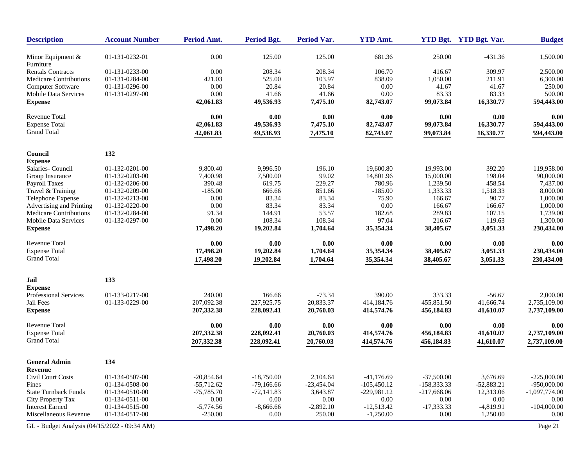| <b>Description</b>                           | <b>Account Number</b> | Period Amt.  | <b>Period Bgt.</b> | <b>Period Var.</b> | <b>YTD Amt.</b> |               | YTD Bgt. YTD Bgt. Var. | <b>Budget</b>   |
|----------------------------------------------|-----------------------|--------------|--------------------|--------------------|-----------------|---------------|------------------------|-----------------|
| Minor Equipment $&$<br>Furniture             | 01-131-0232-01        | 0.00         | 125.00             | 125.00             | 681.36          | 250.00        | $-431.36$              | 1,500.00        |
| <b>Rentals Contracts</b>                     | 01-131-0233-00        | 0.00         | 208.34             | 208.34             | 106.70          | 416.67        | 309.97                 | 2,500.00        |
| <b>Medicare Contributions</b>                | 01-131-0284-00        | 421.03       | 525.00             | 103.97             | 838.09          | 1,050.00      | 211.91                 | 6,300.00        |
| Computer Software                            | 01-131-0296-00        | 0.00         | 20.84              | 20.84              | 0.00            | 41.67         | 41.67                  | 250.00          |
| <b>Mobile Data Services</b>                  | 01-131-0297-00        | 0.00         | 41.66              | 41.66              | 0.00            | 83.33         | 83.33                  | 500.00          |
| <b>Expense</b>                               |                       | 42,061.83    | 49,536.93          | 7,475.10           | 82,743.07       | 99,073.84     | 16,330.77              | 594,443.00      |
| <b>Revenue Total</b>                         |                       | 0.00         | 0.00               | 0.00               | 0.00            | 0.00          | 0.00                   | 0.00            |
| <b>Expense Total</b>                         |                       | 42,061.83    | 49,536.93          | 7,475.10           | 82,743.07       | 99,073.84     | 16,330.77              | 594,443.00      |
| <b>Grand Total</b>                           |                       | 42,061.83    | 49,536.93          | 7,475.10           | 82,743.07       | 99,073.84     | 16,330.77              | 594,443.00      |
| Council                                      | 132                   |              |                    |                    |                 |               |                        |                 |
| <b>Expense</b>                               |                       |              |                    |                    |                 |               |                        |                 |
| Salaries- Council                            | 01-132-0201-00        | 9,800.40     | 9,996.50           | 196.10             | 19,600.80       | 19,993.00     | 392.20                 | 119,958.00      |
| Group Insurance                              | 01-132-0203-00        | 7,400.98     | 7,500.00           | 99.02              | 14,801.96       | 15,000.00     | 198.04                 | 90,000.00       |
| Payroll Taxes                                | 01-132-0206-00        | 390.48       | 619.75             | 229.27             | 780.96          | 1,239.50      | 458.54                 | 7,437.00        |
| Travel & Training                            | 01-132-0209-00        | $-185.00$    | 666.66             | 851.66             | $-185.00$       | 1,333.33      | 1,518.33               | 8,000.00        |
| Telephone Expense                            | 01-132-0213-00        | 0.00         | 83.34              | 83.34              | 75.90           | 166.67        | 90.77                  | 1,000.00        |
| Advertising and Printing                     | 01-132-0220-00        | 0.00         | 83.34              | 83.34              | 0.00            | 166.67        | 166.67                 | 1,000.00        |
| <b>Medicare Contributions</b>                | 01-132-0284-00        | 91.34        | 144.91             | 53.57              | 182.68          | 289.83        | 107.15                 | 1,739.00        |
| <b>Mobile Data Services</b>                  | 01-132-0297-00        | 0.00         | 108.34             | 108.34             | 97.04           | 216.67        | 119.63                 | 1,300.00        |
| <b>Expense</b>                               |                       | 17,498.20    | 19,202.84          | 1,704.64           | 35,354.34       | 38,405.67     | 3,051.33               | 230,434.00      |
| <b>Revenue Total</b>                         |                       | 0.00         | 0.00               | 0.00               | 0.00            | 0.00          | 0.00                   | 0.00            |
| <b>Expense Total</b>                         |                       | 17,498.20    | 19,202.84          | 1,704.64           | 35,354.34       | 38,405.67     | 3,051.33               | 230,434.00      |
| <b>Grand Total</b>                           |                       | 17,498.20    | 19,202.84          | 1,704.64           | 35,354.34       | 38,405.67     | 3,051.33               | 230,434.00      |
| Jail                                         | 133                   |              |                    |                    |                 |               |                        |                 |
| <b>Expense</b>                               |                       |              |                    |                    |                 |               |                        |                 |
| Professional Services                        | 01-133-0217-00        | 240.00       | 166.66             | $-73.34$           | 390.00          | 333.33        | $-56.67$               | 2,000.00        |
| Jail Fees                                    | 01-133-0229-00        | 207,092.38   | 227,925.75         | 20,833.37          | 414,184.76      | 455,851.50    | 41,666.74              | 2,735,109.00    |
| <b>Expense</b>                               |                       | 207,332.38   | 228,092.41         | 20,760.03          | 414,574.76      | 456,184.83    | 41,610.07              | 2,737,109.00    |
| <b>Revenue Total</b>                         |                       | 0.00         | 0.00               | 0.00               | 0.00            | 0.00          | 0.00                   | 0.00            |
| <b>Expense Total</b>                         |                       | 207,332.38   | 228,092.41         | 20,760.03          | 414,574.76      | 456,184.83    | 41,610.07              | 2,737,109.00    |
| <b>Grand Total</b>                           |                       | 207,332.38   | 228,092.41         | 20,760.03          | 414,574.76      | 456,184.83    | 41,610.07              | 2,737,109.00    |
| <b>General Admin</b>                         | 134                   |              |                    |                    |                 |               |                        |                 |
| Revenue                                      |                       |              |                    |                    |                 |               |                        |                 |
| Civil Court Costs                            | 01-134-0507-00        | $-20,854.64$ | $-18,750.00$       | 2,104.64           | $-41,176.69$    | $-37,500.00$  | 3,676.69               | $-225,000.00$   |
| Fines                                        | 01-134-0508-00        | $-55,712.62$ | $-79.166.66$       | $-23,454.04$       | $-105,450.12$   | $-158,333.33$ | $-52,883.21$           | $-950,000.00$   |
| <b>State Turnback Funds</b>                  | 01-134-0510-00        | $-75,785.70$ | $-72,141.83$       | 3,643.87           | $-229,981.12$   | $-217,668.06$ | 12,313.06              | $-1,097,774.00$ |
| City Property Tax                            | 01-134-0511-00        | 0.00         | 0.00               | 0.00               | 0.00            | 0.00          | 0.00                   | 0.00            |
| <b>Interest Earned</b>                       | 01-134-0515-00        | $-5,774.56$  | $-8,666.66$        | $-2,892.10$        | $-12,513.42$    | $-17,333.33$  | $-4,819.91$            | $-104,000.00$   |
| Miscellaneous Revenue                        | 01-134-0517-00        | $-250.00$    | 0.00               | 250.00             | $-1,250.00$     | 0.00          | 1,250.00               | 0.00            |
| GL - Budget Analysis (04/15/2022 - 09:34 AM) |                       |              |                    |                    |                 |               |                        | Page 21         |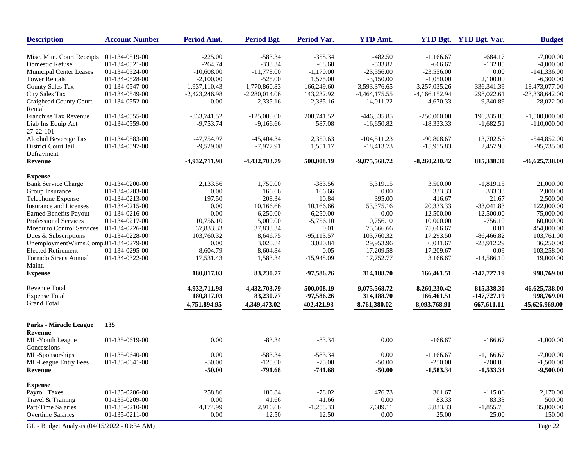| <b>Description</b>                           | <b>Account Number</b> | Period Amt.     | <b>Period Bgt.</b> | <b>Period Var.</b> | <b>YTD Amt.</b> |                 | YTD Bgt. YTD Bgt. Var. | <b>Budget</b>    |
|----------------------------------------------|-----------------------|-----------------|--------------------|--------------------|-----------------|-----------------|------------------------|------------------|
| Misc. Mun. Court Receipts                    | 01-134-0519-00        | $-225.00$       | $-583.34$          | $-358.34$          | $-482.50$       | $-1,166.67$     | $-684.17$              | $-7,000.00$      |
| Domestic Refuse                              | 01-134-0521-00        | $-264.74$       | $-333.34$          | $-68.60$           | $-533.82$       | $-666.67$       | $-132.85$              | $-4,000.00$      |
| Municipal Center Leases                      | 01-134-0524-00        | $-10,608.00$    | $-11,778.00$       | $-1,170.00$        | $-23,556.00$    | $-23,556.00$    | 0.00                   | $-141,336.00$    |
| <b>Tower Rentals</b>                         | 01-134-0528-00        | $-2,100.00$     | $-525.00$          | 1,575.00           | $-3,150.00$     | $-1,050.00$     | 2,100.00               | $-6,300.00$      |
| <b>County Sales Tax</b>                      | 01-134-0547-00        | $-1,937,110.43$ | $-1,770,860.83$    | 166,249.60         | -3,593,376.65   | $-3,257,035.26$ | 336, 341. 39           | $-18,473,077.00$ |
| City Sales Tax                               | 01-134-0549-00        | $-2,423,246.98$ | $-2,280,014.06$    | 143,232.92         | $-4,464,175.55$ | $-4,166,152.94$ | 298,022.61             | $-23,338,642.00$ |
| Craighead County Court<br>Rental             | 01-134-0552-00        | 0.00            | $-2,335.16$        | $-2,335.16$        | $-14,011.22$    | $-4,670.33$     | 9,340.89               | $-28,022.00$     |
| Franchise Tax Revenue                        | 01-134-0555-00        | $-333,741.52$   | $-125,000.00$      | 208,741.52         | $-446,335.85$   | $-250,000.00$   | 196,335.85             | $-1,500,000.00$  |
| Liab Ins Equip Act<br>27-22-101              | 01-134-0559-00        | $-9,753.74$     | $-9,166.66$        | 587.08             | $-16,650.82$    | $-18,333.33$    | $-1,682.51$            | $-110,000.00$    |
| Alcohol Beverage Tax                         | 01-134-0583-00        | $-47,754.97$    | $-45,404.34$       | 2,350.63           | $-104,511.23$   | $-90,808.67$    | 13,702.56              | $-544,852.00$    |
| District Court Jail                          | 01-134-0597-00        | $-9,529.08$     | $-7,977.91$        | 1,551.17           | $-18,413.73$    | $-15,955.83$    | 2,457.90               | $-95,735.00$     |
| Defrayment                                   |                       |                 |                    |                    |                 |                 |                        |                  |
| Revenue                                      |                       | -4,932,711.98   | -4,432,703.79      | 500,008.19         | $-9,075,568.72$ | $-8,260,230.42$ | 815,338.30             | $-46,625,738.00$ |
| <b>Expense</b>                               |                       |                 |                    |                    |                 |                 |                        |                  |
| <b>Bank Service Charge</b>                   | 01-134-0200-00        | 2,133.56        | 1,750.00           | $-383.56$          | 5,319.15        | 3,500.00        | $-1.819.15$            | 21,000.00        |
| Group Insurance                              | 01-134-0203-00        | 0.00            | 166.66             | 166.66             | 0.00            | 333.33          | 333.33                 | 2,000.00         |
| Telephone Expense                            | 01-134-0213-00        | 197.50          | 208.34             | 10.84              | 395.00          | 416.67          | 21.67                  | 2,500.00         |
| Insurance and Licenses                       | 01-134-0215-00        | 0.00            | 10,166.66          | 10,166.66          | 53,375.16       | 20,333.33       | $-33,041.83$           | 122,000.00       |
| <b>Earned Benefits Payout</b>                | 01-134-0216-00        | 0.00            | 6,250.00           | 6,250.00           | 0.00            | 12,500.00       | 12,500.00              | 75,000.00        |
| Professional Services                        | 01-134-0217-00        | 10,756.10       | 5,000.00           | $-5,756.10$        | 10,756.10       | 10,000.00       | $-756.10$              | 60,000.00        |
| <b>Mosquito Control Services</b>             | 01-134-0226-00        | 37,833.33       | 37,833.34          | $0.01\,$           | 75,666.66       | 75,666.67       | $0.01\,$               | 454,000.00       |
| Dues & Subscriptions                         | 01-134-0228-00        | 103,760.32      | 8,646.75           | $-95,113.57$       | 103,760.32      | 17,293.50       | $-86,466.82$           | 103,761.00       |
| UnemploymentWkms.Comp.01-134-0279-00         |                       | 0.00            | 3,020.84           | 3,020.84           | 29,953.96       | 6,041.67        | $-23,912.29$           | 36,250.00        |
| <b>Elected Retirement</b>                    | 01-134-0295-00        | 8,604.79        | 8,604.84           | 0.05               | 17,209.58       | 17,209.67       | 0.09                   | 103,258.00       |
| <b>Tornado Sirens Annual</b><br>Maint.       | 01-134-0322-00        | 17,531.43       | 1,583.34           | $-15,948.09$       | 17,752.77       | 3,166.67        | $-14,586.10$           | 19,000.00        |
| <b>Expense</b>                               |                       | 180,817.03      | 83,230.77          | $-97,586.26$       | 314,188.70      | 166,461.51      | $-147,727.19$          | 998,769.00       |
| <b>Revenue Total</b>                         |                       | -4,932,711.98   | -4,432,703.79      | 500,008.19         | $-9,075,568.72$ | $-8,260,230.42$ | 815,338.30             | $-46,625,738.00$ |
| <b>Expense Total</b>                         |                       | 180,817.03      | 83,230.77          | $-97,586.26$       | 314,188.70      | 166,461.51      | $-147,727.19$          | 998,769.00       |
| <b>Grand Total</b>                           |                       | -4,751,894.95   | -4,349,473.02      | 402,421.93         | $-8,761,380.02$ | $-8,093,768.91$ | 667,611.11             | -45,626,969.00   |
| Parks - Miracle League                       | 135                   |                 |                    |                    |                 |                 |                        |                  |
| Revenue                                      |                       |                 |                    |                    |                 |                 |                        |                  |
| ML-Youth League<br>Concessions               | 01-135-0619-00        | 0.00            | $-83.34$           | $-83.34$           | 0.00            | $-166.67$       | $-166.67$              | $-1,000.00$      |
| ML-Sponsorships                              | 01-135-0640-00        | 0.00            | $-583.34$          | $-583.34$          | 0.00            | $-1.166.67$     | $-1.166.67$            | $-7,000.00$      |
| <b>ML-League Entry Fees</b>                  | 01-135-0641-00        | $-50.00$        | $-125.00$          | $-75.00$           | $-50.00$        | $-250.00$       | $-200.00$              | $-1,500.00$      |
| ${\bf Revenue}$                              |                       | $-50.00$        | $-791.68$          | $-741.68$          | $-50.00$        | $-1,583.34$     | $-1,533.34$            | $-9,500.00$      |
| <b>Expense</b>                               |                       |                 |                    |                    |                 |                 |                        |                  |
| <b>Payroll Taxes</b>                         | 01-135-0206-00        | 258.86          | 180.84             | $-78.02$           | 476.73          | 361.67          | $-115.06$              | 2,170.00         |
| Travel & Training                            | 01-135-0209-00        | 0.00            | 41.66              | 41.66              | $0.00\,$        | 83.33           | 83.33                  | 500.00           |
| Part-Time Salaries                           | 01-135-0210-00        | 4,174.99        | 2,916.66           | $-1,258.33$        | 7,689.11        | 5,833.33        | $-1,855.78$            | 35,000.00        |
| <b>Overtime Salaries</b>                     | 01-135-0211-00        | 0.00            | 12.50              | 12.50              | $0.00\,$        | 25.00           | 25.00                  | 150.00           |
| GL - Budget Analysis (04/15/2022 - 09:34 AM) |                       |                 |                    |                    |                 |                 |                        | Page 22          |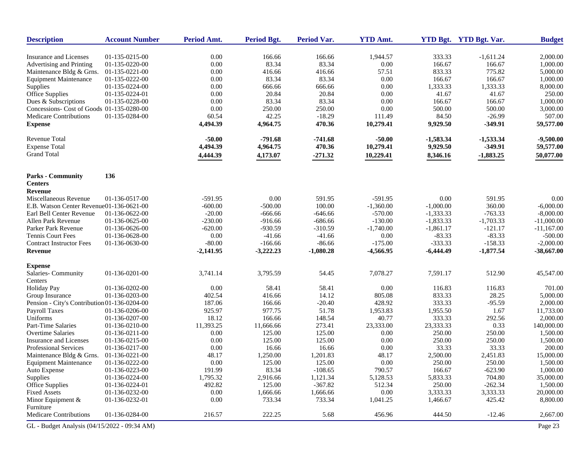| <b>Description</b>                           | <b>Account Number</b> | Period Amt. | <b>Period Bgt.</b> | <b>Period Var.</b> | <b>YTD Amt.</b> |             | YTD Bgt. YTD Bgt. Var. | <b>Budget</b> |
|----------------------------------------------|-----------------------|-------------|--------------------|--------------------|-----------------|-------------|------------------------|---------------|
| Insurance and Licenses                       | 01-135-0215-00        | 0.00        | 166.66             | 166.66             | 1,944.57        | 333.33      | $-1,611.24$            | 2,000.00      |
| Advertising and Printing                     | 01-135-0220-00        | 0.00        | 83.34              | 83.34              | $0.00\,$        | 166.67      | 166.67                 | 1,000.00      |
| Maintenance Bldg & Grns.                     | 01-135-0221-00        | 0.00        | 416.66             | 416.66             | 57.51           | 833.33      | 775.82                 | 5,000.00      |
| <b>Equipment Maintenance</b>                 | 01-135-0222-00        | 0.00        | 83.34              | 83.34              | 0.00            | 166.67      | 166.67                 | 1,000.00      |
| Supplies                                     | 01-135-0224-00        | 0.00        | 666.66             | 666.66             | $0.00\,$        | 1,333.33    | 1,333.33               | 8,000.00      |
| Office Supplies                              | 01-135-0224-01        | 0.00        | 20.84              | 20.84              | 0.00            | 41.67       | 41.67                  | 250.00        |
| Dues & Subscriptions                         | 01-135-0228-00        | 0.00        | 83.34              | 83.34              | 0.00            | 166.67      | 166.67                 | 1,000.00      |
| Concessions- Cost of Goods 01-135-0280-00    |                       | 0.00        | 250.00             | 250.00             | 0.00            | 500.00      | 500.00                 | 3,000.00      |
| <b>Medicare Contributions</b>                | 01-135-0284-00        | 60.54       | 42.25              | $-18.29$           | 111.49          | 84.50       | $-26.99$               | 507.00        |
| <b>Expense</b>                               |                       | 4,494.39    | 4,964.75           | 470.36             | 10,279.41       | 9,929.50    | $-349.91$              | 59,577.00     |
| Revenue Total                                |                       | $-50.00$    | $-791.68$          | $-741.68$          | $-50.00$        | $-1,583.34$ | $-1,533.34$            | $-9,500.00$   |
| <b>Expense Total</b>                         |                       | 4,494.39    | 4,964.75           | 470.36             | 10,279.41       | 9,929.50    | $-349.91$              | 59,577.00     |
| <b>Grand Total</b>                           |                       | 4,444.39    | 4,173.07           | $-271.32$          | 10,229.41       | 8,346.16    | $-1,883.25$            | 50,077.00     |
|                                              |                       |             |                    |                    |                 |             |                        |               |
| <b>Parks - Community</b>                     | 136                   |             |                    |                    |                 |             |                        |               |
| <b>Centers</b>                               |                       |             |                    |                    |                 |             |                        |               |
| <b>Revenue</b>                               |                       |             |                    |                    |                 |             |                        |               |
| Miscellaneous Revenue                        | 01-136-0517-00        | $-591.95$   | 0.00               | 591.95             | $-591.95$       | 0.00        | 591.95                 | 0.00          |
| E.B. Watson Center Revenue01-136-0621-00     |                       | $-600.00$   | $-500.00$          | 100.00             | $-1,360.00$     | $-1,000.00$ | 360.00                 | $-6,000.00$   |
| Earl Bell Center Revenue                     | 01-136-0622-00        | $-20.00$    | $-666.66$          | $-646.66$          | $-570.00$       | $-1,333.33$ | $-763.33$              | $-8,000.00$   |
| Allen Park Revenue                           | 01-136-0625-00        | $-230.00$   | $-916.66$          | $-686.66$          | $-130.00$       | $-1,833.33$ | $-1,703.33$            | $-11,000.00$  |
| Parker Park Revenue                          | 01-136-0626-00        | $-620.00$   | $-930.59$          | $-310.59$          | $-1,740.00$     | $-1,861.17$ | $-121.17$              | $-11,167.00$  |
| <b>Tennis Court Fees</b>                     | 01-136-0628-00        | 0.00        | $-41.66$           | $-41.66$           | 0.00            | $-83.33$    | $-83.33$               | $-500.00$     |
| <b>Contract Instructor Fees</b>              | 01-136-0630-00        | $-80.00$    | $-166.66$          | $-86.66$           | $-175.00$       | $-333.33$   | $-158.33$              | $-2,000.00$   |
| Revenue                                      |                       | $-2,141.95$ | $-3,222.23$        | $-1,080.28$        | $-4,566.95$     | $-6,444.49$ | $-1,877.54$            | $-38,667.00$  |
| <b>Expense</b>                               |                       |             |                    |                    |                 |             |                        |               |
| Salaries-Community<br>Centers                | 01-136-0201-00        | 3,741.14    | 3,795.59           | 54.45              | 7,078.27        | 7,591.17    | 512.90                 | 45,547.00     |
| <b>Holiday Pay</b>                           | 01-136-0202-00        | 0.00        | 58.41              | 58.41              | 0.00            | 116.83      | 116.83                 | 701.00        |
| Group Insurance                              | 01-136-0203-00        | 402.54      | 416.66             | 14.12              | 805.08          | 833.33      | 28.25                  | 5,000.00      |
| Pension - City's Contribution 01-136-0204-00 |                       | 187.06      | 166.66             | $-20.40$           | 428.92          | 333.33      | $-95.59$               | 2,000.00      |
| Payroll Taxes                                | 01-136-0206-00        | 925.97      | 977.75             | 51.78              | 1,953.83        | 1,955.50    | 1.67                   | 11,733.00     |
| Uniforms                                     | 01-136-0207-00        | 18.12       | 166.66             | 148.54             | 40.77           | 333.33      | 292.56                 | 2,000.00      |
| Part-Time Salaries                           | 01-136-0210-00        | 11,393.25   | 11,666.66          | 273.41             | 23,333.00       | 23,333.33   | 0.33                   | 140,000.00    |
| <b>Overtime Salaries</b>                     | 01-136-0211-00        | 0.00        | 125.00             | 125.00             | 0.00            | 250.00      | 250.00                 | 1,500.00      |
| Insurance and Licenses                       | 01-136-0215-00        | 0.00        | 125.00             | 125.00             | 0.00            | 250.00      | 250.00                 | 1,500.00      |
| Professional Services                        | 01-136-0217-00        | 0.00        | 16.66              | 16.66              | 0.00            | 33.33       | 33.33                  | 200.00        |
| Maintenance Bldg & Grns.                     | 01-136-0221-00        | 48.17       | 1,250.00           | 1,201.83           | 48.17           | 2,500.00    | 2,451.83               | 15,000.00     |
| <b>Equipment Maintenance</b>                 | 01-136-0222-00        | 0.00        | 125.00             | 125.00             | 0.00            | 250.00      | 250.00                 | 1,500.00      |
| Auto Expense                                 | 01-136-0223-00        | 191.99      | 83.34              | $-108.65$          | 790.57          | 166.67      | $-623.90$              | 1,000.00      |
| Supplies                                     | 01-136-0224-00        | 1,795.32    | 2,916.66           | 1,121.34           | 5,128.53        | 5,833.33    | 704.80                 | 35,000.00     |
| Office Supplies                              | 01-136-0224-01        | 492.82      | 125.00             | $-367.82$          | 512.34          | 250.00      | $-262.34$              | 1,500.00      |
| <b>Fixed Assets</b>                          | 01-136-0232-00        | 0.00        | 1,666.66           | 1,666.66           | 0.00            | 3,333.33    | 3,333.33               | 20,000.00     |
| Minor Equipment &                            | 01-136-0232-01        | 0.00        | 733.34             | 733.34             | 1,041.25        | 1,466.67    | 425.42                 | 8,800.00      |
| Furniture                                    |                       |             |                    |                    |                 |             |                        |               |
| Medicare Contributions                       | 01-136-0284-00        | 216.57      | 222.25             | 5.68               | 456.96          | 444.50      | $-12.46$               | 2,667.00      |
| GL - Budget Analysis (04/15/2022 - 09:34 AM) |                       |             |                    |                    |                 |             |                        | Page 23       |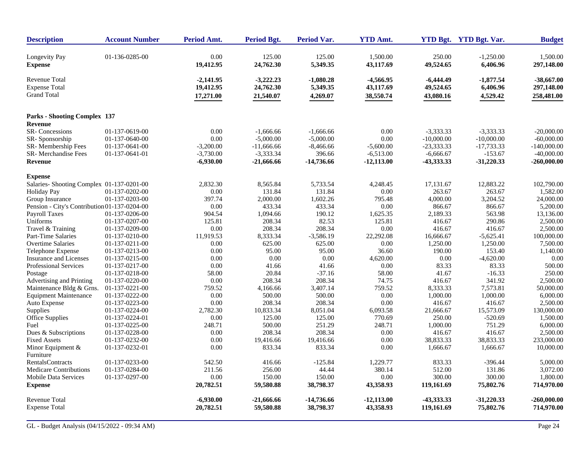| <b>Description</b>                                                 | <b>Account Number</b> | Period Amt.                           | <b>Period Bgt.</b>                    | <b>Period Var.</b>                  | <b>YTD Amt.</b>                     |                                       | YTD Bgt. YTD Bgt. Var.              | <b>Budget</b>                            |
|--------------------------------------------------------------------|-----------------------|---------------------------------------|---------------------------------------|-------------------------------------|-------------------------------------|---------------------------------------|-------------------------------------|------------------------------------------|
| Longevity Pay<br><b>Expense</b>                                    | 01-136-0285-00        | 0.00<br>19,412.95                     | 125.00<br>24,762.30                   | 125.00<br>5,349.35                  | 1.500.00<br>43,117.69               | 250.00<br>49,524.65                   | $-1,250.00$<br>6,406.96             | 1,500.00<br>297,148.00                   |
| <b>Revenue Total</b><br><b>Expense Total</b><br><b>Grand Total</b> |                       | $-2,141.95$<br>19,412.95<br>17,271.00 | $-3,222.23$<br>24,762.30<br>21,540.07 | $-1,080.28$<br>5,349.35<br>4,269.07 | -4,566.95<br>43,117.69<br>38,550.74 | $-6,444.49$<br>49,524.65<br>43,080.16 | $-1,877.54$<br>6,406.96<br>4,529.42 | $-38,667.00$<br>297,148.00<br>258,481.00 |
| <b>Parks - Shooting Complex 137</b>                                |                       |                                       |                                       |                                     |                                     |                                       |                                     |                                          |
| Revenue                                                            |                       |                                       |                                       |                                     |                                     |                                       |                                     |                                          |
| SR-Concessions                                                     | 01-137-0619-00        | 0.00                                  | $-1,666.66$                           | $-1,666.66$                         | 0.00                                | $-3,333.33$                           | $-3,333.33$                         | $-20,000,00$                             |
| SR-Sponsorship                                                     | 01-137-0640-00        | 0.00                                  | $-5,000.00$                           | $-5,000.00$                         | 0.00                                | $-10,000.00$                          | $-10,000.00$                        | $-60,000.00$                             |
| SR-Membership Fees                                                 | 01-137-0641-00        | $-3,200.00$                           | $-11,666.66$                          | $-8,466.66$                         | $-5,600.00$                         | $-23,333.33$                          | $-17,733.33$                        | $-140,000.00$                            |
| <b>SR-</b> Merchandise Fees<br><b>Revenue</b>                      | 01-137-0641-01        | $-3,730.00$<br>$-6,930.00$            | $-3,333.34$<br>-21,666.66             | 396.66<br>-14,736.66                | $-6,513.00$<br>$-12,113.00$         | $-6,666.67$<br>-43,333.33             | $-153.67$<br>$-31,220.33$           | $-40,000.00$<br>$-260,000.00$            |
| <b>Expense</b>                                                     |                       |                                       |                                       |                                     |                                     |                                       |                                     |                                          |
| Salaries-Shooting Complex 01-137-0201-00                           |                       | 2,832.30                              | 8,565.84                              | 5,733.54                            | 4,248.45                            | 17,131.67                             | 12,883.22                           | 102,790.00                               |
| <b>Holiday Pay</b>                                                 | 01-137-0202-00        | $0.00\,$                              | 131.84                                | 131.84                              | 0.00                                | 263.67                                | 263.67                              | 1,582.00                                 |
| Group Insurance                                                    | 01-137-0203-00        | 397.74                                | 2,000.00                              | 1,602.26                            | 795.48                              | 4,000.00                              | 3,204.52                            | 24,000.00                                |
| Pension - City's Contribution 01-137-0204-00                       |                       | 0.00                                  | 433.34                                | 433.34                              | 0.00                                | 866.67                                | 866.67                              | 5,200.00                                 |
| Payroll Taxes                                                      | 01-137-0206-00        | 904.54                                | 1,094.66                              | 190.12                              | 1,625.35                            | 2,189.33                              | 563.98                              | 13,136.00                                |
| Uniforms                                                           | 01-137-0207-00        | 125.81                                | 208.34                                | 82.53                               | 125.81                              | 416.67                                | 290.86                              | 2,500.00                                 |
| Travel & Training                                                  | 01-137-0209-00        | 0.00                                  | 208.34                                | 208.34                              | 0.00                                | 416.67                                | 416.67                              | 2,500.00                                 |
| Part-Time Salaries                                                 | 01-137-0210-00        | 11,919.53                             | 8,333.34                              | $-3,586.19$                         | 22,292.08                           | 16,666.67                             | $-5,625.41$                         | 100,000.00                               |
| <b>Overtime Salaries</b>                                           | 01-137-0211-00        | 0.00                                  | 625.00                                | 625.00                              | 0.00                                | 1,250.00                              | 1,250.00                            | 7,500.00                                 |
| Telephone Expense                                                  | 01-137-0213-00        | 0.00                                  | 95.00                                 | 95.00                               | 36.60                               | 190.00                                | 153.40                              | 1,140.00                                 |
| Insurance and Licenses                                             | 01-137-0215-00        | 0.00                                  | 0.00                                  | 0.00                                | 4,620.00                            | 0.00                                  | $-4,620.00$                         | 0.00                                     |
| Professional Services                                              | 01-137-0217-00        | 0.00                                  | 41.66                                 | 41.66                               | 0.00                                | 83.33                                 | 83.33                               | 500.00                                   |
| Postage                                                            | 01-137-0218-00        | 58.00                                 | 20.84                                 | $-37.16$                            | 58.00                               | 41.67                                 | $-16.33$                            | 250.00                                   |
| Advertising and Printing                                           | 01-137-0220-00        | 0.00                                  | 208.34                                | 208.34                              | 74.75                               | 416.67                                | 341.92                              | 2,500.00                                 |
| Maintenance Bldg & Grns.                                           | 01-137-0221-00        | 759.52                                | 4,166.66                              | 3,407.14                            | 759.52                              | 8,333.33                              | 7,573.81                            | 50,000.00                                |
| <b>Equipment Maintenance</b>                                       | 01-137-0222-00        | 0.00                                  | 500.00                                | 500.00                              | 0.00                                | 1,000.00                              | 1,000.00                            | 6,000.00                                 |
| Auto Expense                                                       | 01-137-0223-00        | 0.00                                  | 208.34                                | 208.34                              | 0.00                                | 416.67                                | 416.67                              | 2,500.00                                 |
| Supplies                                                           | 01-137-0224-00        | 2,782.30                              | 10,833.34                             | 8,051.04                            | 6,093.58                            | 21,666.67                             | 15,573.09                           | 130,000.00                               |
| Office Supplies                                                    | 01-137-0224-01        | 0.00                                  | 125.00                                | 125.00                              | 770.69                              | 250.00                                | $-520.69$                           | 1,500.00                                 |
| Fuel                                                               | 01-137-0225-00        | 248.71                                | 500.00                                | 251.29                              | 248.71                              | 1,000.00                              | 751.29                              | 6,000.00                                 |
| Dues & Subscriptions                                               | 01-137-0228-00        | 0.00                                  | 208.34                                | 208.34                              | 0.00                                | 416.67                                | 416.67                              | 2,500.00                                 |
| <b>Fixed Assets</b>                                                | 01-137-0232-00        | 0.00                                  | 19,416.66                             | 19,416.66                           | 0.00                                | 38,833.33                             | 38,833.33                           | 233,000.00                               |
| Minor Equipment $\&$<br>Furniture                                  | 01-137-0232-01        | 0.00                                  | 833.34                                | 833.34                              | 0.00                                | 1,666.67                              | 1,666.67                            | 10,000.00                                |
| <b>RentalsContracts</b>                                            | 01-137-0233-00        | 542.50                                | 416.66                                | $-125.84$                           | 1,229.77                            | 833.33                                | $-396.44$                           | 5,000.00                                 |
| <b>Medicare Contributions</b>                                      | 01-137-0284-00        | 211.56                                | 256.00                                | 44.44                               | 380.14                              | 512.00                                | 131.86                              | 3,072.00                                 |
| <b>Mobile Data Services</b>                                        | 01-137-0297-00        | 0.00                                  | 150.00                                | 150.00                              | $0.00\,$                            | 300.00                                | 300.00                              | 1,800.00                                 |
| <b>Expense</b>                                                     |                       | 20,782.51                             | 59,580.88                             | 38,798.37                           | 43,358.93                           | 119,161.69                            | 75,802.76                           | 714,970.00                               |
| Revenue Total                                                      |                       | $-6,930.00$                           | $-21,666.66$                          | -14,736.66                          | $-12,113.00$                        | -43,333.33                            | $-31,220.33$                        | -260,000.00                              |
| <b>Expense Total</b>                                               |                       | 20,782.51                             | 59,580.88                             | 38,798.37                           | 43,358.93                           | 119,161.69                            | 75,802.76                           | 714,970.00                               |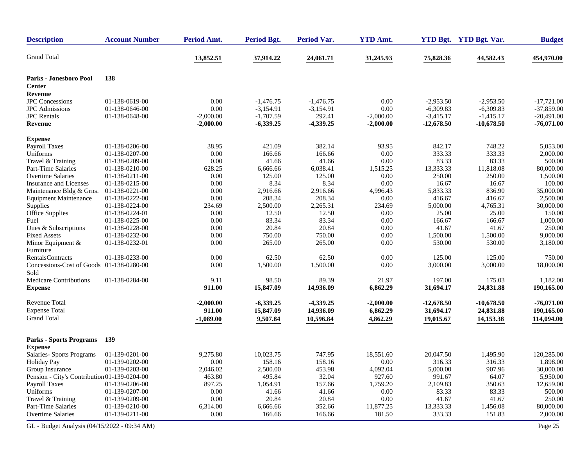| <b>Description</b>                               | <b>Account Number</b> | Period Amt. | <b>Period Bgt.</b> | <b>Period Var.</b> | <b>YTD Amt.</b> |              | YTD Bgt. YTD Bgt. Var. | <b>Budget</b> |
|--------------------------------------------------|-----------------------|-------------|--------------------|--------------------|-----------------|--------------|------------------------|---------------|
| <b>Grand Total</b>                               |                       | 13,852.51   | 37,914.22          | 24,061.71          | 31,245.93       | 75,828.36    | 44,582.43              | 454,970.00    |
| Parks - Jonesboro Pool                           | 138                   |             |                    |                    |                 |              |                        |               |
| <b>Center</b>                                    |                       |             |                    |                    |                 |              |                        |               |
| Revenue                                          |                       |             |                    |                    |                 |              |                        |               |
| <b>JPC</b> Concessions                           | 01-138-0619-00        | 0.00        | $-1,476.75$        | $-1,476.75$        | 0.00            | $-2,953.50$  | $-2,953.50$            | $-17,721.00$  |
| <b>JPC</b> Admissions                            | 01-138-0646-00        | 0.00        | $-3,154.91$        | $-3,154.91$        | 0.00            | $-6,309.83$  | $-6,309.83$            | $-37,859.00$  |
| <b>JPC</b> Rentals                               | 01-138-0648-00        | $-2,000.00$ | $-1,707.59$        | 292.41             | $-2,000.00$     | $-3,415.17$  | $-1,415.17$            | $-20,491.00$  |
| Revenue                                          |                       | $-2,000.00$ | $-6,339.25$        | $-4,339.25$        | $-2,000.00$     | $-12,678.50$ | $-10,678.50$           | $-76,071.00$  |
| <b>Expense</b>                                   |                       |             |                    |                    |                 |              |                        |               |
| <b>Payroll Taxes</b>                             | 01-138-0206-00        | 38.95       | 421.09             | 382.14             | 93.95           | 842.17       | 748.22                 | 5,053.00      |
| Uniforms                                         | 01-138-0207-00        | $0.00\,$    | 166.66             | 166.66             | 0.00            | 333.33       | 333.33                 | 2,000.00      |
| Travel & Training                                | 01-138-0209-00        | 0.00        | 41.66              | 41.66              | 0.00            | 83.33        | 83.33                  | 500.00        |
| Part-Time Salaries                               | 01-138-0210-00        | 628.25      | 6,666.66           | 6,038.41           | 1,515.25        | 13,333.33    | 11,818.08              | 80,000.00     |
| <b>Overtime Salaries</b>                         | 01-138-0211-00        | 0.00        | 125.00             | 125.00             | 0.00            | 250.00       | 250.00                 | 1,500.00      |
| Insurance and Licenses                           | 01-138-0215-00        | 0.00        | 8.34               | 8.34               | 0.00            | 16.67        | 16.67                  | 100.00        |
| Maintenance Bldg & Grns.                         | 01-138-0221-00        | 0.00        | 2,916.66           | 2,916.66           | 4,996.43        | 5,833.33     | 836.90                 | 35,000.00     |
| <b>Equipment Maintenance</b>                     | 01-138-0222-00        | 0.00        | 208.34             | 208.34             | 0.00            | 416.67       | 416.67                 | 2,500.00      |
| Supplies                                         | 01-138-0224-00        | 234.69      | 2,500.00           | 2,265.31           | 234.69          | 5,000.00     | 4,765.31               | 30,000.00     |
| Office Supplies                                  | 01-138-0224-01        | 0.00        | 12.50              | 12.50              | 0.00            | 25.00        | 25.00                  | 150.00        |
| Fuel                                             | 01-138-0225-00        | 0.00        | 83.34              | 83.34              | 0.00            | 166.67       | 166.67                 | 1,000.00      |
| Dues & Subscriptions                             | 01-138-0228-00        | 0.00        | 20.84              | 20.84              | 0.00            | 41.67        | 41.67                  | 250.00        |
| <b>Fixed Assets</b>                              | 01-138-0232-00        | 0.00        | 750.00             | 750.00             | 0.00            | 1,500.00     | 1,500.00               | 9,000.00      |
| Minor Equipment &<br>Furniture                   | 01-138-0232-01        | 0.00        | 265.00             | 265.00             | 0.00            | 530.00       | 530.00                 | 3,180.00      |
| <b>RentalsContracts</b>                          | 01-138-0233-00        | 0.00        | 62.50              | 62.50              | 0.00            | 125.00       | 125.00                 | 750.00        |
| Concessions-Cost of Goods 01-138-0280-00<br>Sold |                       | 0.00        | 1,500.00           | 1,500.00           | 0.00            | 3,000.00     | 3,000.00               | 18,000.00     |
| <b>Medicare Contributions</b>                    | 01-138-0284-00        | 9.11        | 98.50              | 89.39              | 21.97           | 197.00       | 175.03                 | 1,182.00      |
| <b>Expense</b>                                   |                       | 911.00      | 15,847.09          | 14,936.09          | 6,862.29        | 31,694.17    | 24,831.88              | 190,165.00    |
| <b>Revenue Total</b>                             |                       | $-2,000.00$ | $-6,339.25$        | $-4,339.25$        | $-2,000.00$     | $-12,678.50$ | $-10,678.50$           | $-76,071.00$  |
| <b>Expense Total</b>                             |                       | 911.00      | 15,847.09          | 14,936.09          | 6,862.29        | 31,694.17    | 24,831.88              | 190,165.00    |
| <b>Grand Total</b>                               |                       | $-1,089.00$ | 9,507.84           | 10,596.84          | 4,862.29        | 19,015.67    | 14,153.38              | 114,094.00    |
|                                                  |                       |             |                    |                    |                 |              |                        |               |
| <b>Parks - Sports Programs</b>                   | 139                   |             |                    |                    |                 |              |                        |               |
| <b>Expense</b>                                   |                       |             |                    |                    |                 |              |                        |               |
| Salaries- Sports Programs                        | 01-139-0201-00        | 9,275.80    | 10,023.75          | 747.95             | 18,551.60       | 20,047.50    | 1,495.90               | 120,285.00    |
| <b>Holiday Pay</b>                               | 01-139-0202-00        | 0.00        | 158.16             | 158.16             | 0.00            | 316.33       | 316.33                 | 1,898.00      |
| Group Insurance                                  | 01-139-0203-00        | 2,046.02    | 2,500.00           | 453.98             | 4,092.04        | 5,000.00     | 907.96                 | 30,000.00     |
| Pension - City's Contribution 01-139-0204-00     |                       | 463.80      | 495.84             | 32.04              | 927.60          | 991.67       | 64.07                  | 5,950.00      |
| <b>Payroll Taxes</b>                             | 01-139-0206-00        | 897.25      | 1,054.91           | 157.66             | 1,759.20        | 2,109.83     | 350.63                 | 12,659.00     |
| Uniforms                                         | 01-139-0207-00        | 0.00        | 41.66              | 41.66              | 0.00            | 83.33        | 83.33                  | 500.00        |
| Travel & Training                                | 01-139-0209-00        | 0.00        | 20.84              | 20.84              | 0.00            | 41.67        | 41.67                  | 250.00        |
| Part-Time Salaries                               | 01-139-0210-00        | 6,314.00    | 6,666.66           | 352.66             | 11,877.25       | 13,333.33    | 1,456.08               | 80,000.00     |
| <b>Overtime Salaries</b>                         | 01-139-0211-00        | 0.00        | 166.66             | 166.66             | 181.50          | 333.33       | 151.83                 | 2,000.00      |
| GL - Budget Analysis (04/15/2022 - 09:34 AM)     |                       |             |                    |                    |                 |              |                        | Page 25       |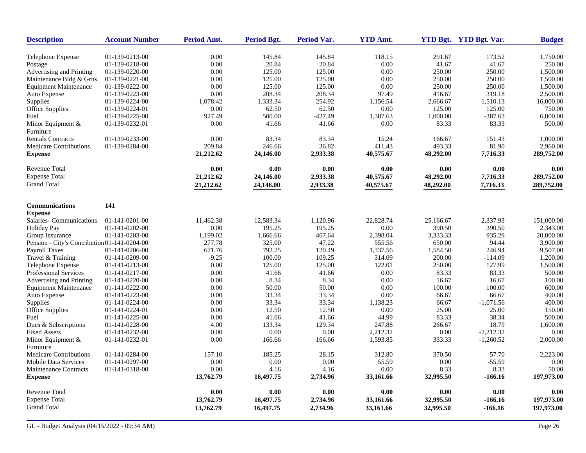| <b>Description</b>                           | <b>Account Number</b> | <b>Period Amt.</b> | <b>Period Bgt.</b> | <b>Period Var.</b> | <b>YTD Amt.</b> |           | YTD Bgt. YTD Bgt. Var. | <b>Budget</b> |
|----------------------------------------------|-----------------------|--------------------|--------------------|--------------------|-----------------|-----------|------------------------|---------------|
| Telephone Expense                            | 01-139-0213-00        | 0.00               | 145.84             | 145.84             | 118.15          | 291.67    | 173.52                 | 1,750.00      |
| Postage                                      | 01-139-0218-00        | 0.00               | 20.84              | 20.84              | 0.00            | 41.67     | 41.67                  | 250.00        |
| Advertising and Printing                     | 01-139-0220-00        | 0.00               | 125.00             | 125.00             | 0.00            | 250.00    | 250.00                 | 1,500.00      |
| Maintenance Bldg & Grns.                     | 01-139-0221-00        | 0.00               | 125.00             | 125.00             | 0.00            | 250.00    | 250.00                 | 1,500.00      |
| <b>Equipment Maintenance</b>                 | 01-139-0222-00        | 0.00               | 125.00             | 125.00             | 0.00            | 250.00    | 250.00                 | 1,500.00      |
| Auto Expense                                 | 01-139-0223-00        | 0.00               | 208.34             | 208.34             | 97.49           | 416.67    | 319.18                 | 2,500.00      |
| Supplies                                     | 01-139-0224-00        | 1,078.42           | 1,333.34           | 254.92             | 1,156.54        | 2,666.67  | 1,510.13               | 16,000.00     |
| <b>Office Supplies</b>                       | 01-139-0224-01        | 0.00               | 62.50              | 62.50              | 0.00            | 125.00    | 125.00                 | 750.00        |
| Fuel                                         | 01-139-0225-00        | 927.49             | 500.00             | $-427.49$          | 1,387.63        | 1,000.00  | $-387.63$              | 6,000.00      |
| Minor Equipment &                            | 01-139-0232-01        | 0.00               | 41.66              | 41.66              | 0.00            | 83.33     | 83.33                  | 500.00        |
| Furniture                                    |                       |                    |                    |                    |                 |           |                        |               |
| <b>Rentals Contracts</b>                     | 01-139-0233-00        | 0.00               | 83.34              | 83.34              | 15.24           | 166.67    | 151.43                 | 1,000.00      |
| <b>Medicare Contributions</b>                | 01-139-0284-00        | 209.84             | 246.66             | 36.82              | 411.43          | 493.33    | 81.90                  | 2,960.00      |
| <b>Expense</b>                               |                       | 21,212.62          | 24,146.00          | 2,933.38           | 40,575.67       | 48,292.00 | 7,716.33               | 289,752.00    |
| Revenue Total                                |                       | 0.00               | 0.00               | 0.00               | 0.00            | 0.00      | 0.00                   | 0.00          |
| <b>Expense Total</b>                         |                       | 21,212.62          | 24,146.00          | 2,933.38           | 40,575.67       | 48,292.00 | 7,716.33               | 289,752.00    |
| <b>Grand Total</b>                           |                       |                    |                    |                    |                 |           |                        |               |
|                                              |                       | 21,212.62          | 24,146.00          | 2,933.38           | 40,575.67       | 48,292.00 | 7,716.33               | 289,752.00    |
| <b>Communications</b>                        | 141                   |                    |                    |                    |                 |           |                        |               |
| <b>Expense</b>                               |                       |                    |                    |                    |                 |           |                        |               |
| Salaries-Communications                      | $01-141-0201-00$      | 11,462.38          | 12,583.34          | 1,120.96           | 22,828.74       | 25,166.67 | 2,337.93               | 151,000.00    |
| <b>Holiday Pay</b>                           | 01-141-0202-00        | $0.00\,$           | 195.25             | 195.25             | 0.00            | 390.50    | 390.50                 | 2,343.00      |
| Group Insurance                              | 01-141-0203-00        | 1,199.02           | 1,666.66           | 467.64             | 2,398.04        | 3,333.33  | 935.29                 | 20,000.00     |
| Pension - City's Contribution 01-141-0204-00 |                       | 277.78             | 325.00             | 47.22              | 555.56          | 650.00    | 94.44                  | 3,900.00      |
| <b>Payroll Taxes</b>                         | 01-141-0206-00        | 671.76             | 792.25             | 120.49             | 1,337.56        | 1,584.50  | 246.94                 | 9,507.00      |
| Travel & Training                            | 01-141-0209-00        | $-9.25$            | 100.00             | 109.25             | 314.09          | 200.00    | $-114.09$              | 1,200.00      |
| Telephone Expense                            | 01-141-0213-00        | 0.00               | 125.00             | 125.00             | 122.01          | 250.00    | 127.99                 | 1,500.00      |
| Professional Services                        | 01-141-0217-00        | 0.00               | 41.66              | 41.66              | 0.00            | 83.33     | 83.33                  | 500.00        |
| Advertising and Printing                     | 01-141-0220-00        | 0.00               | 8.34               | 8.34               | 0.00            | 16.67     | 16.67                  | 100.00        |
| <b>Equipment Maintenance</b>                 | 01-141-0222-00        | 0.00               | 50.00              | 50.00              | 0.00            | 100.00    | 100.00                 | 600.00        |
| Auto Expense                                 | 01-141-0223-00        | 0.00               | 33.34              | 33.34              | 0.00            | 66.67     | 66.67                  | 400.00        |
| Supplies                                     | 01-141-0224-00        | 0.00               | 33.34              | 33.34              | 1,138.23        | 66.67     | $-1,071.56$            | 400.00        |
| <b>Office Supplies</b>                       | 01-141-0224-01        | 0.00               | 12.50              | 12.50              | 0.00            | 25.00     | 25.00                  | 150.00        |
| Fuel                                         | 01-141-0225-00        | 0.00               | 41.66              | 41.66              | 44.99           | 83.33     | 38.34                  | 500.00        |
| Dues & Subscriptions                         | 01-141-0228-00        | 4.00               | 133.34             | 129.34             | 247.88          | 266.67    | 18.79                  | 1,600.00      |
| <b>Fixed Assets</b>                          | 01-141-0232-00        | 0.00               | 0.00               | 0.00               | 2,212.32        | 0.00      | $-2,212.32$            | 0.00          |
| Minor Equipment &                            | 01-141-0232-01        | 0.00               | 166.66             | 166.66             | 1,593.85        | 333.33    | $-1,260.52$            | 2,000.00      |
| Furniture                                    |                       |                    |                    |                    |                 |           |                        |               |
| <b>Medicare Contributions</b>                | 01-141-0284-00        | 157.10             | 185.25             | 28.15              | 312.80          | 370.50    | 57.70                  | 2,223.00      |
| <b>Mobile Data Services</b>                  | 01-141-0297-00        | 0.00               | 0.00               | 0.00               | 55.59           | 0.00      | $-55.59$               | 0.00          |
| <b>Maintenance Contracts</b>                 | 01-141-0318-00        | 0.00               | 4.16               | 4.16               | 0.00            | 8.33      | 8.33                   | 50.00         |
| <b>Expense</b>                               |                       | 13,762.79          | 16,497.75          | 2,734.96           | 33,161.66       | 32,995.50 | $-166.16$              | 197,973.00    |
| <b>Revenue Total</b>                         |                       | 0.00               | 0.00               | 0.00               | 0.00            | 0.00      | 0.00                   | 0.00          |
| <b>Expense Total</b>                         |                       | 13,762.79          | 16,497.75          | 2,734.96           | 33,161.66       | 32,995.50 | $-166.16$              | 197,973.00    |
| <b>Grand Total</b>                           |                       | 13,762.79          | 16,497.75          | 2,734.96           | 33,161.66       | 32,995.50 | $-166.16$              | 197,973.00    |
|                                              |                       |                    |                    |                    |                 |           |                        |               |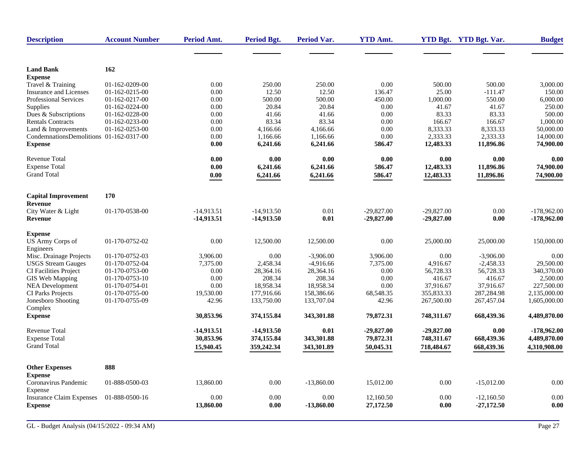| <b>Description</b>                      | <b>Account Number</b> | Period Amt.  | <b>Period Bgt.</b> | <b>Period Var.</b> | <b>YTD Amt.</b> |              | YTD Bgt. YTD Bgt. Var. | <b>Budget</b> |
|-----------------------------------------|-----------------------|--------------|--------------------|--------------------|-----------------|--------------|------------------------|---------------|
|                                         |                       |              |                    |                    |                 |              |                        |               |
| <b>Land Bank</b>                        | 162                   |              |                    |                    |                 |              |                        |               |
| <b>Expense</b>                          |                       |              |                    |                    |                 |              |                        |               |
| Travel & Training                       | 01-162-0209-00        | 0.00         | 250.00             | 250.00             | 0.00            | 500.00       | 500.00                 | 3,000.00      |
| <b>Insurance and Licenses</b>           | 01-162-0215-00        | 0.00         | 12.50              | 12.50              | 136.47          | 25.00        | $-111.47$              | 150.00        |
| <b>Professional Services</b>            | 01-162-0217-00        | 0.00         | 500.00             | 500.00             | 450.00          | 1,000.00     | 550.00                 | 6,000.00      |
| Supplies                                | 01-162-0224-00        | 0.00         | 20.84              | 20.84              | 0.00            | 41.67        | 41.67                  | 250.00        |
| Dues & Subscriptions                    | 01-162-0228-00        | 0.00         | 41.66              | 41.66              | 0.00            | 83.33        | 83.33                  | 500.00        |
| Rentals Contracts                       | 01-162-0233-00        | 0.00         | 83.34              | 83.34              | 0.00            | 166.67       | 166.67                 | 1,000.00      |
| Land & Improvements                     | 01-162-0253-00        | 0.00         | 4,166.66           | 4,166.66           | 0.00            | 8,333.33     | 8,333.33               | 50,000.00     |
| CondemnationsDemolitions 01-162-0317-00 |                       | 0.00         | 1,166.66           | 1,166.66           | 0.00            | 2,333.33     | 2,333.33               | 14,000.00     |
| <b>Expense</b>                          |                       | 0.00         | 6,241.66           | 6,241.66           | 586.47          | 12,483.33    | 11,896.86              | 74,900.00     |
| Revenue Total                           |                       | 0.00         | 0.00               | 0.00               | 0.00            | 0.00         | 0.00                   | 0.00          |
| <b>Expense Total</b>                    |                       | 0.00         | 6,241.66           | 6,241.66           | 586.47          | 12,483.33    | 11,896.86              | 74,900.00     |
| <b>Grand Total</b>                      |                       | 0.00         | 6,241.66           | 6,241.66           | 586.47          | 12,483.33    | 11,896.86              | 74,900.00     |
|                                         |                       |              |                    |                    |                 |              |                        |               |
| <b>Capital Improvement</b><br>Revenue   | 170                   |              |                    |                    |                 |              |                        |               |
| City Water & Light                      | 01-170-0538-00        | $-14.913.51$ | $-14.913.50$       | $0.01\,$           | $-29.827.00$    | $-29.827.00$ | 0.00                   | $-178.962.00$ |
| Revenue                                 |                       | -14,913.51   | $-14,913.50$       | 0.01               | $-29,827.00$    | $-29,827.00$ | 0.00                   | $-178,962.00$ |
| <b>Expense</b>                          |                       |              |                    |                    |                 |              |                        |               |
| US Army Corps of                        | 01-170-0752-02        | 0.00         | 12,500.00          | 12,500.00          | 0.00            | 25,000.00    | 25,000.00              | 150,000.00    |
| Engineers                               |                       |              |                    |                    |                 |              |                        |               |
| Misc. Drainage Projects                 | 01-170-0752-03        | 3,906.00     | 0.00               | $-3.906.00$        | 3,906.00        | 0.00         | $-3,906.00$            | 0.00          |
| <b>USGS Stream Gauges</b>               | 01-170-0752-04        | 7,375.00     | 2,458.34           | $-4,916.66$        | 7,375.00        | 4,916.67     | $-2,458.33$            | 29,500.00     |
| CI Facilities Project                   | 01-170-0753-00        | 0.00         | 28,364.16          | 28,364.16          | 0.00            | 56,728.33    | 56,728.33              | 340,370.00    |
| GIS Web Mapping                         | 01-170-0753-10        | 0.00         | 208.34             | 208.34             | 0.00            | 416.67       | 416.67                 | 2,500.00      |
| <b>NEA Development</b>                  | 01-170-0754-01        | 0.00         | 18,958.34          | 18,958.34          | 0.00            | 37,916.67    | 37,916.67              | 227,500.00    |
| <b>CI Parks Projects</b>                | 01-170-0755-00        | 19,530.00    | 177,916.66         | 158,386.66         | 68,548.35       | 355,833.33   | 287,284.98             | 2,135,000.00  |
| Jonesboro Shooting<br>Complex           | 01-170-0755-09        | 42.96        | 133,750.00         | 133,707.04         | 42.96           | 267,500.00   | 267,457.04             | 1,605,000.00  |
| <b>Expense</b>                          |                       | 30,853.96    | 374,155.84         | 343,301.88         | 79,872.31       | 748,311.67   | 668,439.36             | 4,489,870.00  |
| <b>Revenue Total</b>                    |                       | -14,913.51   | $-14,913.50$       | 0.01               | $-29,827.00$    | $-29,827.00$ | 0.00                   | $-178,962.00$ |
| <b>Expense Total</b>                    |                       | 30,853.96    | 374,155.84         | 343,301.88         | 79,872.31       | 748,311.67   | 668,439.36             | 4,489,870.00  |
| <b>Grand Total</b>                      |                       | 15,940.45    | 359,242.34         | 343,301.89         | 50,045.31       | 718,484.67   | 668,439.36             | 4,310,908.00  |
|                                         |                       |              |                    |                    |                 |              |                        |               |
| <b>Other Expenses</b>                   | 888                   |              |                    |                    |                 |              |                        |               |
| <b>Expense</b>                          |                       |              |                    |                    |                 |              |                        |               |
| Coronavirus Pandemic<br>Expense         | 01-888-0500-03        | 13,860.00    | 0.00               | $-13,860.00$       | 15,012.00       | 0.00         | $-15,012.00$           | 0.00          |
| <b>Insurance Claim Expenses</b>         | 01-888-0500-16        | 0.00         | 0.00               | 0.00               | 12,160.50       | 0.00         | $-12,160.50$           | 0.00          |
| <b>Expense</b>                          |                       | 13,860.00    | 0.00               | $-13,860.00$       | 27,172.50       | 0.00         | $-27,172.50$           | 0.00          |
|                                         |                       |              |                    |                    |                 |              |                        |               |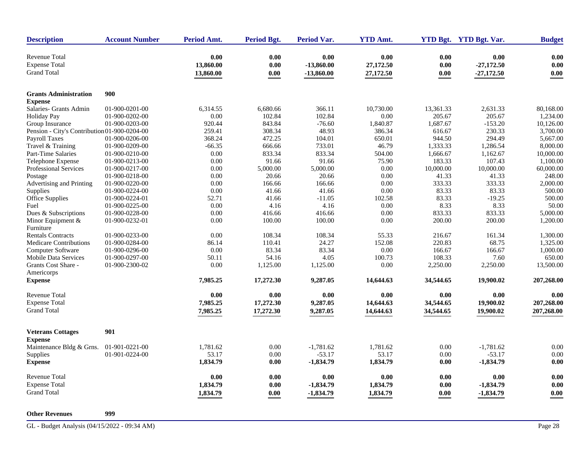| <b>Description</b>                                                 | <b>Account Number</b> | <b>Period Amt.</b>             | <b>Period Bgt.</b>   | Period Var.                          | <b>YTD Amt.</b>                |                      | YTD Bgt. YTD Bgt. Var.               | <b>Budget</b>        |
|--------------------------------------------------------------------|-----------------------|--------------------------------|----------------------|--------------------------------------|--------------------------------|----------------------|--------------------------------------|----------------------|
| <b>Revenue Total</b><br><b>Expense Total</b><br><b>Grand Total</b> |                       | 0.00<br>13,860.00<br>13,860.00 | 0.00<br>0.00<br>0.00 | 0.00<br>$-13,860.00$<br>$-13,860.00$ | 0.00<br>27,172.50<br>27,172.50 | 0.00<br>0.00<br>0.00 | 0.00<br>$-27,172.50$<br>$-27,172.50$ | 0.00<br>0.00<br>0.00 |
|                                                                    |                       |                                |                      |                                      |                                |                      |                                      |                      |
| <b>Grants Administration</b>                                       | 900                   |                                |                      |                                      |                                |                      |                                      |                      |
| <b>Expense</b>                                                     |                       |                                |                      |                                      |                                |                      |                                      |                      |
| Salaries- Grants Admin                                             | 01-900-0201-00        | 6,314.55                       | 6,680.66             | 366.11                               | 10,730.00                      | 13,361.33            | 2,631.33                             | 80,168.00            |
| <b>Holiday Pay</b>                                                 | 01-900-0202-00        | 0.00                           | 102.84               | 102.84                               | 0.00                           | 205.67               | 205.67                               | 1,234.00             |
| Group Insurance                                                    | 01-900-0203-00        | 920.44                         | 843.84               | $-76.60$                             | 1,840.87                       | 1,687.67             | $-153.20$                            | 10,126.00            |
| Pension - City's Contribution 01-900-0204-00                       |                       | 259.41                         | 308.34               | 48.93                                | 386.34                         | 616.67               | 230.33                               | 3,700.00             |
| <b>Payroll Taxes</b>                                               | 01-900-0206-00        | 368.24                         | 472.25               | 104.01                               | 650.01                         | 944.50               | 294.49                               | 5,667.00             |
| Travel & Training                                                  | 01-900-0209-00        | $-66.35$                       | 666.66               | 733.01                               | 46.79                          | 1,333.33             | 1,286.54                             | 8,000.00             |
| Part-Time Salaries                                                 | 01-900-0210-00        | 0.00                           | 833.34               | 833.34                               | 504.00                         | 1,666.67             | 1,162.67                             | 10,000.00            |
| Telephone Expense                                                  | 01-900-0213-00        | 0.00                           | 91.66                | 91.66                                | 75.90                          | 183.33               | 107.43                               | 1,100.00             |
| Professional Services                                              | 01-900-0217-00        | 0.00                           | 5,000.00             | 5,000.00                             | 0.00                           | 10,000.00            | 10,000.00                            | 60,000.00            |
| Postage                                                            | 01-900-0218-00        | 0.00                           | 20.66                | 20.66                                | 0.00                           | 41.33                | 41.33                                | 248.00               |
| Advertising and Printing                                           | 01-900-0220-00        | 0.00                           | 166.66               | 166.66                               | 0.00                           | 333.33               | 333.33                               | 2,000.00             |
| Supplies                                                           | 01-900-0224-00        | 0.00                           | 41.66                | 41.66                                | 0.00                           | 83.33                | 83.33                                | 500.00               |
| Office Supplies                                                    | 01-900-0224-01        | 52.71                          | 41.66                | $-11.05$                             | 102.58                         | 83.33                | $-19.25$                             | 500.00               |
| Fuel                                                               | 01-900-0225-00        | 0.00                           | 4.16                 | 4.16                                 | 0.00                           | 8.33                 | 8.33                                 | 50.00                |
| Dues & Subscriptions                                               | 01-900-0228-00        | 0.00                           | 416.66               | 416.66                               | 0.00                           | 833.33               | 833.33                               | 5,000.00             |
| Minor Equipment $&$                                                | 01-900-0232-01        | 0.00                           | 100.00               | 100.00                               | 0.00                           | 200.00               | 200.00                               | 1,200.00             |
| Furniture                                                          |                       |                                |                      |                                      |                                |                      |                                      |                      |
| <b>Rentals Contracts</b>                                           | 01-900-0233-00        | 0.00                           | 108.34               | 108.34                               | 55.33                          | 216.67               | 161.34                               | 1,300.00             |
| <b>Medicare Contributions</b>                                      | 01-900-0284-00        | 86.14                          | 110.41               | 24.27                                | 152.08                         | 220.83               | 68.75                                | 1,325.00             |
| Computer Software                                                  | 01-900-0296-00        | 0.00                           | 83.34                | 83.34                                | 0.00                           | 166.67               | 166.67                               | 1,000.00             |
| <b>Mobile Data Services</b>                                        | 01-900-0297-00        | 50.11                          | 54.16                | 4.05                                 | 100.73                         | 108.33               | 7.60                                 | 650.00               |
| Grants Cost Share -                                                | 01-900-2300-02        | 0.00                           | 1,125.00             | 1,125.00                             | 0.00                           | 2,250.00             | 2,250.00                             | 13,500.00            |
| Americorps<br><b>Expense</b>                                       |                       | 7,985.25                       | 17,272.30            | 9,287.05                             | 14,644.63                      | 34,544.65            | 19,900.02                            | 207,268.00           |
| <b>Revenue Total</b>                                               |                       | 0.00                           | 0.00                 | 0.00                                 | 0.00                           | 0.00                 | 0.00                                 | 0.00                 |
| <b>Expense Total</b>                                               |                       | 7,985.25                       | 17,272.30            | 9,287.05                             | 14,644.63                      | 34,544.65            | 19,900.02                            | 207,268.00           |
| <b>Grand Total</b>                                                 |                       |                                |                      |                                      |                                | 34,544.65            |                                      |                      |
|                                                                    |                       | 7,985.25                       | 17,272.30            | 9,287.05                             | 14,644.63                      |                      | 19,900.02                            | 207,268.00           |
| <b>Veterans Cottages</b>                                           | 901                   |                                |                      |                                      |                                |                      |                                      |                      |
| <b>Expense</b>                                                     |                       |                                |                      |                                      |                                |                      |                                      |                      |
| Maintenance Bldg & Grns.                                           | 01-901-0221-00        | 1,781.62                       | 0.00                 | $-1,781.62$                          | 1,781.62                       | 0.00                 | $-1,781.62$                          | 0.00                 |
| Supplies                                                           | 01-901-0224-00        | 53.17                          | 0.00                 | $-53.17$                             | 53.17                          | 0.00                 | $-53.17$                             | 0.00                 |
| <b>Expense</b>                                                     |                       | 1,834.79                       | 0.00                 | -1,834.79                            | 1,834.79                       | 0.00                 | $-1,834.79$                          | 0.00                 |
| <b>Revenue Total</b>                                               |                       | 0.00                           | 0.00                 | 0.00                                 | 0.00                           | 0.00                 | 0.00                                 | 0.00                 |
| <b>Expense Total</b>                                               |                       | 1,834.79                       | 0.00                 | $-1,834.79$                          | 1,834.79                       | 0.00                 | $-1,834.79$                          | 0.00                 |
| <b>Grand Total</b>                                                 |                       | 1,834.79                       | 0.00                 | -1,834.79                            | 1,834.79                       | 0.00                 | -1,834.79                            | 0.00                 |
| <b>Other Revenues</b>                                              | 999                   |                                |                      |                                      |                                |                      |                                      |                      |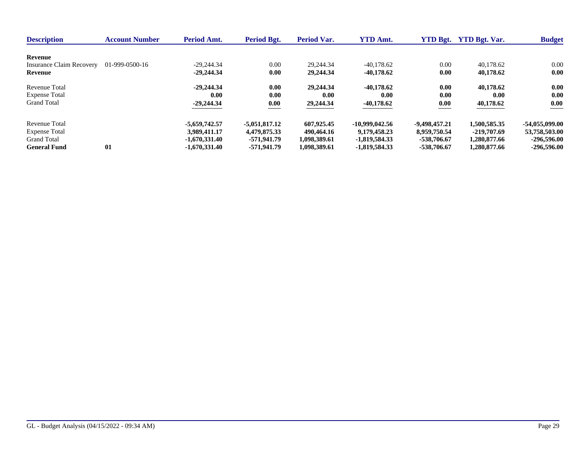| <b>Description</b>              | <b>Account Number</b> | <b>Period Amt.</b> | Period Bgt.     | <b>Period Var.</b> | <b>YTD Amt.</b>  | <b>YTD Bgt.</b> | <b>YTD Bet. Var.</b> | <b>Budget</b>    |
|---------------------------------|-----------------------|--------------------|-----------------|--------------------|------------------|-----------------|----------------------|------------------|
| Revenue                         |                       |                    |                 |                    |                  |                 |                      |                  |
| <b>Insurance Claim Recovery</b> | 01-999-0500-16        | $-29.244.34$       | 0.00            | 29.244.34          | $-40.178.62$     | 0.00            | 40.178.62            | 0.00             |
| Revenue                         |                       | $-29,244,34$       | 0.00            | 29,244.34          | $-40.178.62$     | 0.00            | 40,178.62            | 0.00             |
| Revenue Total                   |                       | $-29,244,34$       | 0.00            | 29.244.34          | $-40.178.62$     | 0.00            | 40,178.62            | 0.00             |
| <b>Expense Total</b>            |                       | 0.00               | 0.00            | 0.00               | 0.00             | 0.00            | 0.00                 | 0.00             |
| <b>Grand Total</b>              |                       | $-29,244.34$       | 0.00            | 29,244.34          | $-40,178.62$     | 0.00            | 40,178.62            | 0.00             |
| Revenue Total                   |                       | -5.659.742.57      | $-5,051,817,12$ | 607,925.45         | $-10.999.042.56$ | -9,498,457.21   | 1.500.585.35         | $-54.055.099.00$ |
| <b>Expense Total</b>            |                       | 3.989,411.17       | 4.479.875.33    | 490.464.16         | 9.179.458.23     | 8,959,750.54    | -219,707.69          | 53,758,503,00    |
| <b>Grand Total</b>              |                       | $-1.670.331.40$    | -571.941.79     | 1,098,389.61       | -1.819.584.33    | -538,706.67     | 1,280,877.66         | $-296,596,00$    |
| <b>General Fund</b>             | 01                    | $-1.670.331.40$    | -571,941.79     | 1.098.389.61       | -1,819,584.33    | -538,706.67     | 1.280.877.66         | $-296,596,00$    |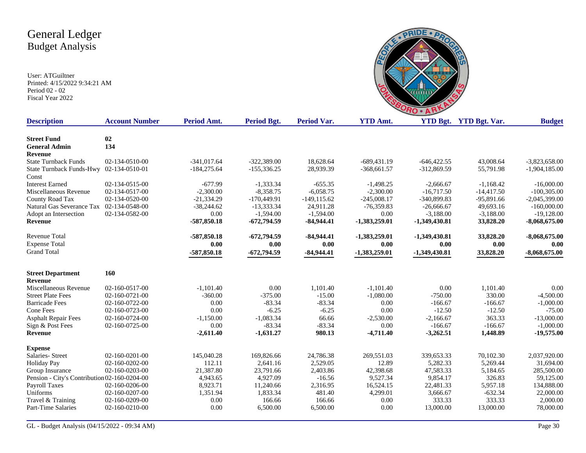

| <b>Description</b>                           | <b>Account Number</b> | Period Amt.   | Period Bgt.   | Period Var.    | <b>YTD Amt.</b> |                 | YTD Bgt. YTD Bgt. Var. | <b>Budget</b>   |
|----------------------------------------------|-----------------------|---------------|---------------|----------------|-----------------|-----------------|------------------------|-----------------|
| <b>Street Fund</b>                           |                       |               |               |                |                 |                 |                        |                 |
| <b>General Admin</b>                         | 02<br>134             |               |               |                |                 |                 |                        |                 |
| <b>Revenue</b>                               |                       |               |               |                |                 |                 |                        |                 |
| <b>State Turnback Funds</b>                  | 02-134-0510-00        | $-341,017.64$ | $-322,389.00$ | 18,628.64      | $-689,431.19$   | $-646,422.55$   | 43,008.64              | $-3,823,658.00$ |
| <b>State Turnback Funds-Hwy</b>              | 02-134-0510-01        | $-184,275.64$ | $-155,336.25$ | 28,939.39      | $-368,661.57$   | -312,869.59     | 55,791.98              | $-1,904,185.00$ |
| Const                                        |                       |               |               |                |                 |                 |                        |                 |
| <b>Interest Earned</b>                       | 02-134-0515-00        | $-677.99$     | $-1,333,34$   | $-655.35$      | $-1,498.25$     | $-2,666.67$     | $-1,168.42$            | $-16,000,00$    |
| Miscellaneous Revenue                        | 02-134-0517-00        | $-2,300.00$   | $-8,358.75$   | $-6,058.75$    | $-2,300.00$     | $-16,717.50$    | $-14,417.50$           | $-100,305.00$   |
| County Road Tax                              | 02-134-0520-00        | $-21,334.29$  | $-170,449.91$ | $-149, 115.62$ | $-245,008.17$   | -340,899.83     | $-95,891.66$           | $-2,045,399.00$ |
| Natural Gas Severance Tax                    | 02-134-0548-00        | $-38,244.62$  | $-13,333.34$  | 24,911.28      | $-76,359.83$    | $-26,666.67$    | 49,693.16              | $-160,000.00$   |
| Adopt an Intersection                        | 02-134-0582-00        | 0.00          | $-1,594.00$   | $-1,594.00$    | 0.00            | $-3,188.00$     | $-3,188.00$            | $-19,128.00$    |
| Revenue                                      |                       | $-587,850.18$ | -672,794.59   | $-84,944,41$   | $-1,383,259.01$ | -1,349,430.81   | 33,828.20              | $-8,068,675.00$ |
|                                              |                       |               |               |                |                 |                 |                        |                 |
| <b>Revenue Total</b>                         |                       | $-587,850.18$ | $-672,794.59$ | $-84,944.41$   | $-1,383,259.01$ | $-1,349,430.81$ | 33,828.20              | $-8,068,675.00$ |
| <b>Expense Total</b>                         |                       | 0.00          | 0.00          | 0.00           | 0.00            | 0.00            | 0.00                   | 0.00            |
| <b>Grand Total</b>                           |                       | $-587,850.18$ | $-672,794.59$ | $-84,944.41$   | $-1,383,259.01$ | $-1,349,430.81$ | 33,828.20              | $-8,068,675.00$ |
|                                              |                       |               |               |                |                 |                 |                        |                 |
| <b>Street Department</b>                     | 160                   |               |               |                |                 |                 |                        |                 |
| Revenue                                      |                       |               |               |                |                 |                 |                        |                 |
| Miscellaneous Revenue                        | 02-160-0517-00        | $-1,101.40$   | 0.00          | 1,101.40       | $-1,101.40$     | 0.00            | 1,101.40               | 0.00            |
| <b>Street Plate Fees</b>                     | 02-160-0721-00        | $-360.00$     | $-375.00$     | $-15.00$       | $-1,080.00$     | $-750.00$       | 330.00                 | $-4,500.00$     |
| <b>Barricade Fees</b>                        | 02-160-0722-00        | 0.00          | $-83.34$      | $-83.34$       | 0.00            | $-166.67$       | $-166.67$              | $-1,000.00$     |
| Cone Fees                                    | 02-160-0723-00        | 0.00          | $-6.25$       | $-6.25$        | 0.00            | $-12.50$        | $-12.50$               | $-75.00$        |
| <b>Asphalt Repair Fees</b>                   | 02-160-0724-00        | $-1,150.00$   | $-1,083.34$   | 66.66          | $-2,530.00$     | $-2,166.67$     | 363.33                 | $-13,000.00$    |
| Sign & Post Fees                             | 02-160-0725-00        | 0.00          | $-83.34$      | $-83.34$       | 0.00            | $-166.67$       | $-166.67$              | $-1,000.00$     |
| Revenue                                      |                       | $-2,611.40$   | $-1,631.27$   | 980.13         | $-4,711.40$     | $-3,262.51$     | 1,448.89               | $-19,575.00$    |
|                                              |                       |               |               |                |                 |                 |                        |                 |
| <b>Expense</b>                               |                       |               |               |                |                 |                 |                        |                 |
| Salaries- Street                             | 02-160-0201-00        | 145,040.28    | 169,826.66    | 24,786.38      | 269,551.03      | 339,653.33      | 70,102.30              | 2,037,920.00    |
| <b>Holiday Pay</b>                           | 02-160-0202-00        | 112.11        | 2,641.16      | 2,529.05       | 12.89           | 5,282.33        | 5,269.44               | 31,694.00       |
| Group Insurance                              | 02-160-0203-00        | 21,387.80     | 23,791.66     | 2,403.86       | 42,398.68       | 47,583.33       | 5,184.65               | 285,500.00      |
| Pension - City's Contribution 02-160-0204-00 |                       | 4,943.65      | 4,927.09      | $-16.56$       | 9,527.34        | 9,854.17        | 326.83                 | 59,125.00       |
| <b>Payroll Taxes</b>                         | 02-160-0206-00        | 8,923.71      | 11,240.66     | 2,316.95       | 16,524.15       | 22,481.33       | 5,957.18               | 134,888.00      |
| Uniforms                                     | 02-160-0207-00        | 1,351.94      | 1,833.34      | 481.40         | 4,299.01        | 3,666.67        | $-632.34$              | 22,000.00       |
| Travel & Training                            | 02-160-0209-00        | 0.00          | 166.66        | 166.66         | 0.00            | 333.33          | 333.33                 | 2,000.00        |
| Part-Time Salaries                           | 02-160-0210-00        | 0.00          | 6,500.00      | 6,500.00       | 0.00            | 13,000.00       | 13,000.00              | 78,000.00       |
|                                              |                       |               |               |                |                 |                 |                        |                 |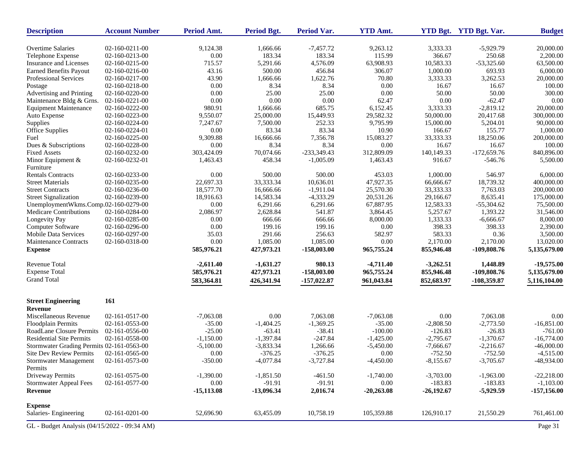| <b>Description</b>                           | <b>Account Number</b> | Period Amt.          | <b>Period Bgt.</b>       | Period Var.          | <b>YTD Amt.</b>      |                           | <b>YTD Bgt.</b> YTD Bgt. Var. | <b>Budget</b>                |
|----------------------------------------------|-----------------------|----------------------|--------------------------|----------------------|----------------------|---------------------------|-------------------------------|------------------------------|
| <b>Overtime Salaries</b>                     | 02-160-0211-00        | 9,124.38             | 1,666.66                 | $-7,457.72$          | 9,263.12             | 3,333.33                  | $-5,929.79$                   | 20,000.00                    |
| Telephone Expense                            | 02-160-0213-00        | 0.00                 | 183.34                   | 183.34               | 115.99               | 366.67                    | 250.68                        | 2,200.00                     |
| Insurance and Licenses                       | 02-160-0215-00        | 715.57               | 5,291.66                 | 4,576.09             | 63,908.93            | 10,583.33                 | $-53,325.60$                  | 63,500.00                    |
| <b>Earned Benefits Payout</b>                | 02-160-0216-00        | 43.16                | 500.00                   | 456.84               | 306.07               | 1,000.00                  | 693.93                        | 6,000.00                     |
| Professional Services                        | 02-160-0217-00        | 43.90                | 1,666.66                 | 1,622.76             | 70.80                | 3,333.33                  | 3,262.53                      | 20,000.00                    |
| Postage                                      | 02-160-0218-00        | 0.00                 | 8.34                     | 8.34                 | 0.00                 | 16.67                     | 16.67                         | 100.00                       |
| Advertising and Printing                     | 02-160-0220-00        | 0.00                 | 25.00                    | 25.00                | 0.00                 | 50.00                     | 50.00                         | 300.00                       |
| Maintenance Bldg & Grns.                     | 02-160-0221-00        | 0.00                 | 0.00                     | $0.00\,$             | 62.47                | 0.00                      | $-62.47$                      | 0.00                         |
| <b>Equipment Maintenance</b>                 | 02-160-0222-00        | 980.91               | 1,666.66                 | 685.75               | 6,152.45             | 3,333.33                  | $-2,819.12$                   | 20,000.00                    |
| Auto Expense                                 | 02-160-0223-00        | 9,550.07             | 25,000.00                | 15,449.93            | 29,582.32            | 50,000.00                 | 20,417.68                     | 300,000.00                   |
| Supplies                                     | 02-160-0224-00        | 7,247.67             | 7,500.00                 | 252.33               | 9,795.99             | 15,000.00                 | 5,204.01                      | 90,000.00                    |
| Office Supplies                              | 02-160-0224-01        | 0.00                 | 83.34                    | 83.34                | 10.90                | 166.67                    | 155.77                        | 1,000.00                     |
| Fuel                                         | 02-160-0225-00        | 9,309.88             | 16,666.66                | 7,356.78             | 15,083.27            | 33,333.33                 | 18,250.06                     | 200,000.00                   |
| Dues & Subscriptions                         | 02-160-0228-00        | 0.00                 | 8.34                     | 8.34                 | 0.00                 | 16.67                     | 16.67                         | 100.00                       |
| <b>Fixed Assets</b>                          | 02-160-0232-00        | 303,424.09           | 70,074.66                | $-233,349.43$        | 312,809.09           | 140,149.33                | $-172,659.76$                 | 840,896.00                   |
| Minor Equipment &<br>Furniture               | 02-160-0232-01        | 1,463.43             | 458.34                   | $-1,005.09$          | 1,463.43             | 916.67                    | $-546.76$                     | 5,500.00                     |
| <b>Rentals Contracts</b>                     | 02-160-0233-00        | 0.00                 | 500.00                   | 500.00               | 453.03               | 1.000.00                  | 546.97                        | 6,000.00                     |
| <b>Street Materials</b>                      | 02-160-0235-00        | 22,697.33            | 33,333.34                | 10,636.01            | 47,927.35            | 66,666.67                 | 18.739.32                     | 400,000.00                   |
| <b>Street Contracts</b>                      | 02-160-0236-00        | 18,577.70            | 16,666.66                | $-1,911.04$          | 25,570.30            | 33,333.33                 | 7,763.03                      | 200,000.00                   |
| <b>Street Signalization</b>                  | 02-160-0239-00        | 18,916.63            | 14,583.34                | $-4,333.29$          | 20,531.26            | 29,166.67                 | 8,635.41                      | 175,000.00                   |
| UnemploymentWkms.Comp.02-160-0279-00         |                       | 0.00                 | 6,291.66                 | 6,291.66             | 67,887.95            | 12,583.33                 | $-55,304.62$                  | 75,500.00                    |
| Medicare Contributions                       | 02-160-0284-00        | 2,086.97             | 2,628.84                 | 541.87               | 3,864.45             | 5,257.67                  | 1,393.22                      | 31,546.00                    |
| Longevity Pay                                | 02-160-0285-00        | 0.00                 | 666.66                   | 666.66               | 8,000.00             | 1,333.33                  | $-6,666.67$                   | 8,000.00                     |
| Computer Software                            | 02-160-0296-00        | 0.00                 | 199.16                   | 199.16               | 0.00                 | 398.33                    | 398.33                        | 2,390.00                     |
| <b>Mobile Data Services</b>                  | 02-160-0297-00        | 35.03                | 291.66                   | 256.63               | 582.97               | 583.33                    | 0.36                          | 3,500.00                     |
| Maintenance Contracts                        | 02-160-0318-00        | 0.00                 | 1,085.00                 | 1,085.00             | 0.00                 | 2,170.00                  | 2,170.00                      | 13,020.00                    |
| <b>Expense</b>                               |                       | 585,976.21           | 427,973.21               | $-158,003.00$        | 965,755.24           | 855,946.48                | $-109,808.76$                 | 5,135,679.00                 |
| Revenue Total                                |                       | $-2,611.40$          | $-1,631.27$              | 980.13               | $-4,711.40$          | $-3,262.51$               | 1,448.89                      | $-19,575.00$                 |
| <b>Expense Total</b>                         |                       | 585,976.21           | 427,973.21               | $-158,003.00$        | 965,755.24           | 855,946.48                | $-109,808.76$                 | 5,135,679.00                 |
| <b>Grand Total</b>                           |                       | 583,364.81           | 426,341.94               | $-157,022.87$        | 961,043.84           | 852,683.97                | $-108,359.87$                 | 5,116,104.00                 |
| <b>Street Engineering</b><br>Revenue         | 161                   |                      |                          |                      |                      |                           |                               |                              |
| Miscellaneous Revenue                        | 02-161-0517-00        | $-7,063.08$          | 0.00                     | 7,063.08             | $-7,063.08$          | 0.00                      | 7,063.08                      | 0.00                         |
| Floodplain Permits                           | 02-161-0553-00        | $-35.00$             | $-1,404.25$              | $-1,369.25$          | $-35.00$             | $-2,808.50$               | $-2,773.50$                   | $-16,851.00$                 |
| RoadLane Closure Permits                     | 02-161-0556-00        | $-25.00$             | $-63.41$                 | $-38.41$             | $-100.00$            | $-126.83$                 | $-26.83$                      | $-761.00$                    |
| <b>Residential Site Permits</b>              | 02-161-0558-00        | $-1,150.00$          | $-1,397.84$              | $-247.84$            | $-1,425.00$          | $-2,795.67$               | $-1,370.67$                   | $-16,774.00$                 |
| Stormwater Grading Permits 02-161-0563-00    |                       | $-5,100.00$          | $-3,833.34$              | 1,266.66             | $-5,450.00$          | $-7,666.67$               | $-2,216.67$                   | $-46,000.00$                 |
| <b>Site Dev Review Permits</b>               | 02-161-0565-00        | 0.00                 | $-376.25$                | $-376.25$            | 0.00                 | $-752.50$                 | $-752.50$                     | $-4,515.00$                  |
| <b>Stormwater Management</b>                 | 02-161-0573-00        | $-350.00$            | $-4,077.84$              | $-3,727.84$          | $-4,450.00$          | $-8,155.67$               | $-3,705.67$                   | $-48,934.00$                 |
| Permits                                      |                       |                      |                          |                      |                      |                           |                               |                              |
| Driveway Permits                             | 02-161-0575-00        | $-1,390.00$          | $-1,851.50$              | $-461.50$            | $-1,740.00$          | $-3,703.00$               | $-1,963.00$                   | $-22,218.00$                 |
| <b>Stormwater Appeal Fees</b><br>Revenue     | 02-161-0577-00        | 0.00<br>$-15,113.08$ | $-91.91$<br>$-13,096.34$ | $-91.91$<br>2,016.74 | 0.00<br>$-20,263.08$ | $-183.83$<br>$-26,192.67$ | $-183.83$<br>$-5,929.59$      | $-1,103.00$<br>$-157,156.00$ |
| <b>Expense</b>                               |                       |                      |                          |                      |                      |                           |                               |                              |
| Salaries-Engineering                         | 02-161-0201-00        | 52,696.90            | 63,455.09                | 10,758.19            | 105,359.88           | 126,910.17                | 21,550.29                     | 761,461.00                   |
| GL - Budget Analysis (04/15/2022 - 09:34 AM) |                       |                      |                          |                      |                      |                           |                               | Page 31                      |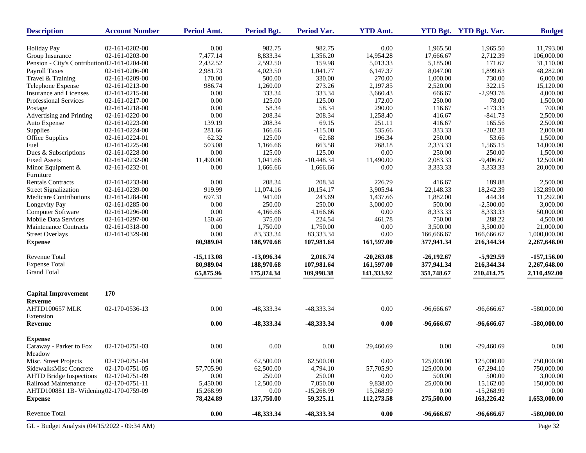| <b>Description</b>                           | <b>Account Number</b> | Period Amt.  | <b>Period Bgt.</b> | <b>Period Var.</b> | <b>YTD Amt.</b> |              | YTD Bgt. YTD Bgt. Var. | <b>Budget</b> |
|----------------------------------------------|-----------------------|--------------|--------------------|--------------------|-----------------|--------------|------------------------|---------------|
| <b>Holiday Pay</b>                           | 02-161-0202-00        | 0.00         | 982.75             | 982.75             | 0.00            | 1.965.50     | 1.965.50               | 11,793.00     |
| Group Insurance                              | 02-161-0203-00        | 7,477.14     | 8,833.34           | 1,356.20           | 14,954.28       | 17,666.67    | 2,712.39               | 106,000.00    |
| Pension - City's Contribution 02-161-0204-00 |                       | 2,432.52     | 2,592.50           | 159.98             | 5,013.33        | 5,185.00     | 171.67                 | 31,110.00     |
| Payroll Taxes                                | 02-161-0206-00        | 2,981.73     | 4,023.50           | 1,041.77           | 6,147.37        | 8,047.00     | 1,899.63               | 48,282.00     |
| Travel & Training                            | 02-161-0209-00        | 170.00       | 500.00             | 330.00             | 270.00          | 1,000.00     | 730.00                 | 6,000.00      |
| Telephone Expense                            | 02-161-0213-00        | 986.74       | 1,260.00           | 273.26             | 2,197.85        | 2,520.00     | 322.15                 | 15,120.00     |
| Insurance and Licenses                       | 02-161-0215-00        | 0.00         | 333.34             | 333.34             | 3,660.43        | 666.67       | $-2,993.76$            | 4,000.00      |
| Professional Services                        | 02-161-0217-00        | 0.00         | 125.00             | 125.00             | 172.00          | 250.00       | 78.00                  | 1,500.00      |
| Postage                                      | 02-161-0218-00        | 0.00         | 58.34              | 58.34              | 290.00          | 116.67       | $-173.33$              | 700.00        |
| Advertising and Printing                     | 02-161-0220-00        | 0.00         | 208.34             | 208.34             | 1,258.40        | 416.67       | $-841.73$              | 2,500.00      |
| Auto Expense                                 | 02-161-0223-00        | 139.19       | 208.34             | 69.15              | 251.11          | 416.67       | 165.56                 | 2,500.00      |
| Supplies                                     | 02-161-0224-00        | 281.66       | 166.66             | $-115.00$          | 535.66          | 333.33       | $-202.33$              | 2,000.00      |
| Office Supplies                              | 02-161-0224-01        | 62.32        | 125.00             | 62.68              | 196.34          | 250.00       | 53.66                  | 1,500.00      |
| Fuel                                         | 02-161-0225-00        | 503.08       | 1,166.66           | 663.58             | 768.18          | 2,333.33     | 1,565.15               | 14,000.00     |
| Dues & Subscriptions                         | 02-161-0228-00        | 0.00         | 125.00             | 125.00             | 0.00            | 250.00       | 250.00                 | 1,500.00      |
| <b>Fixed Assets</b>                          | 02-161-0232-00        | 11,490.00    | 1,041.66           | $-10,448.34$       | 11,490.00       | 2,083.33     | $-9,406.67$            | 12,500.00     |
| Minor Equipment &                            | 02-161-0232-01        | 0.00         | 1,666.66           | 1,666.66           | 0.00            | 3,333.33     | 3,333.33               | 20,000.00     |
| Furniture                                    |                       |              |                    |                    |                 |              |                        |               |
| <b>Rentals Contracts</b>                     | 02-161-0233-00        | 0.00         | 208.34             | 208.34             | 226.79          | 416.67       | 189.88                 | 2,500.00      |
| <b>Street Signalization</b>                  | 02-161-0239-00        | 919.99       | 11,074.16          | 10,154.17          | 3,905.94        | 22,148.33    | 18,242.39              | 132,890.00    |
| Medicare Contributions                       | 02-161-0284-00        | 697.31       | 941.00             | 243.69             | 1,437.66        | 1,882.00     | 444.34                 | 11,292.00     |
| Longevity Pay                                | 02-161-0285-00        | 0.00         | 250.00             | 250.00             | 3,000.00        | 500.00       | $-2,500.00$            | 3,000.00      |
| Computer Software                            | 02-161-0296-00        | 0.00         | 4,166.66           | 4,166.66           | 0.00            | 8,333.33     | 8,333.33               | 50,000.00     |
| <b>Mobile Data Services</b>                  | 02-161-0297-00        | 150.46       | 375.00             | 224.54             | 461.78          | 750.00       | 288.22                 | 4,500.00      |
| Maintenance Contracts                        | 02-161-0318-00        | 0.00         | 1,750.00           | 1,750.00           | 0.00            | 3,500.00     | 3,500.00               | 21,000.00     |
| <b>Street Overlays</b>                       | 02-161-0329-00        | 0.00         | 83,333.34          | 83,333.34          | 0.00            | 166,666.67   | 166,666.67             | 1,000,000.00  |
| <b>Expense</b>                               |                       | 80,989.04    | 188,970.68         | 107,981.64         | 161,597.00      | 377,941.34   | 216,344.34             | 2,267,648.00  |
| <b>Revenue Total</b>                         |                       | $-15,113.08$ | $-13,096.34$       | 2,016.74           | $-20,263.08$    | $-26,192.67$ | $-5,929.59$            | $-157,156.00$ |
| <b>Expense Total</b>                         |                       | 80,989.04    | 188,970.68         | 107,981.64         | 161,597.00      | 377,941.34   | 216,344.34             | 2,267,648.00  |
| <b>Grand Total</b>                           |                       | 65,875.96    | 175,874.34         | 109,998.38         | 141,333.92      | 351,748.67   | 210,414.75             | 2,110,492.00  |
| <b>Capital Improvement</b>                   | 170                   |              |                    |                    |                 |              |                        |               |
| Revenue<br>AHTD100657 MLK<br>Extension       | 02-170-0536-13        | 0.00         | -48,333.34         | -48,333.34         | 0.00            | $-96,666.67$ | $-96,666.67$           | $-580,000.00$ |
| Revenue                                      |                       | 0.00         | -48,333.34         | -48,333.34         | 0.00            | -96,666.67   | -96,666.67             | $-580,000.00$ |
| <b>Expense</b>                               |                       |              |                    |                    |                 |              |                        |               |
| Caraway - Parker to Fox                      | 02-170-0751-03        | 0.00         | 0.00               | 0.00               | 29,460.69       | 0.00         | $-29,460.69$           | 0.00          |
| Meadow                                       |                       |              |                    |                    |                 |              |                        |               |
| Misc. Street Projects                        | 02-170-0751-04        | 0.00         | 62,500.00          | 62,500.00          | 0.00            | 125,000.00   | 125,000.00             | 750,000.00    |
| SidewalksMisc Concrete                       | 02-170-0751-05        | 57,705.90    | 62,500.00          | 4,794.10           | 57,705.90       | 125,000.00   | 67,294.10              | 750,000.00    |
| <b>AHTD Bridge Inspections</b>               | 02-170-0751-09        | 0.00         | 250.00             | 250.00             | 0.00            | 500.00       | 500.00                 | 3,000.00      |
| Railroad Maintenance                         | 02-170-0751-11        | 5,450.00     | 12,500.00          | 7,050.00           | 9,838.00        | 25,000.00    | 15,162.00              | 150,000.00    |
| AHTD100881 1B- Widening02-170-0759-09        |                       | 15,268.99    | 0.00               | $-15,268.99$       | 15,268.99       | 0.00         | $-15,268.99$           | 0.00          |
| <b>Expense</b>                               |                       | 78,424.89    | 137,750.00         | 59,325.11          | 112,273.58      | 275,500.00   | 163,226.42             | 1,653,000.00  |
| Revenue Total                                |                       | $0.00\,$     | -48,333.34         | -48,333.34         | 0.00            | $-96,666.67$ | -96,666.67             | $-580,000.00$ |
| GL - Budget Analysis (04/15/2022 - 09:34 AM) |                       |              |                    |                    |                 |              |                        | Page 32       |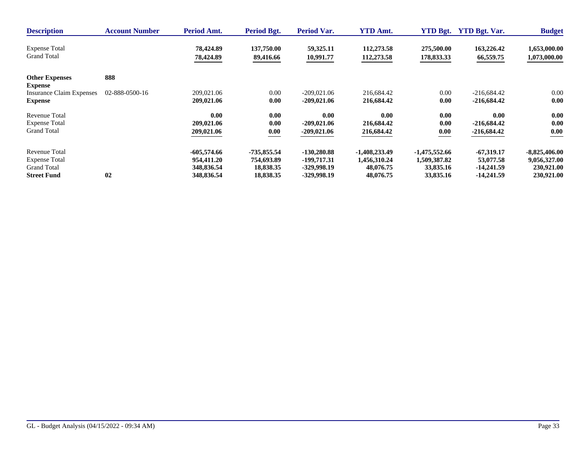| <b>Description</b>                      | <b>Account Number</b> | Period Amt.   | Period Bgt.   | <b>Period Var.</b> | <b>YTD Amt.</b> | <b>YTD Bgt.</b> | <b>YTD Bgt. Var.</b> | <b>Budget</b>   |
|-----------------------------------------|-----------------------|---------------|---------------|--------------------|-----------------|-----------------|----------------------|-----------------|
| <b>Expense Total</b>                    |                       | 78,424.89     | 137,750.00    | 59,325.11          | 112,273.58      | 275,500.00      | 163,226.42           | 1,653,000.00    |
| <b>Grand Total</b>                      |                       | 78,424.89     | 89,416.66     | 10,991.77          | 112,273.58      | 178,833.33      | 66,559.75            | 1,073,000.00    |
| <b>Other Expenses</b><br><b>Expense</b> | 888                   |               |               |                    |                 |                 |                      |                 |
| <b>Insurance Claim Expenses</b>         | 02-888-0500-16        | 209,021.06    | 0.00          | $-209.021.06$      | 216,684.42      | 0.00            | $-216,684.42$        | 0.00            |
| <b>Expense</b>                          |                       | 209,021.06    | 0.00          | $-209,021.06$      | 216,684.42      | 0.00            | $-216,684.42$        | 0.00            |
| Revenue Total                           |                       | 0.00          | 0.00          | 0.00               | 0.00            | 0.00            | 0.00                 | 0.00            |
| <b>Expense Total</b>                    |                       | 209,021.06    | 0.00          | $-209,021.06$      | 216,684.42      | 0.00            | $-216,684.42$        | 0.00            |
| <b>Grand Total</b>                      |                       | 209,021.06    | 0.00          | $-209,021.06$      | 216,684.42      | 0.00            | $-216,684.42$        | 0.00            |
| <b>Revenue Total</b>                    | 02                    | $-605,574.66$ | $-735,855.54$ | $-130,280.88$      | $-1,408,233.49$ | $-1,475,552.66$ | $-67,319,17$         | $-8,825,406.00$ |
| <b>Expense Total</b>                    |                       | 954,411.20    | 754,693.89    | -199,717.31        | 1,456,310.24    | 1,509,387.82    | 53,077.58            | 9,056,327.00    |
| <b>Grand Total</b>                      |                       | 348,836.54    | 18,838.35     | -329,998.19        | 48,076.75       | 33,835.16       | -14,241.59           | 230,921.00      |
| <b>Street Fund</b>                      |                       | 348,836.54    | 18,838.35     | -329,998.19        | 48,076.75       | 33,835.16       | -14,241.59           | 230,921.00      |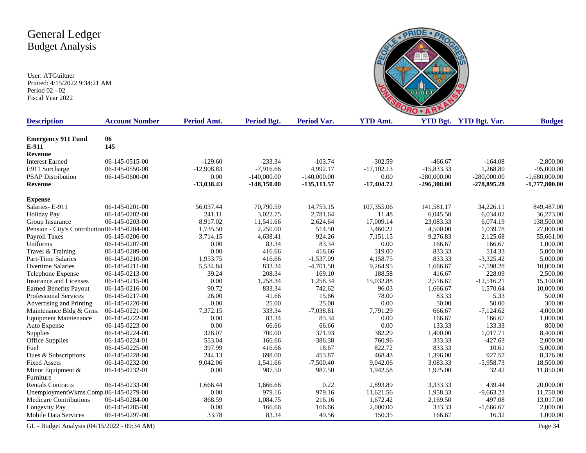User: ATGuiltner Printed: 4/15/2022 9:34:21 AM Period 02 - 02 Fiscal Year 2022



| <b>Description</b>                           | <b>Account Number</b> | Period Amt.  | <b>Period Bgt.</b> | <b>Period Var.</b> | <b>YTD Amt.</b> |               | <b>YTD Bgt.</b> YTD Bgt. Var. | <b>Budget</b>   |
|----------------------------------------------|-----------------------|--------------|--------------------|--------------------|-----------------|---------------|-------------------------------|-----------------|
| <b>Emergency 911 Fund</b>                    | 06                    |              |                    |                    |                 |               |                               |                 |
| E-911                                        | 145                   |              |                    |                    |                 |               |                               |                 |
| Revenue                                      |                       |              |                    |                    |                 |               |                               |                 |
| <b>Interest Earned</b>                       | 06-145-0515-00        | $-129.60$    | $-233.34$          | $-103.74$          | $-302.59$       | $-466.67$     | $-164.08$                     | $-2,800.00$     |
| E911 Surcharge                               | 06-145-0550-00        | $-12,908.83$ | $-7,916.66$        | 4,992.17           | $-17,102.13$    | $-15,833.33$  | 1,268.80                      | $-95,000.00$    |
| <b>PSAP Distribution</b>                     | 06-145-0600-00        | 0.00         | $-140,000.00$      | $-140,000.00$      | 0.00            | $-280,000.00$ | $-280,000.00$                 | $-1,680,000.00$ |
| <b>Revenue</b>                               |                       | $-13,038.43$ | $-148,150.00$      | $-135, 111.57$     | $-17,404.72$    | $-296,300.00$ | $-278,895.28$                 | $-1,777,800.00$ |
| <b>Expense</b>                               |                       |              |                    |                    |                 |               |                               |                 |
| Salaries-E-911                               | 06-145-0201-00        | 56,037.44    | 70,790.59          | 14,753.15          | 107,355.06      | 141,581.17    | 34,226.11                     | 849,487.00      |
| <b>Holiday Pay</b>                           | 06-145-0202-00        | 241.11       | 3,022.75           | 2,781.64           | 11.48           | 6,045.50      | 6,034.02                      | 36,273.00       |
| Group Insurance                              | 06-145-0203-00        | 8,917.02     | 11,541.66          | 2,624.64           | 17,009.14       | 23,083.33     | 6,074.19                      | 138,500.00      |
| Pension - City's Contribution 06-145-0204-00 |                       | 1,735.50     | 2,250.00           | 514.50             | 3,460.22        | 4,500.00      | 1,039.78                      | 27,000.00       |
| Payroll Taxes                                | 06-145-0206-00        | 3,714.15     | 4,638.41           | 924.26             | 7,151.15        | 9,276.83      | 2,125.68                      | 55,661.00       |
| Uniforms                                     | 06-145-0207-00        | 0.00         | 83.34              | 83.34              | 0.00            | 166.67        | 166.67                        | 1,000.00        |
| Travel & Training                            | 06-145-0209-00        | 0.00         | 416.66             | 416.66             | 319.00          | 833.33        | 514.33                        | 5,000.00        |
| <b>Part-Time Salaries</b>                    | 06-145-0210-00        | 1,953.75     | 416.66             | $-1,537.09$        | 4,158.75        | 833.33        | $-3,325.42$                   | 5,000.00        |
| <b>Overtime Salaries</b>                     | 06-145-0211-00        | 5,534.84     | 833.34             | $-4,701.50$        | 9,264.95        | 1,666.67      | $-7,598.28$                   | 10,000.00       |
| Telephone Expense                            | 06-145-0213-00        | 39.24        | 208.34             | 169.10             | 188.58          | 416.67        | 228.09                        | 2,500.00        |
| <b>Insurance and Licenses</b>                | 06-145-0215-00        | 0.00         | 1,258.34           | 1,258.34           | 15,032.88       | 2,516.67      | $-12,516.21$                  | 15,100.00       |
| <b>Earned Benefits Payout</b>                | 06-145-0216-00        | 90.72        | 833.34             | 742.62             | 96.03           | 1,666.67      | 1,570.64                      | 10,000.00       |
| Professional Services                        | 06-145-0217-00        | 26.00        | 41.66              | 15.66              | 78.00           | 83.33         | 5.33                          | 500.00          |
| Advertising and Printing                     | 06-145-0220-00        | 0.00         | 25.00              | 25.00              | 0.00            | 50.00         | 50.00                         | 300.00          |
| Maintenance Bldg & Grns.                     | 06-145-0221-00        | 7,372.15     | 333.34             | $-7,038.81$        | 7,791.29        | 666.67        | $-7,124.62$                   | 4,000.00        |
| <b>Equipment Maintenance</b>                 | 06-145-0222-00        | 0.00         | 83.34              | 83.34              | 0.00            | 166.67        | 166.67                        | 1,000.00        |
| Auto Expense                                 | 06-145-0223-00        | 0.00         | 66.66              | 66.66              | 0.00            | 133.33        | 133.33                        | 800.00          |
| Supplies                                     | 06-145-0224-00        | 328.07       | 700.00             | 371.93             | 382.29          | 1,400.00      | 1,017.71                      | 8,400.00        |
| <b>Office Supplies</b>                       | 06-145-0224-01        | 553.04       | 166.66             | $-386.38$          | 760.96          | 333.33        | $-427.63$                     | 2,000.00        |
| Fuel                                         | 06-145-0225-00        | 397.99       | 416.66             | 18.67              | 822.72          | 833.33        | 10.61                         | 5,000.00        |
| Dues & Subscriptions                         | 06-145-0228-00        | 244.13       | 698.00             | 453.87             | 468.43          | 1,396.00      | 927.57                        | 8,376.00        |
| <b>Fixed Assets</b>                          | 06-145-0232-00        | 9,042.06     | 1,541.66           | $-7,500.40$        | 9,042.06        | 3,083.33      | $-5,958.73$                   | 18,500.00       |
| Minor Equipment &                            | 06-145-0232-01        | 0.00         | 987.50             | 987.50             | 1,942.58        | 1,975.00      | 32.42                         | 11,850.00       |
| Furniture                                    |                       |              |                    |                    |                 |               |                               |                 |
| <b>Rentals Contracts</b>                     | 06-145-0233-00        | 1,666.44     | 1,666.66           | 0.22               | 2,893.89        | 3,333.33      | 439.44                        | 20,000.00       |
| UnemploymentWkms.Comp.06-145-0279-00         |                       | 0.00         | 979.16             | 979.16             | 11,621.56       | 1,958.33      | $-9,663.23$                   | 11,750.00       |
| <b>Medicare Contributions</b>                | 06-145-0284-00        | 868.59       | 1,084.75           | 216.16             | 1,672.42        | 2,169.50      | 497.08                        | 13,017.00       |
| <b>Longevity Pay</b>                         | 06-145-0285-00        | 0.00         | 166.66             | 166.66             | 2,000.00        | 333.33        | $-1,666.67$                   | 2,000.00        |
| Mobile Data Services                         | 06-145-0297-00        | 33.78        | 83.34              | 49.56              | 150.35          | 166.67        | 16.32                         | 1,000.00        |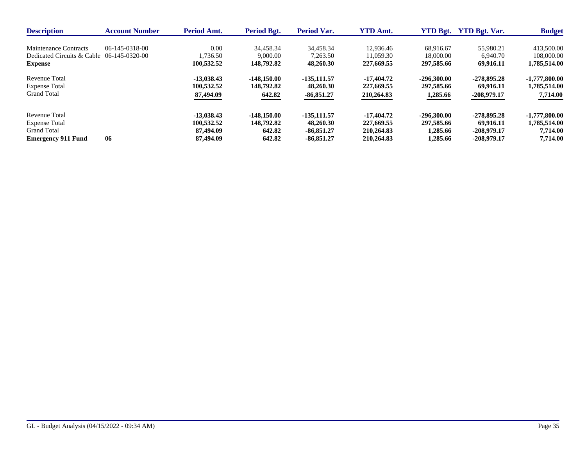| <b>Description</b>                        | <b>Account Number</b> | <b>Period Amt.</b> | Period Bgt.   | <b>Period Var.</b> | <b>YTD Amt.</b> | <b>YTD Bgt.</b> | <b>YTD Bgt. Var.</b> | <b>Budget</b>   |
|-------------------------------------------|-----------------------|--------------------|---------------|--------------------|-----------------|-----------------|----------------------|-----------------|
| Maintenance Contracts                     | 06-145-0318-00        | 0.00               | 34.458.34     | 34.458.34          | 12.936.46       | 68,916.67       | 55,980.21            | 413,500.00      |
| Dedicated Circuits & Cable 06-145-0320-00 |                       | 1,736.50           | 9,000.00      | 7.263.50           | 11.059.30       | 18,000.00       | 6,940.70             | 108,000.00      |
| <b>Expense</b>                            |                       | 100,532.52         | 148.792.82    | 48,260.30          | 227,669.55      | 297,585.66      | 69.916.11            | 1,785,514.00    |
| Revenue Total                             |                       | $-13.038.43$       | $-148,150.00$ | -135,111.57        | $-17,404.72$    | $-296,300.00$   | $-278.895.28$        | $-1,777,800.00$ |
| <b>Expense Total</b>                      |                       | 100.532.52         | 148,792.82    | 48,260.30          | 227,669.55      | 297,585.66      | 69.916.11            | 1,785,514.00    |
| <b>Grand Total</b>                        |                       | 87,494.09          | 642.82        | $-86,851.27$       | 210,264.83      | 1,285.66        | $-208,979.17$        | 7,714.00        |
| Revenue Total                             |                       | $-13.038.43$       | $-148.150.00$ | -135,111.57        | $-17,404.72$    | $-296,300.00$   | $-278.895.28$        | $-1,777,800.00$ |
| <b>Expense Total</b>                      |                       | 100.532.52         | 148,792.82    | 48,260.30          | 227,669.55      | 297,585.66      | 69.916.11            | 1,785,514.00    |
| <b>Grand Total</b>                        |                       | 87,494.09          | 642.82        | $-86.851.27$       | 210,264.83      | 1,285.66        | $-208.979.17$        | 7,714.00        |
| <b>Emergency 911 Fund</b>                 | 06                    | 87,494.09          | 642.82        | $-86.851.27$       | 210,264.83      | 1,285.66        | -208.979.17          | 7,714.00        |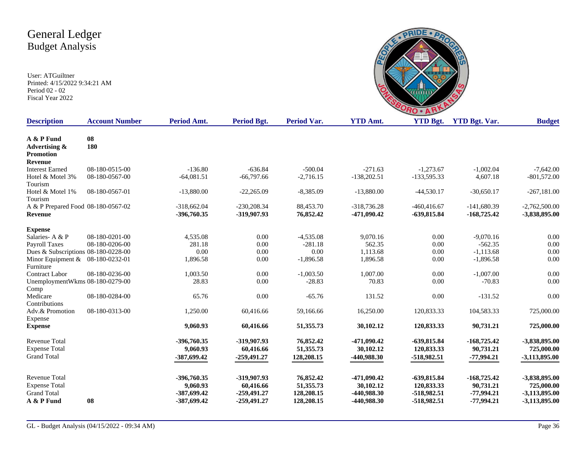|         | PRO                    |       |
|---------|------------------------|-------|
| $A = 4$ | $VT \mathbf{D} \sim 4$ | VTD D |

| A & P Fund<br>08<br>180<br>Advertising &<br><b>Promotion</b><br><b>Revenue</b><br>08-180-0515-00<br>$-136.80$<br>$-636.84$<br>$-500.04$<br>$-271.63$<br>$-1,273.67$<br>$-1,002.04$<br><b>Interest Earned</b><br>$-64,081.51$<br>$-66,797.66$<br>$-2,716.15$<br>$-138,202.51$<br>4,607.18<br>Hotel & Motel 3%<br>08-180-0567-00<br>-133,595.33<br>Tourism<br>Hotel & Motel 1%<br>08-180-0567-01<br>$-13,880.00$<br>$-22,265.09$<br>$-8,385.09$<br>$-13,880.00$<br>$-44,530.17$<br>$-30,650.17$<br>Tourism<br>A & P Prepared Food 08-180-0567-02<br>$-230.208.34$<br>88,453.70<br>$-318,736.28$<br>$-460, 416, 67$<br>$-141,680.39$<br>$-318,662.04$<br>-396,760.35<br>-319,907.93<br>76,852.42<br>$-471,090.42$<br>-639,815.84<br>$-168,725.42$<br>Revenue |                 |
|-----------------------------------------------------------------------------------------------------------------------------------------------------------------------------------------------------------------------------------------------------------------------------------------------------------------------------------------------------------------------------------------------------------------------------------------------------------------------------------------------------------------------------------------------------------------------------------------------------------------------------------------------------------------------------------------------------------------------------------------------------------|-----------------|
|                                                                                                                                                                                                                                                                                                                                                                                                                                                                                                                                                                                                                                                                                                                                                           |                 |
|                                                                                                                                                                                                                                                                                                                                                                                                                                                                                                                                                                                                                                                                                                                                                           |                 |
|                                                                                                                                                                                                                                                                                                                                                                                                                                                                                                                                                                                                                                                                                                                                                           |                 |
|                                                                                                                                                                                                                                                                                                                                                                                                                                                                                                                                                                                                                                                                                                                                                           |                 |
|                                                                                                                                                                                                                                                                                                                                                                                                                                                                                                                                                                                                                                                                                                                                                           | $-7,642.00$     |
|                                                                                                                                                                                                                                                                                                                                                                                                                                                                                                                                                                                                                                                                                                                                                           | $-801,572.00$   |
|                                                                                                                                                                                                                                                                                                                                                                                                                                                                                                                                                                                                                                                                                                                                                           |                 |
|                                                                                                                                                                                                                                                                                                                                                                                                                                                                                                                                                                                                                                                                                                                                                           | $-267,181.00$   |
|                                                                                                                                                                                                                                                                                                                                                                                                                                                                                                                                                                                                                                                                                                                                                           |                 |
|                                                                                                                                                                                                                                                                                                                                                                                                                                                                                                                                                                                                                                                                                                                                                           | $-2,762,500.00$ |
|                                                                                                                                                                                                                                                                                                                                                                                                                                                                                                                                                                                                                                                                                                                                                           | -3,838,895.00   |
| <b>Expense</b>                                                                                                                                                                                                                                                                                                                                                                                                                                                                                                                                                                                                                                                                                                                                            |                 |
| Salaries-A & P<br>08-180-0201-00<br>0.00<br>9,070.16<br>0.00<br>$-9,070.16$<br>4,535.08<br>$-4,535.08$                                                                                                                                                                                                                                                                                                                                                                                                                                                                                                                                                                                                                                                    | 0.00            |
| 562.35<br>Payroll Taxes<br>08-180-0206-00<br>281.18<br>0.00<br>$-281.18$<br>0.00<br>$-562.35$                                                                                                                                                                                                                                                                                                                                                                                                                                                                                                                                                                                                                                                             | 0.00            |
| 0.00<br>0.00<br>1,113.68<br>$-1,113.68$<br>Dues & Subscriptions 08-180-0228-00<br>0.00<br>0.00                                                                                                                                                                                                                                                                                                                                                                                                                                                                                                                                                                                                                                                            | 0.00            |
| 1,896.58<br>0.00<br>$-1,896.58$<br>1,896.58<br>0.00<br>$-1,896.58$<br>Minor Equipment & 08-180-0232-01                                                                                                                                                                                                                                                                                                                                                                                                                                                                                                                                                                                                                                                    | 0.00            |
| Furniture                                                                                                                                                                                                                                                                                                                                                                                                                                                                                                                                                                                                                                                                                                                                                 |                 |
| <b>Contract Labor</b><br>08-180-0236-00<br>1,003.50<br>0.00<br>$-1,003.50$<br>1,007.00<br>0.00<br>$-1,007.00$                                                                                                                                                                                                                                                                                                                                                                                                                                                                                                                                                                                                                                             | 0.00            |
| UnemploymentWkms 08-180-0279-00<br>28.83<br>0.00<br>$-28.83$<br>70.83<br>0.00<br>$-70.83$                                                                                                                                                                                                                                                                                                                                                                                                                                                                                                                                                                                                                                                                 | 0.00            |
| Comp                                                                                                                                                                                                                                                                                                                                                                                                                                                                                                                                                                                                                                                                                                                                                      |                 |
| Medicare<br>08-180-0284-00<br>65.76<br>0.00<br>$-65.76$<br>131.52<br>0.00<br>$-131.52$                                                                                                                                                                                                                                                                                                                                                                                                                                                                                                                                                                                                                                                                    | 0.00            |
| Contributions                                                                                                                                                                                                                                                                                                                                                                                                                                                                                                                                                                                                                                                                                                                                             |                 |
| Adv.& Promotion<br>08-180-0313-00<br>1,250.00<br>60,416.66<br>59,166.66<br>16,250.00<br>120,833.33<br>104,583.33                                                                                                                                                                                                                                                                                                                                                                                                                                                                                                                                                                                                                                          | 725,000.00      |
| Expense                                                                                                                                                                                                                                                                                                                                                                                                                                                                                                                                                                                                                                                                                                                                                   |                 |
| 90,731.21<br>9,060.93<br>60,416.66<br>51,355.73<br>30,102.12<br>120,833.33<br><b>Expense</b>                                                                                                                                                                                                                                                                                                                                                                                                                                                                                                                                                                                                                                                              | 725,000.00      |
| <b>Revenue Total</b><br>-396,760.35<br>-319,907.93<br>76,852.42<br>$-471,090.42$<br>$-639,815.84$<br>$-168,725.42$                                                                                                                                                                                                                                                                                                                                                                                                                                                                                                                                                                                                                                        | -3,838,895.00   |
| <b>Expense Total</b><br>9,060.93<br>60,416.66<br>51,355.73<br>30,102.12<br>120,833.33<br>90,731.21                                                                                                                                                                                                                                                                                                                                                                                                                                                                                                                                                                                                                                                        | 725,000.00      |
| <b>Grand Total</b><br>$-387,699,42$<br>$-259,491.27$<br>128,208.15<br>-440,988.30<br>-518,982.51<br>$-77,994.21$                                                                                                                                                                                                                                                                                                                                                                                                                                                                                                                                                                                                                                          | -3,113,895.00   |
|                                                                                                                                                                                                                                                                                                                                                                                                                                                                                                                                                                                                                                                                                                                                                           |                 |
| <b>Revenue Total</b><br>-396,760.35<br>-319,907.93<br>76,852.42<br>$-471,090.42$<br>$-639,815.84$<br>$-168,725.42$                                                                                                                                                                                                                                                                                                                                                                                                                                                                                                                                                                                                                                        | -3,838,895.00   |
| <b>Expense Total</b><br>9,060.93<br>60,416.66<br>51,355.73<br>30,102.12<br>120,833.33<br>90,731.21                                                                                                                                                                                                                                                                                                                                                                                                                                                                                                                                                                                                                                                        | 725,000.00      |
| <b>Grand Total</b><br>-387,699.42<br>$-259,491,27$<br>128,208.15<br>-440,988.30<br>-518,982.51<br>$-77,994.21$                                                                                                                                                                                                                                                                                                                                                                                                                                                                                                                                                                                                                                            | $-3,113,895.00$ |
| A & P Fund<br>08<br>$-259,491,27$<br>128,208.15<br>-440,988.30<br>-518,982.51<br>$-77,994.21$<br>-387,699.42                                                                                                                                                                                                                                                                                                                                                                                                                                                                                                                                                                                                                                              | $-3,113,895.00$ |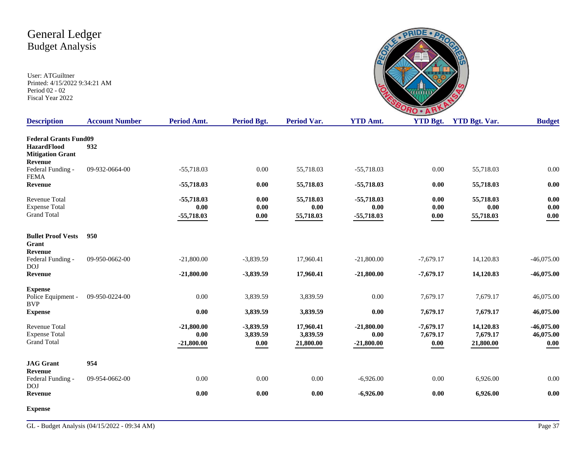|                        | ٠                  |        |
|------------------------|--------------------|--------|
| $\Delta$ $\rightarrow$ | $V$ Th D $_{\sim}$ | VTD D. |
|                        |                    |        |

| <b>Description</b>                                                                              | <b>Account Number</b> | Period Amt.                          | <b>Period Bgt.</b>                  | Period Var.                        | <b>YTD Amt.</b>                      | <b>YTD Bgt.</b>                                | <b>YTD Bgt. Var.</b>               | <b>Budget</b>                     |
|-------------------------------------------------------------------------------------------------|-----------------------|--------------------------------------|-------------------------------------|------------------------------------|--------------------------------------|------------------------------------------------|------------------------------------|-----------------------------------|
| <b>Federal Grants Fund09</b><br><b>HazardFlood</b><br><b>Mitigation Grant</b><br><b>Revenue</b> | 932                   |                                      |                                     |                                    |                                      |                                                |                                    |                                   |
| Federal Funding -<br><b>FEMA</b>                                                                | 09-932-0664-00        | $-55,718.03$                         | 0.00                                | 55,718.03                          | $-55,718.03$                         | 0.00                                           | 55,718.03                          | 0.00                              |
| <b>Revenue</b>                                                                                  |                       | $-55,718.03$                         | 0.00                                | 55,718.03                          | $-55,718.03$                         | 0.00                                           | 55,718.03                          | 0.00                              |
| <b>Revenue Total</b><br><b>Expense Total</b><br><b>Grand Total</b>                              |                       | $-55,718.03$<br>0.00<br>$-55,718.03$ | 0.00<br>0.00<br>$\boldsymbol{0.00}$ | 55,718.03<br>0.00<br>55,718.03     | $-55,718.03$<br>0.00<br>$-55,718.03$ | 0.00<br>0.00<br>$\boldsymbol{0.00}$            | 55,718.03<br>0.00<br>55,718.03     | 0.00<br>0.00<br>0.00              |
| <b>Bullet Proof Vests</b><br>Grant<br>Revenue                                                   | 950                   |                                      |                                     |                                    |                                      |                                                |                                    |                                   |
| Federal Funding -<br><b>DOJ</b>                                                                 | 09-950-0662-00        | $-21,800.00$                         | $-3,839.59$                         | 17,960.41                          | $-21,800.00$                         | $-7,679.17$                                    | 14,120.83                          | $-46,075.00$                      |
| Revenue                                                                                         |                       | $-21,800.00$                         | $-3,839.59$                         | 17,960.41                          | $-21,800.00$                         | $-7,679.17$                                    | 14,120.83                          | $-46,075.00$                      |
| <b>Expense</b><br>Police Equipment -<br><b>BVP</b>                                              | 09-950-0224-00        | 0.00                                 | 3,839.59                            | 3,839.59                           | 0.00                                 | 7,679.17                                       | 7,679.17                           | 46,075.00                         |
| <b>Expense</b>                                                                                  |                       | 0.00                                 | 3,839.59                            | 3,839.59                           | 0.00                                 | 7,679.17                                       | 7,679.17                           | 46,075.00                         |
| <b>Revenue Total</b><br><b>Expense Total</b><br><b>Grand Total</b>                              |                       | $-21,800.00$<br>0.00<br>$-21,800.00$ | $-3,839.59$<br>3,839.59<br>0.00     | 17,960.41<br>3,839.59<br>21,800.00 | $-21,800.00$<br>0.00<br>$-21,800.00$ | $-7,679.17$<br>7,679.17<br>$\boldsymbol{0.00}$ | 14,120.83<br>7,679.17<br>21,800.00 | $-46,075.00$<br>46,075.00<br>0.00 |
| <b>JAG</b> Grant<br>Revenue                                                                     | 954                   |                                      |                                     |                                    |                                      |                                                |                                    |                                   |
| Federal Funding -<br><b>DOJ</b>                                                                 | 09-954-0662-00        | 0.00                                 | 0.00                                | 0.00                               | $-6,926.00$                          | 0.00                                           | 6,926.00                           | 0.00                              |
| Revenue                                                                                         |                       | 0.00                                 | 0.00                                | 0.00                               | $-6,926.00$                          | 0.00                                           | 6,926.00                           | 0.00                              |
| <b>Expense</b>                                                                                  |                       |                                      |                                     |                                    |                                      |                                                |                                    |                                   |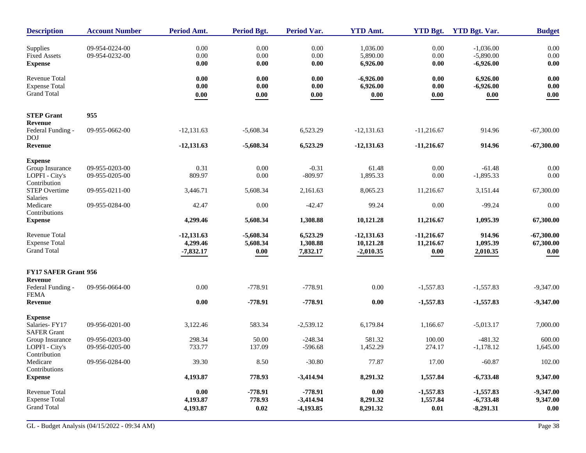| <b>Description</b>                                                  | <b>Account Number</b>            | <b>Period Amt.</b>                      | Period Bgt.                             | <b>Period Var.</b>                      | <b>YTD Amt.</b>                          | <b>YTD Bgt.</b>                   | <b>YTD Bgt. Var.</b>                      | <b>Budget</b>                     |
|---------------------------------------------------------------------|----------------------------------|-----------------------------------------|-----------------------------------------|-----------------------------------------|------------------------------------------|-----------------------------------|-------------------------------------------|-----------------------------------|
| Supplies<br><b>Fixed Assets</b><br><b>Expense</b>                   | 09-954-0224-00<br>09-954-0232-00 | 0.00<br>0.00<br>0.00                    | 0.00<br>0.00<br>0.00                    | 0.00<br>0.00<br>$0.00\,$                | 1,036.00<br>5,890.00<br>6,926.00         | 0.00<br>0.00<br>0.00              | $-1.036.00$<br>$-5,890.00$<br>$-6,926.00$ | $0.00\,$<br>0.00<br>$0.00\,$      |
| Revenue Total<br><b>Expense Total</b><br><b>Grand Total</b>         |                                  | 0.00<br>0.00<br>0.00                    | 0.00<br>$0.00\,$<br>$\boldsymbol{0.00}$ | $0.00\,$<br>$0.00\,$<br>0.00            | $-6,926.00$<br>6,926.00<br>0.00          | 0.00<br>$0.00\,$<br>0.00          | 6,926.00<br>$-6,926.00$<br>0.00           | 0.00<br>$0.00\,$<br>0.00          |
| <b>STEP Grant</b>                                                   | 955                              |                                         |                                         |                                         |                                          |                                   |                                           |                                   |
| Revenue<br>Federal Funding -<br><b>DOJ</b>                          | 09-955-0662-00                   | $-12,131.63$                            | $-5,608.34$                             | 6,523.29                                | $-12,131.63$                             | $-11,216.67$                      | 914.96                                    | $-67,300.00$                      |
| Revenue                                                             |                                  | $-12,131.63$                            | $-5,608.34$                             | 6,523.29                                | $-12,131.63$                             | $-11,216.67$                      | 914.96                                    | $-67,300.00$                      |
| <b>Expense</b><br>Group Insurance<br>LOPFI - City's<br>Contribution | 09-955-0203-00<br>09-955-0205-00 | 0.31<br>809.97                          | 0.00<br>0.00                            | $-0.31$<br>$-809.97$                    | 61.48<br>1,895.33                        | 0.00<br>0.00                      | $-61.48$<br>$-1,895.33$                   | $0.00\,$<br>0.00                  |
| <b>STEP Overtime</b><br>Salaries                                    | 09-955-0211-00                   | 3,446.71                                | 5,608.34                                | 2,161.63                                | 8,065.23                                 | 11,216.67                         | 3,151.44                                  | 67,300.00                         |
| Medicare<br>Contributions                                           | 09-955-0284-00                   | 42.47                                   | 0.00                                    | $-42.47$                                | 99.24                                    | 0.00                              | $-99.24$                                  | 0.00                              |
| <b>Expense</b>                                                      |                                  | 4,299.46                                | 5,608.34                                | 1,308.88                                | 10,121.28                                | 11,216.67                         | 1,095.39                                  | 67,300.00                         |
| <b>Revenue Total</b><br><b>Expense Total</b><br><b>Grand Total</b>  |                                  | $-12,131.63$<br>4,299.46<br>$-7,832.17$ | $-5,608.34$<br>5,608.34<br>0.00         | 6,523.29<br>1,308.88<br>7,832.17        | $-12,131.63$<br>10,121.28<br>$-2,010.35$ | $-11,216.67$<br>11,216.67<br>0.00 | 914.96<br>1,095.39<br>2,010.35            | $-67,300.00$<br>67,300.00<br>0.00 |
| FY17 SAFER Grant 956                                                |                                  |                                         |                                         |                                         |                                          |                                   |                                           |                                   |
| Revenue<br>Federal Funding -<br><b>FEMA</b><br>Revenue              | 09-956-0664-00                   | 0.00<br>0.00                            | $-778.91$<br>$-778.91$                  | $-778.91$<br>$-778.91$                  | $0.00\,$<br>0.00                         | $-1,557.83$<br>$-1,557.83$        | $-1,557.83$<br>$-1,557.83$                | $-9,347.00$<br>$-9,347.00$        |
|                                                                     |                                  |                                         |                                         |                                         |                                          |                                   |                                           |                                   |
| <b>Expense</b><br>Salaries-FY17<br><b>SAFER Grant</b>               | 09-956-0201-00                   | 3,122.46                                | 583.34                                  | $-2,539.12$                             | 6,179.84                                 | 1,166.67                          | $-5,013.17$                               | 7,000.00                          |
| Group Insurance<br>LOPFI - City's<br>Contribution                   | 09-956-0203-00<br>09-956-0205-00 | 298.34<br>733.77                        | 50.00<br>137.09                         | $-248.34$<br>$-596.68$                  | 581.32<br>1,452.29                       | 100.00<br>274.17                  | $-481.32$<br>$-1,178.12$                  | 600.00<br>1,645.00                |
| Medicare<br>Contributions                                           | 09-956-0284-00                   | 39.30                                   | 8.50                                    | $-30.80$                                | 77.87                                    | 17.00                             | $-60.87$                                  | 102.00                            |
| <b>Expense</b>                                                      |                                  | 4,193.87                                | 778.93                                  | $-3,414.94$                             | 8,291.32                                 | 1,557.84                          | $-6,733.48$                               | 9,347.00                          |
| Revenue Total<br><b>Expense Total</b><br><b>Grand Total</b>         |                                  | 0.00<br>4,193.87<br>4,193.87            | $-778.91$<br>778.93<br>$\bf{0.02}$      | $-778.91$<br>$-3,414.94$<br>$-4,193.85$ | 0.00<br>8,291.32<br>8,291.32             | $-1,557.83$<br>1,557.84<br>0.01   | $-1,557.83$<br>$-6,733.48$<br>$-8,291.31$ | $-9,347.00$<br>9,347.00<br>0.00   |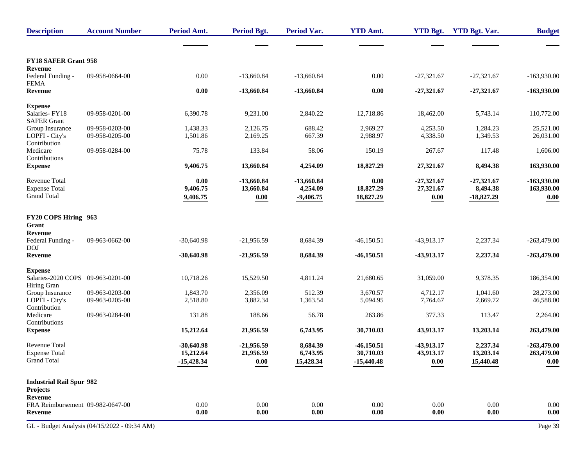| <b>Description</b>                          | <b>Account Number</b>                        | Period Amt.          | Period Bgt.          | <b>Period Var.</b> | <b>YTD Amt.</b>      | <b>YTD Bgt.</b>      | <b>YTD Bgt. Var.</b> | <b>Budget</b>          |
|---------------------------------------------|----------------------------------------------|----------------------|----------------------|--------------------|----------------------|----------------------|----------------------|------------------------|
|                                             |                                              |                      |                      |                    |                      |                      |                      |                        |
| <b>FY18 SAFER Grant 958</b>                 |                                              |                      |                      |                    |                      |                      |                      |                        |
| Revenue<br>Federal Funding -                | 09-958-0664-00                               | $0.00\,$             | $-13,660.84$         | $-13,660.84$       | $0.00\,$             | $-27,321.67$         | $-27,321.67$         | $-163,930.00$          |
| <b>FEMA</b><br>Revenue                      |                                              | $0.00\,$             | $-13,660.84$         | $-13,660.84$       | $0.00\,$             | $-27,321.67$         | $-27,321.67$         | $-163,930.00$          |
| <b>Expense</b>                              |                                              |                      |                      |                    |                      |                      |                      |                        |
| Salaries-FY18<br><b>SAFER Grant</b>         | 09-958-0201-00                               | 6,390.78             | 9,231.00             | 2,840.22           | 12,718.86            | 18,462.00            | 5,743.14             | 110,772.00             |
| Group Insurance                             | 09-958-0203-00                               | 1,438.33             | 2,126.75             | 688.42             | 2,969.27             | 4,253.50             | 1,284.23             | 25,521.00              |
| LOPFI - City's<br>Contribution              | 09-958-0205-00                               | 1,501.86             | 2,169.25             | 667.39             | 2,988.97             | 4,338.50             | 1,349.53             | 26,031.00              |
| Medicare<br>Contributions                   | 09-958-0284-00                               | 75.78                | 133.84               | 58.06              | 150.19               | 267.67               | 117.48               | 1,606.00               |
| <b>Expense</b>                              |                                              | 9,406.75             | 13,660.84            | 4,254.09           | 18,827.29            | 27,321.67            | 8,494.38             | 163,930.00             |
| Revenue Total                               |                                              | 0.00                 | $-13,660.84$         | $-13,660.84$       | 0.00                 | $-27,321.67$         | $-27,321.67$         | $-163,930.00$          |
| <b>Expense Total</b>                        |                                              | 9,406.75             | 13,660.84            | 4,254.09           | 18,827.29            | 27,321.67            | 8,494.38             | 163,930.00             |
| <b>Grand Total</b>                          |                                              | 9,406.75             | $\boldsymbol{0.00}$  | $-9,406.75$        | 18,827.29            | 0.00                 | $-18,827.29$         | 0.00                   |
| FY20 COPS Hiring 963                        |                                              |                      |                      |                    |                      |                      |                      |                        |
| Grant                                       |                                              |                      |                      |                    |                      |                      |                      |                        |
| Revenue<br>Federal Funding -<br><b>DOJ</b>  | 09-963-0662-00                               | $-30,640.98$         | $-21,956.59$         | 8,684.39           | $-46,150.51$         | $-43,913.17$         | 2,237.34             | $-263,479.00$          |
| <b>Revenue</b>                              |                                              | $-30,640.98$         | $-21,956.59$         | 8,684.39           | $-46,150.51$         | -43,913.17           | 2,237.34             | $-263,479.00$          |
| <b>Expense</b>                              |                                              |                      |                      |                    |                      |                      |                      |                        |
| Salaries-2020 COPS 09-963-0201-00           |                                              | 10,718.26            | 15,529.50            | 4,811.24           | 21,680.65            | 31,059.00            | 9,378.35             | 186,354.00             |
| Hiring Gran                                 |                                              |                      |                      |                    |                      |                      |                      |                        |
| Group Insurance<br>LOPFI - City's           | 09-963-0203-00<br>09-963-0205-00             | 1,843.70<br>2,518.80 | 2,356.09<br>3,882.34 | 512.39<br>1,363.54 | 3,670.57<br>5,094.95 | 4,712.17<br>7,764.67 | 1,041.60<br>2,669.72 | 28,273.00<br>46,588.00 |
| Contribution                                |                                              |                      |                      |                    |                      |                      |                      |                        |
| Medicare<br>Contributions                   | 09-963-0284-00                               | 131.88               | 188.66               | 56.78              | 263.86               | 377.33               | 113.47               | 2,264.00               |
| <b>Expense</b>                              |                                              | 15,212.64            | 21,956.59            | 6,743.95           | 30,710.03            | 43,913.17            | 13,203.14            | 263,479.00             |
| <b>Revenue Total</b>                        |                                              | $-30,640.98$         | $-21,956.59$         | 8,684.39           | $-46,150.51$         | -43,913.17           | 2,237.34             | $-263,479.00$          |
| <b>Expense Total</b>                        |                                              | 15,212.64            | 21,956.59            | 6,743.95           | 30,710.03            | 43,913.17            | 13,203.14            | 263,479.00             |
| <b>Grand Total</b>                          |                                              | $-15,428.34$         | 0.00                 | 15,428.34          | $-15,440.48$         | 0.00                 | 15,440.48            | 0.00                   |
| <b>Industrial Rail Spur 982</b>             |                                              |                      |                      |                    |                      |                      |                      |                        |
| Projects                                    |                                              |                      |                      |                    |                      |                      |                      |                        |
| Revenue                                     |                                              |                      |                      |                    |                      |                      |                      |                        |
| FRA Reimbursement 09-982-0647-00<br>Revenue |                                              | 0.00<br>0.00         | 0.00<br>0.00         | 0.00<br>0.00       | 0.00<br>0.00         | 0.00<br>0.00         | 0.00<br>0.00         | 0.00<br>0.00           |
|                                             | GL - Budget Analysis (04/15/2022 - 09:34 AM) |                      |                      |                    |                      |                      |                      | Page 39                |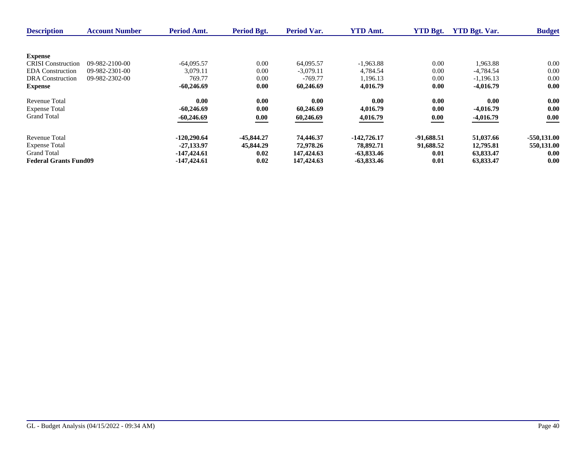| <b>Description</b>           | <b>Account Number</b> | <b>Period Amt.</b> | Period Bgt.  | <b>Period Var.</b> | <b>YTD Amt.</b> | <b>YTD Bgt.</b> | <b>YTD Bgt. Var.</b> | <b>Budget</b> |
|------------------------------|-----------------------|--------------------|--------------|--------------------|-----------------|-----------------|----------------------|---------------|
|                              |                       |                    |              |                    |                 |                 |                      |               |
| <b>Expense</b>               |                       |                    |              |                    |                 |                 |                      |               |
| <b>CRISI</b> Construction    | 09-982-2100-00        | $-64.095.57$       | 0.00         | 64,095.57          | $-1,963.88$     | 0.00            | 1,963.88             | 0.00          |
| <b>EDA</b> Construction      | 09-982-2301-00        | 3.079.11           | 0.00         | $-3.079.11$        | 4.784.54        | 0.00            | $-4.784.54$          | 0.00          |
| <b>DRA</b> Construction      | 09-982-2302-00        | 769.77             | 0.00         | $-769.77$          | 1,196.13        | 0.00            | $-1.196.13$          | 0.00          |
| <b>Expense</b>               |                       | $-60,246.69$       | 0.00         | 60,246.69          | 4,016.79        | 0.00            | $-4,016.79$          | 0.00          |
| Revenue Total                |                       | 0.00               | 0.00         | 0.00               | 0.00            | 0.00            | 0.00                 | 0.00          |
| <b>Expense Total</b>         |                       | $-60,246.69$       | 0.00         | 60.246.69          | 4,016.79        | 0.00            | $-4.016.79$          | 0.00          |
| <b>Grand Total</b>           |                       | $-60,246.69$       | 0.00         | 60,246.69          | 4,016.79        | 0.00            | $-4,016.79$          | 0.00          |
| Revenue Total                |                       | $-120,290,64$      | $-45,844,27$ | 74,446.37          | $-142,726,17$   | $-91,688.51$    | 51,037.66            | $-550.131.00$ |
| <b>Expense Total</b>         |                       | -27.133.97         | 45,844.29    | 72,978.26          | 78,892.71       | 91,688.52       | 12,795.81            | 550,131.00    |
| <b>Grand Total</b>           |                       | $-147,424.61$      | 0.02         | 147,424.63         | -63,833.46      | 0.01            | 63,833.47            | 0.00          |
| <b>Federal Grants Fund09</b> |                       | $-147,424.61$      | 0.02         | 147,424.63         | $-63,833.46$    | 0.01            | 63,833.47            | 0.00          |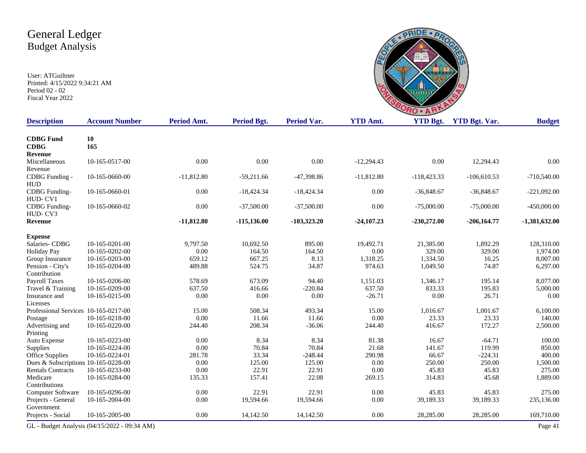

| <b>Description</b>                   | <b>Account Number</b>                        | Period Amt.  | <b>Period Bgt.</b> | <b>Period Var.</b> | <b>YTD Amt.</b> | <b>YTD Bgt.</b> | <b>YTD Bgt. Var.</b> | <b>Budget</b>   |
|--------------------------------------|----------------------------------------------|--------------|--------------------|--------------------|-----------------|-----------------|----------------------|-----------------|
| <b>CDBG</b> Fund<br><b>CDBG</b>      | 10<br>165                                    |              |                    |                    |                 |                 |                      |                 |
| <b>Revenue</b>                       |                                              |              |                    |                    |                 |                 |                      |                 |
| Miscellaneous                        | 10-165-0517-00                               | 0.00         | 0.00               | 0.00               | $-12,294.43$    | 0.00            | 12,294.43            | 0.00            |
| Revenue                              |                                              |              |                    |                    |                 |                 |                      |                 |
| CDBG Funding -                       | 10-165-0660-00                               | $-11,812.80$ | $-59,211.66$       | -47,398.86         | $-11,812.80$    | $-118,423.33$   | $-106,610.53$        | $-710,540.00$   |
| <b>HUD</b>                           |                                              |              |                    |                    |                 |                 |                      |                 |
| <b>CDBG</b> Funding-                 | 10-165-0660-01                               | 0.00         | $-18,424.34$       | $-18,424.34$       | 0.00            | $-36,848.67$    | $-36,848.67$         | $-221,092.00$   |
| HUD-CV1                              |                                              |              |                    |                    |                 |                 |                      |                 |
| <b>CDBG</b> Funding-                 | 10-165-0660-02                               | 0.00         | $-37,500.00$       | $-37,500.00$       | 0.00            | $-75,000.00$    | $-75,000.00$         | $-450,000.00$   |
| HUD-CV3                              |                                              |              |                    |                    |                 |                 |                      |                 |
| Revenue                              |                                              | $-11,812.80$ | $-115,136.00$      | $-103,323.20$      | $-24,107.23$    | $-230,272.00$   | $-206,164.77$        | $-1,381,632.00$ |
| <b>Expense</b>                       |                                              |              |                    |                    |                 |                 |                      |                 |
| Salaries-CDBG                        | 10-165-0201-00                               | 9,797.50     | 10,692.50          | 895.00             | 19,492.71       | 21,385.00       | 1,892.29             | 128,310.00      |
| <b>Holiday Pay</b>                   | 10-165-0202-00                               | 0.00         | 164.50             | 164.50             | 0.00            | 329.00          | 329.00               | 1,974.00        |
| Group Insurance                      | 10-165-0203-00                               | 659.12       | 667.25             | 8.13               | 1,318.25        | 1,334.50        | 16.25                | 8,007.00        |
| Pension - City's                     | 10-165-0204-00                               | 489.88       | 524.75             | 34.87              | 974.63          | 1,049.50        | 74.87                | 6,297.00        |
| Contribution                         |                                              |              |                    |                    |                 |                 |                      |                 |
| <b>Payroll Taxes</b>                 | 10-165-0206-00                               | 578.69       | 673.09             | 94.40              | 1,151.03        | 1,346.17        | 195.14               | 8,077.00        |
| Travel & Training                    | 10-165-0209-00                               | 637.50       | 416.66             | $-220.84$          | 637.50          | 833.33          | 195.83               | 5,000.00        |
| Insurance and                        | 10-165-0215-00                               | 0.00         | 0.00               | 0.00               | $-26.71$        | 0.00            | 26.71                | 0.00            |
| Licenses                             |                                              |              |                    |                    |                 |                 |                      |                 |
| Professional Services 10-165-0217-00 |                                              | 15.00        | 508.34             | 493.34             | 15.00           | 1,016.67        | 1,001.67             | 6,100.00        |
| Postage                              | 10-165-0218-00                               | 0.00         | 11.66              | 11.66              | 0.00            | 23.33           | 23.33                | 140.00          |
| Advertising and                      | 10-165-0220-00                               | 244.40       | 208.34             | $-36.06$           | 244.40          | 416.67          | 172.27               | 2,500.00        |
| Printing                             |                                              |              |                    |                    |                 |                 |                      |                 |
| Auto Expense                         | 10-165-0223-00                               | 0.00         | 8.34               | 8.34               | 81.38           | 16.67           | $-64.71$             | 100.00          |
| Supplies                             | 10-165-0224-00                               | 0.00         | 70.84              | 70.84              | 21.68           | 141.67          | 119.99               | 850.00          |
| Office Supplies                      | 10-165-0224-01                               | 281.78       | 33.34              | $-248.44$          | 290.98          | 66.67           | $-224.31$            | 400.00          |
| Dues & Subscriptions 10-165-0228-00  |                                              | 0.00         | 125.00             | 125.00             | 0.00            | 250.00          | 250.00               | 1,500.00        |
| <b>Rentals Contracts</b>             | 10-165-0233-00                               | 0.00         | 22.91              | 22.91              | 0.00            | 45.83           | 45.83                | 275.00          |
| Medicare                             | 10-165-0284-00                               | 135.33       | 157.41             | 22.08              | 269.15          | 314.83          | 45.68                | 1,889.00        |
| Contributions                        |                                              |              |                    |                    |                 |                 |                      |                 |
| Computer Software                    | 10-165-0296-00                               | 0.00         | 22.91              | 22.91              | 0.00            | 45.83           | 45.83                | 275.00          |
| Projects - General<br>Government     | 10-165-2004-00                               | 0.00         | 19,594.66          | 19,594.66          | 0.00            | 39,189.33       | 39,189.33            | 235,136.00      |
| Projects - Social                    | 10-165-2005-00                               | 0.00         | 14,142.50          | 14,142.50          | 0.00            | 28,285.00       | 28,285.00            | 169,710.00      |
|                                      |                                              |              |                    |                    |                 |                 |                      |                 |
|                                      | GL - Budget Analysis (04/15/2022 - 09:34 AM) |              |                    |                    |                 |                 |                      | Page 41         |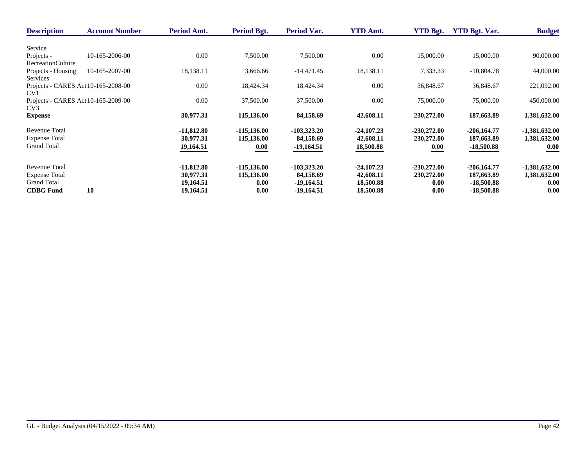| <b>Description</b>                  | <b>Account Number</b> | Period Amt.  | Period Bgt.    | Period Var.   | <b>YTD Amt.</b> | <b>YTD Bgt.</b> | <b>YTD Bgt. Var.</b> | <b>Budget</b>   |
|-------------------------------------|-----------------------|--------------|----------------|---------------|-----------------|-----------------|----------------------|-----------------|
|                                     |                       |              |                |               |                 |                 |                      |                 |
| Service                             |                       |              |                |               |                 |                 |                      |                 |
| Projects -                          | 10-165-2006-00        | 0.00         | 7,500.00       | 7,500.00      | 0.00            | 15,000.00       | 15,000.00            | 90,000.00       |
| <b>RecreationCulture</b>            |                       |              |                |               |                 |                 |                      |                 |
| Projects - Housing                  | 10-165-2007-00        | 18,138.11    | 3,666.66       | $-14,471.45$  | 18,138.11       | 7,333.33        | $-10,804.78$         | 44,000.00       |
| Services                            |                       |              |                |               |                 |                 |                      |                 |
| Projects - CARES Act 10-165-2008-00 |                       | 0.00         | 18,424.34      | 18,424.34     | 0.00            | 36,848.67       | 36,848.67            | 221,092.00      |
| CV <sub>1</sub>                     |                       |              |                |               |                 |                 |                      |                 |
| Projects - CARES Act 10-165-2009-00 |                       | 0.00         | 37,500.00      | 37,500.00     | 0.00            | 75,000.00       | 75,000.00            | 450,000.00      |
| CV <sub>3</sub>                     |                       |              |                |               |                 |                 |                      |                 |
| <b>Expense</b>                      |                       | 30,977.31    | 115,136.00     | 84,158.69     | 42,608.11       | 230,272.00      | 187,663.89           | 1,381,632.00    |
| Revenue Total                       |                       | $-11,812.80$ | $-115,136.00$  | $-103,323.20$ | $-24,107,23$    | $-230,272.00$   | $-206,164.77$        | $-1,381,632.00$ |
| <b>Expense Total</b>                |                       | 30,977.31    | 115,136.00     | 84,158.69     | 42,608.11       | 230,272.00      | 187,663.89           | 1,381,632.00    |
| <b>Grand Total</b>                  |                       | 19,164.51    | 0.00           | $-19,164.51$  | 18,500.88       | 0.00            | $-18,500.88$         | 0.00            |
|                                     |                       |              |                |               |                 |                 |                      |                 |
| <b>Revenue Total</b>                |                       | $-11,812.80$ | $-115, 136.00$ | $-103,323.20$ | $-24,107,23$    | $-230,272.00$   | $-206,164.77$        | $-1,381,632.00$ |
| <b>Expense Total</b>                |                       | 30.977.31    | 115,136.00     | 84,158.69     | 42,608.11       | 230,272.00      | 187,663.89           | 1,381,632.00    |
| <b>Grand Total</b>                  |                       | 19,164.51    | 0.00           | $-19,164.51$  | 18,500.88       | 0.00            | $-18,500.88$         | 0.00            |
| <b>CDBG</b> Fund                    | 10                    | 19,164.51    | 0.00           | $-19,164.51$  | 18,500.88       | 0.00            | $-18,500.88$         | 0.00            |
|                                     |                       |              |                |               |                 |                 |                      |                 |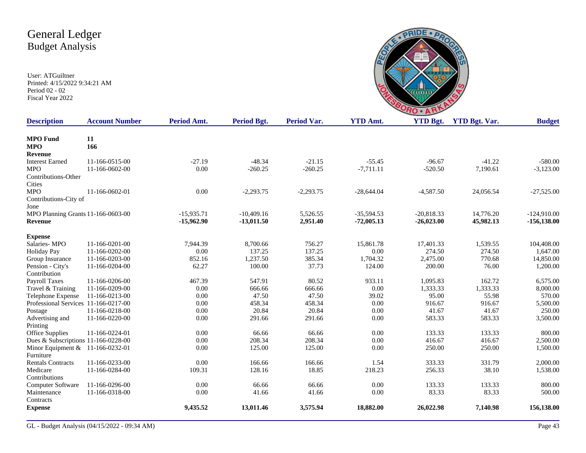

| <b>Description</b>                    | <b>Account Number</b> | Period Amt.  | <b>Period Bgt.</b> | <b>Period Var.</b> | <b>YTD Amt.</b> | <b>YTD Bgt.</b> | <b>YTD Bgt. Var.</b> | <b>Budget</b>  |
|---------------------------------------|-----------------------|--------------|--------------------|--------------------|-----------------|-----------------|----------------------|----------------|
| <b>MPO</b> Fund                       | 11                    |              |                    |                    |                 |                 |                      |                |
| <b>MPO</b>                            | 166                   |              |                    |                    |                 |                 |                      |                |
| Revenue                               |                       |              |                    |                    |                 |                 |                      |                |
| <b>Interest Earned</b>                | 11-166-0515-00        | $-27.19$     | $-48.34$           | $-21.15$           | $-55.45$        | $-96.67$        | $-41.22$             | $-580.00$      |
| <b>MPO</b>                            | 11-166-0602-00        | 0.00         | $-260.25$          | $-260.25$          | $-7,711.11$     | $-520.50$       | 7,190.61             | $-3,123.00$    |
| Contributions-Other                   |                       |              |                    |                    |                 |                 |                      |                |
| Cities                                |                       |              |                    |                    |                 |                 |                      |                |
| <b>MPO</b>                            | 11-166-0602-01        | 0.00         | $-2,293.75$        | $-2,293.75$        | $-28,644.04$    | $-4,587.50$     | 24,056.54            | $-27,525.00$   |
| Contributions-City of                 |                       |              |                    |                    |                 |                 |                      |                |
| Jone                                  |                       |              |                    |                    |                 |                 |                      |                |
| MPO Planning Grants 11-166-0603-00    |                       | $-15,935.71$ | $-10,409.16$       | 5,526.55           | $-35,594.53$    | $-20,818.33$    | 14,776.20            | $-124,910.00$  |
| Revenue                               |                       | $-15,962.90$ | $-13,011.50$       | 2,951.40           | $-72,005.13$    | $-26,023.00$    | 45,982.13            | $-156, 138.00$ |
| <b>Expense</b>                        |                       |              |                    |                    |                 |                 |                      |                |
| Salaries-MPO                          | 11-166-0201-00        | 7,944.39     | 8.700.66           | 756.27             | 15,861.78       | 17,401.33       | 1,539.55             | 104,408.00     |
| <b>Holiday Pay</b>                    | 11-166-0202-00        | 0.00         | 137.25             | 137.25             | 0.00            | 274.50          | 274.50               | 1,647.00       |
| Group Insurance                       | 11-166-0203-00        | 852.16       | 1,237.50           | 385.34             | 1,704.32        | 2,475.00        | 770.68               | 14,850.00      |
| Pension - City's                      | 11-166-0204-00        | 62.27        | 100.00             | 37.73              | 124.00          | 200.00          | 76.00                | 1,200.00       |
| Contribution                          |                       |              |                    |                    |                 |                 |                      |                |
| <b>Payroll Taxes</b>                  | 11-166-0206-00        | 467.39       | 547.91             | 80.52              | 933.11          | 1.095.83        | 162.72               | 6,575.00       |
| Travel & Training                     | 11-166-0209-00        | 0.00         | 666.66             | 666.66             | 0.00            | 1,333.33        | 1,333.33             | 8,000.00       |
| Telephone Expense                     | 11-166-0213-00        | 0.00         | 47.50              | 47.50              | 39.02           | 95.00           | 55.98                | 570.00         |
| Professional Services 11-166-0217-00  |                       | 0.00         | 458.34             | 458.34             | 0.00            | 916.67          | 916.67               | 5,500.00       |
| Postage                               | 11-166-0218-00        | 0.00         | 20.84              | 20.84              | 0.00            | 41.67           | 41.67                | 250.00         |
| Advertising and                       | 11-166-0220-00        | 0.00         | 291.66             | 291.66             | 0.00            | 583.33          | 583.33               | 3,500.00       |
| Printing                              |                       |              |                    |                    |                 |                 |                      |                |
| Office Supplies                       | 11-166-0224-01        | 0.00         | 66.66              | 66.66              | 0.00            | 133.33          | 133.33               | 800.00         |
| Dues & Subscriptions $11-166-0228-00$ |                       | 0.00         | 208.34             | 208.34             | 0.00            | 416.67          | 416.67               | 2,500.00       |
| Minor Equipment & 11-166-0232-01      |                       | 0.00         | 125.00             | 125.00             | 0.00            | 250.00          | 250.00               | 1,500.00       |
| Furniture                             |                       |              |                    |                    |                 |                 |                      |                |
| <b>Rentals Contracts</b>              | 11-166-0233-00        | 0.00         | 166.66             | 166.66             | 1.54            | 333.33          | 331.79               | 2,000.00       |
| Medicare                              | 11-166-0284-00        | 109.31       | 128.16             | 18.85              | 218.23          | 256.33          | 38.10                | 1,538.00       |
| Contributions                         |                       |              |                    |                    |                 |                 |                      |                |
| Computer Software                     | 11-166-0296-00        | 0.00         | 66.66              | 66.66              | 0.00            | 133.33          | 133.33               | 800.00         |
| Maintenance                           | 11-166-0318-00        | 0.00         | 41.66              | 41.66              | 0.00            | 83.33           | 83.33                | 500.00         |
| Contracts                             |                       |              |                    |                    |                 |                 |                      |                |
| <b>Expense</b>                        |                       | 9,435.52     | 13,011.46          | 3,575.94           | 18,882.00       | 26,022.98       | 7,140.98             | 156,138.00     |
|                                       |                       |              |                    |                    |                 |                 |                      |                |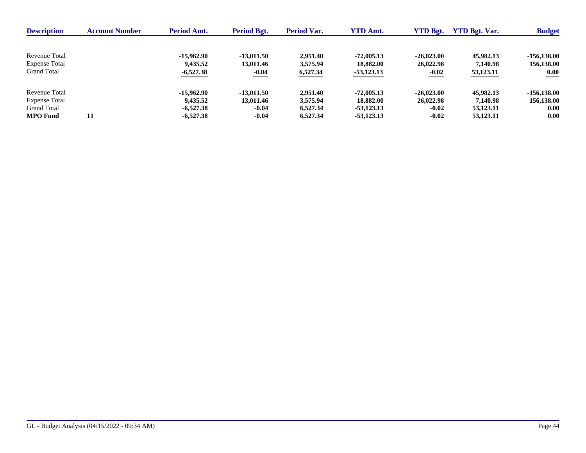| <b>Description</b>   | <b>Account Number</b> | <b>Period Amt.</b> | Period Bgt.  | <b>Period Var.</b> | <b>YTD Amt.</b> | <b>YTD Bgt.</b> | <b>YTD Bgt. Var.</b> | <b>Budget</b> |
|----------------------|-----------------------|--------------------|--------------|--------------------|-----------------|-----------------|----------------------|---------------|
|                      |                       |                    |              |                    |                 |                 |                      |               |
| Revenue Total        |                       | -15,962.90         | $-13.011.50$ | 2.951.40           | $-72,005.13$    | $-26,023,00$    | 45,982.13            | $-156.138.00$ |
| <b>Expense Total</b> |                       | 9,435.52           | 13,011.46    | 3,575.94           | 18,882.00       | 26,022.98       | 7,140.98             | 156,138.00    |
| <b>Grand Total</b>   |                       | $-6,527.38$        | $-0.04$      | 6,527.34           | $-53,123.13$    | $-0.02$         | 53,123.11            | 0.00          |
| Revenue Total        |                       | -15,962.90         | $-13.011.50$ | 2.951.40           | $-72,005.13$    | $-26,023,00$    | 45,982.13            | $-156.138.00$ |
| <b>Expense Total</b> |                       | 9.435.52           | 13,011.46    | 3,575.94           | 18,882.00       | 26,022.98       | 7.140.98             | 156,138.00    |
| <b>Grand Total</b>   |                       | $-6.527.38$        | $-0.04$      | 6,527.34           | $-53,123,13$    | $-0.02$         | 53,123,11            | 0.00          |
| <b>MPO</b> Fund      | 11                    | $-6,527.38$        | $-0.04$      | 6,527.34           | $-53,123,13$    | $-0.02$         | 53,123.11            | 0.00          |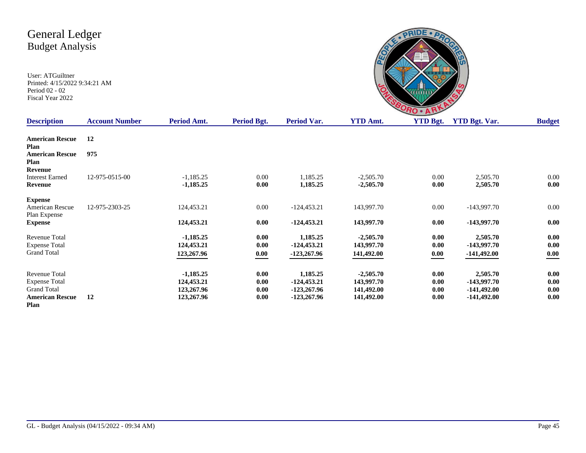User: ATGuiltner Printed: 4/15/2022 9:34:21 AM Period 02 - 02 Fiscal Year 2022

|                 | HO      |         |
|-----------------|---------|---------|
| A <sub>mt</sub> | VTD Rot | VTD Rot |

| <b>Description</b>     | <b>Account Number</b> | Period Amt. | <b>Period Bgt.</b> | Period Var.   | <b>YTD Amt.</b> | <b>YTD Bgt.</b> | <b>YTD Bgt. Var.</b> | <b>Budget</b> |
|------------------------|-----------------------|-------------|--------------------|---------------|-----------------|-----------------|----------------------|---------------|
| <b>American Rescue</b> | 12                    |             |                    |               |                 |                 |                      |               |
| Plan                   |                       |             |                    |               |                 |                 |                      |               |
| <b>American Rescue</b> | 975                   |             |                    |               |                 |                 |                      |               |
| Plan                   |                       |             |                    |               |                 |                 |                      |               |
| Revenue                |                       |             |                    |               |                 |                 |                      |               |
| <b>Interest Earned</b> | 12-975-0515-00        | $-1,185.25$ | $0.00\,$           | 1,185.25      | $-2,505.70$     | 0.00            | 2,505.70             | 0.00          |
| Revenue                |                       | $-1,185.25$ | 0.00               | 1,185.25      | $-2,505.70$     | 0.00            | 2,505.70             | 0.00          |
| <b>Expense</b>         |                       |             |                    |               |                 |                 |                      |               |
| American Rescue        | 12-975-2303-25        | 124,453.21  | $0.00\,$           | $-124,453.21$ | 143,997.70      | 0.00            | $-143,997.70$        | 0.00          |
| Plan Expense           |                       |             |                    |               |                 |                 |                      |               |
| <b>Expense</b>         |                       | 124,453.21  | 0.00               | $-124,453.21$ | 143,997.70      | 0.00            | $-143,997.70$        | 0.00          |
| Revenue Total          |                       | $-1,185.25$ | 0.00               | 1,185.25      | $-2,505.70$     | $0.00\,$        | 2,505.70             | 0.00          |
| <b>Expense Total</b>   |                       | 124,453.21  | 0.00               | $-124,453.21$ | 143,997.70      | 0.00            | -143,997.70          | 0.00          |
| <b>Grand Total</b>     |                       | 123,267.96  | 0.00               | $-123,267.96$ | 141,492.00      | 0.00            | -141,492.00          | 0.00          |
| <b>Revenue Total</b>   |                       | $-1,185.25$ | 0.00               | 1,185.25      | $-2,505.70$     | 0.00            | 2,505.70             | 0.00          |
| <b>Expense Total</b>   |                       | 124,453.21  | 0.00               | $-124,453.21$ | 143,997.70      | 0.00            | -143,997.70          | 0.00          |
| <b>Grand Total</b>     |                       | 123,267.96  | 0.00               | -123,267.96   | 141,492.00      | 0.00            | $-141,492.00$        | 0.00          |
| <b>American Rescue</b> | 12                    | 123,267.96  | 0.00               | -123,267.96   | 141,492.00      | 0.00            | $-141,492.00$        | 0.00          |
| <b>Plan</b>            |                       |             |                    |               |                 |                 |                      |               |

**Plan**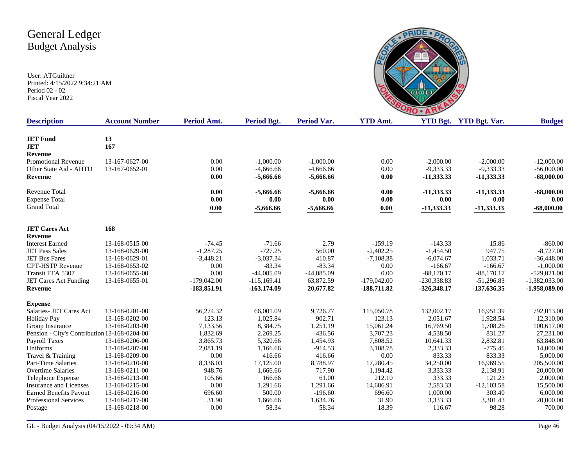

| <b>Description</b>                           | <b>Account Number</b> | Period Amt.   | <b>Period Bgt.</b> | <b>Period Var.</b> | <b>YTD Amt.</b> |               | <b>YTD Bgt.</b> YTD Bgt. Var. | <b>Budget</b>   |
|----------------------------------------------|-----------------------|---------------|--------------------|--------------------|-----------------|---------------|-------------------------------|-----------------|
|                                              |                       |               |                    |                    |                 |               |                               |                 |
| <b>JET Fund</b>                              | 13                    |               |                    |                    |                 |               |                               |                 |
| <b>JET</b>                                   | 167                   |               |                    |                    |                 |               |                               |                 |
| <b>Revenue</b>                               |                       |               |                    |                    |                 |               |                               |                 |
| Promotional Revenue                          | 13-167-0627-00        | 0.00          | $-1,000.00$        | $-1,000.00$        | 0.00            | $-2,000.00$   | $-2,000.00$                   | $-12,000.00$    |
| Other State Aid - AHTD                       | 13-167-0652-01        | 0.00          | $-4,666.66$        | $-4,666.66$        | 0.00            | $-9,333.33$   | $-9,333.33$                   | $-56,000.00$    |
| Revenue                                      |                       | 0.00          | $-5,666.66$        | $-5,666.66$        | 0.00            | $-11,333.33$  | $-11,333.33$                  | $-68,000.00$    |
| <b>Revenue Total</b>                         |                       | 0.00          | $-5,666.66$        | $-5,666.66$        | 0.00            | $-11,333,33$  | $-11,333.33$                  | $-68,000.00$    |
| <b>Expense Total</b>                         |                       | 0.00          | 0.00               | 0.00               | 0.00            | 0.00          | 0.00                          | 0.00            |
| <b>Grand Total</b>                           |                       | 0.00          | $-5,666.66$        | $-5,666.66$        | $0.00\,$        | $-11,333.33$  | -11,333.33                    | $-68,000.00$    |
|                                              |                       |               |                    |                    |                 |               |                               |                 |
| <b>JET Cares Act</b><br>Revenue              | 168                   |               |                    |                    |                 |               |                               |                 |
| <b>Interest Earned</b>                       | 13-168-0515-00        | $-74.45$      | $-71.66$           | 2.79               | $-159.19$       | $-143.33$     | 15.86                         | $-860.00$       |
| <b>JET Pass Sales</b>                        | 13-168-0629-00        | $-1,287.25$   | $-727.25$          | 560.00             | $-2,402.25$     | $-1,454.50$   | 947.75                        | $-8,727.00$     |
| <b>JET Bus Fares</b>                         | 13-168-0629-01        | $-3,448.21$   | $-3,037.34$        | 410.87             | $-7,108.38$     | $-6,074.67$   | 1,033.71                      | $-36,448.00$    |
| <b>CPT-HSTP Revenue</b>                      | 13-168-0653-02        | 0.00          | $-83.34$           | $-83.34$           | 0.00            | $-166.67$     | $-166.67$                     | $-1,000.00$     |
| Transit FTA 5307                             | 13-168-0655-00        | 0.00          | $-44,085.09$       | $-44,085.09$       | 0.00            | $-88,170.17$  | $-88,170.17$                  | $-529,021.00$   |
| JET Cares Act Funding                        | 13-168-0655-01        | $-179,042.00$ | $-115,169.41$      | 63,872.59          | $-179,042.00$   | -230,338.83   | $-51,296.83$                  | $-1,382,033.00$ |
| <b>Revenue</b>                               |                       | -183,851.91   | $-163,174.09$      | 20,677.82          | -188,711.82     | $-326,348.17$ | -137,636.35                   | -1,958,089.00   |
| <b>Expense</b>                               |                       |               |                    |                    |                 |               |                               |                 |
| Salaries- JET Cares Act                      | 13-168-0201-00        | 56,274.32     | 66,001.09          | 9,726.77           | 115,050.78      | 132,002.17    | 16,951.39                     | 792,013.00      |
| <b>Holiday Pay</b>                           | 13-168-0202-00        | 123.13        | 1,025.84           | 902.71             | 123.13          | 2,051.67      | 1,928.54                      | 12,310.00       |
| Group Insurance                              | 13-168-0203-00        | 7,133.56      | 8,384.75           | 1,251.19           | 15,061.24       | 16,769.50     | 1,708.26                      | 100,617.00      |
| Pension - City's Contribution 13-168-0204-00 |                       | 1,832.69      | 2,269.25           | 436.56             | 3,707.23        | 4,538.50      | 831.27                        | 27,231.00       |
| <b>Payroll Taxes</b>                         | 13-168-0206-00        | 3,865.73      | 5,320.66           | 1,454.93           | 7,808.52        | 10,641.33     | 2,832.81                      | 63,848.00       |
| Uniforms                                     | 13-168-0207-00        | 2,081.19      | 1,166.66           | $-914.53$          | 3,108.78        | 2,333.33      | $-775.45$                     | 14,000.00       |
| Travel & Training                            | 13-168-0209-00        | 0.00          | 416.66             | 416.66             | 0.00            | 833.33        | 833.33                        | 5,000.00        |
| Part-Time Salaries                           | 13-168-0210-00        | 8,336.03      | 17,125.00          | 8,788.97           | 17,280.45       | 34,250.00     | 16,969.55                     | 205,500.00      |
| <b>Overtime Salaries</b>                     | 13-168-0211-00        | 948.76        | 1,666.66           | 717.90             | 1,194.42        | 3,333.33      | 2,138.91                      | 20,000.00       |
| Telephone Expense                            | 13-168-0213-00        | 105.66        | 166.66             | 61.00              | 212.10          | 333.33        | 121.23                        | 2,000.00        |
| <b>Insurance and Licenses</b>                | 13-168-0215-00        | 0.00          | 1,291.66           | 1,291.66           | 14,686.91       | 2,583.33      | $-12,103.58$                  | 15,500.00       |
| <b>Earned Benefits Payout</b>                | 13-168-0216-00        | 696.60        | 500.00             | $-196.60$          | 696.60          | 1,000.00      | 303.40                        | 6,000.00        |
| <b>Professional Services</b>                 | 13-168-0217-00        | 31.90         | 1,666.66           | 1,634.76           | 31.90           | 3,333.33      | 3,301.43                      | 20,000.00       |
| Postage                                      | 13-168-0218-00        | 0.00          | 58.34              | 58.34              | 18.39           | 116.67        | 98.28                         | 700.00          |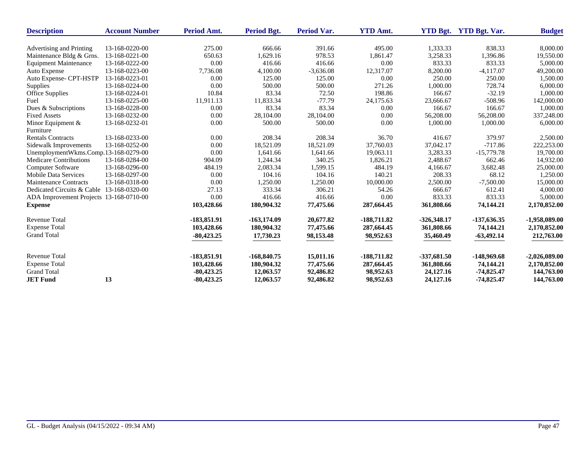| <b>Description</b>                        | <b>Account Number</b> | Period Amt.   | Period Bgt.   | <b>Period Var.</b> | <b>YTD Amt.</b> | <b>YTD Bgt.</b> | <b>YTD Bgt. Var.</b> | <b>Budget</b>   |
|-------------------------------------------|-----------------------|---------------|---------------|--------------------|-----------------|-----------------|----------------------|-----------------|
|                                           |                       |               |               |                    |                 |                 |                      |                 |
| Advertising and Printing                  | 13-168-0220-00        | 275.00        | 666.66        | 391.66             | 495.00          | 1,333.33        | 838.33               | 8,000.00        |
| Maintenance Bldg & Grns.                  | 13-168-0221-00        | 650.63        | 1,629.16      | 978.53             | 1,861.47        | 3,258.33        | 1,396.86             | 19,550.00       |
| <b>Equipment Maintenance</b>              | 13-168-0222-00        | 0.00          | 416.66        | 416.66             | 0.00            | 833.33          | 833.33               | 5,000.00        |
| Auto Expense                              | 13-168-0223-00        | 7,736.08      | 4,100.00      | $-3,636.08$        | 12,317.07       | 8,200.00        | $-4,117.07$          | 49,200.00       |
| Auto Expense- CPT-HSTP                    | 13-168-0223-01        | 0.00          | 125.00        | 125.00             | 0.00            | 250.00          | 250.00               | 1,500.00        |
| <b>Supplies</b>                           | 13-168-0224-00        | 0.00          | 500.00        | 500.00             | 271.26          | 1,000.00        | 728.74               | 6,000.00        |
| Office Supplies                           | 13-168-0224-01        | 10.84         | 83.34         | 72.50              | 198.86          | 166.67          | $-32.19$             | 1.000.00        |
| Fuel                                      | 13-168-0225-00        | 11,911.13     | 11,833.34     | $-77.79$           | 24,175.63       | 23,666.67       | $-508.96$            | 142,000.00      |
| Dues & Subscriptions                      | 13-168-0228-00        | 0.00          | 83.34         | 83.34              | 0.00            | 166.67          | 166.67               | 1,000.00        |
| <b>Fixed Assets</b>                       | 13-168-0232-00        | 0.00          | 28,104.00     | 28,104.00          | 0.00            | 56,208.00       | 56,208.00            | 337,248.00      |
| Minor Equipment &                         | 13-168-0232-01        | 0.00          | 500.00        | 500.00             | 0.00            | 1,000.00        | 1,000.00             | 6,000.00        |
| Furniture                                 |                       |               |               |                    |                 |                 |                      |                 |
| <b>Rentals Contracts</b>                  | 13-168-0233-00        | 0.00          | 208.34        | 208.34             | 36.70           | 416.67          | 379.97               | 2,500.00        |
| Sidewalk Improvements                     | 13-168-0252-00        | 0.00          | 18,521.09     | 18,521.09          | 37,760.03       | 37,042.17       | $-717.86$            | 222,253.00      |
| UnemploymentWkms.Comp.13-168-0279-00      |                       | 0.00          | 1,641.66      | 1,641.66           | 19,063.11       | 3,283.33        | $-15,779.78$         | 19,700.00       |
| <b>Medicare Contributions</b>             | 13-168-0284-00        | 904.09        | 1,244.34      | 340.25             | 1,826.21        | 2,488.67        | 662.46               | 14,932.00       |
| <b>Computer Software</b>                  | 13-168-0296-00        | 484.19        | 2,083.34      | 1,599.15           | 484.19          | 4,166.67        | 3,682.48             | 25,000.00       |
| <b>Mobile Data Services</b>               | 13-168-0297-00        | 0.00          | 104.16        | 104.16             | 140.21          | 208.33          | 68.12                | 1,250.00        |
| <b>Maintenance Contracts</b>              | 13-168-0318-00        | 0.00          | 1,250.00      | 1,250.00           | 10,000.00       | 2,500.00        | $-7,500.00$          | 15,000.00       |
| Dedicated Circuits & Cable 13-168-0320-00 |                       | 27.13         | 333.34        | 306.21             | 54.26           | 666.67          | 612.41               | 4,000.00        |
| ADA Improvement Projects 13-168-0710-00   |                       | 0.00          | 416.66        | 416.66             | 0.00            | 833.33          | 833.33               | 5,000.00        |
| <b>Expense</b>                            |                       | 103,428.66    | 180,904.32    | 77,475.66          | 287,664.45      | 361,808.66      | 74,144.21            | 2,170,852.00    |
| <b>Revenue Total</b>                      |                       | $-183,851.91$ | $-163,174.09$ | 20,677.82          | $-188,711.82$   | $-326,348.17$   | $-137,636.35$        | $-1,958,089.00$ |
| <b>Expense Total</b>                      |                       | 103,428.66    | 180,904.32    | 77,475.66          | 287,664.45      | 361,808.66      | 74,144.21            | 2,170,852.00    |
| <b>Grand Total</b>                        |                       | $-80,423.25$  | 17,730.23     | 98,153.48          | 98,952.63       | 35,460.49       | $-63,492.14$         | 212,763.00      |
| <b>Revenue Total</b>                      |                       | $-183,851.91$ | $-168,840.75$ | 15,011.16          | $-188,711.82$   | $-337,681.50$   | $-148,969.68$        | $-2,026,089.00$ |
| <b>Expense Total</b>                      |                       | 103,428.66    | 180,904.32    | 77,475.66          | 287,664.45      | 361,808.66      | 74,144.21            | 2,170,852.00    |
| <b>Grand Total</b>                        |                       | $-80,423.25$  | 12,063.57     | 92,486.82          | 98,952.63       | 24,127.16       | $-74,825.47$         | 144,763.00      |
| <b>JET Fund</b>                           | 13                    | $-80,423.25$  | 12,063.57     | 92,486.82          | 98,952.63       | 24,127.16       | $-74,825.47$         | 144,763.00      |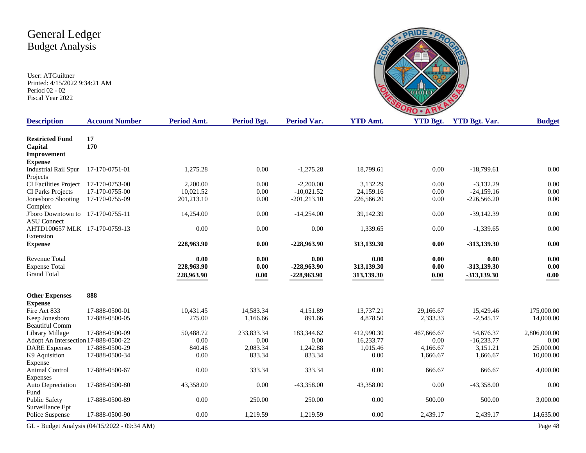|     | Ξ              |                    |  |
|-----|----------------|--------------------|--|
| Amt | <b>YTD Rot</b> | <b>YTD Rot</b> Var |  |

| <b>Description</b>                   | <b>Account Number</b>                        | <b>Period Amt.</b> | Period Bgt. | <b>Period Var.</b> | <b>YTD Amt.</b> | <b>YTD Bgt.</b> | <b>YTD Bgt. Var.</b> | <b>Budget</b> |
|--------------------------------------|----------------------------------------------|--------------------|-------------|--------------------|-----------------|-----------------|----------------------|---------------|
| <b>Restricted Fund</b>               | 17                                           |                    |             |                    |                 |                 |                      |               |
| Capital                              | 170                                          |                    |             |                    |                 |                 |                      |               |
| Improvement                          |                                              |                    |             |                    |                 |                 |                      |               |
| <b>Expense</b>                       |                                              |                    |             |                    |                 |                 |                      |               |
| <b>Industrial Rail Spur</b>          | 17-170-0751-01                               | 1,275.28           | 0.00        | $-1,275.28$        | 18,799.61       | 0.00            | $-18,799.61$         | 0.00          |
| Projects                             |                                              |                    |             |                    |                 |                 |                      |               |
| <b>CI Facilities Project</b>         | 17-170-0753-00                               | 2,200.00           | 0.00        | $-2,200.00$        | 3.132.29        | 0.00            | $-3.132.29$          | 0.00          |
| CI Parks Projects                    | 17-170-0755-00                               | 10,021.52          | 0.00        | $-10,021.52$       | 24,159.16       | 0.00            | $-24,159.16$         | 0.00          |
| Jonesboro Shooting                   | 17-170-0755-09                               | 201,213.10         | 0.00        | $-201,213.10$      | 226,566.20      | 0.00            | $-226,566.20$        | 0.00          |
| Complex                              |                                              |                    |             |                    |                 |                 |                      |               |
| J'boro Downtown to 17-170-0755-11    |                                              | 14,254.00          | 0.00        | $-14,254.00$       | 39,142.39       | 0.00            | $-39,142.39$         | 0.00          |
| <b>ASU</b> Connect                   |                                              |                    |             |                    |                 |                 |                      |               |
| AHTD100657 MLK 17-170-0759-13        |                                              | 0.00               | $0.00\,$    | 0.00               | 1,339.65        | 0.00            | $-1,339.65$          | 0.00          |
| Extension                            |                                              |                    |             |                    |                 |                 |                      |               |
| <b>Expense</b>                       |                                              | 228,963.90         | 0.00        | -228,963.90        | 313,139.30      | $0.00\,$        | $-313,139.30$        | 0.00          |
| <b>Revenue Total</b>                 |                                              | 0.00               | 0.00        | 0.00               | 0.00            | 0.00            | 0.00                 | 0.00          |
| <b>Expense Total</b>                 |                                              | 228,963.90         | 0.00        | $-228,963.90$      | 313,139.30      | 0.00            | $-313,139.30$        | 0.00          |
| <b>Grand Total</b>                   |                                              | 228,963.90         | 0.00        | $-228,963.90$      | 313,139.30      | 0.00            | -313,139.30          | 0.00          |
|                                      |                                              |                    |             |                    |                 |                 |                      |               |
| <b>Other Expenses</b>                | 888                                          |                    |             |                    |                 |                 |                      |               |
| <b>Expense</b>                       |                                              |                    |             |                    |                 |                 |                      |               |
| Fire Act 833                         | 17-888-0500-01                               | 10,431.45          | 14,583.34   | 4,151.89           | 13,737.21       | 29,166.67       | 15,429.46            | 175,000.00    |
| Keep Jonesboro                       | 17-888-0500-05                               | 275.00             | 1,166.66    | 891.66             | 4,878.50        | 2,333.33        | $-2,545.17$          | 14,000.00     |
| <b>Beautiful Comm</b>                |                                              |                    |             |                    |                 |                 |                      |               |
| Library Millage                      | 17-888-0500-09                               | 50,488.72          | 233,833.34  | 183,344.62         | 412,990.30      | 467,666.67      | 54,676.37            | 2,806,000.00  |
| Adopt An Intersection 17-888-0500-22 |                                              | 0.00               | 0.00        | 0.00               | 16.233.77       | 0.00            | $-16.233.77$         | 0.00          |
| <b>DARE</b> Expenses                 | 17-888-0500-29                               | 840.46             | 2,083.34    | 1,242.88           | 1,015.46        | 4,166.67        | 3,151.21             | 25,000.00     |
| K9 Aquisition                        | 17-888-0500-34                               | 0.00               | 833.34      | 833.34             | 0.00            | 1,666.67        | 1,666.67             | 10,000.00     |
| Expense                              |                                              |                    |             |                    |                 |                 |                      |               |
| Animal Control                       | 17-888-0500-67                               | 0.00               | 333.34      | 333.34             | 0.00            | 666.67          | 666.67               | 4,000.00      |
| Expenses                             |                                              |                    |             |                    |                 |                 |                      |               |
| Auto Depreciation                    | 17-888-0500-80                               | 43,358.00          | 0.00        | $-43,358.00$       | 43,358.00       | 0.00            | $-43,358.00$         | 0.00          |
| Fund                                 |                                              |                    |             |                    |                 |                 |                      |               |
| <b>Public Safety</b>                 | 17-888-0500-89                               | 0.00               | 250.00      | 250.00             | 0.00            | 500.00          | 500.00               | 3,000.00      |
| Surveillance Ept                     |                                              |                    |             |                    |                 |                 |                      |               |
| Police Suspense                      | 17-888-0500-90                               | 0.00               | 1,219.59    | 1,219.59           | 0.00            | 2,439.17        | 2,439.17             | 14,635.00     |
|                                      | GL - Budget Analysis (04/15/2022 - 09:34 AM) |                    |             |                    |                 |                 |                      | Page 48       |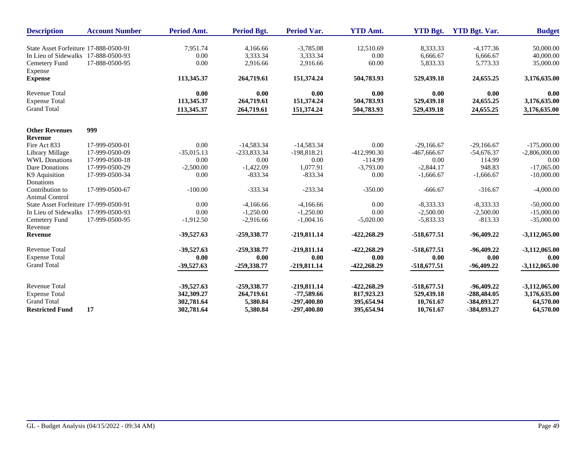| <b>Description</b>                    | <b>Account Number</b> | <b>Period Amt.</b> | Period Bgt.   | <b>Period Var.</b> | <b>YTD Amt.</b> | <b>YTD Bgt.</b> | <b>YTD Bgt. Var.</b> | <b>Budget</b>   |
|---------------------------------------|-----------------------|--------------------|---------------|--------------------|-----------------|-----------------|----------------------|-----------------|
| State Asset Forfeiture 17-888-0500-91 |                       | 7,951.74           | 4,166.66      | $-3,785.08$        | 12,510.69       | 8,333.33        | $-4,177.36$          | 50,000.00       |
| In Lieu of Sidewalks 17-888-0500-93   |                       | 0.00               | 3,333.34      | 3,333.34           | 0.00            | 6.666.67        | 6.666.67             | 40,000.00       |
| Cemetery Fund<br>Expense              | 17-888-0500-95        | 0.00               | 2,916.66      | 2,916.66           | 60.00           | 5,833.33        | 5,773.33             | 35,000.00       |
| <b>Expense</b>                        |                       | 113,345.37         | 264,719.61    | 151,374.24         | 504,783.93      | 529,439.18      | 24,655.25            | 3,176,635.00    |
| <b>Revenue Total</b>                  |                       | 0.00               | 0.00          | 0.00               | 0.00            | 0.00            | 0.00                 | 0.00            |
| <b>Expense Total</b>                  |                       | 113,345.37         | 264,719.61    | 151,374.24         | 504,783.93      | 529,439.18      | 24,655.25            | 3,176,635.00    |
| <b>Grand Total</b>                    |                       | 113,345.37         | 264,719.61    | 151,374.24         | 504,783.93      | 529,439.18      | 24,655.25            | 3,176,635.00    |
| <b>Other Revenues</b>                 | 999                   |                    |               |                    |                 |                 |                      |                 |
| <b>Revenue</b>                        |                       |                    |               |                    |                 |                 |                      |                 |
| Fire Act 833                          | 17-999-0500-01        | 0.00               | $-14,583.34$  | $-14,583.34$       | 0.00            | $-29,166.67$    | $-29,166.67$         | $-175,000.00$   |
| Library Millage                       | 17-999-0500-09        | $-35,015.13$       | $-233,833.34$ | -198,818.21        | -412,990.30     | $-467,666.67$   | $-54,676.37$         | $-2,806,000.00$ |
| <b>WWL Donations</b>                  | 17-999-0500-18        | 0.00               | 0.00          | 0.00               | $-114.99$       | 0.00            | 114.99               | 0.00            |
| Dare Donations                        | 17-999-0500-29        | $-2,500.00$        | $-1,422.09$   | 1,077.91           | $-3,793.00$     | $-2,844.17$     | 948.83               | $-17,065.00$    |
| K9 Aquisition                         | 17-999-0500-34        | 0.00               | $-833.34$     | $-833.34$          | 0.00            | $-1,666.67$     | $-1,666.67$          | $-10,000.00$    |
| Donations                             |                       |                    |               |                    |                 |                 |                      |                 |
| Contribution to<br>Animal Control     | 17-999-0500-67        | $-100.00$          | $-333.34$     | $-233.34$          | $-350.00$       | $-666.67$       | $-316.67$            | $-4,000.00$     |
| State Asset Forfeiture 17-999-0500-91 |                       | 0.00               | $-4,166.66$   | $-4,166.66$        | 0.00            | $-8,333.33$     | $-8,333.33$          | $-50,000.00$    |
| In Lieu of Sidewalks 17-999-0500-93   |                       | 0.00               | $-1,250.00$   | $-1,250.00$        | 0.00            | $-2,500.00$     | $-2,500.00$          | $-15,000.00$    |
| Cemetery Fund                         | 17-999-0500-95        | $-1,912.50$        | $-2,916.66$   | $-1,004.16$        | $-5,020.00$     | $-5,833.33$     | $-813.33$            | $-35,000.00$    |
| Revenue                               |                       |                    |               |                    |                 |                 |                      |                 |
| Revenue                               |                       | $-39,527.63$       | -259,338.77   | $-219,811.14$      | $-422,268.29$   | $-518,677.51$   | $-96,409.22$         | $-3,112,065.00$ |
| <b>Revenue Total</b>                  |                       | $-39,527.63$       | -259,338.77   | $-219,811.14$      | -422,268.29     | $-518,677.51$   | $-96,409.22$         | $-3,112,065.00$ |
| <b>Expense Total</b>                  |                       | 0.00               | 0.00          | 0.00               | 0.00            | 0.00            | 0.00                 | 0.00            |
| <b>Grand Total</b>                    |                       | $-39,527.63$       | $-259,338.77$ | -219,811.14        | $-422,268.29$   | $-518,677,51$   | $-96,409.22$         | $-3,112,065.00$ |
| <b>Revenue Total</b>                  |                       | $-39,527.63$       | -259,338.77   | $-219,811.14$      | $-422,268.29$   | $-518,677.51$   | $-96,409,22$         | $-3,112,065.00$ |
| <b>Expense Total</b>                  |                       | 342,309.27         | 264,719.61    | $-77,589.66$       | 817,923.23      | 529,439.18      | $-288,484.05$        | 3,176,635.00    |
| <b>Grand Total</b>                    |                       | 302,781.64         | 5,380.84      | $-297,400.80$      | 395,654.94      | 10,761.67       | -384,893.27          | 64,570.00       |
| <b>Restricted Fund</b>                | 17                    | 302,781.64         | 5,380.84      | $-297,400.80$      | 395,654.94      | 10,761.67       | -384,893.27          | 64,570.00       |
|                                       |                       |                    |               |                    |                 |                 |                      |                 |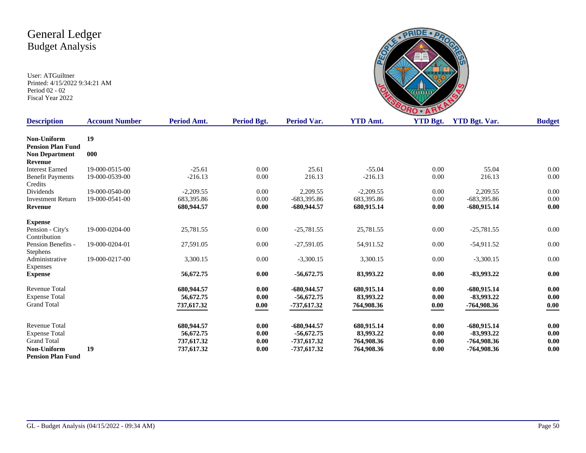

| <b>Description</b>       | <b>Account Number</b> | Period Amt. | Period Bgt. | Period Var.   | <b>YTD Amt.</b> | <b>YTD Bgt.</b> | <b>YTD Bgt. Var.</b> | <b>Budget</b> |
|--------------------------|-----------------------|-------------|-------------|---------------|-----------------|-----------------|----------------------|---------------|
| Non-Uniform              | 19                    |             |             |               |                 |                 |                      |               |
| <b>Pension Plan Fund</b> |                       |             |             |               |                 |                 |                      |               |
| <b>Non Department</b>    | 000                   |             |             |               |                 |                 |                      |               |
| <b>Revenue</b>           |                       |             |             |               |                 |                 |                      |               |
| <b>Interest Earned</b>   | 19-000-0515-00        | $-25.61$    | 0.00        | 25.61         | $-55.04$        | 0.00            | 55.04                | 0.00          |
| <b>Benefit Payments</b>  | 19-000-0539-00        | $-216.13$   | 0.00        | 216.13        | $-216.13$       | 0.00            | 216.13               | 0.00          |
| Credits                  |                       |             |             |               |                 |                 |                      |               |
| Dividends                | 19-000-0540-00        | $-2,209.55$ | 0.00        | 2,209.55      | $-2,209.55$     | 0.00            | 2,209.55             | 0.00          |
| <b>Investment Return</b> | 19-000-0541-00        | 683,395.86  | 0.00        | $-683,395.86$ | 683,395.86      | 0.00            | $-683,395.86$        | 0.00          |
| <b>Revenue</b>           |                       | 680,944.57  | 0.00        | $-680,944.57$ | 680,915.14      | 0.00            | $-680,915.14$        | 0.00          |
| <b>Expense</b>           |                       |             |             |               |                 |                 |                      |               |
| Pension - City's         | 19-000-0204-00        | 25,781.55   | 0.00        | $-25,781.55$  | 25,781.55       | $0.00\,$        | $-25,781.55$         | $0.00\,$      |
| Contribution             |                       |             |             |               |                 |                 |                      |               |
| Pension Benefits -       | 19-000-0204-01        | 27,591.05   | 0.00        | $-27,591.05$  | 54,911.52       | 0.00            | $-54,911.52$         | 0.00          |
| Stephens                 |                       |             |             |               |                 |                 |                      |               |
| Administrative           | 19-000-0217-00        | 3,300.15    | 0.00        | $-3,300.15$   | 3,300.15        | 0.00            | $-3,300.15$          | 0.00          |
| Expenses                 |                       |             |             |               |                 |                 |                      |               |
| <b>Expense</b>           |                       | 56,672.75   | 0.00        | $-56,672.75$  | 83,993.22       | 0.00            | $-83,993,22$         | 0.00          |
| <b>Revenue Total</b>     |                       | 680,944.57  | 0.00        | -680,944.57   | 680.915.14      | 0.00            | $-680,915.14$        | 0.00          |
| <b>Expense Total</b>     |                       | 56,672.75   | 0.00        | $-56,672.75$  | 83,993.22       | 0.00            | $-83,993,22$         | 0.00          |
| <b>Grand Total</b>       |                       | 737,617.32  | 0.00        | $-737,617.32$ | 764,908.36      | 0.00            | -764,908.36          | 0.00          |
|                          |                       |             |             |               |                 |                 |                      |               |
| <b>Revenue Total</b>     |                       | 680,944.57  | 0.00        | $-680,944.57$ | 680,915.14      | 0.00            | $-680,915.14$        | 0.00          |
| <b>Expense Total</b>     |                       | 56,672.75   | 0.00        | $-56,672.75$  | 83,993.22       | 0.00            | $-83,993.22$         | 0.00          |
| <b>Grand Total</b>       |                       | 737,617.32  | 0.00        | -737,617.32   | 764,908.36      | 0.00            | -764,908.36          | 0.00          |
| Non-Uniform              | 19                    | 737,617.32  | 0.00        | $-737,617.32$ | 764,908.36      | 0.00            | $-764,908.36$        | 0.00          |
| <b>Pension Plan Fund</b> |                       |             |             |               |                 |                 |                      |               |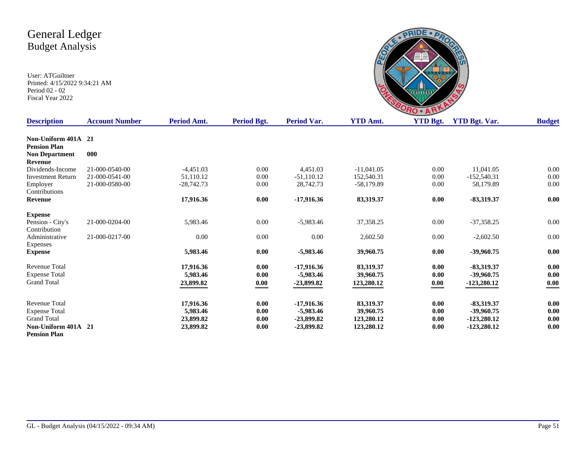

| <b>Description</b>       | <b>Account Number</b> | Period Amt.  | <b>Period Bgt.</b> | Period Var.  | <b>YTD Amt.</b> | <b>YTD Bgt.</b> | <b>YTD Bgt. Var.</b> | <b>Budget</b> |
|--------------------------|-----------------------|--------------|--------------------|--------------|-----------------|-----------------|----------------------|---------------|
|                          |                       |              |                    |              |                 |                 |                      |               |
| Non-Uniform 401A 21      |                       |              |                    |              |                 |                 |                      |               |
| <b>Pension Plan</b>      |                       |              |                    |              |                 |                 |                      |               |
| <b>Non Department</b>    | 000                   |              |                    |              |                 |                 |                      |               |
| Revenue                  |                       |              |                    |              |                 |                 |                      |               |
| Dividends-Income         | 21-000-0540-00        | $-4.451.03$  | 0.00               | 4.451.03     | $-11.041.05$    | 0.00            | 11.041.05            | 0.00          |
| <b>Investment Return</b> | 21-000-0541-00        | 51.110.12    | 0.00               | $-51,110,12$ | 152,540.31      | $0.00\,$        | $-152.540.31$        | $0.00\,$      |
| Employer                 | 21-000-0580-00        | $-28,742.73$ | 0.00               | 28,742.73    | $-58,179.89$    | 0.00            | 58,179.89            | 0.00          |
| Contributions            |                       |              |                    |              |                 |                 |                      |               |
| <b>Revenue</b>           |                       | 17,916.36    | 0.00               | $-17,916.36$ | 83,319.37       | 0.00            | $-83,319.37$         | 0.00          |
| <b>Expense</b>           |                       |              |                    |              |                 |                 |                      |               |
| Pension - City's         | 21-000-0204-00        | 5,983.46     | 0.00               | $-5,983.46$  | 37,358.25       | $0.00\,$        | $-37,358.25$         | 0.00          |
| Contribution             |                       |              |                    |              |                 |                 |                      |               |
| Administrative           | 21-000-0217-00        | 0.00         | 0.00               | 0.00         | 2,602.50        | $0.00\,$        | $-2,602.50$          | 0.00          |
| Expenses                 |                       |              |                    |              |                 |                 |                      |               |
| <b>Expense</b>           |                       | 5,983.46     | 0.00               | $-5,983.46$  | 39,960.75       | 0.00            | $-39,960.75$         | 0.00          |
| <b>Revenue Total</b>     |                       | 17,916.36    | 0.00               | $-17,916.36$ | 83.319.37       | 0.00            | $-83.319.37$         | 0.00          |
| <b>Expense Total</b>     |                       | 5,983.46     | 0.00               | $-5,983.46$  | 39,960.75       | 0.00            | $-39,960.75$         | $0.00\,$      |
| <b>Grand Total</b>       |                       |              |                    |              |                 |                 |                      |               |
|                          |                       | 23,899.82    | 0.00               | -23,899.82   | 123,280.12      | 0.00            | $-123,280.12$        | 0.00          |
|                          |                       |              |                    |              |                 |                 |                      |               |
| <b>Revenue Total</b>     |                       | 17,916.36    | 0.00               | $-17,916.36$ | 83.319.37       | 0.00            | $-83,319.37$         | 0.00          |
| <b>Expense Total</b>     |                       | 5,983.46     | 0.00               | $-5,983.46$  | 39,960.75       | 0.00            | $-39,960.75$         | 0.00          |
| <b>Grand Total</b>       |                       | 23,899.82    | 0.00               | -23,899.82   | 123,280.12      | 0.00            | -123,280.12          | 0.00          |
| Non-Uniform 401A 21      |                       | 23,899.82    | 0.00               | -23,899.82   | 123,280.12      | 0.00            | -123,280.12          | 0.00          |
| <b>Pension Plan</b>      |                       |              |                    |              |                 |                 |                      |               |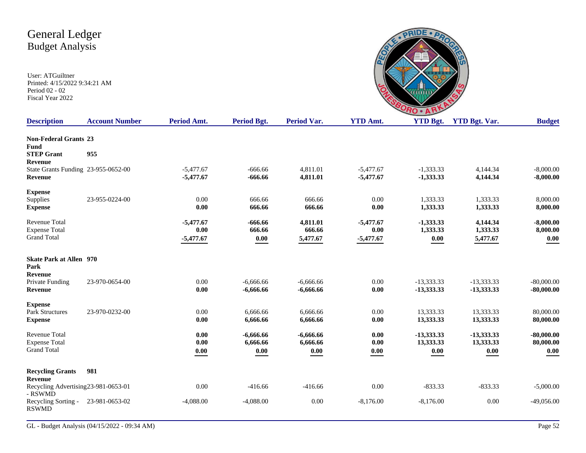

| <b>Description</b>                             | <b>Account Number</b> | Period Amt. | Period Bgt.         | <b>Period Var.</b> | <b>YTD Amt.</b> | <b>YTD Bgt.</b> | <b>YTD Bgt. Var.</b> | <b>Budget</b> |
|------------------------------------------------|-----------------------|-------------|---------------------|--------------------|-----------------|-----------------|----------------------|---------------|
| <b>Non-Federal Grants 23</b><br><b>Fund</b>    |                       |             |                     |                    |                 |                 |                      |               |
| <b>STEP Grant</b><br>Revenue                   | 955                   |             |                     |                    |                 |                 |                      |               |
| State Grants Funding 23-955-0652-00            |                       | $-5,477.67$ | $-666.66$           | 4,811.01           | $-5,477.67$     | $-1,333.33$     | 4,144.34             | $-8,000.00$   |
| <b>Revenue</b>                                 |                       | $-5,477.67$ | $-666.66$           | 4,811.01           | $-5,477.67$     | $-1,333.33$     | 4,144.34             | $-8,000.00$   |
| <b>Expense</b>                                 |                       |             |                     |                    |                 |                 |                      |               |
| Supplies                                       | 23-955-0224-00        | 0.00        | 666.66              | 666.66             | 0.00            | 1,333.33        | 1,333.33             | 8,000.00      |
| <b>Expense</b>                                 |                       | 0.00        | 666.66              | 666.66             | 0.00            | 1,333.33        | 1,333.33             | 8,000.00      |
| <b>Revenue Total</b>                           |                       | $-5,477.67$ | $-666.66$           | 4,811.01           | $-5,477.67$     | $-1,333.33$     | 4,144.34             | $-8,000.00$   |
| <b>Expense Total</b>                           |                       | 0.00        | 666.66              | 666.66             | 0.00            | 1,333.33        | 1,333.33             | 8,000.00      |
| <b>Grand Total</b>                             |                       | $-5,477.67$ | $\boldsymbol{0.00}$ | 5,477.67           | $-5,477.67$     | 0.00            | 5,477.67             | $0.00\,$      |
| <b>Skate Park at Allen</b> 970                 |                       |             |                     |                    |                 |                 |                      |               |
| Park                                           |                       |             |                     |                    |                 |                 |                      |               |
| Revenue<br>Private Funding                     | 23-970-0654-00        | 0.00        | $-6,666,66$         | $-6,666.66$        | 0.00            | $-13.333.33$    | $-13.333.33$         | $-80,000,00$  |
| Revenue                                        |                       | 0.00        | $-6,666.66$         | $-6,666.66$        | 0.00            | -13,333.33      | $-13,333.33$         | $-80,000.00$  |
| <b>Expense</b>                                 |                       |             |                     |                    |                 |                 |                      |               |
| <b>Park Structures</b>                         | 23-970-0232-00        | 0.00        | 6,666.66            | 6,666.66           | 0.00            | 13,333.33       | 13,333.33            | 80,000.00     |
| <b>Expense</b>                                 |                       | 0.00        | 6,666.66            | 6,666.66           | 0.00            | 13,333.33       | 13,333.33            | 80,000.00     |
| <b>Revenue Total</b>                           |                       | 0.00        | $-6,666.66$         | $-6,666.66$        | 0.00            | -13,333.33      | $-13,333,33$         | $-80,000.00$  |
| <b>Expense Total</b>                           |                       | 0.00        | 6,666.66            | 6,666.66           | $0.00\,$        | 13,333.33       | 13,333.33            | 80,000.00     |
| <b>Grand Total</b>                             |                       | 0.00        | 0.00                | 0.00               | 0.00            | 0.00            | 0.00                 | 0.00          |
| <b>Recycling Grants</b>                        | 981                   |             |                     |                    |                 |                 |                      |               |
| Revenue                                        |                       |             |                     |                    |                 |                 |                      |               |
| Recycling Advertising23-981-0653-01<br>- RSWMD |                       | 0.00        | $-416.66$           | $-416.66$          | 0.00            | $-833.33$       | $-833.33$            | $-5,000.00$   |
| Recycling Sorting -<br><b>RSWMD</b>            | 23-981-0653-02        | $-4,088.00$ | $-4,088.00$         | 0.00               | $-8,176.00$     | $-8,176.00$     | 0.00                 | $-49,056.00$  |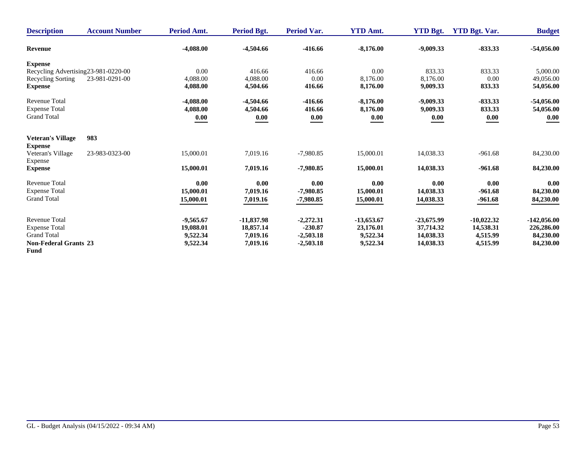| <b>Description</b>                         | <b>Account Number</b>                | Period Amt. | <b>Period Bgt.</b> | <b>Period Var.</b> | <b>YTD Amt.</b> | <b>YTD Bgt.</b> | <b>YTD Bgt. Var.</b> | <b>Budget</b> |
|--------------------------------------------|--------------------------------------|-------------|--------------------|--------------------|-----------------|-----------------|----------------------|---------------|
| <b>Revenue</b>                             |                                      | $-4,088.00$ | $-4,504.66$        | $-416.66$          | $-8,176.00$     | $-9,009.33$     | $-833.33$            | $-54,056.00$  |
| <b>Expense</b>                             |                                      |             |                    |                    |                 |                 |                      |               |
|                                            | Recycling Advertising 23-981-0220-00 | 0.00        | 416.66             | 416.66             | 0.00            | 833.33          | 833.33               | 5,000.00      |
| Recycling Sorting                          | 23-981-0291-00                       | 4,088.00    | 4,088.00           | 0.00               | 8.176.00        | 8,176.00        | 0.00                 | 49,056.00     |
| <b>Expense</b>                             |                                      | 4,088.00    | 4,504.66           | 416.66             | 8,176.00        | 9,009.33        | 833.33               | 54,056.00     |
| <b>Revenue Total</b>                       |                                      | $-4,088.00$ | $-4,504.66$        | $-416.66$          | $-8,176.00$     | $-9,009.33$     | $-833.33$            | $-54,056.00$  |
| <b>Expense Total</b>                       |                                      | 4,088.00    | 4,504.66           | 416.66             | 8,176.00        | 9,009.33        | 833.33               | 54,056.00     |
| <b>Grand Total</b>                         |                                      | 0.00        | 0.00               | 0.00               | 0.00            | 0.00            | 0.00                 | 0.00          |
| <b>Veteran's Village</b><br><b>Expense</b> | 983                                  |             |                    |                    |                 |                 |                      |               |
| Veteran's Village<br>Expense               | 23-983-0323-00                       | 15,000.01   | 7,019.16           | $-7,980.85$        | 15,000.01       | 14,038.33       | $-961.68$            | 84,230.00     |
| <b>Expense</b>                             |                                      | 15,000.01   | 7,019.16           | $-7,980.85$        | 15,000.01       | 14,038.33       | $-961.68$            | 84,230.00     |
| <b>Revenue Total</b>                       |                                      | 0.00        | 0.00               | 0.00               | 0.00            | 0.00            | 0.00                 | 0.00          |
| <b>Expense Total</b>                       |                                      | 15,000.01   | 7.019.16           | $-7.980.85$        | 15,000.01       | 14,038.33       | $-961.68$            | 84,230.00     |
| <b>Grand Total</b>                         |                                      | 15,000.01   | 7,019.16           | $-7,980.85$        | 15,000.01       | 14,038.33       | $-961.68$            | 84,230.00     |
| <b>Revenue Total</b>                       |                                      | $-9,565.67$ | $-11,837.98$       | $-2,272.31$        | $-13,653.67$    | $-23,675.99$    | $-10,022.32$         | $-142,056.00$ |
| <b>Expense Total</b>                       |                                      | 19,088.01   | 18,857.14          | $-230.87$          | 23,176.01       | 37,714.32       | 14,538.31            | 226,286.00    |
| <b>Grand Total</b>                         |                                      | 9,522.34    | 7,019.16           | $-2,503.18$        | 9,522.34        | 14,038.33       | 4,515.99             | 84,230.00     |
| <b>Non-Federal Grants 23</b>               |                                      | 9,522.34    | 7,019.16           | $-2,503.18$        | 9,522.34        | 14,038.33       | 4,515.99             | 84,230.00     |
| Fund                                       |                                      |             |                    |                    |                 |                 |                      |               |